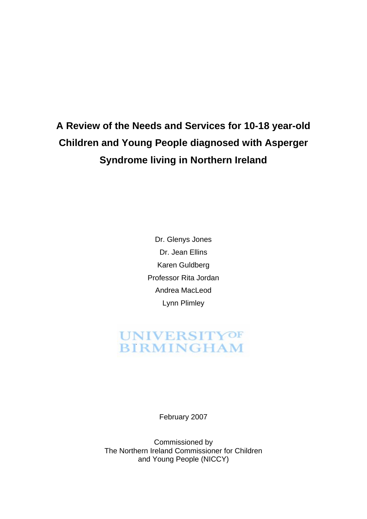# **A Review of the Needs and Services for 10-18 year-old Children and Young People diagnosed with Asperger Syndrome living in Northern Ireland**

Dr. Glenys Jones Dr. Jean Ellins Karen Guldberg Professor Rita Jordan Andrea MacLeod Lynn Plimley

## **UNIVERSITYOF BIRMINGHAM**

February 2007

Commissioned by The Northern Ireland Commissioner for Children and Young People (NICCY)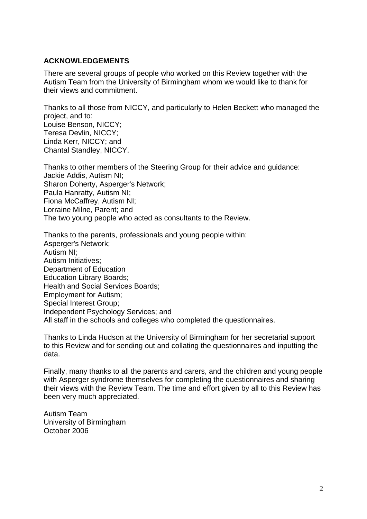#### **ACKNOWLEDGEMENTS**

There are several groups of people who worked on this Review together with the Autism Team from the University of Birmingham whom we would like to thank for their views and commitment.

Thanks to all those from NICCY, and particularly to Helen Beckett who managed the project, and to: Louise Benson, NICCY; Teresa Devlin, NICCY; Linda Kerr, NICCY; and Chantal Standley, NICCY.

Thanks to other members of the Steering Group for their advice and guidance: Jackie Addis, Autism NI; Sharon Doherty, Asperger's Network; Paula Hanratty, Autism NI; Fiona McCaffrey, Autism NI; Lorraine Milne, Parent; and The two young people who acted as consultants to the Review.

Thanks to the parents, professionals and young people within: Asperger's Network; Autism NI; Autism Initiatives; Department of Education Education Library Boards; Health and Social Services Boards; Employment for Autism; Special Interest Group; Independent Psychology Services; and All staff in the schools and colleges who completed the questionnaires.

Thanks to Linda Hudson at the University of Birmingham for her secretarial support to this Review and for sending out and collating the questionnaires and inputting the data.

Finally, many thanks to all the parents and carers, and the children and young people with Asperger syndrome themselves for completing the questionnaires and sharing their views with the Review Team. The time and effort given by all to this Review has been very much appreciated.

Autism Team University of Birmingham October 2006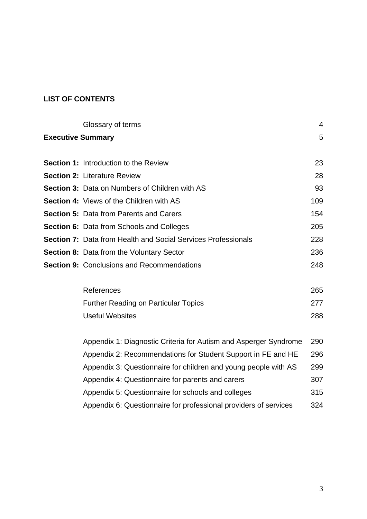## **LIST OF CONTENTS**

|                          | Glossary of terms                                                | $\overline{4}$ |
|--------------------------|------------------------------------------------------------------|----------------|
| <b>Executive Summary</b> |                                                                  | 5              |
|                          | <b>Section 1: Introduction to the Review</b>                     | 23             |
|                          | <b>Section 2: Literature Review</b>                              | 28             |
|                          | Section 3: Data on Numbers of Children with AS                   | 93             |
|                          | <b>Section 4: Views of the Children with AS</b>                  | 109            |
|                          | <b>Section 5: Data from Parents and Carers</b>                   | 154            |
|                          | Section 6: Data from Schools and Colleges                        | 205            |
|                          | Section 7: Data from Health and Social Services Professionals    | 228            |
|                          | <b>Section 8: Data from the Voluntary Sector</b>                 | 236            |
|                          | <b>Section 9: Conclusions and Recommendations</b>                | 248            |
|                          | References                                                       | 265            |
|                          | <b>Further Reading on Particular Topics</b>                      | 277            |
|                          | <b>Useful Websites</b>                                           | 288            |
|                          | Appendix 1: Diagnostic Criteria for Autism and Asperger Syndrome | 290            |
|                          | Appendix 2: Recommendations for Student Support in FE and HE     | 296            |
|                          | Appendix 3: Questionnaire for children and young people with AS  | 299            |
|                          | Appendix 4: Questionnaire for parents and carers                 | 307            |
|                          | Appendix 5: Questionnaire for schools and colleges               | 315            |

Appendix 6: Questionnaire for professional providers of services 324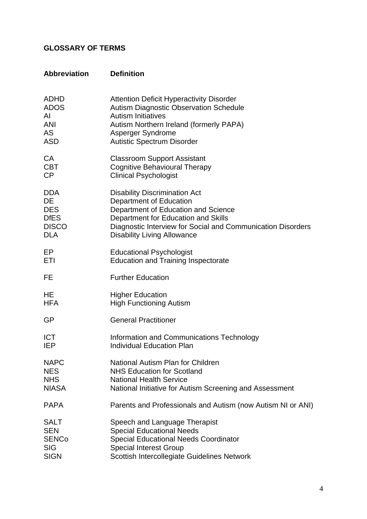## **GLOSSARY OF TERMS**

| <b>Abbreviation</b> | <b>Definition</b>                                           |
|---------------------|-------------------------------------------------------------|
| <b>ADHD</b>         | <b>Attention Deficit Hyperactivity Disorder</b>             |
| <b>ADOS</b>         | <b>Autism Diagnostic Observation Schedule</b>               |
| AI                  | <b>Autism Initiatives</b>                                   |
| <b>ANI</b>          | Autism Northern Ireland (formerly PAPA)                     |
| <b>AS</b>           | Asperger Syndrome                                           |
| <b>ASD</b>          | <b>Autistic Spectrum Disorder</b>                           |
| CA                  | <b>Classroom Support Assistant</b>                          |
| <b>CBT</b>          | <b>Cognitive Behavioural Therapy</b>                        |
| CP                  | <b>Clinical Psychologist</b>                                |
| <b>DDA</b>          | <b>Disability Discrimination Act</b>                        |
| <b>DE</b>           | Department of Education                                     |
| <b>DES</b>          | Department of Education and Science                         |
| <b>DfES</b>         | Department for Education and Skills                         |
| <b>DISCO</b>        | Diagnostic Interview for Social and Communication Disorders |
| <b>DLA</b>          | <b>Disability Living Allowance</b>                          |
| EP                  | <b>Educational Psychologist</b>                             |
| ETI                 | <b>Education and Training Inspectorate</b>                  |
| FE                  | <b>Further Education</b>                                    |
| HE                  | <b>Higher Education</b>                                     |
| <b>HFA</b>          | <b>High Functioning Autism</b>                              |
| <b>GP</b>           | <b>General Practitioner</b>                                 |
| <b>ICT</b>          | Information and Communications Technology                   |
| <b>IEP</b>          | <b>Individual Education Plan</b>                            |
| <b>NAPC</b>         | National Autism Plan for Children                           |
| <b>NES</b>          | <b>NHS Education for Scotland</b>                           |
| <b>NHS</b>          | <b>National Health Service</b>                              |
| <b>NIASA</b>        | National Initiative for Autism Screening and Assessment     |
| <b>PAPA</b>         | Parents and Professionals and Autism (now Autism NI or ANI) |
| <b>SALT</b>         | Speech and Language Therapist                               |
| <b>SEN</b>          | <b>Special Educational Needs</b>                            |
| <b>SENCo</b>        | <b>Special Educational Needs Coordinator</b>                |
| <b>SIG</b>          | <b>Special Interest Group</b>                               |
| <b>SIGN</b>         | Scottish Intercollegiate Guidelines Network                 |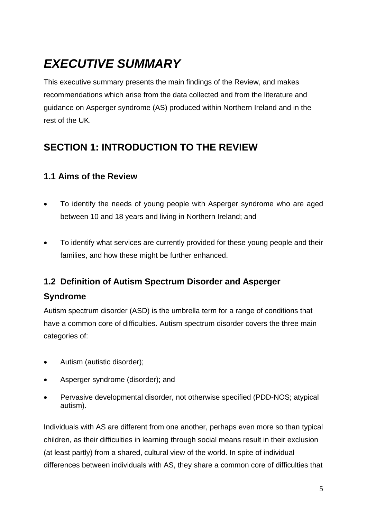# *EXECUTIVE SUMMARY*

This executive summary presents the main findings of the Review, and makes recommendations which arise from the data collected and from the literature and guidance on Asperger syndrome (AS) produced within Northern Ireland and in the rest of the UK.

## **SECTION 1: INTRODUCTION TO THE REVIEW**

## **1.1 Aims of the Review**

- To identify the needs of young people with Asperger syndrome who are aged between 10 and 18 years and living in Northern Ireland; and
- To identify what services are currently provided for these young people and their families, and how these might be further enhanced.

## **1.2 Definition of Autism Spectrum Disorder and Asperger**

## **Syndrome**

Autism spectrum disorder (ASD) is the umbrella term for a range of conditions that have a common core of difficulties. Autism spectrum disorder covers the three main categories of:

- Autism (autistic disorder);
- Asperger syndrome (disorder); and
- Pervasive developmental disorder, not otherwise specified (PDD-NOS; atypical autism).

Individuals with AS are different from one another, perhaps even more so than typical children, as their difficulties in learning through social means result in their exclusion (at least partly) from a shared, cultural view of the world. In spite of individual differences between individuals with AS, they share a common core of difficulties that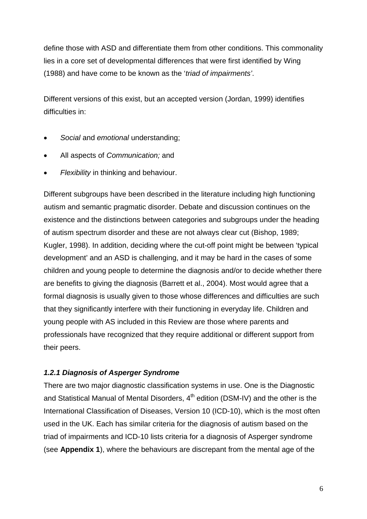define those with ASD and differentiate them from other conditions. This commonality lies in a core set of developmental differences that were first identified by Wing (1988) and have come to be known as the '*triad of impairments'*.

Different versions of this exist, but an accepted version (Jordan, 1999) identifies difficulties in:

- *Social* and *emotional* understanding;
- All aspects of *Communication;* and
- *Flexibility* in thinking and behaviour.

Different subgroups have been described in the literature including high functioning autism and semantic pragmatic disorder. Debate and discussion continues on the existence and the distinctions between categories and subgroups under the heading of autism spectrum disorder and these are not always clear cut (Bishop, 1989; Kugler, 1998). In addition, deciding where the cut-off point might be between 'typical development' and an ASD is challenging, and it may be hard in the cases of some children and young people to determine the diagnosis and/or to decide whether there are benefits to giving the diagnosis (Barrett et al., 2004). Most would agree that a formal diagnosis is usually given to those whose differences and difficulties are such that they significantly interfere with their functioning in everyday life. Children and young people with AS included in this Review are those where parents and professionals have recognized that they require additional or different support from their peers.

### *1.2.1 Diagnosis of Asperger Syndrome*

There are two major diagnostic classification systems in use. One is the Diagnostic and Statistical Manual of Mental Disorders,  $4<sup>th</sup>$  edition (DSM-IV) and the other is the International Classification of Diseases, Version 10 (ICD-10), which is the most often used in the UK. Each has similar criteria for the diagnosis of autism based on the triad of impairments and ICD-10 lists criteria for a diagnosis of Asperger syndrome (see **Appendix 1**), where the behaviours are discrepant from the mental age of the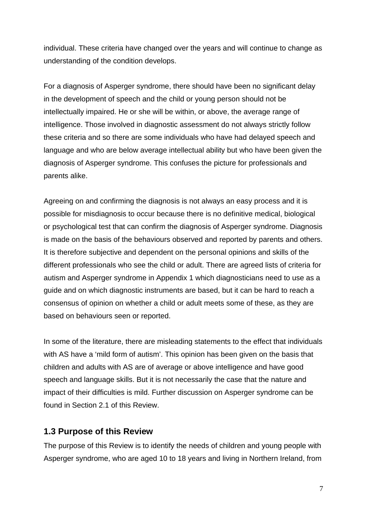individual. These criteria have changed over the years and will continue to change as understanding of the condition develops.

For a diagnosis of Asperger syndrome, there should have been no significant delay in the development of speech and the child or young person should not be intellectually impaired. He or she will be within, or above, the average range of intelligence. Those involved in diagnostic assessment do not always strictly follow these criteria and so there are some individuals who have had delayed speech and language and who are below average intellectual ability but who have been given the diagnosis of Asperger syndrome. This confuses the picture for professionals and parents alike.

Agreeing on and confirming the diagnosis is not always an easy process and it is possible for misdiagnosis to occur because there is no definitive medical, biological or psychological test that can confirm the diagnosis of Asperger syndrome. Diagnosis is made on the basis of the behaviours observed and reported by parents and others. It is therefore subjective and dependent on the personal opinions and skills of the different professionals who see the child or adult. There are agreed lists of criteria for autism and Asperger syndrome in Appendix 1 which diagnosticians need to use as a guide and on which diagnostic instruments are based, but it can be hard to reach a consensus of opinion on whether a child or adult meets some of these, as they are based on behaviours seen or reported.

In some of the literature, there are misleading statements to the effect that individuals with AS have a 'mild form of autism'. This opinion has been given on the basis that children and adults with AS are of average or above intelligence and have good speech and language skills. But it is not necessarily the case that the nature and impact of their difficulties is mild. Further discussion on Asperger syndrome can be found in Section 2.1 of this Review.

## **1.3 Purpose of this Review**

The purpose of this Review is to identify the needs of children and young people with Asperger syndrome, who are aged 10 to 18 years and living in Northern Ireland, from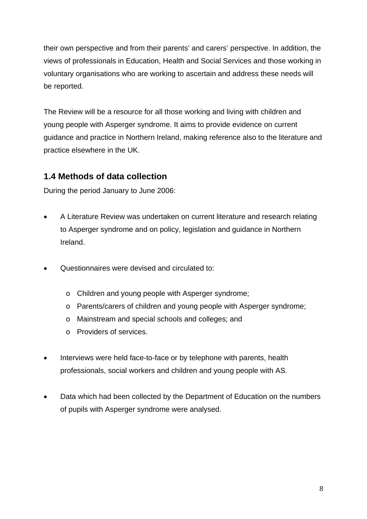their own perspective and from their parents' and carers' perspective. In addition, the views of professionals in Education, Health and Social Services and those working in voluntary organisations who are working to ascertain and address these needs will be reported.

The Review will be a resource for all those working and living with children and young people with Asperger syndrome. It aims to provide evidence on current guidance and practice in Northern Ireland, making reference also to the literature and practice elsewhere in the UK.

## **1.4 Methods of data collection**

During the period January to June 2006:

- A Literature Review was undertaken on current literature and research relating to Asperger syndrome and on policy, legislation and guidance in Northern Ireland.
- Questionnaires were devised and circulated to:
	- o Children and young people with Asperger syndrome;
	- o Parents/carers of children and young people with Asperger syndrome;
	- o Mainstream and special schools and colleges; and
	- o Providers of services.
- Interviews were held face-to-face or by telephone with parents, health professionals, social workers and children and young people with AS.
- Data which had been collected by the Department of Education on the numbers of pupils with Asperger syndrome were analysed.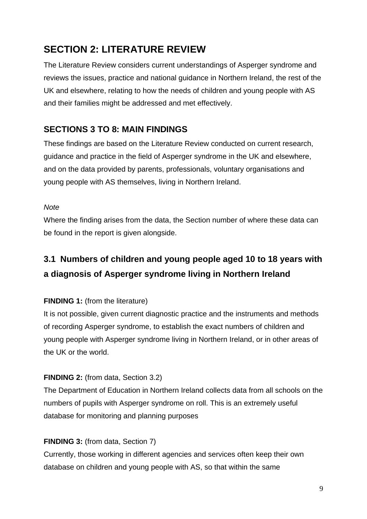## **SECTION 2: LITERATURE REVIEW**

The Literature Review considers current understandings of Asperger syndrome and reviews the issues, practice and national guidance in Northern Ireland, the rest of the UK and elsewhere, relating to how the needs of children and young people with AS and their families might be addressed and met effectively.

## **SECTIONS 3 TO 8: MAIN FINDINGS**

These findings are based on the Literature Review conducted on current research, guidance and practice in the field of Asperger syndrome in the UK and elsewhere, and on the data provided by parents, professionals, voluntary organisations and young people with AS themselves, living in Northern Ireland.

## *Note*

Where the finding arises from the data, the Section number of where these data can be found in the report is given alongside.

## **3.1 Numbers of children and young people aged 10 to 18 years with a diagnosis of Asperger syndrome living in Northern Ireland**

## **FINDING 1: (from the literature)**

It is not possible, given current diagnostic practice and the instruments and methods of recording Asperger syndrome, to establish the exact numbers of children and young people with Asperger syndrome living in Northern Ireland, or in other areas of the UK or the world.

## **FINDING 2:** (from data, Section 3.2)

The Department of Education in Northern Ireland collects data from all schools on the numbers of pupils with Asperger syndrome on roll. This is an extremely useful database for monitoring and planning purposes

## **FINDING 3: (from data, Section 7)**

Currently, those working in different agencies and services often keep their own database on children and young people with AS, so that within the same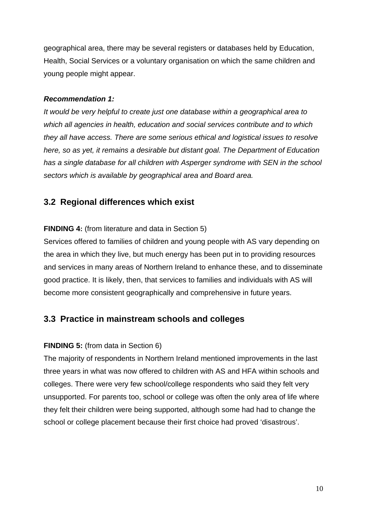geographical area, there may be several registers or databases held by Education, Health, Social Services or a voluntary organisation on which the same children and young people might appear.

#### *Recommendation 1:*

*It would be very helpful to create just one database within a geographical area to which all agencies in health, education and social services contribute and to which they all have access. There are some serious ethical and logistical issues to resolve here, so as yet, it remains a desirable but distant goal. The Department of Education has a single database for all children with Asperger syndrome with SEN in the school sectors which is available by geographical area and Board area.*

## **3.2 Regional differences which exist**

### **FINDING 4:** (from literature and data in Section 5)

Services offered to families of children and young people with AS vary depending on the area in which they live, but much energy has been put in to providing resources and services in many areas of Northern Ireland to enhance these, and to disseminate good practice. It is likely, then, that services to families and individuals with AS will become more consistent geographically and comprehensive in future years.

## **3.3 Practice in mainstream schools and colleges**

### **FINDING 5:** (from data in Section 6)

The majority of respondents in Northern Ireland mentioned improvements in the last three years in what was now offered to children with AS and HFA within schools and colleges. There were very few school/college respondents who said they felt very unsupported. For parents too, school or college was often the only area of life where they felt their children were being supported, although some had had to change the school or college placement because their first choice had proved 'disastrous'.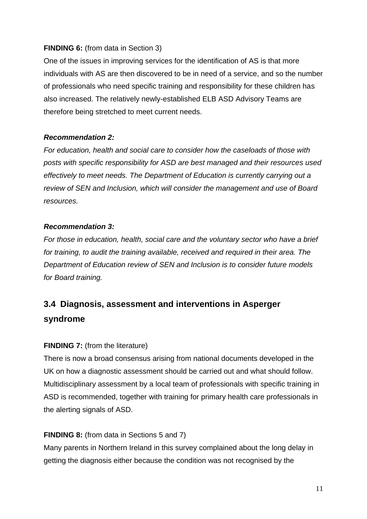## **FINDING 6:** (from data in Section 3)

One of the issues in improving services for the identification of AS is that more individuals with AS are then discovered to be in need of a service, and so the number of professionals who need specific training and responsibility for these children has also increased. The relatively newly-established ELB ASD Advisory Teams are therefore being stretched to meet current needs.

## *Recommendation 2:*

*For education, health and social care to consider how the caseloads of those with posts with specific responsibility for ASD are best managed and their resources used effectively to meet needs. The Department of Education is currently carrying out a review of SEN and Inclusion, which will consider the management and use of Board resources.*

### *Recommendation 3:*

*For those in education, health, social care and the voluntary sector who have a brief for training, to audit the training available, received and required in their area. The Department of Education review of SEN and Inclusion is to consider future models for Board training.*

## **3.4 Diagnosis, assessment and interventions in Asperger syndrome**

## **FINDING 7:** (from the literature)

There is now a broad consensus arising from national documents developed in the UK on how a diagnostic assessment should be carried out and what should follow. Multidisciplinary assessment by a local team of professionals with specific training in ASD is recommended, together with training for primary health care professionals in the alerting signals of ASD.

## **FINDING 8:** (from data in Sections 5 and 7)

Many parents in Northern Ireland in this survey complained about the long delay in getting the diagnosis either because the condition was not recognised by the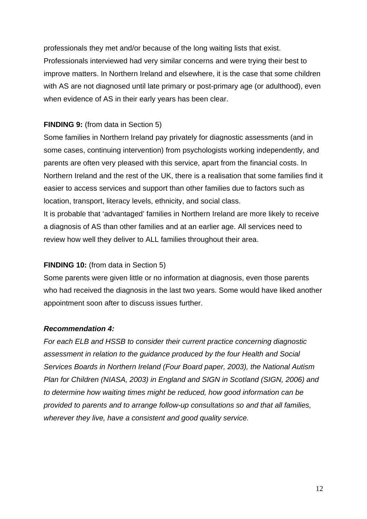professionals they met and/or because of the long waiting lists that exist. Professionals interviewed had very similar concerns and were trying their best to improve matters. In Northern Ireland and elsewhere, it is the case that some children with AS are not diagnosed until late primary or post-primary age (or adulthood), even when evidence of AS in their early years has been clear.

## **FINDING 9:** (from data in Section 5)

Some families in Northern Ireland pay privately for diagnostic assessments (and in some cases, continuing intervention) from psychologists working independently, and parents are often very pleased with this service, apart from the financial costs. In Northern Ireland and the rest of the UK, there is a realisation that some families find it easier to access services and support than other families due to factors such as location, transport, literacy levels, ethnicity, and social class.

It is probable that 'advantaged' families in Northern Ireland are more likely to receive a diagnosis of AS than other families and at an earlier age. All services need to review how well they deliver to ALL families throughout their area.

### **FINDING 10:** (from data in Section 5)

Some parents were given little or no information at diagnosis, even those parents who had received the diagnosis in the last two years. Some would have liked another appointment soon after to discuss issues further.

### *Recommendation 4:*

*For each ELB and HSSB to consider their current practice concerning diagnostic assessment in relation to the guidance produced by the four Health and Social Services Boards in Northern Ireland (Four Board paper, 2003), the National Autism Plan for Children (NIASA, 2003) in England and SIGN in Scotland (SIGN, 2006) and to determine how waiting times might be reduced, how good information can be provided to parents and to arrange follow-up consultations so and that all families, wherever they live, have a consistent and good quality service.*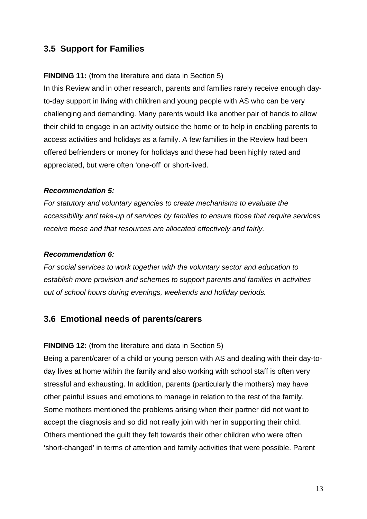## **3.5 Support for Families**

## **FINDING 11:** (from the literature and data in Section 5)

In this Review and in other research, parents and families rarely receive enough dayto-day support in living with children and young people with AS who can be very challenging and demanding. Many parents would like another pair of hands to allow their child to engage in an activity outside the home or to help in enabling parents to access activities and holidays as a family. A few families in the Review had been offered befrienders or money for holidays and these had been highly rated and appreciated, but were often 'one-off' or short-lived.

### *Recommendation 5:*

*For statutory and voluntary agencies to create mechanisms to evaluate the accessibility and take-up of services by families to ensure those that require services receive these and that resources are allocated effectively and fairly.*

#### *Recommendation 6:*

*For social services to work together with the voluntary sector and education to establish more provision and schemes to support parents and families in activities out of school hours during evenings, weekends and holiday periods.*

## **3.6 Emotional needs of parents/carers**

#### **FINDING 12:** (from the literature and data in Section 5)

Being a parent/carer of a child or young person with AS and dealing with their day-today lives at home within the family and also working with school staff is often very stressful and exhausting. In addition, parents (particularly the mothers) may have other painful issues and emotions to manage in relation to the rest of the family. Some mothers mentioned the problems arising when their partner did not want to accept the diagnosis and so did not really join with her in supporting their child. Others mentioned the guilt they felt towards their other children who were often 'short-changed' in terms of attention and family activities that were possible. Parent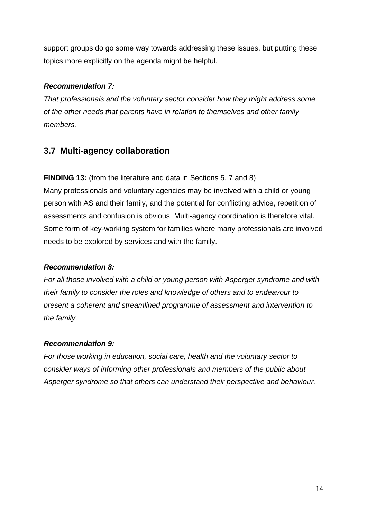support groups do go some way towards addressing these issues, but putting these topics more explicitly on the agenda might be helpful.

### *Recommendation 7:*

*That professionals and the voluntary sector consider how they might address some of the other needs that parents have in relation to themselves and other family members.*

## **3.7 Multi-agency collaboration**

## **FINDING 13:** (from the literature and data in Sections 5, 7 and 8)

Many professionals and voluntary agencies may be involved with a child or young person with AS and their family, and the potential for conflicting advice, repetition of assessments and confusion is obvious. Multi-agency coordination is therefore vital. Some form of key-working system for families where many professionals are involved needs to be explored by services and with the family.

## *Recommendation 8:*

*For all those involved with a child or young person with Asperger syndrome and with their family to consider the roles and knowledge of others and to endeavour to present a coherent and streamlined programme of assessment and intervention to the family.*

### *Recommendation 9:*

*For those working in education, social care, health and the voluntary sector to consider ways of informing other professionals and members of the public about Asperger syndrome so that others can understand their perspective and behaviour.*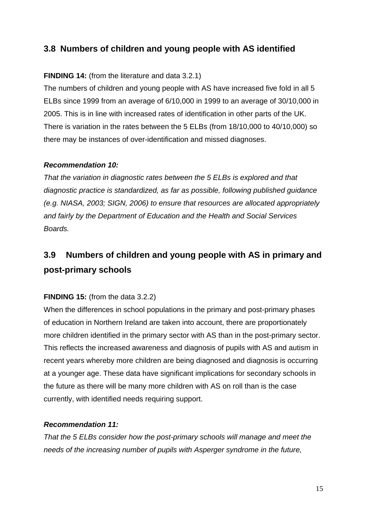## **3.8 Numbers of children and young people with AS identified**

## **FINDING 14:** (from the literature and data 3.2.1)

The numbers of children and young people with AS have increased five fold in all 5 ELBs since 1999 from an average of 6/10,000 in 1999 to an average of 30/10,000 in 2005. This is in line with increased rates of identification in other parts of the UK. There is variation in the rates between the 5 ELBs (from 18/10,000 to 40/10,000) so there may be instances of over-identification and missed diagnoses.

#### *Recommendation 10:*

*That the variation in diagnostic rates between the 5 ELBs is explored and that diagnostic practice is standardized, as far as possible, following published guidance (e.g. NIASA, 2003; SIGN, 2006) to ensure that resources are allocated appropriately and fairly by the Department of Education and the Health and Social Services Boards.*

## **3.9 Numbers of children and young people with AS in primary and post-primary schools**

### **FINDING 15:** (from the data 3.2.2)

When the differences in school populations in the primary and post-primary phases of education in Northern Ireland are taken into account, there are proportionately more children identified in the primary sector with AS than in the post-primary sector. This reflects the increased awareness and diagnosis of pupils with AS and autism in recent years whereby more children are being diagnosed and diagnosis is occurring at a younger age. These data have significant implications for secondary schools in the future as there will be many more children with AS on roll than is the case currently, with identified needs requiring support.

### *Recommendation 11:*

*That the 5 ELBs consider how the post-primary schools will manage and meet the needs of the increasing number of pupils with Asperger syndrome in the future,*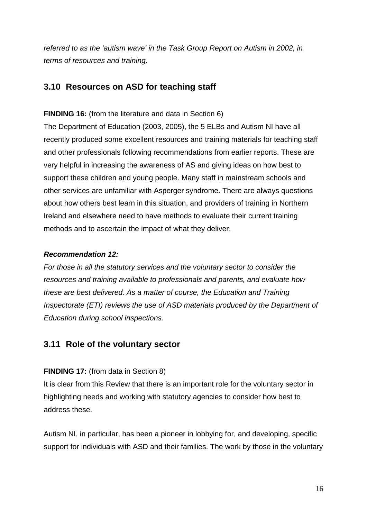*referred to as the 'autism wave' in the Task Group Report on Autism in 2002, in terms of resources and training.* 

## **3.10 Resources on ASD for teaching staff**

#### **FINDING 16:** (from the literature and data in Section 6)

The Department of Education (2003, 2005), the 5 ELBs and Autism NI have all recently produced some excellent resources and training materials for teaching staff and other professionals following recommendations from earlier reports. These are very helpful in increasing the awareness of AS and giving ideas on how best to support these children and young people. Many staff in mainstream schools and other services are unfamiliar with Asperger syndrome. There are always questions about how others best learn in this situation, and providers of training in Northern Ireland and elsewhere need to have methods to evaluate their current training methods and to ascertain the impact of what they deliver.

#### *Recommendation 12:*

*For those in all the statutory services and the voluntary sector to consider the resources and training available to professionals and parents, and evaluate how these are best delivered. As a matter of course, the Education and Training Inspectorate (ETI) reviews the use of ASD materials produced by the Department of Education during school inspections.*

## **3.11 Role of the voluntary sector**

### **FINDING 17:** (from data in Section 8)

It is clear from this Review that there is an important role for the voluntary sector in highlighting needs and working with statutory agencies to consider how best to address these.

Autism NI, in particular, has been a pioneer in lobbying for, and developing, specific support for individuals with ASD and their families. The work by those in the voluntary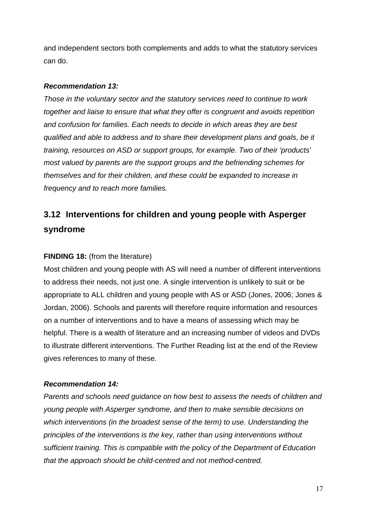and independent sectors both complements and adds to what the statutory services can do.

#### *Recommendation 13:*

*Those in the voluntary sector and the statutory services need to continue to work together and liaise to ensure that what they offer is congruent and avoids repetition and confusion for families. Each needs to decide in which areas they are best qualified and able to address and to share their development plans and goals, be it training, resources on ASD or support groups, for example. Two of their 'products' most valued by parents are the support groups and the befriending schemes for themselves and for their children, and these could be expanded to increase in frequency and to reach more families.*

## **3.12 Interventions for children and young people with Asperger syndrome**

#### **FINDING 18:** (from the literature)

Most children and young people with AS will need a number of different interventions to address their needs, not just one. A single intervention is unlikely to suit or be appropriate to ALL children and young people with AS or ASD (Jones, 2006; Jones & Jordan, 2006). Schools and parents will therefore require information and resources on a number of interventions and to have a means of assessing which may be helpful. There is a wealth of literature and an increasing number of videos and DVDs to illustrate different interventions. The Further Reading list at the end of the Review gives references to many of these.

#### *Recommendation 14:*

*Parents and schools need guidance on how best to assess the needs of children and young people with Asperger syndrome, and then to make sensible decisions on which interventions (in the broadest sense of the term) to use. Understanding the principles of the interventions is the key, rather than using interventions without sufficient training. This is compatible with the policy of the Department of Education that the approach should be child-centred and not method-centred.*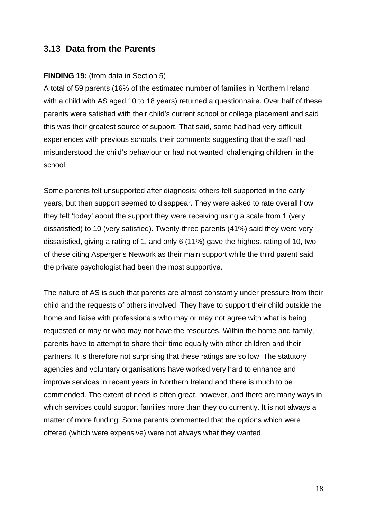## **3.13 Data from the Parents**

#### **FINDING 19:** (from data in Section 5)

A total of 59 parents (16% of the estimated number of families in Northern Ireland with a child with AS aged 10 to 18 years) returned a questionnaire. Over half of these parents were satisfied with their child's current school or college placement and said this was their greatest source of support. That said, some had had very difficult experiences with previous schools, their comments suggesting that the staff had misunderstood the child's behaviour or had not wanted 'challenging children' in the school.

Some parents felt unsupported after diagnosis; others felt supported in the early years, but then support seemed to disappear. They were asked to rate overall how they felt 'today' about the support they were receiving using a scale from 1 (very dissatisfied) to 10 (very satisfied). Twenty-three parents (41%) said they were very dissatisfied, giving a rating of 1, and only 6 (11%) gave the highest rating of 10, two of these citing Asperger's Network as their main support while the third parent said the private psychologist had been the most supportive.

The nature of AS is such that parents are almost constantly under pressure from their child and the requests of others involved. They have to support their child outside the home and liaise with professionals who may or may not agree with what is being requested or may or who may not have the resources. Within the home and family, parents have to attempt to share their time equally with other children and their partners. It is therefore not surprising that these ratings are so low. The statutory agencies and voluntary organisations have worked very hard to enhance and improve services in recent years in Northern Ireland and there is much to be commended. The extent of need is often great, however, and there are many ways in which services could support families more than they do currently. It is not always a matter of more funding. Some parents commented that the options which were offered (which were expensive) were not always what they wanted.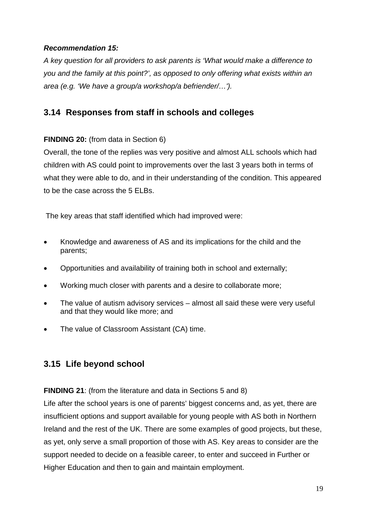## *Recommendation 15:*

*A key question for all providers to ask parents is 'What would make a difference to you and the family at this point?', as opposed to only offering what exists within an area (e.g. 'We have a group/a workshop/a befriender/…').*

## **3.14 Responses from staff in schools and colleges**

## **FINDING 20:** (from data in Section 6)

Overall, the tone of the replies was very positive and almost ALL schools which had children with AS could point to improvements over the last 3 years both in terms of what they were able to do, and in their understanding of the condition. This appeared to be the case across the 5 ELBs.

The key areas that staff identified which had improved were:

- Knowledge and awareness of AS and its implications for the child and the parents;
- Opportunities and availability of training both in school and externally;
- Working much closer with parents and a desire to collaborate more;
- The value of autism advisory services almost all said these were very useful and that they would like more; and
- The value of Classroom Assistant (CA) time.

## **3.15 Life beyond school**

**FINDING 21**: (from the literature and data in Sections 5 and 8)

Life after the school years is one of parents' biggest concerns and, as yet, there are insufficient options and support available for young people with AS both in Northern Ireland and the rest of the UK. There are some examples of good projects, but these, as yet, only serve a small proportion of those with AS. Key areas to consider are the support needed to decide on a feasible career, to enter and succeed in Further or Higher Education and then to gain and maintain employment.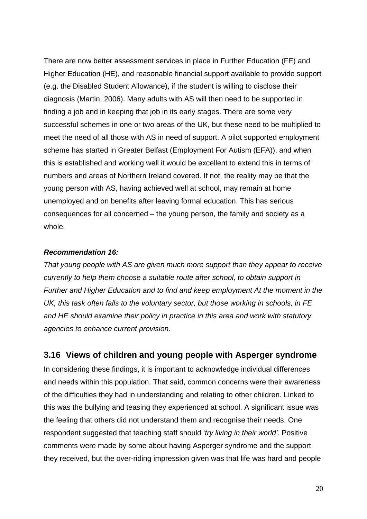There are now better assessment services in place in Further Education (FE) and Higher Education (HE), and reasonable financial support available to provide support (e.g. the Disabled Student Allowance), if the student is willing to disclose their diagnosis (Martin, 2006). Many adults with AS will then need to be supported in finding a job and in keeping that job in its early stages. There are some very successful schemes in one or two areas of the UK, but these need to be multiplied to meet the need of all those with AS in need of support. A pilot supported employment scheme has started in Greater Belfast (Employment For Autism (EFA)), and when this is established and working well it would be excellent to extend this in terms of numbers and areas of Northern Ireland covered. If not, the reality may be that the young person with AS, having achieved well at school, may remain at home unemployed and on benefits after leaving formal education. This has serious consequences for all concerned – the young person, the family and society as a whole.

#### *Recommendation 16:*

*That young people with AS are given much more support than they appear to receive currently to help them choose a suitable route after school, to obtain support in Further and Higher Education and to find and keep employment At the moment in the UK, this task often falls to the voluntary sector, but those working in schools, in FE and HE should examine their policy in practice in this area and work with statutory agencies to enhance current provision.* 

### **3.16 Views of children and young people with Asperger syndrome**

In considering these findings, it is important to acknowledge individual differences and needs within this population. That said, common concerns were their awareness of the difficulties they had in understanding and relating to other children. Linked to this was the bullying and teasing they experienced at school. A significant issue was the feeling that others did not understand them and recognise their needs. One respondent suggested that teaching staff should '*try living in their world'*. Positive comments were made by some about having Asperger syndrome and the support they received, but the over-riding impression given was that life was hard and people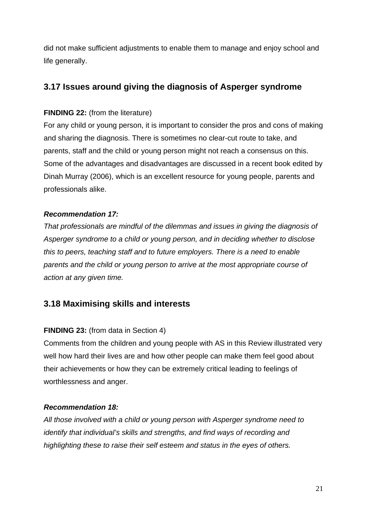did not make sufficient adjustments to enable them to manage and enjoy school and life generally.

## **3.17 Issues around giving the diagnosis of Asperger syndrome**

## **FINDING 22: (from the literature)**

For any child or young person, it is important to consider the pros and cons of making and sharing the diagnosis. There is sometimes no clear-cut route to take, and parents, staff and the child or young person might not reach a consensus on this. Some of the advantages and disadvantages are discussed in a recent book edited by Dinah Murray (2006), which is an excellent resource for young people, parents and professionals alike.

## *Recommendation 17:*

*That professionals are mindful of the dilemmas and issues in giving the diagnosis of Asperger syndrome to a child or young person, and in deciding whether to disclose this to peers, teaching staff and to future employers. There is a need to enable parents and the child or young person to arrive at the most appropriate course of action at any given time.*

## **3.18 Maximising skills and interests**

## **FINDING 23:** (from data in Section 4)

Comments from the children and young people with AS in this Review illustrated very well how hard their lives are and how other people can make them feel good about their achievements or how they can be extremely critical leading to feelings of worthlessness and anger.

### *Recommendation 18:*

*All those involved with a child or young person with Asperger syndrome need to identify that individual's skills and strengths, and find ways of recording and highlighting these to raise their self esteem and status in the eyes of others.*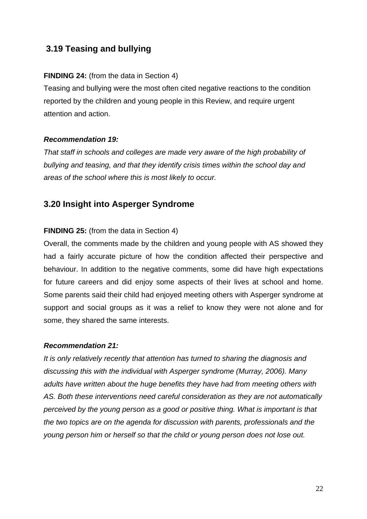## **3.19 Teasing and bullying**

### **FINDING 24:** (from the data in Section 4)

Teasing and bullying were the most often cited negative reactions to the condition reported by the children and young people in this Review, and require urgent attention and action.

### *Recommendation 19:*

*That staff in schools and colleges are made very aware of the high probability of bullying and teasing, and that they identify crisis times within the school day and areas of the school where this is most likely to occur.*

## **3.20 Insight into Asperger Syndrome**

### **FINDING 25:** (from the data in Section 4)

Overall, the comments made by the children and young people with AS showed they had a fairly accurate picture of how the condition affected their perspective and behaviour. In addition to the negative comments, some did have high expectations for future careers and did enjoy some aspects of their lives at school and home. Some parents said their child had enjoyed meeting others with Asperger syndrome at support and social groups as it was a relief to know they were not alone and for some, they shared the same interests.

### *Recommendation 21:*

*It is only relatively recently that attention has turned to sharing the diagnosis and discussing this with the individual with Asperger syndrome (Murray, 2006). Many adults have written about the huge benefits they have had from meeting others with AS. Both these interventions need careful consideration as they are not automatically perceived by the young person as a good or positive thing. What is important is that the two topics are on the agenda for discussion with parents, professionals and the young person him or herself so that the child or young person does not lose out.*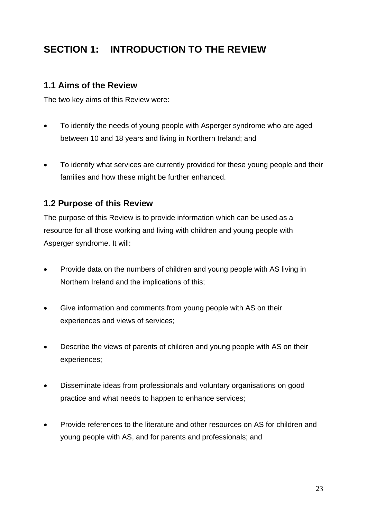## **SECTION 1: INTRODUCTION TO THE REVIEW**

## **1.1 Aims of the Review**

The two key aims of this Review were:

- To identify the needs of young people with Asperger syndrome who are aged between 10 and 18 years and living in Northern Ireland; and
- To identify what services are currently provided for these young people and their families and how these might be further enhanced.

## **1.2 Purpose of this Review**

The purpose of this Review is to provide information which can be used as a resource for all those working and living with children and young people with Asperger syndrome. It will:

- Provide data on the numbers of children and young people with AS living in Northern Ireland and the implications of this;
- Give information and comments from young people with AS on their experiences and views of services;
- Describe the views of parents of children and young people with AS on their experiences;
- Disseminate ideas from professionals and voluntary organisations on good practice and what needs to happen to enhance services;
- Provide references to the literature and other resources on AS for children and young people with AS, and for parents and professionals; and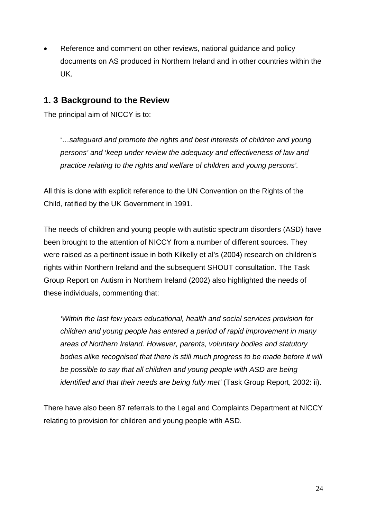Reference and comment on other reviews, national guidance and policy documents on AS produced in Northern Ireland and in other countries within the UK.

## **1. 3 Background to the Review**

The principal aim of NICCY is to:

'…*safeguard and promote the rights and best interests of children and young persons' and* '*keep under review the adequacy and effectiveness of law and practice relating to the rights and welfare of children and young persons'.* 

All this is done with explicit reference to the UN Convention on the Rights of the Child, ratified by the UK Government in 1991.

The needs of children and young people with autistic spectrum disorders (ASD) have been brought to the attention of NICCY from a number of different sources. They were raised as a pertinent issue in both Kilkelly et al's (2004) research on children's rights within Northern Ireland and the subsequent SHOUT consultation. The Task Group Report on Autism in Northern Ireland (2002) also highlighted the needs of these individuals, commenting that:

*'Within the last few years educational, health and social services provision for children and young people has entered a period of rapid improvement in many areas of Northern Ireland. However, parents, voluntary bodies and statutory bodies alike recognised that there is still much progress to be made before it will be possible to say that all children and young people with ASD are being identified and that their needs are being fully met'* (Task Group Report, 2002: ii).

There have also been 87 referrals to the Legal and Complaints Department at NICCY relating to provision for children and young people with ASD.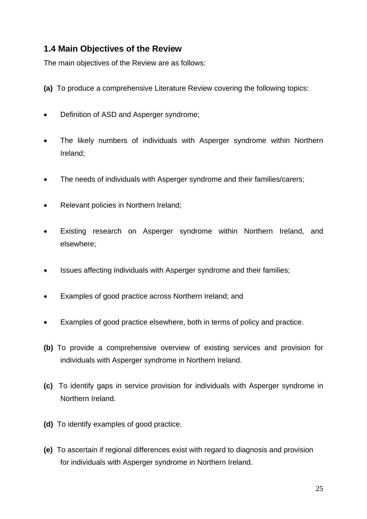## **1.4 Main Objectives of the Review**

The main objectives of the Review are as follows:

- **(a)** To produce a comprehensive Literature Review covering the following topics:
- Definition of ASD and Asperger syndrome;
- The likely numbers of individuals with Asperger syndrome within Northern Ireland;
- The needs of individuals with Asperger syndrome and their families/carers;
- Relevant policies in Northern Ireland;
- Existing research on Asperger syndrome within Northern Ireland, and elsewhere;
- Issues affecting individuals with Asperger syndrome and their families;
- Examples of good practice across Northern Ireland; and
- Examples of good practice elsewhere, both in terms of policy and practice.
- **(b)** To provide a comprehensive overview of existing services and provision for individuals with Asperger syndrome in Northern Ireland.
- **(c)** To identify gaps in service provision for individuals with Asperger syndrome in Northern Ireland.
- **(d)** To identify examples of good practice.
- **(e)** To ascertain if regional differences exist with regard to diagnosis and provision for individuals with Asperger syndrome in Northern Ireland.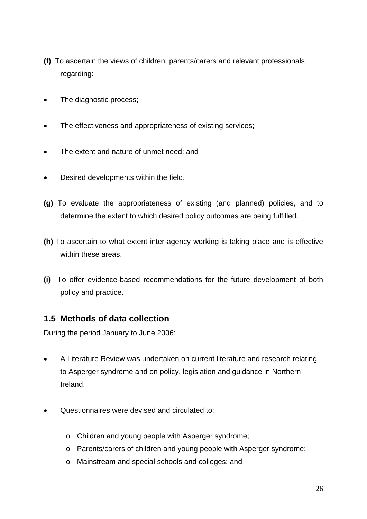- **(f)** To ascertain the views of children, parents/carers and relevant professionals regarding:
- The diagnostic process;
- The effectiveness and appropriateness of existing services;
- The extent and nature of unmet need; and
- Desired developments within the field.
- **(g)** To evaluate the appropriateness of existing (and planned) policies, and to determine the extent to which desired policy outcomes are being fulfilled.
- **(h)** To ascertain to what extent inter-agency working is taking place and is effective within these areas.
- **(i)** To offer evidence-based recommendations for the future development of both policy and practice.

## **1.5 Methods of data collection**

During the period January to June 2006:

- A Literature Review was undertaken on current literature and research relating to Asperger syndrome and on policy, legislation and guidance in Northern Ireland.
- Questionnaires were devised and circulated to:
	- o Children and young people with Asperger syndrome;
	- o Parents/carers of children and young people with Asperger syndrome;
	- o Mainstream and special schools and colleges; and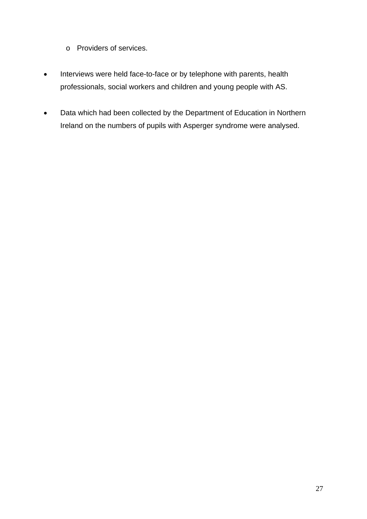- o Providers of services.
- Interviews were held face-to-face or by telephone with parents, health professionals, social workers and children and young people with AS.
- Data which had been collected by the Department of Education in Northern Ireland on the numbers of pupils with Asperger syndrome were analysed.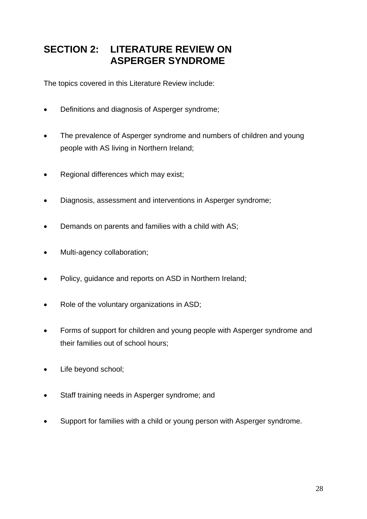## **SECTION 2: LITERATURE REVIEW ON ASPERGER SYNDROME**

The topics covered in this Literature Review include:

- Definitions and diagnosis of Asperger syndrome;
- The prevalence of Asperger syndrome and numbers of children and young people with AS living in Northern Ireland;
- Regional differences which may exist;
- Diagnosis, assessment and interventions in Asperger syndrome;
- Demands on parents and families with a child with AS;
- Multi-agency collaboration;
- Policy, guidance and reports on ASD in Northern Ireland;
- Role of the voluntary organizations in ASD;
- Forms of support for children and young people with Asperger syndrome and their families out of school hours;
- Life beyond school;
- Staff training needs in Asperger syndrome; and
- Support for families with a child or young person with Asperger syndrome.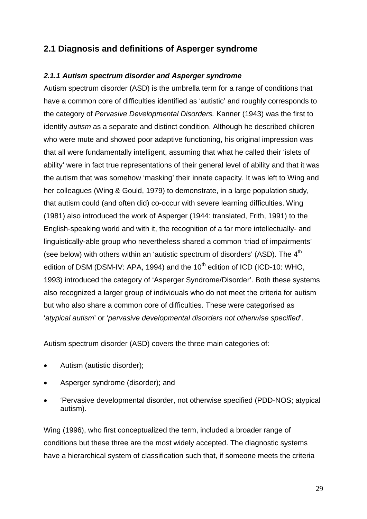## **2.1 Diagnosis and definitions of Asperger syndrome**

#### *2.1.1 Autism spectrum disorder and Asperger syndrome*

Autism spectrum disorder (ASD) is the umbrella term for a range of conditions that have a common core of difficulties identified as 'autistic' and roughly corresponds to the category of *Pervasive Developmental Disorders.* Kanner (1943) was the first to identify *autism* as a separate and distinct condition. Although he described children who were mute and showed poor adaptive functioning, his original impression was that all were fundamentally intelligent, assuming that what he called their 'islets of ability' were in fact true representations of their general level of ability and that it was the autism that was somehow 'masking' their innate capacity. It was left to Wing and her colleagues (Wing & Gould, 1979) to demonstrate, in a large population study, that autism could (and often did) co-occur with severe learning difficulties. Wing (1981) also introduced the work of Asperger (1944: translated, Frith, 1991) to the English-speaking world and with it, the recognition of a far more intellectually- and linguistically-able group who nevertheless shared a common 'triad of impairments' (see below) with others within an 'autistic spectrum of disorders' (ASD). The 4<sup>th</sup> edition of DSM (DSM-IV: APA, 1994) and the  $10<sup>th</sup>$  edition of ICD (ICD-10: WHO, 1993) introduced the category of 'Asperger Syndrome/Disorder'. Both these systems also recognized a larger group of individuals who do not meet the criteria for autism but who also share a common core of difficulties. These were categorised as '*atypical autism*' or '*pervasive developmental disorders not otherwise specified*'.

Autism spectrum disorder (ASD) covers the three main categories of:

- Autism (autistic disorder);
- Asperger syndrome (disorder); and
- 'Pervasive developmental disorder, not otherwise specified (PDD-NOS; atypical autism).

Wing (1996), who first conceptualized the term, included a broader range of conditions but these three are the most widely accepted. The diagnostic systems have a hierarchical system of classification such that, if someone meets the criteria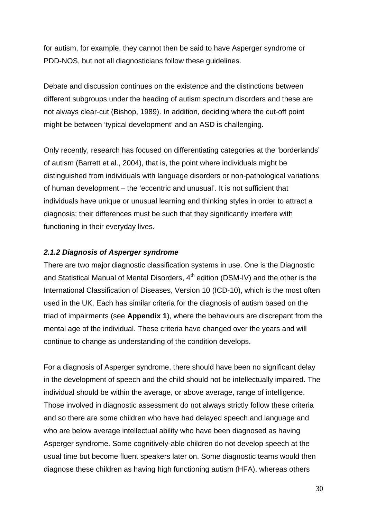for autism, for example, they cannot then be said to have Asperger syndrome or PDD-NOS, but not all diagnosticians follow these guidelines.

Debate and discussion continues on the existence and the distinctions between different subgroups under the heading of autism spectrum disorders and these are not always clear-cut (Bishop, 1989). In addition, deciding where the cut-off point might be between 'typical development' and an ASD is challenging.

Only recently, research has focused on differentiating categories at the 'borderlands' of autism (Barrett et al., 2004), that is, the point where individuals might be distinguished from individuals with language disorders or non-pathological variations of human development – the 'eccentric and unusual'. It is not sufficient that individuals have unique or unusual learning and thinking styles in order to attract a diagnosis; their differences must be such that they significantly interfere with functioning in their everyday lives.

#### *2.1.2 Diagnosis of Asperger syndrome*

There are two major diagnostic classification systems in use. One is the Diagnostic and Statistical Manual of Mental Disorders, 4<sup>th</sup> edition (DSM-IV) and the other is the International Classification of Diseases, Version 10 (ICD-10), which is the most often used in the UK. Each has similar criteria for the diagnosis of autism based on the triad of impairments (see **Appendix 1**), where the behaviours are discrepant from the mental age of the individual. These criteria have changed over the years and will continue to change as understanding of the condition develops.

For a diagnosis of Asperger syndrome, there should have been no significant delay in the development of speech and the child should not be intellectually impaired. The individual should be within the average, or above average, range of intelligence. Those involved in diagnostic assessment do not always strictly follow these criteria and so there are some children who have had delayed speech and language and who are below average intellectual ability who have been diagnosed as having Asperger syndrome. Some cognitively-able children do not develop speech at the usual time but become fluent speakers later on. Some diagnostic teams would then diagnose these children as having high functioning autism (HFA), whereas others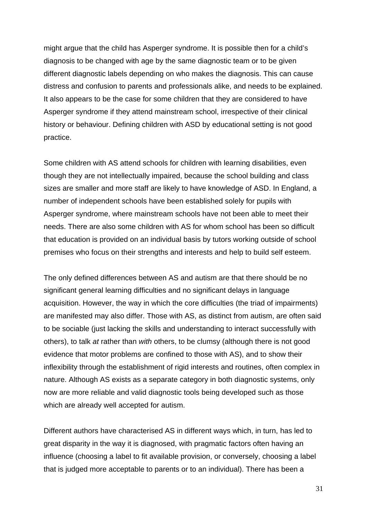might argue that the child has Asperger syndrome. It is possible then for a child's diagnosis to be changed with age by the same diagnostic team or to be given different diagnostic labels depending on who makes the diagnosis. This can cause distress and confusion to parents and professionals alike, and needs to be explained. It also appears to be the case for some children that they are considered to have Asperger syndrome if they attend mainstream school, irrespective of their clinical history or behaviour. Defining children with ASD by educational setting is not good practice.

Some children with AS attend schools for children with learning disabilities, even though they are not intellectually impaired, because the school building and class sizes are smaller and more staff are likely to have knowledge of ASD. In England, a number of independent schools have been established solely for pupils with Asperger syndrome, where mainstream schools have not been able to meet their needs. There are also some children with AS for whom school has been so difficult that education is provided on an individual basis by tutors working outside of school premises who focus on their strengths and interests and help to build self esteem.

The only defined differences between AS and autism are that there should be no significant general learning difficulties and no significant delays in language acquisition. However, the way in which the core difficulties (the triad of impairments) are manifested may also differ. Those with AS, as distinct from autism, are often said to be sociable (just lacking the skills and understanding to interact successfully with others), to talk *at* rather than *with* others, to be clumsy (although there is not good evidence that motor problems are confined to those with AS), and to show their inflexibility through the establishment of rigid interests and routines, often complex in nature. Although AS exists as a separate category in both diagnostic systems, only now are more reliable and valid diagnostic tools being developed such as those which are already well accepted for autism.

Different authors have characterised AS in different ways which, in turn, has led to great disparity in the way it is diagnosed, with pragmatic factors often having an influence (choosing a label to fit available provision, or conversely, choosing a label that is judged more acceptable to parents or to an individual). There has been a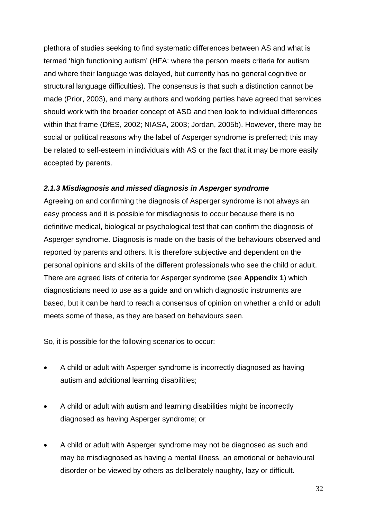plethora of studies seeking to find systematic differences between AS and what is termed 'high functioning autism' (HFA: where the person meets criteria for autism and where their language was delayed, but currently has no general cognitive or structural language difficulties). The consensus is that such a distinction cannot be made (Prior, 2003), and many authors and working parties have agreed that services should work with the broader concept of ASD and then look to individual differences within that frame (DfES, 2002; NIASA, 2003; Jordan, 2005b). However, there may be social or political reasons why the label of Asperger syndrome is preferred; this may be related to self-esteem in individuals with AS or the fact that it may be more easily accepted by parents.

#### *2.1.3 Misdiagnosis and missed diagnosis in Asperger syndrome*

Agreeing on and confirming the diagnosis of Asperger syndrome is not always an easy process and it is possible for misdiagnosis to occur because there is no definitive medical, biological or psychological test that can confirm the diagnosis of Asperger syndrome. Diagnosis is made on the basis of the behaviours observed and reported by parents and others. It is therefore subjective and dependent on the personal opinions and skills of the different professionals who see the child or adult. There are agreed lists of criteria for Asperger syndrome (see **Appendix 1**) which diagnosticians need to use as a guide and on which diagnostic instruments are based, but it can be hard to reach a consensus of opinion on whether a child or adult meets some of these, as they are based on behaviours seen.

So, it is possible for the following scenarios to occur:

- A child or adult with Asperger syndrome is incorrectly diagnosed as having autism and additional learning disabilities;
- A child or adult with autism and learning disabilities might be incorrectly diagnosed as having Asperger syndrome; or
- A child or adult with Asperger syndrome may not be diagnosed as such and may be misdiagnosed as having a mental illness, an emotional or behavioural disorder or be viewed by others as deliberately naughty, lazy or difficult.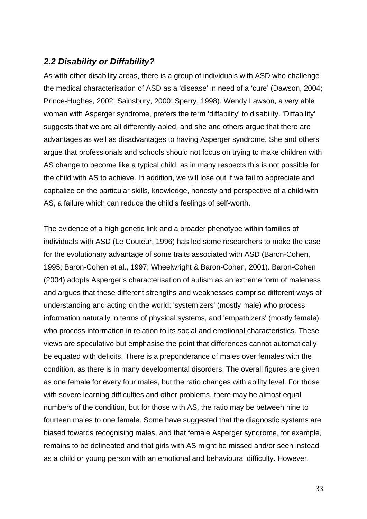## *2.2 Disability or Diffability?*

As with other disability areas, there is a group of individuals with ASD who challenge the medical characterisation of ASD as a 'disease' in need of a 'cure' (Dawson, 2004; Prince-Hughes, 2002; Sainsbury, 2000; Sperry, 1998). Wendy Lawson, a very able woman with Asperger syndrome, prefers the term 'diffability' to disability. 'Diffability' suggests that we are all differently-abled, and she and others argue that there are advantages as well as disadvantages to having Asperger syndrome. She and others argue that professionals and schools should not focus on trying to make children with AS change to become like a typical child, as in many respects this is not possible for the child with AS to achieve. In addition, we will lose out if we fail to appreciate and capitalize on the particular skills, knowledge, honesty and perspective of a child with AS, a failure which can reduce the child's feelings of self-worth.

The evidence of a high genetic link and a broader phenotype within families of individuals with ASD (Le Couteur, 1996) has led some researchers to make the case for the evolutionary advantage of some traits associated with ASD (Baron-Cohen, 1995; Baron-Cohen et al., 1997; Wheelwright & Baron-Cohen, 2001). Baron-Cohen (2004) adopts Asperger's characterisation of autism as an extreme form of maleness and argues that these different strengths and weaknesses comprise different ways of understanding and acting on the world: 'systemizers' (mostly male) who process information naturally in terms of physical systems, and 'empathizers' (mostly female) who process information in relation to its social and emotional characteristics. These views are speculative but emphasise the point that differences cannot automatically be equated with deficits. There is a preponderance of males over females with the condition, as there is in many developmental disorders. The overall figures are given as one female for every four males, but the ratio changes with ability level. For those with severe learning difficulties and other problems, there may be almost equal numbers of the condition, but for those with AS, the ratio may be between nine to fourteen males to one female. Some have suggested that the diagnostic systems are biased towards recognising males, and that female Asperger syndrome, for example, remains to be delineated and that girls with AS might be missed and/or seen instead as a child or young person with an emotional and behavioural difficulty. However,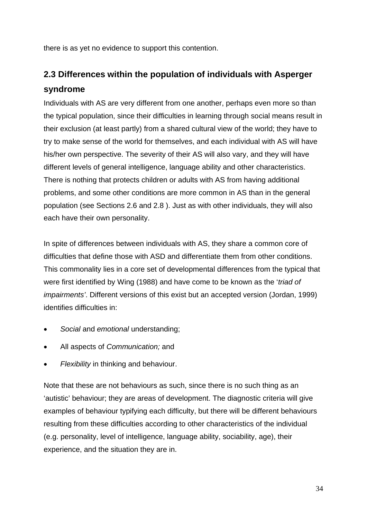there is as yet no evidence to support this contention.

## **2.3 Differences within the population of individuals with Asperger syndrome**

Individuals with AS are very different from one another, perhaps even more so than the typical population, since their difficulties in learning through social means result in their exclusion (at least partly) from a shared cultural view of the world; they have to try to make sense of the world for themselves, and each individual with AS will have his/her own perspective. The severity of their AS will also vary, and they will have different levels of general intelligence, language ability and other characteristics. There is nothing that protects children or adults with AS from having additional problems, and some other conditions are more common in AS than in the general population (see Sections 2.6 and 2.8 ). Just as with other individuals, they will also each have their own personality.

In spite of differences between individuals with AS, they share a common core of difficulties that define those with ASD and differentiate them from other conditions. This commonality lies in a core set of developmental differences from the typical that were first identified by Wing (1988) and have come to be known as the '*triad of impairments'*. Different versions of this exist but an accepted version (Jordan, 1999) identifies difficulties in:

- *Social* and *emotional* understanding;
- All aspects of *Communication;* and
- *Flexibility* in thinking and behaviour.

Note that these are not behaviours as such, since there is no such thing as an 'autistic' behaviour; they are areas of development. The diagnostic criteria will give examples of behaviour typifying each difficulty, but there will be different behaviours resulting from these difficulties according to other characteristics of the individual (e.g. personality, level of intelligence, language ability, sociability, age), their experience, and the situation they are in.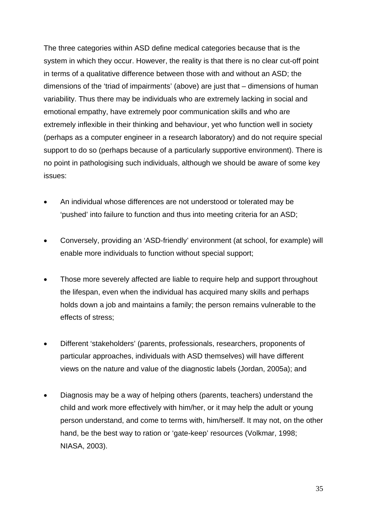The three categories within ASD define medical categories because that is the system in which they occur. However, the reality is that there is no clear cut-off point in terms of a qualitative difference between those with and without an ASD; the dimensions of the 'triad of impairments' (above) are just that – dimensions of human variability. Thus there may be individuals who are extremely lacking in social and emotional empathy, have extremely poor communication skills and who are extremely inflexible in their thinking and behaviour, yet who function well in society (perhaps as a computer engineer in a research laboratory) and do not require special support to do so (perhaps because of a particularly supportive environment). There is no point in pathologising such individuals, although we should be aware of some key issues:

- An individual whose differences are not understood or tolerated may be 'pushed' into failure to function and thus into meeting criteria for an ASD;
- Conversely, providing an 'ASD-friendly' environment (at school, for example) will enable more individuals to function without special support;
- Those more severely affected are liable to require help and support throughout the lifespan, even when the individual has acquired many skills and perhaps holds down a job and maintains a family; the person remains vulnerable to the effects of stress;
- Different 'stakeholders' (parents, professionals, researchers, proponents of particular approaches, individuals with ASD themselves) will have different views on the nature and value of the diagnostic labels (Jordan, 2005a); and
- Diagnosis may be a way of helping others (parents, teachers) understand the child and work more effectively with him/her, or it may help the adult or young person understand, and come to terms with, him/herself. It may not, on the other hand, be the best way to ration or 'gate-keep' resources (Volkmar, 1998; NIASA, 2003).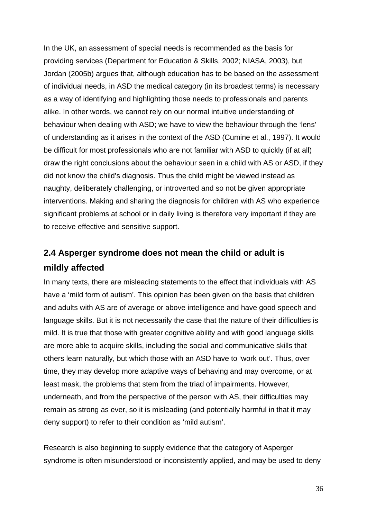In the UK, an assessment of special needs is recommended as the basis for providing services (Department for Education & Skills, 2002; NIASA, 2003), but Jordan (2005b) argues that, although education has to be based on the assessment of individual needs, in ASD the medical category (in its broadest terms) is necessary as a way of identifying and highlighting those needs to professionals and parents alike. In other words, we cannot rely on our normal intuitive understanding of behaviour when dealing with ASD; we have to view the behaviour through the 'lens' of understanding as it arises in the context of the ASD (Cumine et al., 1997). It would be difficult for most professionals who are not familiar with ASD to quickly (if at all) draw the right conclusions about the behaviour seen in a child with AS or ASD, if they did not know the child's diagnosis. Thus the child might be viewed instead as naughty, deliberately challenging, or introverted and so not be given appropriate interventions. Making and sharing the diagnosis for children with AS who experience significant problems at school or in daily living is therefore very important if they are to receive effective and sensitive support.

## **2.4 Asperger syndrome does not mean the child or adult is mildly affected**

In many texts, there are misleading statements to the effect that individuals with AS have a 'mild form of autism'. This opinion has been given on the basis that children and adults with AS are of average or above intelligence and have good speech and language skills. But it is not necessarily the case that the nature of their difficulties is mild. It is true that those with greater cognitive ability and with good language skills are more able to acquire skills, including the social and communicative skills that others learn naturally, but which those with an ASD have to 'work out'. Thus, over time, they may develop more adaptive ways of behaving and may overcome, or at least mask, the problems that stem from the triad of impairments. However, underneath, and from the perspective of the person with AS, their difficulties may remain as strong as ever, so it is misleading (and potentially harmful in that it may deny support) to refer to their condition as 'mild autism'.

Research is also beginning to supply evidence that the category of Asperger syndrome is often misunderstood or inconsistently applied, and may be used to deny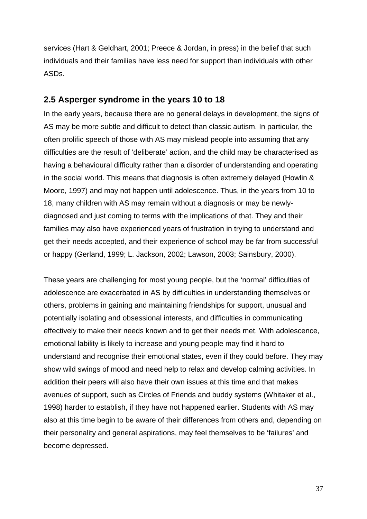services (Hart & Geldhart, 2001; Preece & Jordan, in press) in the belief that such individuals and their families have less need for support than individuals with other ASDs.

# **2.5 Asperger syndrome in the years 10 to 18**

In the early years, because there are no general delays in development, the signs of AS may be more subtle and difficult to detect than classic autism. In particular, the often prolific speech of those with AS may mislead people into assuming that any difficulties are the result of 'deliberate' action, and the child may be characterised as having a behavioural difficulty rather than a disorder of understanding and operating in the social world. This means that diagnosis is often extremely delayed (Howlin & Moore, 1997) and may not happen until adolescence. Thus, in the years from 10 to 18, many children with AS may remain without a diagnosis or may be newlydiagnosed and just coming to terms with the implications of that. They and their families may also have experienced years of frustration in trying to understand and get their needs accepted, and their experience of school may be far from successful or happy (Gerland, 1999; L. Jackson, 2002; Lawson, 2003; Sainsbury, 2000).

These years are challenging for most young people, but the 'normal' difficulties of adolescence are exacerbated in AS by difficulties in understanding themselves or others, problems in gaining and maintaining friendships for support, unusual and potentially isolating and obsessional interests, and difficulties in communicating effectively to make their needs known and to get their needs met. With adolescence, emotional lability is likely to increase and young people may find it hard to understand and recognise their emotional states, even if they could before. They may show wild swings of mood and need help to relax and develop calming activities. In addition their peers will also have their own issues at this time and that makes avenues of support, such as Circles of Friends and buddy systems (Whitaker et al., 1998) harder to establish, if they have not happened earlier. Students with AS may also at this time begin to be aware of their differences from others and, depending on their personality and general aspirations, may feel themselves to be 'failures' and become depressed.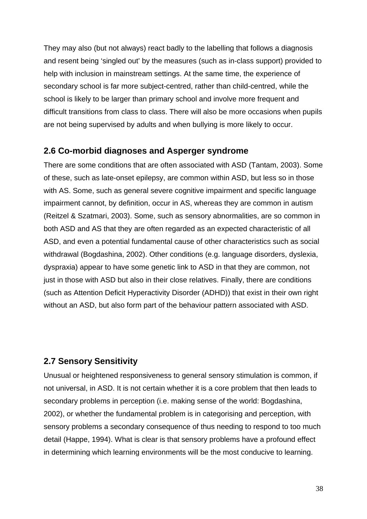They may also (but not always) react badly to the labelling that follows a diagnosis and resent being 'singled out' by the measures (such as in-class support) provided to help with inclusion in mainstream settings. At the same time, the experience of secondary school is far more subject-centred, rather than child-centred, while the school is likely to be larger than primary school and involve more frequent and difficult transitions from class to class. There will also be more occasions when pupils are not being supervised by adults and when bullying is more likely to occur.

# **2.6 Co-morbid diagnoses and Asperger syndrome**

There are some conditions that are often associated with ASD (Tantam, 2003). Some of these, such as late-onset epilepsy, are common within ASD, but less so in those with AS. Some, such as general severe cognitive impairment and specific language impairment cannot, by definition, occur in AS, whereas they are common in autism (Reitzel & Szatmari, 2003). Some, such as sensory abnormalities, are so common in both ASD and AS that they are often regarded as an expected characteristic of all ASD, and even a potential fundamental cause of other characteristics such as social withdrawal (Bogdashina, 2002). Other conditions (e.g. language disorders, dyslexia, dyspraxia) appear to have some genetic link to ASD in that they are common, not just in those with ASD but also in their close relatives. Finally, there are conditions (such as Attention Deficit Hyperactivity Disorder (ADHD)) that exist in their own right without an ASD, but also form part of the behaviour pattern associated with ASD.

# **2.7 Sensory Sensitivity**

Unusual or heightened responsiveness to general sensory stimulation is common, if not universal, in ASD. It is not certain whether it is a core problem that then leads to secondary problems in perception (i.e. making sense of the world: Bogdashina, 2002), or whether the fundamental problem is in categorising and perception, with sensory problems a secondary consequence of thus needing to respond to too much detail (Happe, 1994). What is clear is that sensory problems have a profound effect in determining which learning environments will be the most conducive to learning.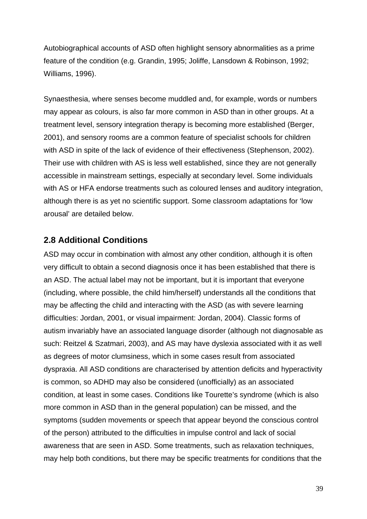Autobiographical accounts of ASD often highlight sensory abnormalities as a prime feature of the condition (e.g. Grandin, 1995; Joliffe, Lansdown & Robinson, 1992; Williams, 1996).

Synaesthesia, where senses become muddled and, for example, words or numbers may appear as colours, is also far more common in ASD than in other groups. At a treatment level, sensory integration therapy is becoming more established (Berger, 2001), and sensory rooms are a common feature of specialist schools for children with ASD in spite of the lack of evidence of their effectiveness (Stephenson, 2002). Their use with children with AS is less well established, since they are not generally accessible in mainstream settings, especially at secondary level. Some individuals with AS or HFA endorse treatments such as coloured lenses and auditory integration, although there is as yet no scientific support. Some classroom adaptations for 'low arousal' are detailed below.

# **2.8 Additional Conditions**

ASD may occur in combination with almost any other condition, although it is often very difficult to obtain a second diagnosis once it has been established that there is an ASD. The actual label may not be important, but it is important that everyone (including, where possible, the child him/herself) understands all the conditions that may be affecting the child and interacting with the ASD (as with severe learning difficulties: Jordan, 2001, or visual impairment: Jordan, 2004). Classic forms of autism invariably have an associated language disorder (although not diagnosable as such: Reitzel & Szatmari, 2003), and AS may have dyslexia associated with it as well as degrees of motor clumsiness, which in some cases result from associated dyspraxia. All ASD conditions are characterised by attention deficits and hyperactivity is common, so ADHD may also be considered (unofficially) as an associated condition, at least in some cases. Conditions like Tourette's syndrome (which is also more common in ASD than in the general population) can be missed, and the symptoms (sudden movements or speech that appear beyond the conscious control of the person) attributed to the difficulties in impulse control and lack of social awareness that are seen in ASD. Some treatments, such as relaxation techniques, may help both conditions, but there may be specific treatments for conditions that the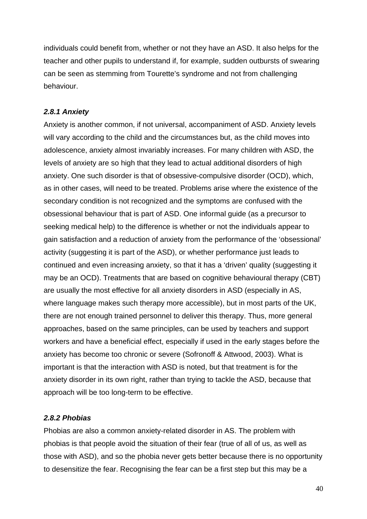individuals could benefit from, whether or not they have an ASD. It also helps for the teacher and other pupils to understand if, for example, sudden outbursts of swearing can be seen as stemming from Tourette's syndrome and not from challenging behaviour.

## *2.8.1 Anxiety*

Anxiety is another common, if not universal, accompaniment of ASD. Anxiety levels will vary according to the child and the circumstances but, as the child moves into adolescence, anxiety almost invariably increases. For many children with ASD, the levels of anxiety are so high that they lead to actual additional disorders of high anxiety. One such disorder is that of obsessive-compulsive disorder (OCD), which, as in other cases, will need to be treated. Problems arise where the existence of the secondary condition is not recognized and the symptoms are confused with the obsessional behaviour that is part of ASD. One informal guide (as a precursor to seeking medical help) to the difference is whether or not the individuals appear to gain satisfaction and a reduction of anxiety from the performance of the 'obsessional' activity (suggesting it is part of the ASD), or whether performance just leads to continued and even increasing anxiety, so that it has a 'driven' quality (suggesting it may be an OCD). Treatments that are based on cognitive behavioural therapy (CBT) are usually the most effective for all anxiety disorders in ASD (especially in AS, where language makes such therapy more accessible), but in most parts of the UK, there are not enough trained personnel to deliver this therapy. Thus, more general approaches, based on the same principles, can be used by teachers and support workers and have a beneficial effect, especially if used in the early stages before the anxiety has become too chronic or severe (Sofronoff & Attwood, 2003). What is important is that the interaction with ASD is noted, but that treatment is for the anxiety disorder in its own right, rather than trying to tackle the ASD, because that approach will be too long-term to be effective.

### *2.8.2 Phobias*

Phobias are also a common anxiety-related disorder in AS. The problem with phobias is that people avoid the situation of their fear (true of all of us, as well as those with ASD), and so the phobia never gets better because there is no opportunity to desensitize the fear. Recognising the fear can be a first step but this may be a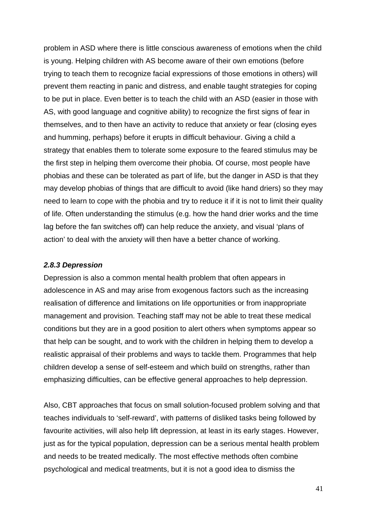problem in ASD where there is little conscious awareness of emotions when the child is young. Helping children with AS become aware of their own emotions (before trying to teach them to recognize facial expressions of those emotions in others) will prevent them reacting in panic and distress, and enable taught strategies for coping to be put in place. Even better is to teach the child with an ASD (easier in those with AS, with good language and cognitive ability) to recognize the first signs of fear in themselves, and to then have an activity to reduce that anxiety or fear (closing eyes and humming, perhaps) before it erupts in difficult behaviour. Giving a child a strategy that enables them to tolerate some exposure to the feared stimulus may be the first step in helping them overcome their phobia. Of course, most people have phobias and these can be tolerated as part of life, but the danger in ASD is that they may develop phobias of things that are difficult to avoid (like hand driers) so they may need to learn to cope with the phobia and try to reduce it if it is not to limit their quality of life. Often understanding the stimulus (e.g. how the hand drier works and the time lag before the fan switches off) can help reduce the anxiety, and visual 'plans of action' to deal with the anxiety will then have a better chance of working.

### *2.8.3 Depression*

Depression is also a common mental health problem that often appears in adolescence in AS and may arise from exogenous factors such as the increasing realisation of difference and limitations on life opportunities or from inappropriate management and provision. Teaching staff may not be able to treat these medical conditions but they are in a good position to alert others when symptoms appear so that help can be sought, and to work with the children in helping them to develop a realistic appraisal of their problems and ways to tackle them. Programmes that help children develop a sense of self-esteem and which build on strengths, rather than emphasizing difficulties, can be effective general approaches to help depression.

Also, CBT approaches that focus on small solution-focused problem solving and that teaches individuals to 'self-reward', with patterns of disliked tasks being followed by favourite activities, will also help lift depression, at least in its early stages. However, just as for the typical population, depression can be a serious mental health problem and needs to be treated medically. The most effective methods often combine psychological and medical treatments, but it is not a good idea to dismiss the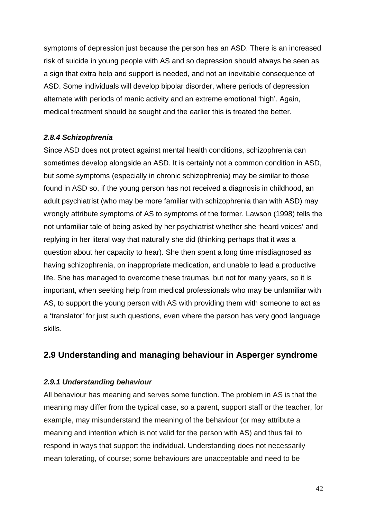symptoms of depression just because the person has an ASD. There is an increased risk of suicide in young people with AS and so depression should always be seen as a sign that extra help and support is needed, and not an inevitable consequence of ASD. Some individuals will develop bipolar disorder, where periods of depression alternate with periods of manic activity and an extreme emotional 'high'. Again, medical treatment should be sought and the earlier this is treated the better.

## *2.8.4 Schizophrenia*

Since ASD does not protect against mental health conditions, schizophrenia can sometimes develop alongside an ASD. It is certainly not a common condition in ASD, but some symptoms (especially in chronic schizophrenia) may be similar to those found in ASD so, if the young person has not received a diagnosis in childhood, an adult psychiatrist (who may be more familiar with schizophrenia than with ASD) may wrongly attribute symptoms of AS to symptoms of the former. Lawson (1998) tells the not unfamiliar tale of being asked by her psychiatrist whether she 'heard voices' and replying in her literal way that naturally she did (thinking perhaps that it was a question about her capacity to hear). She then spent a long time misdiagnosed as having schizophrenia, on inappropriate medication, and unable to lead a productive life. She has managed to overcome these traumas, but not for many years, so it is important, when seeking help from medical professionals who may be unfamiliar with AS, to support the young person with AS with providing them with someone to act as a 'translator' for just such questions, even where the person has very good language skills.

# **2.9 Understanding and managing behaviour in Asperger syndrome**

# *2.9.1 Understanding behaviour*

All behaviour has meaning and serves some function. The problem in AS is that the meaning may differ from the typical case, so a parent, support staff or the teacher, for example, may misunderstand the meaning of the behaviour (or may attribute a meaning and intention which is not valid for the person with AS) and thus fail to respond in ways that support the individual. Understanding does not necessarily mean tolerating, of course; some behaviours are unacceptable and need to be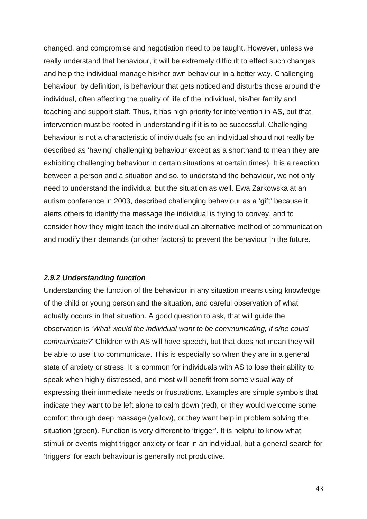changed, and compromise and negotiation need to be taught. However, unless we really understand that behaviour, it will be extremely difficult to effect such changes and help the individual manage his/her own behaviour in a better way. Challenging behaviour, by definition, is behaviour that gets noticed and disturbs those around the individual, often affecting the quality of life of the individual, his/her family and teaching and support staff. Thus, it has high priority for intervention in AS, but that intervention must be rooted in understanding if it is to be successful. Challenging behaviour is not a characteristic of individuals (so an individual should not really be described as 'having' challenging behaviour except as a shorthand to mean they are exhibiting challenging behaviour in certain situations at certain times). It is a reaction between a person and a situation and so, to understand the behaviour, we not only need to understand the individual but the situation as well. Ewa Zarkowska at an autism conference in 2003, described challenging behaviour as a 'gift' because it alerts others to identify the message the individual is trying to convey, and to consider how they might teach the individual an alternative method of communication and modify their demands (or other factors) to prevent the behaviour in the future.

#### *2.9.2 Understanding function*

Understanding the function of the behaviour in any situation means using knowledge of the child or young person and the situation, and careful observation of what actually occurs in that situation. A good question to ask, that will guide the observation is '*What would the individual want to be communicating, if s/he could communicate?*' Children with AS will have speech, but that does not mean they will be able to use it to communicate. This is especially so when they are in a general state of anxiety or stress. It is common for individuals with AS to lose their ability to speak when highly distressed, and most will benefit from some visual way of expressing their immediate needs or frustrations. Examples are simple symbols that indicate they want to be left alone to calm down (red), or they would welcome some comfort through deep massage (yellow), or they want help in problem solving the situation (green). Function is very different to 'trigger'. It is helpful to know what stimuli or events might trigger anxiety or fear in an individual, but a general search for 'triggers' for each behaviour is generally not productive.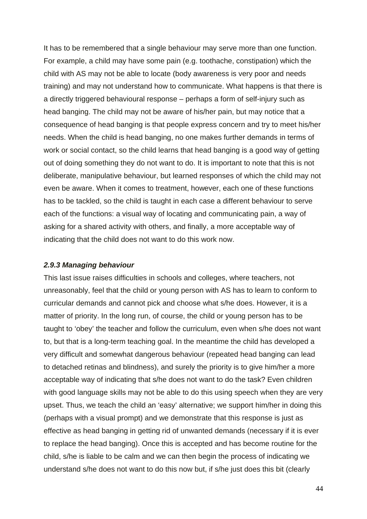It has to be remembered that a single behaviour may serve more than one function. For example, a child may have some pain (e.g. toothache, constipation) which the child with AS may not be able to locate (body awareness is very poor and needs training) and may not understand how to communicate. What happens is that there is a directly triggered behavioural response – perhaps a form of self-injury such as head banging. The child may not be aware of his/her pain, but may notice that a consequence of head banging is that people express concern and try to meet his/her needs. When the child is head banging, no one makes further demands in terms of work or social contact, so the child learns that head banging is a good way of getting out of doing something they do not want to do. It is important to note that this is not deliberate, manipulative behaviour, but learned responses of which the child may not even be aware. When it comes to treatment, however, each one of these functions has to be tackled, so the child is taught in each case a different behaviour to serve each of the functions: a visual way of locating and communicating pain, a way of asking for a shared activity with others, and finally, a more acceptable way of indicating that the child does not want to do this work now.

#### *2.9.3 Managing behaviour*

This last issue raises difficulties in schools and colleges, where teachers, not unreasonably, feel that the child or young person with AS has to learn to conform to curricular demands and cannot pick and choose what s/he does. However, it is a matter of priority. In the long run, of course, the child or young person has to be taught to 'obey' the teacher and follow the curriculum, even when s/he does not want to, but that is a long-term teaching goal. In the meantime the child has developed a very difficult and somewhat dangerous behaviour (repeated head banging can lead to detached retinas and blindness), and surely the priority is to give him/her a more acceptable way of indicating that s/he does not want to do the task? Even children with good language skills may not be able to do this using speech when they are very upset. Thus, we teach the child an 'easy' alternative; we support him/her in doing this (perhaps with a visual prompt) and we demonstrate that this response is just as effective as head banging in getting rid of unwanted demands (necessary if it is ever to replace the head banging). Once this is accepted and has become routine for the child, s/he is liable to be calm and we can then begin the process of indicating we understand s/he does not want to do this now but, if s/he just does this bit (clearly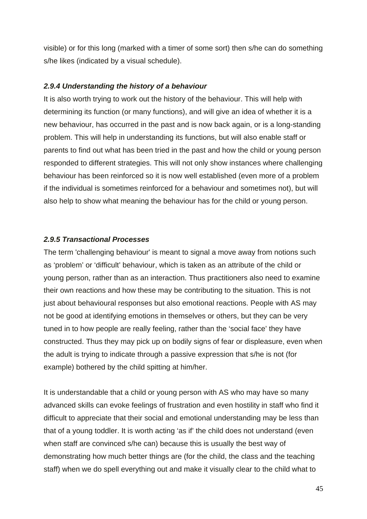visible) or for this long (marked with a timer of some sort) then s/he can do something s/he likes (indicated by a visual schedule).

## *2.9.4 Understanding the history of a behaviour*

It is also worth trying to work out the history of the behaviour. This will help with determining its function (or many functions), and will give an idea of whether it is a new behaviour, has occurred in the past and is now back again, or is a long-standing problem. This will help in understanding its functions, but will also enable staff or parents to find out what has been tried in the past and how the child or young person responded to different strategies. This will not only show instances where challenging behaviour has been reinforced so it is now well established (even more of a problem if the individual is sometimes reinforced for a behaviour and sometimes not), but will also help to show what meaning the behaviour has for the child or young person.

## *2.9.5 Transactional Processes*

The term 'challenging behaviour' is meant to signal a move away from notions such as 'problem' or 'difficult' behaviour, which is taken as an attribute of the child or young person, rather than as an interaction. Thus practitioners also need to examine their own reactions and how these may be contributing to the situation. This is not just about behavioural responses but also emotional reactions. People with AS may not be good at identifying emotions in themselves or others, but they can be very tuned in to how people are really feeling, rather than the 'social face' they have constructed. Thus they may pick up on bodily signs of fear or displeasure, even when the adult is trying to indicate through a passive expression that s/he is not (for example) bothered by the child spitting at him/her.

It is understandable that a child or young person with AS who may have so many advanced skills can evoke feelings of frustration and even hostility in staff who find it difficult to appreciate that their social and emotional understanding may be less than that of a young toddler. It is worth acting 'as if' the child does not understand (even when staff are convinced s/he can) because this is usually the best way of demonstrating how much better things are (for the child, the class and the teaching staff) when we do spell everything out and make it visually clear to the child what to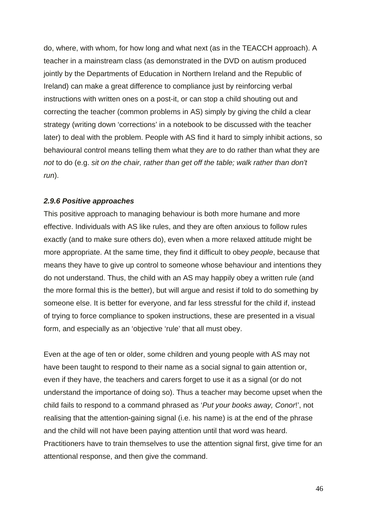do, where, with whom, for how long and what next (as in the TEACCH approach). A teacher in a mainstream class (as demonstrated in the DVD on autism produced jointly by the Departments of Education in Northern Ireland and the Republic of Ireland) can make a great difference to compliance just by reinforcing verbal instructions with written ones on a post-it, or can stop a child shouting out and correcting the teacher (common problems in AS) simply by giving the child a clear strategy (writing down 'corrections' in a notebook to be discussed with the teacher later) to deal with the problem. People with AS find it hard to simply inhibit actions, so behavioural control means telling them what they *are* to do rather than what they are *not* to do (e.g. *sit on the chair, rather than get off the table; walk rather than don't run*).

### *2.9.6 Positive approaches*

This positive approach to managing behaviour is both more humane and more effective. Individuals with AS like rules, and they are often anxious to follow rules exactly (and to make sure others do), even when a more relaxed attitude might be more appropriate. At the same time, they find it difficult to obey *people*, because that means they have to give up control to someone whose behaviour and intentions they do not understand. Thus, the child with an AS may happily obey a written rule (and the more formal this is the better), but will argue and resist if told to do something by someone else. It is better for everyone, and far less stressful for the child if, instead of trying to force compliance to spoken instructions, these are presented in a visual form, and especially as an 'objective 'rule' that all must obey.

Even at the age of ten or older, some children and young people with AS may not have been taught to respond to their name as a social signal to gain attention or, even if they have, the teachers and carers forget to use it as a signal (or do not understand the importance of doing so). Thus a teacher may become upset when the child fails to respond to a command phrased as '*Put your books away, Conor*!', not realising that the attention-gaining signal (i.e. his name) is at the end of the phrase and the child will not have been paying attention until that word was heard. Practitioners have to train themselves to use the attention signal first, give time for an attentional response, and then give the command.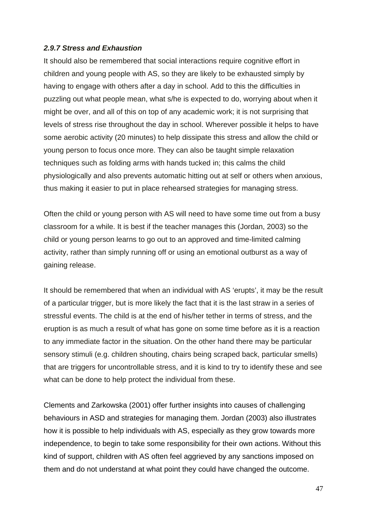## *2.9.7 Stress and Exhaustion*

It should also be remembered that social interactions require cognitive effort in children and young people with AS, so they are likely to be exhausted simply by having to engage with others after a day in school. Add to this the difficulties in puzzling out what people mean, what s/he is expected to do, worrying about when it might be over, and all of this on top of any academic work; it is not surprising that levels of stress rise throughout the day in school. Wherever possible it helps to have some aerobic activity (20 minutes) to help dissipate this stress and allow the child or young person to focus once more. They can also be taught simple relaxation techniques such as folding arms with hands tucked in; this calms the child physiologically and also prevents automatic hitting out at self or others when anxious, thus making it easier to put in place rehearsed strategies for managing stress.

Often the child or young person with AS will need to have some time out from a busy classroom for a while. It is best if the teacher manages this (Jordan, 2003) so the child or young person learns to go out to an approved and time-limited calming activity, rather than simply running off or using an emotional outburst as a way of gaining release.

It should be remembered that when an individual with AS 'erupts', it may be the result of a particular trigger, but is more likely the fact that it is the last straw in a series of stressful events. The child is at the end of his/her tether in terms of stress, and the eruption is as much a result of what has gone on some time before as it is a reaction to any immediate factor in the situation. On the other hand there may be particular sensory stimuli (e.g. children shouting, chairs being scraped back, particular smells) that are triggers for uncontrollable stress, and it is kind to try to identify these and see what can be done to help protect the individual from these.

Clements and Zarkowska (2001) offer further insights into causes of challenging behaviours in ASD and strategies for managing them. Jordan (2003) also illustrates how it is possible to help individuals with AS, especially as they grow towards more independence, to begin to take some responsibility for their own actions. Without this kind of support, children with AS often feel aggrieved by any sanctions imposed on them and do not understand at what point they could have changed the outcome.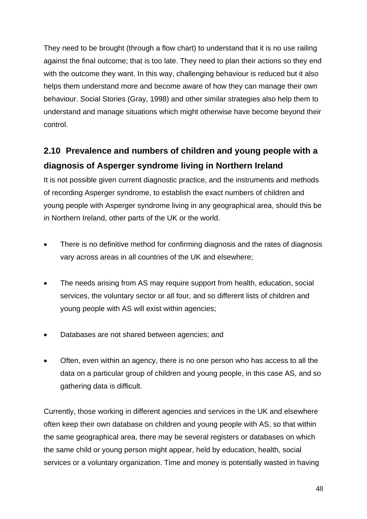They need to be brought (through a flow chart) to understand that it is no use railing against the final outcome; that is too late. They need to plan their actions so they end with the outcome they want. In this way, challenging behaviour is reduced but it also helps them understand more and become aware of how they can manage their own behaviour. Social Stories (Gray, 1998) and other similar strategies also help them to understand and manage situations which might otherwise have become beyond their control.

# **2.10 Prevalence and numbers of children and young people with a diagnosis of Asperger syndrome living in Northern Ireland**

It is not possible given current diagnostic practice, and the instruments and methods of recording Asperger syndrome, to establish the exact numbers of children and young people with Asperger syndrome living in any geographical area, should this be in Northern Ireland, other parts of the UK or the world.

- There is no definitive method for confirming diagnosis and the rates of diagnosis vary across areas in all countries of the UK and elsewhere;
- The needs arising from AS may require support from health, education, social services, the voluntary sector or all four, and so different lists of children and young people with AS will exist within agencies;
- Databases are not shared between agencies; and
- Often, even within an agency, there is no one person who has access to all the data on a particular group of children and young people, in this case AS, and so gathering data is difficult.

Currently, those working in different agencies and services in the UK and elsewhere often keep their own database on children and young people with AS, so that within the same geographical area, there may be several registers or databases on which the same child or young person might appear, held by education, health, social services or a voluntary organization. Time and money is potentially wasted in having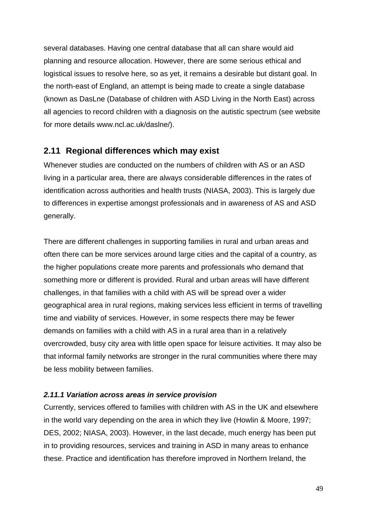several databases. Having one central database that all can share would aid planning and resource allocation. However, there are some serious ethical and logistical issues to resolve here, so as yet, it remains a desirable but distant goal. In the north-east of England, an attempt is being made to create a single database (known as DasLne (Database of children with ASD Living in the North East) across all agencies to record children with a diagnosis on the autistic spectrum (see website for more details www.ncl.ac.uk/daslne/).

# **2.11 Regional differences which may exist**

Whenever studies are conducted on the numbers of children with AS or an ASD living in a particular area, there are always considerable differences in the rates of identification across authorities and health trusts (NIASA, 2003). This is largely due to differences in expertise amongst professionals and in awareness of AS and ASD generally.

There are different challenges in supporting families in rural and urban areas and often there can be more services around large cities and the capital of a country, as the higher populations create more parents and professionals who demand that something more or different is provided. Rural and urban areas will have different challenges, in that families with a child with AS will be spread over a wider geographical area in rural regions, making services less efficient in terms of travelling time and viability of services. However, in some respects there may be fewer demands on families with a child with AS in a rural area than in a relatively overcrowded, busy city area with little open space for leisure activities. It may also be that informal family networks are stronger in the rural communities where there may be less mobility between families.

# *2.11.1 Variation across areas in service provision*

Currently, services offered to families with children with AS in the UK and elsewhere in the world vary depending on the area in which they live (Howlin & Moore, 1997; DES, 2002; NIASA, 2003). However, in the last decade, much energy has been put in to providing resources, services and training in ASD in many areas to enhance these. Practice and identification has therefore improved in Northern Ireland, the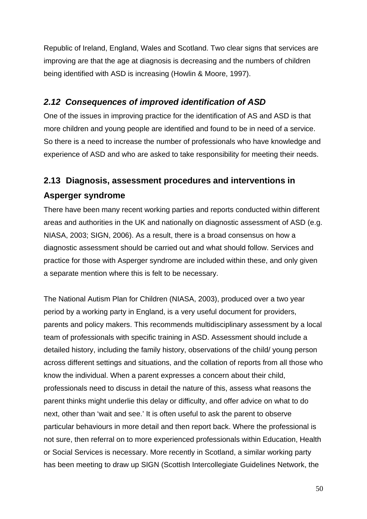Republic of Ireland, England, Wales and Scotland. Two clear signs that services are improving are that the age at diagnosis is decreasing and the numbers of children being identified with ASD is increasing (Howlin & Moore, 1997).

# *2.12 Consequences of improved identification of ASD*

One of the issues in improving practice for the identification of AS and ASD is that more children and young people are identified and found to be in need of a service. So there is a need to increase the number of professionals who have knowledge and experience of ASD and who are asked to take responsibility for meeting their needs.

# **2.13 Diagnosis, assessment procedures and interventions in Asperger syndrome**

There have been many recent working parties and reports conducted within different areas and authorities in the UK and nationally on diagnostic assessment of ASD (e.g. NIASA, 2003; SIGN, 2006). As a result, there is a broad consensus on how a diagnostic assessment should be carried out and what should follow. Services and practice for those with Asperger syndrome are included within these, and only given a separate mention where this is felt to be necessary.

The National Autism Plan for Children (NIASA, 2003), produced over a two year period by a working party in England, is a very useful document for providers, parents and policy makers. This recommends multidisciplinary assessment by a local team of professionals with specific training in ASD. Assessment should include a detailed history, including the family history, observations of the child/ young person across different settings and situations, and the collation of reports from all those who know the individual. When a parent expresses a concern about their child, professionals need to discuss in detail the nature of this, assess what reasons the parent thinks might underlie this delay or difficulty, and offer advice on what to do next, other than 'wait and see.' It is often useful to ask the parent to observe particular behaviours in more detail and then report back. Where the professional is not sure, then referral on to more experienced professionals within Education, Health or Social Services is necessary. More recently in Scotland, a similar working party has been meeting to draw up SIGN (Scottish Intercollegiate Guidelines Network, the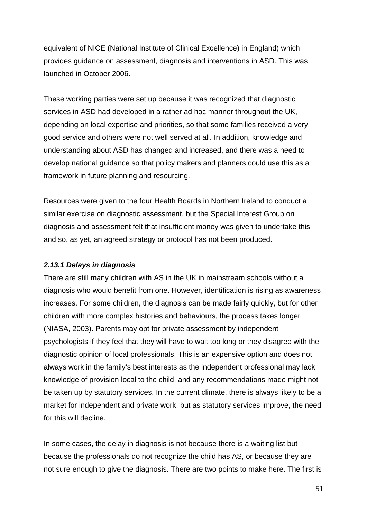equivalent of NICE (National Institute of Clinical Excellence) in England) which provides guidance on assessment, diagnosis and interventions in ASD. This was launched in October 2006.

These working parties were set up because it was recognized that diagnostic services in ASD had developed in a rather ad hoc manner throughout the UK, depending on local expertise and priorities, so that some families received a very good service and others were not well served at all. In addition, knowledge and understanding about ASD has changed and increased, and there was a need to develop national guidance so that policy makers and planners could use this as a framework in future planning and resourcing.

Resources were given to the four Health Boards in Northern Ireland to conduct a similar exercise on diagnostic assessment, but the Special Interest Group on diagnosis and assessment felt that insufficient money was given to undertake this and so, as yet, an agreed strategy or protocol has not been produced.

### *2.13.1 Delays in diagnosis*

There are still many children with AS in the UK in mainstream schools without a diagnosis who would benefit from one. However, identification is rising as awareness increases. For some children, the diagnosis can be made fairly quickly, but for other children with more complex histories and behaviours, the process takes longer (NIASA, 2003). Parents may opt for private assessment by independent psychologists if they feel that they will have to wait too long or they disagree with the diagnostic opinion of local professionals. This is an expensive option and does not always work in the family's best interests as the independent professional may lack knowledge of provision local to the child, and any recommendations made might not be taken up by statutory services. In the current climate, there is always likely to be a market for independent and private work, but as statutory services improve, the need for this will decline.

In some cases, the delay in diagnosis is not because there is a waiting list but because the professionals do not recognize the child has AS, or because they are not sure enough to give the diagnosis. There are two points to make here. The first is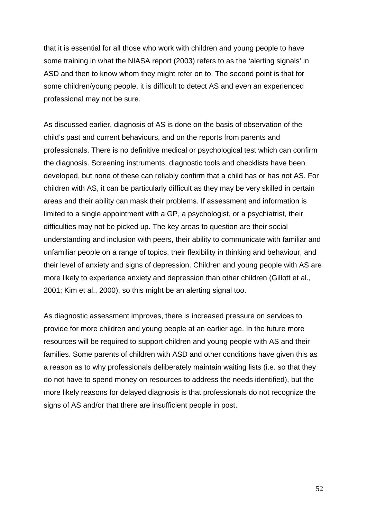that it is essential for all those who work with children and young people to have some training in what the NIASA report (2003) refers to as the 'alerting signals' in ASD and then to know whom they might refer on to. The second point is that for some children/young people, it is difficult to detect AS and even an experienced professional may not be sure.

As discussed earlier, diagnosis of AS is done on the basis of observation of the child's past and current behaviours, and on the reports from parents and professionals. There is no definitive medical or psychological test which can confirm the diagnosis. Screening instruments, diagnostic tools and checklists have been developed, but none of these can reliably confirm that a child has or has not AS. For children with AS, it can be particularly difficult as they may be very skilled in certain areas and their ability can mask their problems. If assessment and information is limited to a single appointment with a GP, a psychologist, or a psychiatrist, their difficulties may not be picked up. The key areas to question are their social understanding and inclusion with peers, their ability to communicate with familiar and unfamiliar people on a range of topics, their flexibility in thinking and behaviour, and their level of anxiety and signs of depression. Children and young people with AS are more likely to experience anxiety and depression than other children (Gillott et al., 2001; Kim et al., 2000), so this might be an alerting signal too.

As diagnostic assessment improves, there is increased pressure on services to provide for more children and young people at an earlier age. In the future more resources will be required to support children and young people with AS and their families. Some parents of children with ASD and other conditions have given this as a reason as to why professionals deliberately maintain waiting lists (i.e. so that they do not have to spend money on resources to address the needs identified), but the more likely reasons for delayed diagnosis is that professionals do not recognize the signs of AS and/or that there are insufficient people in post.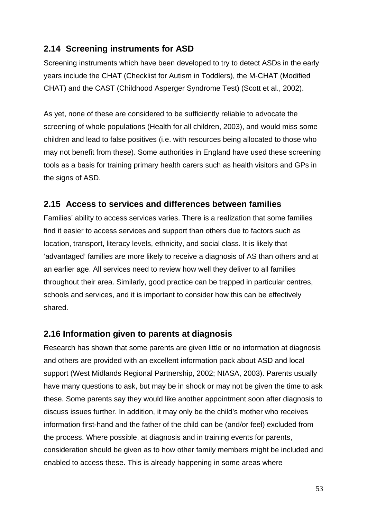# **2.14 Screening instruments for ASD**

Screening instruments which have been developed to try to detect ASDs in the early years include the CHAT (Checklist for Autism in Toddlers), the M-CHAT (Modified CHAT) and the CAST (Childhood Asperger Syndrome Test) (Scott et al., 2002).

As yet, none of these are considered to be sufficiently reliable to advocate the screening of whole populations (Health for all children, 2003), and would miss some children and lead to false positives (i.e. with resources being allocated to those who may not benefit from these). Some authorities in England have used these screening tools as a basis for training primary health carers such as health visitors and GPs in the signs of ASD.

# **2.15 Access to services and differences between families**

Families' ability to access services varies. There is a realization that some families find it easier to access services and support than others due to factors such as location, transport, literacy levels, ethnicity, and social class. It is likely that 'advantaged' families are more likely to receive a diagnosis of AS than others and at an earlier age. All services need to review how well they deliver to all families throughout their area. Similarly, good practice can be trapped in particular centres, schools and services, and it is important to consider how this can be effectively shared.

# **2.16 Information given to parents at diagnosis**

Research has shown that some parents are given little or no information at diagnosis and others are provided with an excellent information pack about ASD and local support (West Midlands Regional Partnership, 2002; NIASA, 2003). Parents usually have many questions to ask, but may be in shock or may not be given the time to ask these. Some parents say they would like another appointment soon after diagnosis to discuss issues further. In addition, it may only be the child's mother who receives information first-hand and the father of the child can be (and/or feel) excluded from the process. Where possible, at diagnosis and in training events for parents, consideration should be given as to how other family members might be included and enabled to access these. This is already happening in some areas where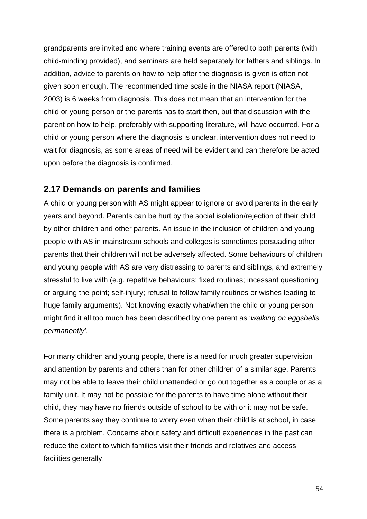grandparents are invited and where training events are offered to both parents (with child-minding provided), and seminars are held separately for fathers and siblings. In addition, advice to parents on how to help after the diagnosis is given is often not given soon enough. The recommended time scale in the NIASA report (NIASA, 2003) is 6 weeks from diagnosis. This does not mean that an intervention for the child or young person or the parents has to start then, but that discussion with the parent on how to help, preferably with supporting literature, will have occurred. For a child or young person where the diagnosis is unclear, intervention does not need to wait for diagnosis, as some areas of need will be evident and can therefore be acted upon before the diagnosis is confirmed.

# **2.17 Demands on parents and families**

A child or young person with AS might appear to ignore or avoid parents in the early years and beyond. Parents can be hurt by the social isolation/rejection of their child by other children and other parents. An issue in the inclusion of children and young people with AS in mainstream schools and colleges is sometimes persuading other parents that their children will not be adversely affected. Some behaviours of children and young people with AS are very distressing to parents and siblings, and extremely stressful to live with (e.g. repetitive behaviours; fixed routines; incessant questioning or arguing the point; self-injury; refusal to follow family routines or wishes leading to huge family arguments). Not knowing exactly what/when the child or young person might find it all too much has been described by one parent as '*walking on eggshells permanently'.*

For many children and young people, there is a need for much greater supervision and attention by parents and others than for other children of a similar age. Parents may not be able to leave their child unattended or go out together as a couple or as a family unit. It may not be possible for the parents to have time alone without their child, they may have no friends outside of school to be with or it may not be safe. Some parents say they continue to worry even when their child is at school, in case there is a problem. Concerns about safety and difficult experiences in the past can reduce the extent to which families visit their friends and relatives and access facilities generally.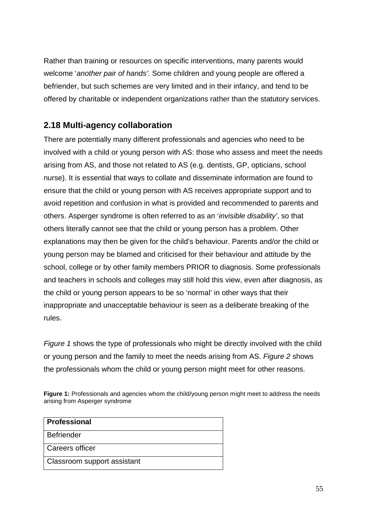Rather than training or resources on specific interventions, many parents would welcome '*another pair of hands'*. Some children and young people are offered a befriender, but such schemes are very limited and in their infancy, and tend to be offered by charitable or independent organizations rather than the statutory services.

# **2.18 Multi-agency collaboration**

There are potentially many different professionals and agencies who need to be involved with a child or young person with AS: those who assess and meet the needs arising from AS, and those not related to AS (e.g. dentists, GP, opticians, school nurse). It is essential that ways to collate and disseminate information are found to ensure that the child or young person with AS receives appropriate support and to avoid repetition and confusion in what is provided and recommended to parents and others. Asperger syndrome is often referred to as an '*invisible disability'*, so that others literally cannot see that the child or young person has a problem. Other explanations may then be given for the child's behaviour. Parents and/or the child or young person may be blamed and criticised for their behaviour and attitude by the school, college or by other family members PRIOR to diagnosis. Some professionals and teachers in schools and colleges may still hold this view, even after diagnosis, as the child or young person appears to be so 'normal' in other ways that their inappropriate and unacceptable behaviour is seen as a deliberate breaking of the rules.

*Figure 1* shows the type of professionals who might be directly involved with the child or young person and the family to meet the needs arising from AS. *Figure 2* shows the professionals whom the child or young person might meet for other reasons.

Figure 1: Professionals and agencies whom the child/young person might meet to address the needs arising from Asperger syndrome

| <b>Professional</b>         |
|-----------------------------|
| l Befriender                |
| l Careers officer           |
| Classroom support assistant |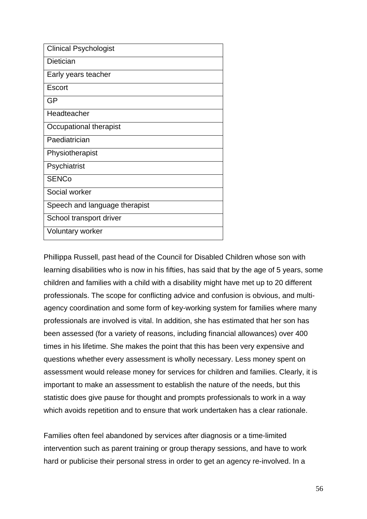| <b>Clinical Psychologist</b>  |
|-------------------------------|
| Dietician                     |
| Early years teacher           |
| Escort                        |
| <b>GP</b>                     |
| Headteacher                   |
| Occupational therapist        |
| Paediatrician                 |
| Physiotherapist               |
| Psychiatrist                  |
| <b>SENCo</b>                  |
| Social worker                 |
| Speech and language therapist |
| School transport driver       |
| <b>Voluntary worker</b>       |

Phillippa Russell, past head of the Council for Disabled Children whose son with learning disabilities who is now in his fifties, has said that by the age of 5 years, some children and families with a child with a disability might have met up to 20 different professionals. The scope for conflicting advice and confusion is obvious, and multiagency coordination and some form of key-working system for families where many professionals are involved is vital. In addition, she has estimated that her son has been assessed (for a variety of reasons, including financial allowances) over 400 times in his lifetime. She makes the point that this has been very expensive and questions whether every assessment is wholly necessary. Less money spent on assessment would release money for services for children and families. Clearly, it is important to make an assessment to establish the nature of the needs, but this statistic does give pause for thought and prompts professionals to work in a way which avoids repetition and to ensure that work undertaken has a clear rationale.

Families often feel abandoned by services after diagnosis or a time-limited intervention such as parent training or group therapy sessions, and have to work hard or publicise their personal stress in order to get an agency re-involved. In a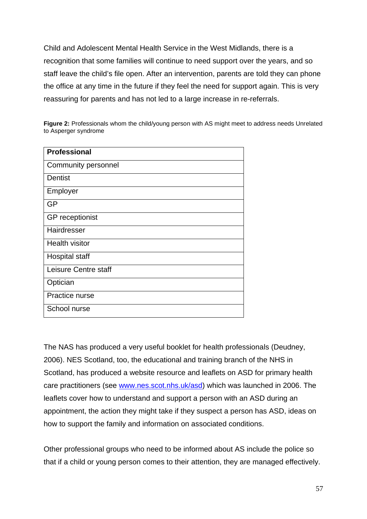Child and Adolescent Mental Health Service in the West Midlands, there is a recognition that some families will continue to need support over the years, and so staff leave the child's file open. After an intervention, parents are told they can phone the office at any time in the future if they feel the need for support again. This is very reassuring for parents and has not led to a large increase in re-referrals.

**Figure 2:** Professionals whom the child/young person with AS might meet to address needs Unrelated to Asperger syndrome

| <b>Professional</b>    |
|------------------------|
| Community personnel    |
| <b>Dentist</b>         |
| Employer               |
| <b>GP</b>              |
| <b>GP</b> receptionist |
| Hairdresser            |
| <b>Health visitor</b>  |
| <b>Hospital staff</b>  |
| Leisure Centre staff   |
| Optician               |
| Practice nurse         |
| School nurse           |

The NAS has produced a very useful booklet for health professionals (Deudney, 2006). NES Scotland, too, the educational and training branch of the NHS in Scotland, has produced a website resource and leaflets on ASD for primary health care practitioners (see www.nes.scot.nhs.uk/asd) which was launched in 2006. The leaflets cover how to understand and support a person with an ASD during an appointment, the action they might take if they suspect a person has ASD, ideas on how to support the family and information on associated conditions.

Other professional groups who need to be informed about AS include the police so that if a child or young person comes to their attention, they are managed effectively.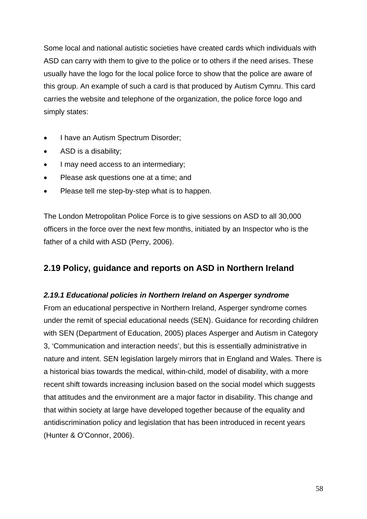Some local and national autistic societies have created cards which individuals with ASD can carry with them to give to the police or to others if the need arises. These usually have the logo for the local police force to show that the police are aware of this group. An example of such a card is that produced by Autism Cymru. This card carries the website and telephone of the organization, the police force logo and simply states:

- I have an Autism Spectrum Disorder;
- ASD is a disability;
- I may need access to an intermediary;
- Please ask questions one at a time; and
- Please tell me step-by-step what is to happen.

The London Metropolitan Police Force is to give sessions on ASD to all 30,000 officers in the force over the next few months, initiated by an Inspector who is the father of a child with ASD (Perry, 2006).

# **2.19 Policy, guidance and reports on ASD in Northern Ireland**

# *2.19.1 Educational policies in Northern Ireland on Asperger syndrome*

From an educational perspective in Northern Ireland, Asperger syndrome comes under the remit of special educational needs (SEN). Guidance for recording children with SEN (Department of Education, 2005) places Asperger and Autism in Category 3, 'Communication and interaction needs', but this is essentially administrative in nature and intent. SEN legislation largely mirrors that in England and Wales. There is a historical bias towards the medical, within-child, model of disability, with a more recent shift towards increasing inclusion based on the social model which suggests that attitudes and the environment are a major factor in disability. This change and that within society at large have developed together because of the equality and antidiscrimination policy and legislation that has been introduced in recent years (Hunter & O'Connor, 2006).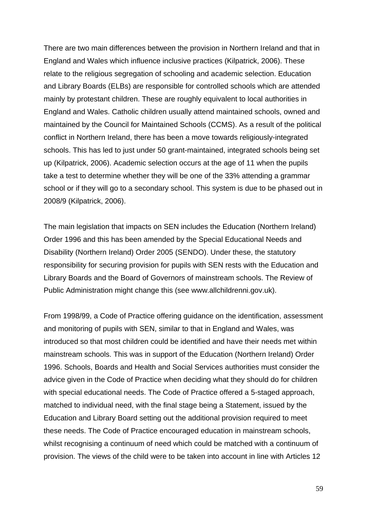There are two main differences between the provision in Northern Ireland and that in England and Wales which influence inclusive practices (Kilpatrick, 2006). These relate to the religious segregation of schooling and academic selection. Education and Library Boards (ELBs) are responsible for controlled schools which are attended mainly by protestant children. These are roughly equivalent to local authorities in England and Wales. Catholic children usually attend maintained schools, owned and maintained by the Council for Maintained Schools (CCMS). As a result of the political conflict in Northern Ireland, there has been a move towards religiously-integrated schools. This has led to just under 50 grant-maintained, integrated schools being set up (Kilpatrick, 2006). Academic selection occurs at the age of 11 when the pupils take a test to determine whether they will be one of the 33% attending a grammar school or if they will go to a secondary school. This system is due to be phased out in 2008/9 (Kilpatrick, 2006).

The main legislation that impacts on SEN includes the Education (Northern Ireland) Order 1996 and this has been amended by the Special Educational Needs and Disability (Northern Ireland) Order 2005 (SENDO). Under these, the statutory responsibility for securing provision for pupils with SEN rests with the Education and Library Boards and the Board of Governors of mainstream schools. The Review of Public Administration might change this (see www.allchildrenni.gov.uk).

From 1998/99, a Code of Practice offering guidance on the identification, assessment and monitoring of pupils with SEN, similar to that in England and Wales, was introduced so that most children could be identified and have their needs met within mainstream schools. This was in support of the Education (Northern Ireland) Order 1996. Schools, Boards and Health and Social Services authorities must consider the advice given in the Code of Practice when deciding what they should do for children with special educational needs. The Code of Practice offered a 5-staged approach, matched to individual need, with the final stage being a Statement, issued by the Education and Library Board setting out the additional provision required to meet these needs. The Code of Practice encouraged education in mainstream schools, whilst recognising a continuum of need which could be matched with a continuum of provision. The views of the child were to be taken into account in line with Articles 12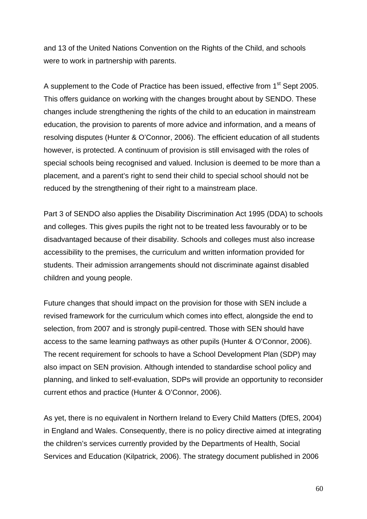and 13 of the United Nations Convention on the Rights of the Child, and schools were to work in partnership with parents.

A supplement to the Code of Practice has been issued, effective from 1<sup>st</sup> Sept 2005. This offers guidance on working with the changes brought about by SENDO. These changes include strengthening the rights of the child to an education in mainstream education, the provision to parents of more advice and information, and a means of resolving disputes (Hunter & O'Connor, 2006). The efficient education of all students however, is protected. A continuum of provision is still envisaged with the roles of special schools being recognised and valued. Inclusion is deemed to be more than a placement, and a parent's right to send their child to special school should not be reduced by the strengthening of their right to a mainstream place.

Part 3 of SENDO also applies the Disability Discrimination Act 1995 (DDA) to schools and colleges. This gives pupils the right not to be treated less favourably or to be disadvantaged because of their disability. Schools and colleges must also increase accessibility to the premises, the curriculum and written information provided for students. Their admission arrangements should not discriminate against disabled children and young people.

Future changes that should impact on the provision for those with SEN include a revised framework for the curriculum which comes into effect, alongside the end to selection, from 2007 and is strongly pupil-centred. Those with SEN should have access to the same learning pathways as other pupils (Hunter & O'Connor, 2006). The recent requirement for schools to have a School Development Plan (SDP) may also impact on SEN provision. Although intended to standardise school policy and planning, and linked to self-evaluation, SDPs will provide an opportunity to reconsider current ethos and practice (Hunter & O'Connor, 2006).

As yet, there is no equivalent in Northern Ireland to Every Child Matters (DfES, 2004) in England and Wales. Consequently, there is no policy directive aimed at integrating the children's services currently provided by the Departments of Health, Social Services and Education (Kilpatrick, 2006). The strategy document published in 2006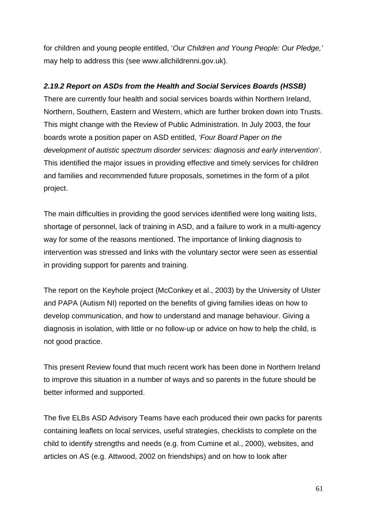for children and young people entitled, '*Our Children and Young People: Our Pledge,'* may help to address this (see www.allchildrenni.gov.uk).

## *2.19.2 Report on ASDs from the Health and Social Services Boards (HSSB)*

There are currently four health and social services boards within Northern Ireland, Northern, Southern, Eastern and Western, which are further broken down into Trusts. This might change with the Review of Public Administration. In July 2003, the four boards wrote a position paper on ASD entitled, *'Four Board Paper on the development of autistic spectrum disorder services: diagnosis and early intervention*'. This identified the major issues in providing effective and timely services for children and families and recommended future proposals, sometimes in the form of a pilot project.

The main difficulties in providing the good services identified were long waiting lists, shortage of personnel, lack of training in ASD, and a failure to work in a multi-agency way for some of the reasons mentioned. The importance of linking diagnosis to intervention was stressed and links with the voluntary sector were seen as essential in providing support for parents and training.

The report on the Keyhole project (McConkey et al., 2003) by the University of Ulster and PAPA (Autism NI) reported on the benefits of giving families ideas on how to develop communication, and how to understand and manage behaviour. Giving a diagnosis in isolation, with little or no follow-up or advice on how to help the child, is not good practice.

This present Review found that much recent work has been done in Northern Ireland to improve this situation in a number of ways and so parents in the future should be better informed and supported.

The five ELBs ASD Advisory Teams have each produced their own packs for parents containing leaflets on local services, useful strategies, checklists to complete on the child to identify strengths and needs (e.g. from Cumine et al., 2000), websites, and articles on AS (e.g. Attwood, 2002 on friendships) and on how to look after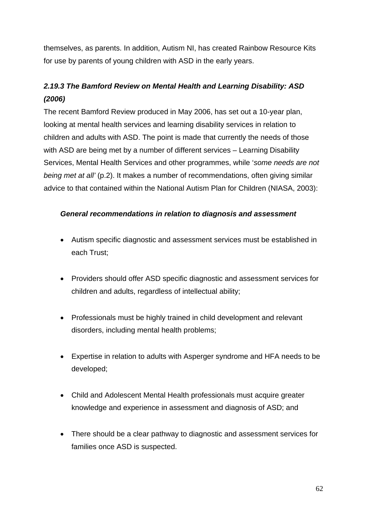themselves, as parents. In addition, Autism NI, has created Rainbow Resource Kits for use by parents of young children with ASD in the early years.

# *2.19.3 The Bamford Review on Mental Health and Learning Disability: ASD (2006)*

The recent Bamford Review produced in May 2006, has set out a 10-year plan, looking at mental health services and learning disability services in relation to children and adults with ASD. The point is made that currently the needs of those with ASD are being met by a number of different services – Learning Disability Services, Mental Health Services and other programmes, while '*some needs are not being met at all'* (p.2). It makes a number of recommendations, often giving similar advice to that contained within the National Autism Plan for Children (NIASA, 2003):

# *General recommendations in relation to diagnosis and assessment*

- Autism specific diagnostic and assessment services must be established in each Trust;
- Providers should offer ASD specific diagnostic and assessment services for children and adults, regardless of intellectual ability;
- Professionals must be highly trained in child development and relevant disorders, including mental health problems;
- Expertise in relation to adults with Asperger syndrome and HFA needs to be developed;
- Child and Adolescent Mental Health professionals must acquire greater knowledge and experience in assessment and diagnosis of ASD; and
- There should be a clear pathway to diagnostic and assessment services for families once ASD is suspected.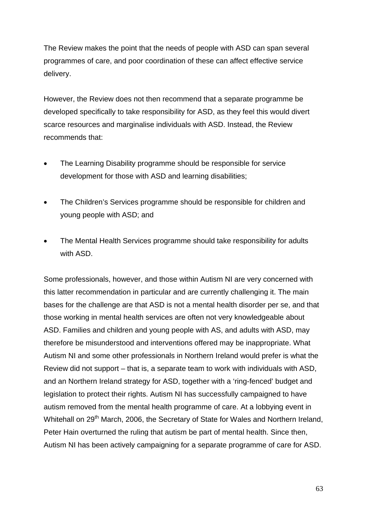The Review makes the point that the needs of people with ASD can span several programmes of care, and poor coordination of these can affect effective service delivery.

However, the Review does not then recommend that a separate programme be developed specifically to take responsibility for ASD, as they feel this would divert scarce resources and marginalise individuals with ASD. Instead, the Review recommends that:

- The Learning Disability programme should be responsible for service development for those with ASD and learning disabilities;
- The Children's Services programme should be responsible for children and young people with ASD; and
- The Mental Health Services programme should take responsibility for adults with ASD.

Some professionals, however, and those within Autism NI are very concerned with this latter recommendation in particular and are currently challenging it. The main bases for the challenge are that ASD is not a mental health disorder per se, and that those working in mental health services are often not very knowledgeable about ASD. Families and children and young people with AS, and adults with ASD, may therefore be misunderstood and interventions offered may be inappropriate. What Autism NI and some other professionals in Northern Ireland would prefer is what the Review did not support – that is, a separate team to work with individuals with ASD, and an Northern Ireland strategy for ASD, together with a 'ring-fenced' budget and legislation to protect their rights. Autism NI has successfully campaigned to have autism removed from the mental health programme of care. At a lobbying event in Whitehall on 29<sup>th</sup> March, 2006, the Secretary of State for Wales and Northern Ireland, Peter Hain overturned the ruling that autism be part of mental health. Since then, Autism NI has been actively campaigning for a separate programme of care for ASD.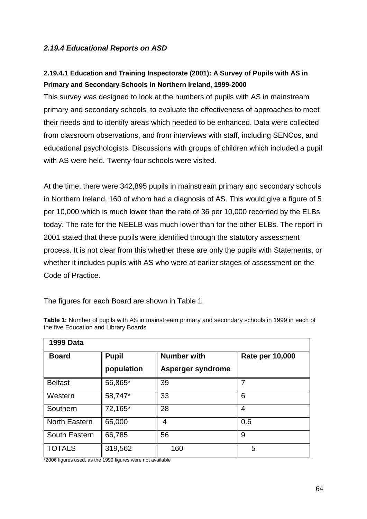# *2.19.4 Educational Reports on ASD*

# **2.19.4.1 Education and Training Inspectorate (2001): A Survey of Pupils with AS in Primary and Secondary Schools in Northern Ireland, 1999-2000**

This survey was designed to look at the numbers of pupils with AS in mainstream primary and secondary schools, to evaluate the effectiveness of approaches to meet their needs and to identify areas which needed to be enhanced. Data were collected from classroom observations, and from interviews with staff, including SENCos, and educational psychologists. Discussions with groups of children which included a pupil with AS were held. Twenty-four schools were visited.

At the time, there were 342,895 pupils in mainstream primary and secondary schools in Northern Ireland, 160 of whom had a diagnosis of AS. This would give a figure of 5 per 10,000 which is much lower than the rate of 36 per 10,000 recorded by the ELBs today. The rate for the NEELB was much lower than for the other ELBs. The report in 2001 stated that these pupils were identified through the statutory assessment process. It is not clear from this whether these are only the pupils with Statements, or whether it includes pupils with AS who were at earlier stages of assessment on the Code of Practice.

The figures for each Board are shown in Table 1.

| <b>1999 Data</b>     |              |                    |                        |  |  |  |
|----------------------|--------------|--------------------|------------------------|--|--|--|
| <b>Board</b>         | <b>Pupil</b> | <b>Number with</b> | <b>Rate per 10,000</b> |  |  |  |
|                      | population   | Asperger syndrome  |                        |  |  |  |
| <b>Belfast</b>       | 56,865*      | 39                 | 7                      |  |  |  |
| Western              | 58,747*      | 33                 | 6                      |  |  |  |
| Southern             | 72,165*      | 28                 | $\overline{4}$         |  |  |  |
| <b>North Eastern</b> | 65,000       | 4                  | 0.6                    |  |  |  |
| South Eastern        | 66,785       | 56                 | 9                      |  |  |  |
| <b>TOTALS</b>        | 319,562      | 160                | 5                      |  |  |  |

**Table 1:** Number of pupils with AS in mainstream primary and secondary schools in 1999 in each of the five Education and Library Boards

\*2006 figures used, as the 1999 figures were not available

٦Ī,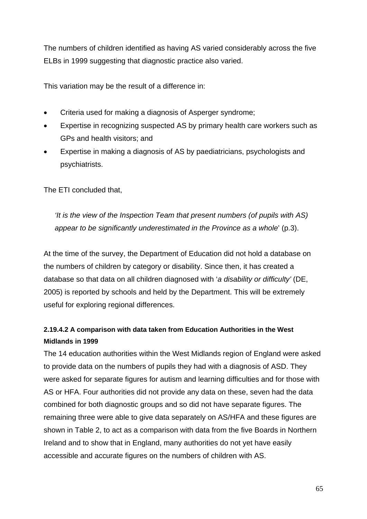The numbers of children identified as having AS varied considerably across the five ELBs in 1999 suggesting that diagnostic practice also varied.

This variation may be the result of a difference in:

- Criteria used for making a diagnosis of Asperger syndrome;
- Expertise in recognizing suspected AS by primary health care workers such as GPs and health visitors; and
- Expertise in making a diagnosis of AS by paediatricians, psychologists and psychiatrists.

The ETI concluded that,

*'It is the view of the Inspection Team that present numbers (of pupils with AS) appear to be significantly underestimated in the Province as a whole*' (p.3).

At the time of the survey, the Department of Education did not hold a database on the numbers of children by category or disability. Since then, it has created a database so that data on all children diagnosed with '*a disability or difficulty'* (DE, 2005) is reported by schools and held by the Department. This will be extremely useful for exploring regional differences.

# **2.19.4.2 A comparison with data taken from Education Authorities in the West Midlands in 1999**

The 14 education authorities within the West Midlands region of England were asked to provide data on the numbers of pupils they had with a diagnosis of ASD. They were asked for separate figures for autism and learning difficulties and for those with AS or HFA. Four authorities did not provide any data on these, seven had the data combined for both diagnostic groups and so did not have separate figures. The remaining three were able to give data separately on AS/HFA and these figures are shown in Table 2, to act as a comparison with data from the five Boards in Northern Ireland and to show that in England, many authorities do not yet have easily accessible and accurate figures on the numbers of children with AS.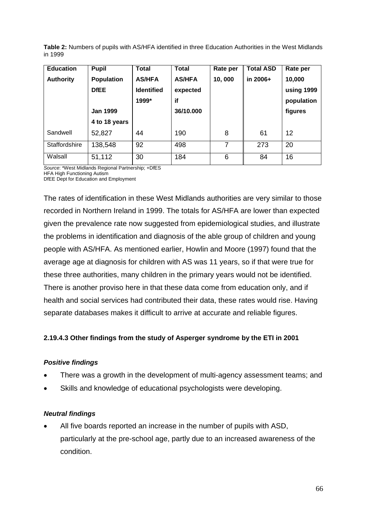|         | Table 2: Numbers of pupils with AS/HFA identified in three Education Authorities in the West Midlands |  |  |
|---------|-------------------------------------------------------------------------------------------------------|--|--|
| in 1999 |                                                                                                       |  |  |

| <b>Education</b> | <b>Pupil</b>      | Total             | <b>Total</b>  | Rate per | <b>Total ASD</b> | Rate per   |
|------------------|-------------------|-------------------|---------------|----------|------------------|------------|
| <b>Authority</b> | <b>Population</b> | <b>AS/HFA</b>     | <b>AS/HFA</b> | 10,000   | in 2006+         | 10,000     |
|                  | <b>DfEE</b>       | <b>Identified</b> | expected      |          |                  | using 1999 |
|                  |                   | 1999*             | if            |          |                  | population |
|                  | <b>Jan 1999</b>   |                   | 36/10.000     |          |                  | figures    |
|                  | 4 to 18 years     |                   |               |          |                  |            |
| Sandwell         | 52,827            | 44                | 190           | 8        | 61               | 12         |
| Staffordshire    | 138,548           | 92                | 498           | 7        | 273              | 20         |
| Walsall          | 51,112            | 30                | 184           | 6        | 84               | 16         |

*Source*: \*West Midlands Regional Partnership; +DfES HFA High Functioning Autism

DfEE Dept for Education and Employment

The rates of identification in these West Midlands authorities are very similar to those recorded in Northern Ireland in 1999. The totals for AS/HFA are lower than expected given the prevalence rate now suggested from epidemiological studies, and illustrate the problems in identification and diagnosis of the able group of children and young people with AS/HFA. As mentioned earlier, Howlin and Moore (1997) found that the average age at diagnosis for children with AS was 11 years, so if that were true for these three authorities, many children in the primary years would not be identified. There is another proviso here in that these data come from education only, and if health and social services had contributed their data, these rates would rise. Having separate databases makes it difficult to arrive at accurate and reliable figures.

### **2.19.4.3 Other findings from the study of Asperger syndrome by the ETI in 2001**

### *Positive findings*

- There was a growth in the development of multi-agency assessment teams; and
- Skills and knowledge of educational psychologists were developing.

### *Neutral findings*

 All five boards reported an increase in the number of pupils with ASD, particularly at the pre-school age, partly due to an increased awareness of the condition.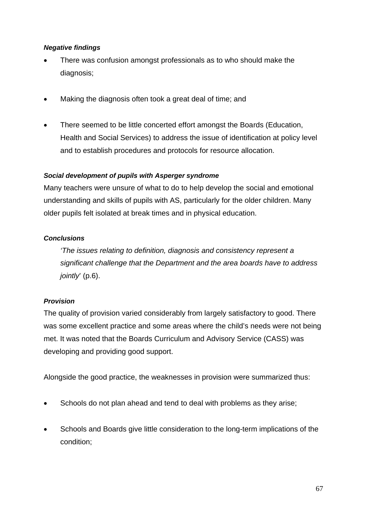## *Negative findings*

- There was confusion amongst professionals as to who should make the diagnosis;
- Making the diagnosis often took a great deal of time; and
- There seemed to be little concerted effort amongst the Boards (Education, Health and Social Services) to address the issue of identification at policy level and to establish procedures and protocols for resource allocation.

## *Social development of pupils with Asperger syndrome*

Many teachers were unsure of what to do to help develop the social and emotional understanding and skills of pupils with AS, particularly for the older children. Many older pupils felt isolated at break times and in physical education.

## *Conclusions*

*'The issues relating to definition, diagnosis and consistency represent a significant challenge that the Department and the area boards have to address jointly*' (p.6).

# *Provision*

The quality of provision varied considerably from largely satisfactory to good. There was some excellent practice and some areas where the child's needs were not being met. It was noted that the Boards Curriculum and Advisory Service (CASS) was developing and providing good support.

Alongside the good practice, the weaknesses in provision were summarized thus:

- Schools do not plan ahead and tend to deal with problems as they arise;
- Schools and Boards give little consideration to the long-term implications of the condition;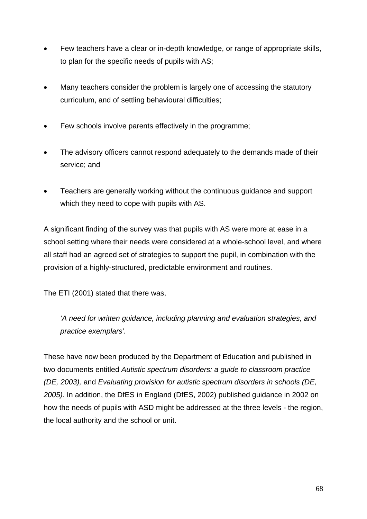- Few teachers have a clear or in-depth knowledge, or range of appropriate skills, to plan for the specific needs of pupils with AS;
- Many teachers consider the problem is largely one of accessing the statutory curriculum, and of settling behavioural difficulties;
- Few schools involve parents effectively in the programme;
- The advisory officers cannot respond adequately to the demands made of their service; and
- Teachers are generally working without the continuous guidance and support which they need to cope with pupils with AS.

A significant finding of the survey was that pupils with AS were more at ease in a school setting where their needs were considered at a whole-school level, and where all staff had an agreed set of strategies to support the pupil, in combination with the provision of a highly-structured, predictable environment and routines.

The ETI (2001) stated that there was,

*'A need for written guidance, including planning and evaluation strategies, and practice exemplars'.*

These have now been produced by the Department of Education and published in two documents entitled *Autistic spectrum disorders: a guide to classroom practice (DE, 2003),* and *Evaluating provision for autistic spectrum disorders in schools (DE, 2005)*. In addition, the DfES in England (DfES, 2002) published guidance in 2002 on how the needs of pupils with ASD might be addressed at the three levels - the region, the local authority and the school or unit.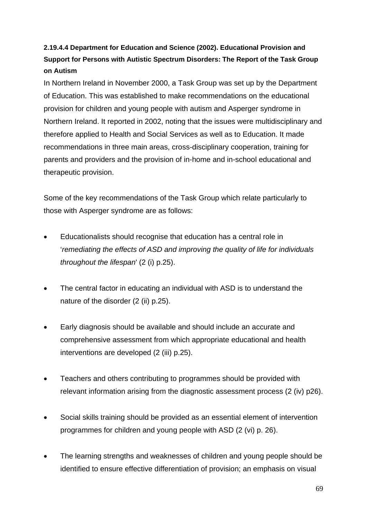# **2.19.4.4 Department for Education and Science (2002). Educational Provision and Support for Persons with Autistic Spectrum Disorders: The Report of the Task Group on Autism**

In Northern Ireland in November 2000, a Task Group was set up by the Department of Education. This was established to make recommendations on the educational provision for children and young people with autism and Asperger syndrome in Northern Ireland. It reported in 2002, noting that the issues were multidisciplinary and therefore applied to Health and Social Services as well as to Education. It made recommendations in three main areas, cross-disciplinary cooperation, training for parents and providers and the provision of in-home and in-school educational and therapeutic provision.

Some of the key recommendations of the Task Group which relate particularly to those with Asperger syndrome are as follows:

- Educationalists should recognise that education has a central role in '*remediating the effects of ASD and improving the quality of life for individuals throughout the lifespan*' (2 (i) p.25).
- The central factor in educating an individual with ASD is to understand the nature of the disorder (2 (ii) p.25).
- Early diagnosis should be available and should include an accurate and comprehensive assessment from which appropriate educational and health interventions are developed (2 (iii) p.25).
- Teachers and others contributing to programmes should be provided with relevant information arising from the diagnostic assessment process (2 (iv) p26).
- Social skills training should be provided as an essential element of intervention programmes for children and young people with ASD (2 (vi) p. 26).
- The learning strengths and weaknesses of children and young people should be identified to ensure effective differentiation of provision; an emphasis on visual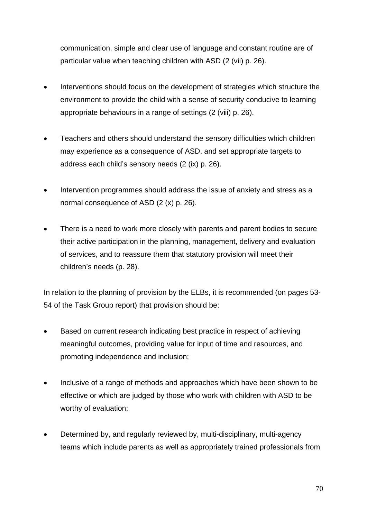communication, simple and clear use of language and constant routine are of particular value when teaching children with ASD (2 (vii) p. 26).

- Interventions should focus on the development of strategies which structure the environment to provide the child with a sense of security conducive to learning appropriate behaviours in a range of settings (2 (viii) p. 26).
- Teachers and others should understand the sensory difficulties which children may experience as a consequence of ASD, and set appropriate targets to address each child's sensory needs (2 (ix) p. 26).
- Intervention programmes should address the issue of anxiety and stress as a normal consequence of ASD (2 (x) p. 26).
- There is a need to work more closely with parents and parent bodies to secure their active participation in the planning, management, delivery and evaluation of services, and to reassure them that statutory provision will meet their children's needs (p. 28).

In relation to the planning of provision by the ELBs, it is recommended (on pages 53- 54 of the Task Group report) that provision should be:

- Based on current research indicating best practice in respect of achieving meaningful outcomes, providing value for input of time and resources, and promoting independence and inclusion;
- Inclusive of a range of methods and approaches which have been shown to be effective or which are judged by those who work with children with ASD to be worthy of evaluation;
- Determined by, and regularly reviewed by, multi-disciplinary, multi-agency teams which include parents as well as appropriately trained professionals from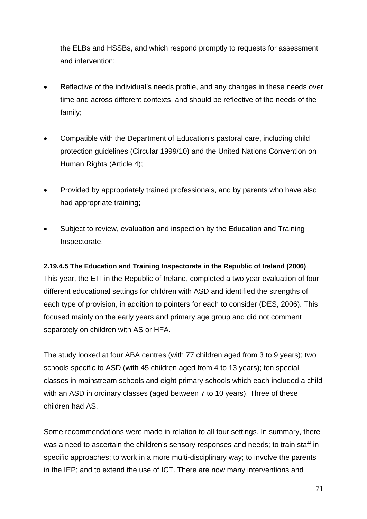the ELBs and HSSBs, and which respond promptly to requests for assessment and intervention;

- Reflective of the individual's needs profile, and any changes in these needs over time and across different contexts, and should be reflective of the needs of the family;
- Compatible with the Department of Education's pastoral care, including child protection guidelines (Circular 1999/10) and the United Nations Convention on Human Rights (Article 4);
- Provided by appropriately trained professionals, and by parents who have also had appropriate training;
- Subject to review, evaluation and inspection by the Education and Training Inspectorate.

### **2.19.4.5 The Education and Training Inspectorate in the Republic of Ireland (2006)**

This year, the ETI in the Republic of Ireland, completed a two year evaluation of four different educational settings for children with ASD and identified the strengths of each type of provision, in addition to pointers for each to consider (DES, 2006). This focused mainly on the early years and primary age group and did not comment separately on children with AS or HFA.

The study looked at four ABA centres (with 77 children aged from 3 to 9 years); two schools specific to ASD (with 45 children aged from 4 to 13 years); ten special classes in mainstream schools and eight primary schools which each included a child with an ASD in ordinary classes (aged between 7 to 10 years). Three of these children had AS.

Some recommendations were made in relation to all four settings. In summary, there was a need to ascertain the children's sensory responses and needs; to train staff in specific approaches; to work in a more multi-disciplinary way; to involve the parents in the IEP; and to extend the use of ICT. There are now many interventions and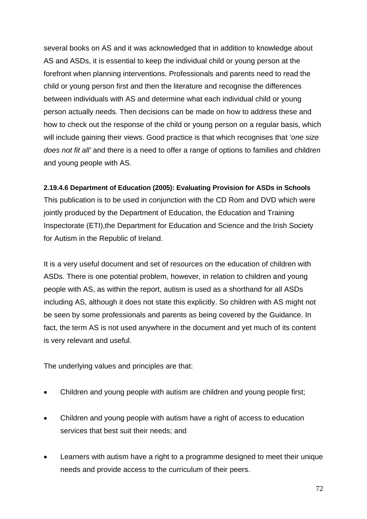several books on AS and it was acknowledged that in addition to knowledge about AS and ASDs, it is essential to keep the individual child or young person at the forefront when planning interventions. Professionals and parents need to read the child or young person first and then the literature and recognise the differences between individuals with AS and determine what each individual child or young person actually needs. Then decisions can be made on how to address these and how to check out the response of the child or young person on a regular basis, which will include gaining their views. Good practice is that which recognises that *'one size does not fit all'* and there is a need to offer a range of options to families and children and young people with AS.

## **2.19.4.6 Department of Education (2005): Evaluating Provision for ASDs in Schools**

This publication is to be used in conjunction with the CD Rom and DVD which were jointly produced by the Department of Education, the Education and Training Inspectorate (ETI),the Department for Education and Science and the Irish Society for Autism in the Republic of Ireland.

It is a very useful document and set of resources on the education of children with ASDs. There is one potential problem, however, in relation to children and young people with AS, as within the report, autism is used as a shorthand for all ASDs including AS, although it does not state this explicitly. So children with AS might not be seen by some professionals and parents as being covered by the Guidance. In fact, the term AS is not used anywhere in the document and yet much of its content is very relevant and useful.

The underlying values and principles are that:

- Children and young people with autism are children and young people first;
- Children and young people with autism have a right of access to education services that best suit their needs; and
- Learners with autism have a right to a programme designed to meet their unique needs and provide access to the curriculum of their peers.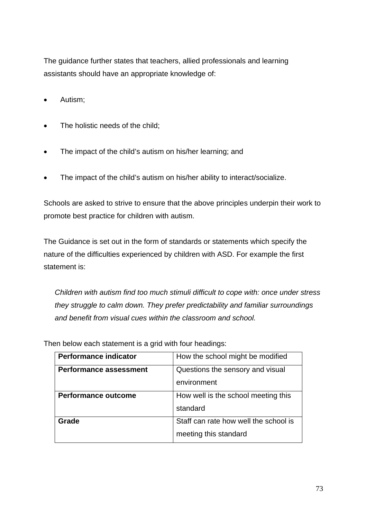The guidance further states that teachers, allied professionals and learning assistants should have an appropriate knowledge of:

- Autism;
- The holistic needs of the child;
- The impact of the child's autism on his/her learning; and
- The impact of the child's autism on his/her ability to interact/socialize.

Schools are asked to strive to ensure that the above principles underpin their work to promote best practice for children with autism.

The Guidance is set out in the form of standards or statements which specify the nature of the difficulties experienced by children with ASD. For example the first statement is:

*Children with autism find too much stimuli difficult to cope with: once under stress they struggle to calm down. They prefer predictability and familiar surroundings and benefit from visual cues within the classroom and school.* 

| <b>Performance indicator</b>  | How the school might be modified      |
|-------------------------------|---------------------------------------|
| <b>Performance assessment</b> | Questions the sensory and visual      |
|                               | environment                           |
| <b>Performance outcome</b>    | How well is the school meeting this   |
|                               | standard                              |
| Grade                         | Staff can rate how well the school is |
|                               | meeting this standard                 |

Then below each statement is a grid with four headings: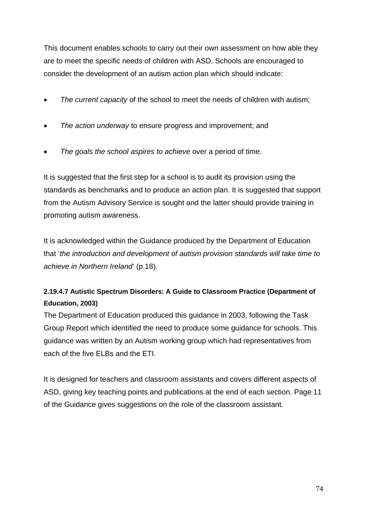This document enables schools to carry out their own assessment on how able they are to meet the specific needs of children with ASD. Schools are encouraged to consider the development of an autism action plan which should indicate:

- *The current capacity* of the school to meet the needs of children with autism;
- *The action underway* to ensure progress and improvement; and
- *The goals the school aspires to achieve* over a period of time.

It is suggested that the first step for a school is to audit its provision using the standards as benchmarks and to produce an action plan. It is suggested that support from the Autism Advisory Service is sought and the latter should provide training in promoting autism awareness.

It is acknowledged within the Guidance produced by the Department of Education that '*the introduction and development of autism provision standards will take time to achieve in Northern Ireland*' (p.18).

## **2.19.4.7 Autistic Spectrum Disorders: A Guide to Classroom Practice (Department of Education, 2003)**

The Department of Education produced this guidance in 2003, following the Task Group Report which identified the need to produce some guidance for schools. This guidance was written by an Autism working group which had representatives from each of the five ELBs and the ETI.

It is designed for teachers and classroom assistants and covers different aspects of ASD, giving key teaching points and publications at the end of each section. Page 11 of the Guidance gives suggestions on the role of the classroom assistant.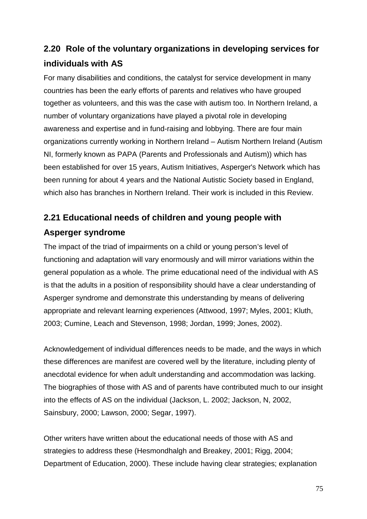# **2.20 Role of the voluntary organizations in developing services for individuals with AS**

For many disabilities and conditions, the catalyst for service development in many countries has been the early efforts of parents and relatives who have grouped together as volunteers, and this was the case with autism too. In Northern Ireland, a number of voluntary organizations have played a pivotal role in developing awareness and expertise and in fund-raising and lobbying. There are four main organizations currently working in Northern Ireland – Autism Northern Ireland (Autism NI, formerly known as PAPA (Parents and Professionals and Autism)) which has been established for over 15 years, Autism Initiatives, Asperger's Network which has been running for about 4 years and the National Autistic Society based in England, which also has branches in Northern Ireland. Their work is included in this Review.

# **2.21 Educational needs of children and young people with Asperger syndrome**

The impact of the triad of impairments on a child or young person's level of functioning and adaptation will vary enormously and will mirror variations within the general population as a whole. The prime educational need of the individual with AS is that the adults in a position of responsibility should have a clear understanding of Asperger syndrome and demonstrate this understanding by means of delivering appropriate and relevant learning experiences (Attwood, 1997; Myles, 2001; Kluth, 2003; Cumine, Leach and Stevenson, 1998; Jordan, 1999; Jones, 2002).

Acknowledgement of individual differences needs to be made, and the ways in which these differences are manifest are covered well by the literature, including plenty of anecdotal evidence for when adult understanding and accommodation was lacking. The biographies of those with AS and of parents have contributed much to our insight into the effects of AS on the individual (Jackson, L. 2002; Jackson, N, 2002, Sainsbury, 2000; Lawson, 2000; Segar, 1997).

Other writers have written about the educational needs of those with AS and strategies to address these (Hesmondhalgh and Breakey, 2001; Rigg, 2004; Department of Education, 2000). These include having clear strategies; explanation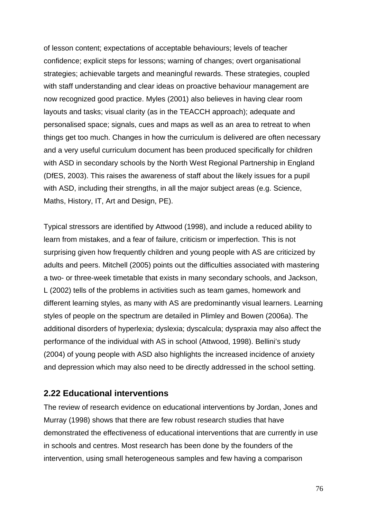of lesson content; expectations of acceptable behaviours; levels of teacher confidence; explicit steps for lessons; warning of changes; overt organisational strategies; achievable targets and meaningful rewards. These strategies, coupled with staff understanding and clear ideas on proactive behaviour management are now recognized good practice. Myles (2001) also believes in having clear room layouts and tasks; visual clarity (as in the TEACCH approach); adequate and personalised space; signals, cues and maps as well as an area to retreat to when things get too much. Changes in how the curriculum is delivered are often necessary and a very useful curriculum document has been produced specifically for children with ASD in secondary schools by the North West Regional Partnership in England (DfES, 2003). This raises the awareness of staff about the likely issues for a pupil with ASD, including their strengths, in all the major subject areas (e.g. Science, Maths, History, IT, Art and Design, PE).

Typical stressors are identified by Attwood (1998), and include a reduced ability to learn from mistakes, and a fear of failure, criticism or imperfection. This is not surprising given how frequently children and young people with AS are criticized by adults and peers. Mitchell (2005) points out the difficulties associated with mastering a two- or three-week timetable that exists in many secondary schools, and Jackson, L (2002) tells of the problems in activities such as team games, homework and different learning styles, as many with AS are predominantly visual learners. Learning styles of people on the spectrum are detailed in Plimley and Bowen (2006a). The additional disorders of hyperlexia; dyslexia; dyscalcula; dyspraxia may also affect the performance of the individual with AS in school (Attwood, 1998). Bellini's study (2004) of young people with ASD also highlights the increased incidence of anxiety and depression which may also need to be directly addressed in the school setting.

### **2.22 Educational interventions**

The review of research evidence on educational interventions by Jordan, Jones and Murray (1998) shows that there are few robust research studies that have demonstrated the effectiveness of educational interventions that are currently in use in schools and centres. Most research has been done by the founders of the intervention, using small heterogeneous samples and few having a comparison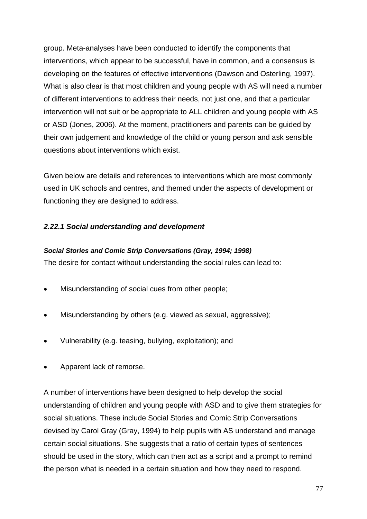group. Meta-analyses have been conducted to identify the components that interventions, which appear to be successful, have in common, and a consensus is developing on the features of effective interventions (Dawson and Osterling, 1997). What is also clear is that most children and young people with AS will need a number of different interventions to address their needs, not just one, and that a particular intervention will not suit or be appropriate to ALL children and young people with AS or ASD (Jones, 2006). At the moment, practitioners and parents can be guided by their own judgement and knowledge of the child or young person and ask sensible questions about interventions which exist.

Given below are details and references to interventions which are most commonly used in UK schools and centres, and themed under the aspects of development or functioning they are designed to address.

### *2.22.1 Social understanding and development*

#### *Social Stories and Comic Strip Conversations (Gray, 1994; 1998)*

The desire for contact without understanding the social rules can lead to:

- Misunderstanding of social cues from other people;
- Misunderstanding by others (e.g. viewed as sexual, aggressive);
- Vulnerability (e.g. teasing, bullying, exploitation); and
- Apparent lack of remorse.

A number of interventions have been designed to help develop the social understanding of children and young people with ASD and to give them strategies for social situations. These include Social Stories and Comic Strip Conversations devised by Carol Gray (Gray, 1994) to help pupils with AS understand and manage certain social situations. She suggests that a ratio of certain types of sentences should be used in the story, which can then act as a script and a prompt to remind the person what is needed in a certain situation and how they need to respond.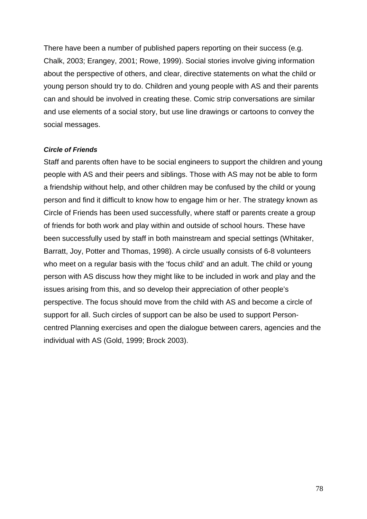There have been a number of published papers reporting on their success (e.g. Chalk, 2003; Erangey, 2001; Rowe, 1999). Social stories involve giving information about the perspective of others, and clear, directive statements on what the child or young person should try to do. Children and young people with AS and their parents can and should be involved in creating these. Comic strip conversations are similar and use elements of a social story, but use line drawings or cartoons to convey the social messages.

#### *Circle of Friends*

Staff and parents often have to be social engineers to support the children and young people with AS and their peers and siblings. Those with AS may not be able to form a friendship without help, and other children may be confused by the child or young person and find it difficult to know how to engage him or her. The strategy known as Circle of Friends has been used successfully, where staff or parents create a group of friends for both work and play within and outside of school hours. These have been successfully used by staff in both mainstream and special settings (Whitaker, Barratt, Joy, Potter and Thomas, 1998). A circle usually consists of 6-8 volunteers who meet on a regular basis with the 'focus child' and an adult. The child or young person with AS discuss how they might like to be included in work and play and the issues arising from this, and so develop their appreciation of other people's perspective. The focus should move from the child with AS and become a circle of support for all. Such circles of support can be also be used to support Personcentred Planning exercises and open the dialogue between carers, agencies and the individual with AS (Gold, 1999; Brock 2003).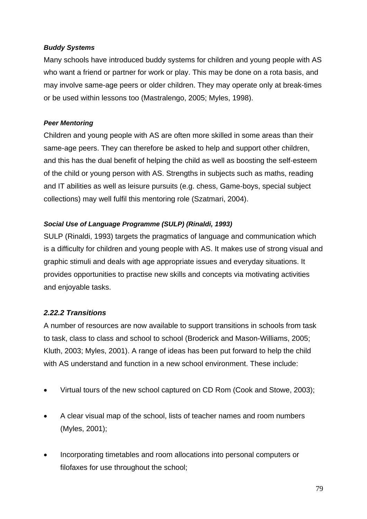#### *Buddy Systems*

Many schools have introduced buddy systems for children and young people with AS who want a friend or partner for work or play. This may be done on a rota basis, and may involve same-age peers or older children. They may operate only at break-times or be used within lessons too (Mastralengo, 2005; Myles, 1998).

### *Peer Mentoring*

Children and young people with AS are often more skilled in some areas than their same-age peers. They can therefore be asked to help and support other children, and this has the dual benefit of helping the child as well as boosting the self-esteem of the child or young person with AS. Strengths in subjects such as maths, reading and IT abilities as well as leisure pursuits (e.g. chess, Game-boys, special subject collections) may well fulfil this mentoring role (Szatmari, 2004).

### *Social Use of Language Programme (SULP) (Rinaldi, 1993)*

SULP (Rinaldi, 1993) targets the pragmatics of language and communication which is a difficulty for children and young people with AS. It makes use of strong visual and graphic stimuli and deals with age appropriate issues and everyday situations. It provides opportunities to practise new skills and concepts via motivating activities and enjoyable tasks.

### *2.22.2 Transitions*

A number of resources are now available to support transitions in schools from task to task, class to class and school to school (Broderick and Mason-Williams, 2005; Kluth, 2003; Myles, 2001). A range of ideas has been put forward to help the child with AS understand and function in a new school environment. These include:

- Virtual tours of the new school captured on CD Rom (Cook and Stowe, 2003);
- A clear visual map of the school, lists of teacher names and room numbers (Myles, 2001);
- Incorporating timetables and room allocations into personal computers or filofaxes for use throughout the school;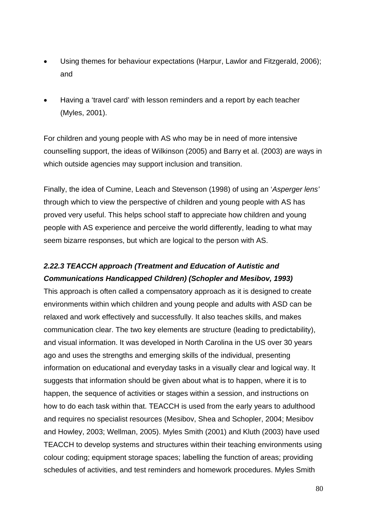- Using themes for behaviour expectations (Harpur, Lawlor and Fitzgerald, 2006); and
- Having a 'travel card' with lesson reminders and a report by each teacher (Myles, 2001).

For children and young people with AS who may be in need of more intensive counselling support, the ideas of Wilkinson (2005) and Barry et al. (2003) are ways in which outside agencies may support inclusion and transition.

Finally, the idea of Cumine, Leach and Stevenson (1998) of using an '*Asperger lens'* through which to view the perspective of children and young people with AS has proved very useful. This helps school staff to appreciate how children and young people with AS experience and perceive the world differently, leading to what may seem bizarre responses, but which are logical to the person with AS.

## *2.22.3 TEACCH approach (Treatment and Education of Autistic and Communications Handicapped Children) (Schopler and Mesibov, 1993)*

This approach is often called a compensatory approach as it is designed to create environments within which children and young people and adults with ASD can be relaxed and work effectively and successfully. It also teaches skills, and makes communication clear. The two key elements are structure (leading to predictability), and visual information. It was developed in North Carolina in the US over 30 years ago and uses the strengths and emerging skills of the individual, presenting information on educational and everyday tasks in a visually clear and logical way. It suggests that information should be given about what is to happen, where it is to happen, the sequence of activities or stages within a session, and instructions on how to do each task within that. TEACCH is used from the early years to adulthood and requires no specialist resources (Mesibov, Shea and Schopler, 2004; Mesibov and Howley, 2003; Wellman, 2005). Myles Smith (2001) and Kluth (2003) have used TEACCH to develop systems and structures within their teaching environments using colour coding; equipment storage spaces; labelling the function of areas; providing schedules of activities, and test reminders and homework procedures. Myles Smith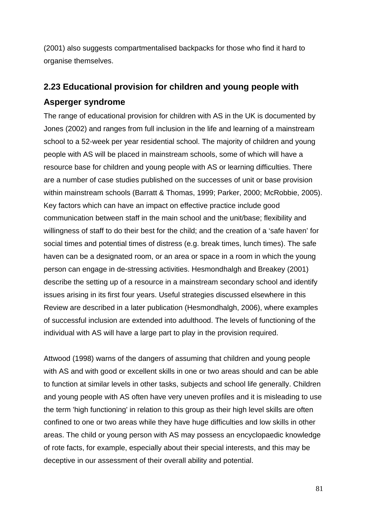(2001) also suggests compartmentalised backpacks for those who find it hard to organise themselves.

# **2.23 Educational provision for children and young people with Asperger syndrome**

The range of educational provision for children with AS in the UK is documented by Jones (2002) and ranges from full inclusion in the life and learning of a mainstream school to a 52-week per year residential school. The majority of children and young people with AS will be placed in mainstream schools, some of which will have a resource base for children and young people with AS or learning difficulties. There are a number of case studies published on the successes of unit or base provision within mainstream schools (Barratt & Thomas, 1999; Parker, 2000; McRobbie, 2005). Key factors which can have an impact on effective practice include good communication between staff in the main school and the unit/base; flexibility and willingness of staff to do their best for the child; and the creation of a 'safe haven' for social times and potential times of distress (e.g. break times, lunch times). The safe haven can be a designated room, or an area or space in a room in which the young person can engage in de-stressing activities. Hesmondhalgh and Breakey (2001) describe the setting up of a resource in a mainstream secondary school and identify issues arising in its first four years. Useful strategies discussed elsewhere in this Review are described in a later publication (Hesmondhalgh, 2006), where examples of successful inclusion are extended into adulthood. The levels of functioning of the individual with AS will have a large part to play in the provision required.

Attwood (1998) warns of the dangers of assuming that children and young people with AS and with good or excellent skills in one or two areas should and can be able to function at similar levels in other tasks, subjects and school life generally. Children and young people with AS often have very uneven profiles and it is misleading to use the term 'high functioning' in relation to this group as their high level skills are often confined to one or two areas while they have huge difficulties and low skills in other areas. The child or young person with AS may possess an encyclopaedic knowledge of rote facts, for example, especially about their special interests, and this may be deceptive in our assessment of their overall ability and potential.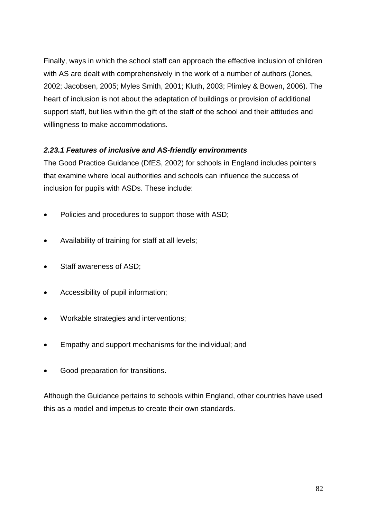Finally, ways in which the school staff can approach the effective inclusion of children with AS are dealt with comprehensively in the work of a number of authors (Jones, 2002; Jacobsen, 2005; Myles Smith, 2001; Kluth, 2003; Plimley & Bowen, 2006). The heart of inclusion is not about the adaptation of buildings or provision of additional support staff, but lies within the gift of the staff of the school and their attitudes and willingness to make accommodations.

## *2.23.1 Features of inclusive and AS-friendly environments*

The Good Practice Guidance (DfES, 2002) for schools in England includes pointers that examine where local authorities and schools can influence the success of inclusion for pupils with ASDs. These include:

- Policies and procedures to support those with ASD:
- Availability of training for staff at all levels;
- Staff awareness of ASD;
- Accessibility of pupil information;
- Workable strategies and interventions;
- Empathy and support mechanisms for the individual; and
- Good preparation for transitions.

Although the Guidance pertains to schools within England, other countries have used this as a model and impetus to create their own standards.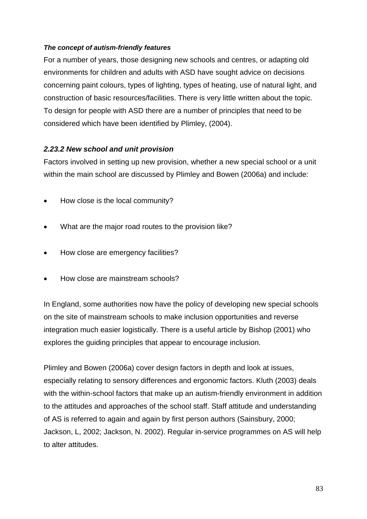#### *The concept of autism-friendly features*

For a number of years, those designing new schools and centres, or adapting old environments for children and adults with ASD have sought advice on decisions concerning paint colours, types of lighting, types of heating, use of natural light, and construction of basic resources/facilities. There is very little written about the topic. To design for people with ASD there are a number of principles that need to be considered which have been identified by Plimley, (2004).

### *2.23.2 New school and unit provision*

Factors involved in setting up new provision, whether a new special school or a unit within the main school are discussed by Plimley and Bowen (2006a) and include:

- How close is the local community?
- What are the major road routes to the provision like?
- How close are emergency facilities?
- How close are mainstream schools?

In England, some authorities now have the policy of developing new special schools on the site of mainstream schools to make inclusion opportunities and reverse integration much easier logistically. There is a useful article by Bishop (2001) who explores the guiding principles that appear to encourage inclusion.

Plimley and Bowen (2006a) cover design factors in depth and look at issues, especially relating to sensory differences and ergonomic factors. Kluth (2003) deals with the within-school factors that make up an autism-friendly environment in addition to the attitudes and approaches of the school staff. Staff attitude and understanding of AS is referred to again and again by first person authors (Sainsbury, 2000; Jackson, L, 2002; Jackson, N. 2002). Regular in-service programmes on AS will help to alter attitudes.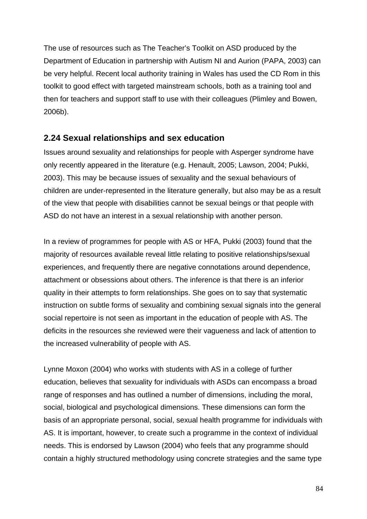The use of resources such as The Teacher's Toolkit on ASD produced by the Department of Education in partnership with Autism NI and Aurion (PAPA, 2003) can be very helpful. Recent local authority training in Wales has used the CD Rom in this toolkit to good effect with targeted mainstream schools, both as a training tool and then for teachers and support staff to use with their colleagues (Plimley and Bowen, 2006b).

### **2.24 Sexual relationships and sex education**

Issues around sexuality and relationships for people with Asperger syndrome have only recently appeared in the literature (e.g. Henault, 2005; Lawson, 2004; Pukki, 2003). This may be because issues of sexuality and the sexual behaviours of children are under-represented in the literature generally, but also may be as a result of the view that people with disabilities cannot be sexual beings or that people with ASD do not have an interest in a sexual relationship with another person.

In a review of programmes for people with AS or HFA, Pukki (2003) found that the majority of resources available reveal little relating to positive relationships/sexual experiences, and frequently there are negative connotations around dependence, attachment or obsessions about others. The inference is that there is an inferior quality in their attempts to form relationships. She goes on to say that systematic instruction on subtle forms of sexuality and combining sexual signals into the general social repertoire is not seen as important in the education of people with AS. The deficits in the resources she reviewed were their vagueness and lack of attention to the increased vulnerability of people with AS.

Lynne Moxon (2004) who works with students with AS in a college of further education, believes that sexuality for individuals with ASDs can encompass a broad range of responses and has outlined a number of dimensions, including the moral, social, biological and psychological dimensions. These dimensions can form the basis of an appropriate personal, social, sexual health programme for individuals with AS. It is important, however, to create such a programme in the context of individual needs. This is endorsed by Lawson (2004) who feels that any programme should contain a highly structured methodology using concrete strategies and the same type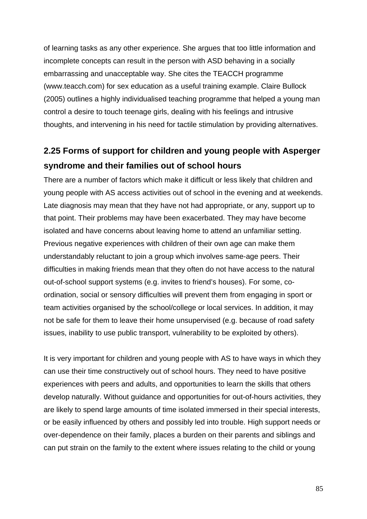of learning tasks as any other experience. She argues that too little information and incomplete concepts can result in the person with ASD behaving in a socially embarrassing and unacceptable way. She cites the TEACCH programme (www.teacch.com) for sex education as a useful training example. Claire Bullock (2005) outlines a highly individualised teaching programme that helped a young man control a desire to touch teenage girls, dealing with his feelings and intrusive thoughts, and intervening in his need for tactile stimulation by providing alternatives.

# **2.25 Forms of support for children and young people with Asperger syndrome and their families out of school hours**

There are a number of factors which make it difficult or less likely that children and young people with AS access activities out of school in the evening and at weekends. Late diagnosis may mean that they have not had appropriate, or any, support up to that point. Their problems may have been exacerbated. They may have become isolated and have concerns about leaving home to attend an unfamiliar setting. Previous negative experiences with children of their own age can make them understandably reluctant to join a group which involves same-age peers. Their difficulties in making friends mean that they often do not have access to the natural out-of-school support systems (e.g. invites to friend's houses). For some, coordination, social or sensory difficulties will prevent them from engaging in sport or team activities organised by the school/college or local services. In addition, it may not be safe for them to leave their home unsupervised (e.g. because of road safety issues, inability to use public transport, vulnerability to be exploited by others).

It is very important for children and young people with AS to have ways in which they can use their time constructively out of school hours. They need to have positive experiences with peers and adults, and opportunities to learn the skills that others develop naturally. Without guidance and opportunities for out-of-hours activities, they are likely to spend large amounts of time isolated immersed in their special interests, or be easily influenced by others and possibly led into trouble. High support needs or over-dependence on their family, places a burden on their parents and siblings and can put strain on the family to the extent where issues relating to the child or young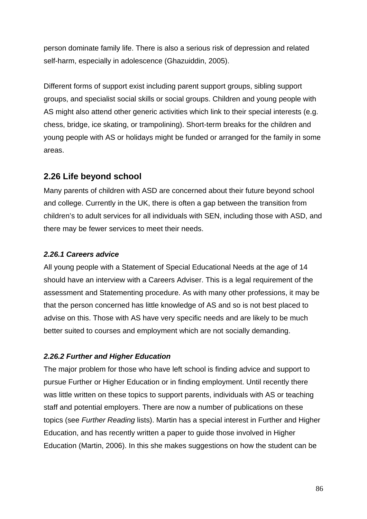person dominate family life. There is also a serious risk of depression and related self-harm, especially in adolescence (Ghazuiddin, 2005).

Different forms of support exist including parent support groups, sibling support groups, and specialist social skills or social groups. Children and young people with AS might also attend other generic activities which link to their special interests (e.g. chess, bridge, ice skating, or trampolining). Short-term breaks for the children and young people with AS or holidays might be funded or arranged for the family in some areas.

## **2.26 Life beyond school**

Many parents of children with ASD are concerned about their future beyond school and college. Currently in the UK, there is often a gap between the transition from children's to adult services for all individuals with SEN, including those with ASD, and there may be fewer services to meet their needs.

### *2.26.1 Careers advice*

All young people with a Statement of Special Educational Needs at the age of 14 should have an interview with a Careers Adviser. This is a legal requirement of the assessment and Statementing procedure. As with many other professions, it may be that the person concerned has little knowledge of AS and so is not best placed to advise on this. Those with AS have very specific needs and are likely to be much better suited to courses and employment which are not socially demanding.

## *2.26.2 Further and Higher Education*

The major problem for those who have left school is finding advice and support to pursue Further or Higher Education or in finding employment. Until recently there was little written on these topics to support parents, individuals with AS or teaching staff and potential employers. There are now a number of publications on these topics (see *Further Reading* lists). Martin has a special interest in Further and Higher Education, and has recently written a paper to guide those involved in Higher Education (Martin, 2006). In this she makes suggestions on how the student can be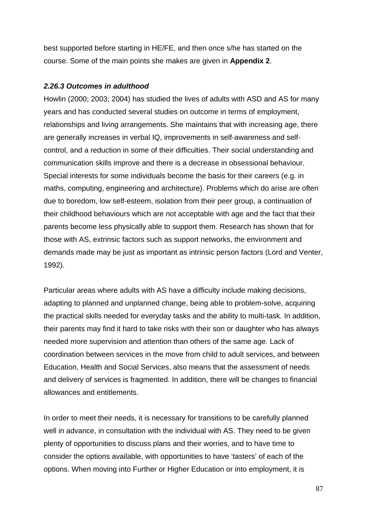best supported before starting in HE/FE, and then once s/he has started on the course. Some of the main points she makes are given in **Appendix 2**.

#### *2.26.3 Outcomes in adulthood*

Howlin (2000; 2003; 2004) has studied the lives of adults with ASD and AS for many years and has conducted several studies on outcome in terms of employment, relationships and living arrangements. She maintains that with increasing age, there are generally increases in verbal IQ, improvements in self-awareness and selfcontrol, and a reduction in some of their difficulties. Their social understanding and communication skills improve and there is a decrease in obsessional behaviour. Special interests for some individuals become the basis for their careers (e.g. in maths, computing, engineering and architecture). Problems which do arise are often due to boredom, low self-esteem, isolation from their peer group, a continuation of their childhood behaviours which are not acceptable with age and the fact that their parents become less physically able to support them. Research has shown that for those with AS, extrinsic factors such as support networks, the environment and demands made may be just as important as intrinsic person factors (Lord and Venter, 1992).

Particular areas where adults with AS have a difficulty include making decisions, adapting to planned and unplanned change, being able to problem-solve, acquiring the practical skills needed for everyday tasks and the ability to multi-task. In addition, their parents may find it hard to take risks with their son or daughter who has always needed more supervision and attention than others of the same age. Lack of coordination between services in the move from child to adult services, and between Education, Health and Social Services, also means that the assessment of needs and delivery of services is fragmented. In addition, there will be changes to financial allowances and entitlements.

In order to meet their needs, it is necessary for transitions to be carefully planned well in advance, in consultation with the individual with AS. They need to be given plenty of opportunities to discuss plans and their worries, and to have time to consider the options available, with opportunities to have 'tasters' of each of the options. When moving into Further or Higher Education or into employment, it is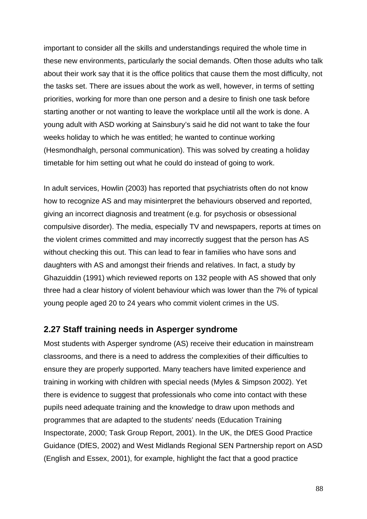important to consider all the skills and understandings required the whole time in these new environments, particularly the social demands. Often those adults who talk about their work say that it is the office politics that cause them the most difficulty, not the tasks set. There are issues about the work as well, however, in terms of setting priorities, working for more than one person and a desire to finish one task before starting another or not wanting to leave the workplace until all the work is done. A young adult with ASD working at Sainsbury's said he did not want to take the four weeks holiday to which he was entitled; he wanted to continue working (Hesmondhalgh, personal communication). This was solved by creating a holiday timetable for him setting out what he could do instead of going to work.

In adult services, Howlin (2003) has reported that psychiatrists often do not know how to recognize AS and may misinterpret the behaviours observed and reported, giving an incorrect diagnosis and treatment (e.g. for psychosis or obsessional compulsive disorder). The media, especially TV and newspapers, reports at times on the violent crimes committed and may incorrectly suggest that the person has AS without checking this out. This can lead to fear in families who have sons and daughters with AS and amongst their friends and relatives. In fact, a study by Ghazuiddin (1991) which reviewed reports on 132 people with AS showed that only three had a clear history of violent behaviour which was lower than the 7% of typical young people aged 20 to 24 years who commit violent crimes in the US.

## **2.27 Staff training needs in Asperger syndrome**

Most students with Asperger syndrome (AS) receive their education in mainstream classrooms, and there is a need to address the complexities of their difficulties to ensure they are properly supported. Many teachers have limited experience and training in working with children with special needs (Myles & Simpson 2002). Yet there is evidence to suggest that professionals who come into contact with these pupils need adequate training and the knowledge to draw upon methods and programmes that are adapted to the students' needs (Education Training Inspectorate, 2000; Task Group Report, 2001). In the UK, the DfES Good Practice Guidance (DfES, 2002) and West Midlands Regional SEN Partnership report on ASD (English and Essex, 2001), for example, highlight the fact that a good practice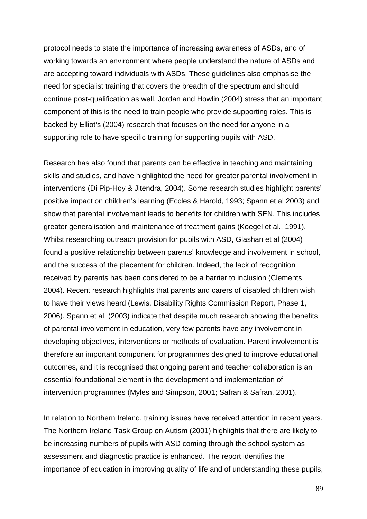protocol needs to state the importance of increasing awareness of ASDs, and of working towards an environment where people understand the nature of ASDs and are accepting toward individuals with ASDs. These guidelines also emphasise the need for specialist training that covers the breadth of the spectrum and should continue post-qualification as well. Jordan and Howlin (2004) stress that an important component of this is the need to train people who provide supporting roles. This is backed by Elliot's (2004) research that focuses on the need for anyone in a supporting role to have specific training for supporting pupils with ASD.

Research has also found that parents can be effective in teaching and maintaining skills and studies, and have highlighted the need for greater parental involvement in interventions (Di Pip-Hoy & Jitendra, 2004). Some research studies highlight parents' positive impact on children's learning (Eccles & Harold, 1993; Spann et al 2003) and show that parental involvement leads to benefits for children with SEN. This includes greater generalisation and maintenance of treatment gains (Koegel et al., 1991). Whilst researching outreach provision for pupils with ASD, Glashan et al (2004) found a positive relationship between parents' knowledge and involvement in school, and the success of the placement for children. Indeed, the lack of recognition received by parents has been considered to be a barrier to inclusion (Clements, 2004). Recent research highlights that parents and carers of disabled children wish to have their views heard (Lewis, Disability Rights Commission Report, Phase 1, 2006). Spann et al. (2003) indicate that despite much research showing the benefits of parental involvement in education, very few parents have any involvement in developing objectives, interventions or methods of evaluation. Parent involvement is therefore an important component for programmes designed to improve educational outcomes, and it is recognised that ongoing parent and teacher collaboration is an essential foundational element in the development and implementation of intervention programmes (Myles and Simpson, 2001; Safran & Safran, 2001).

In relation to Northern Ireland, training issues have received attention in recent years. The Northern Ireland Task Group on Autism (2001) highlights that there are likely to be increasing numbers of pupils with ASD coming through the school system as assessment and diagnostic practice is enhanced. The report identifies the importance of education in improving quality of life and of understanding these pupils,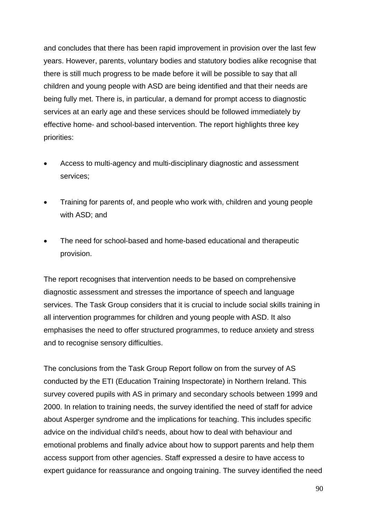and concludes that there has been rapid improvement in provision over the last few years. However, parents, voluntary bodies and statutory bodies alike recognise that there is still much progress to be made before it will be possible to say that all children and young people with ASD are being identified and that their needs are being fully met. There is, in particular, a demand for prompt access to diagnostic services at an early age and these services should be followed immediately by effective home- and school-based intervention. The report highlights three key priorities:

- Access to multi-agency and multi-disciplinary diagnostic and assessment services;
- Training for parents of, and people who work with, children and young people with ASD; and
- The need for school-based and home-based educational and therapeutic provision.

The report recognises that intervention needs to be based on comprehensive diagnostic assessment and stresses the importance of speech and language services. The Task Group considers that it is crucial to include social skills training in all intervention programmes for children and young people with ASD. It also emphasises the need to offer structured programmes, to reduce anxiety and stress and to recognise sensory difficulties.

The conclusions from the Task Group Report follow on from the survey of AS conducted by the ETI (Education Training Inspectorate) in Northern Ireland. This survey covered pupils with AS in primary and secondary schools between 1999 and 2000. In relation to training needs, the survey identified the need of staff for advice about Asperger syndrome and the implications for teaching. This includes specific advice on the individual child's needs, about how to deal with behaviour and emotional problems and finally advice about how to support parents and help them access support from other agencies. Staff expressed a desire to have access to expert guidance for reassurance and ongoing training. The survey identified the need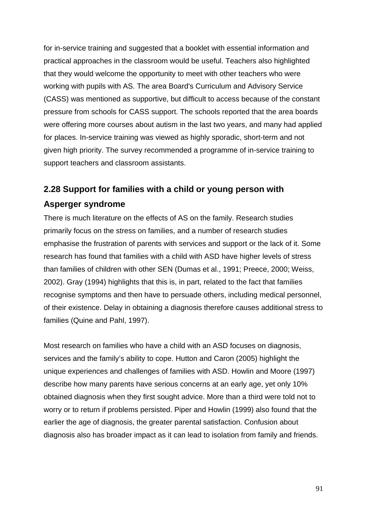for in-service training and suggested that a booklet with essential information and practical approaches in the classroom would be useful. Teachers also highlighted that they would welcome the opportunity to meet with other teachers who were working with pupils with AS. The area Board's Curriculum and Advisory Service (CASS) was mentioned as supportive, but difficult to access because of the constant pressure from schools for CASS support. The schools reported that the area boards were offering more courses about autism in the last two years, and many had applied for places. In-service training was viewed as highly sporadic, short-term and not given high priority. The survey recommended a programme of in-service training to support teachers and classroom assistants.

# **2.28 Support for families with a child or young person with Asperger syndrome**

There is much literature on the effects of AS on the family. Research studies primarily focus on the stress on families, and a number of research studies emphasise the frustration of parents with services and support or the lack of it. Some research has found that families with a child with ASD have higher levels of stress than families of children with other SEN (Dumas et al., 1991; Preece, 2000; Weiss, 2002). Gray (1994) highlights that this is, in part, related to the fact that families recognise symptoms and then have to persuade others, including medical personnel, of their existence. Delay in obtaining a diagnosis therefore causes additional stress to families (Quine and Pahl, 1997).

Most research on families who have a child with an ASD focuses on diagnosis, services and the family's ability to cope. Hutton and Caron (2005) highlight the unique experiences and challenges of families with ASD. Howlin and Moore (1997) describe how many parents have serious concerns at an early age, yet only 10% obtained diagnosis when they first sought advice. More than a third were told not to worry or to return if problems persisted. Piper and Howlin (1999) also found that the earlier the age of diagnosis, the greater parental satisfaction. Confusion about diagnosis also has broader impact as it can lead to isolation from family and friends.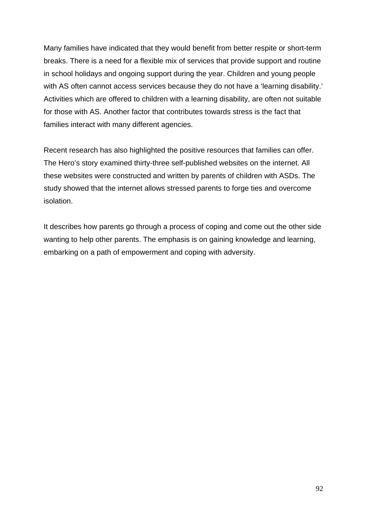Many families have indicated that they would benefit from better respite or short-term breaks. There is a need for a flexible mix of services that provide support and routine in school holidays and ongoing support during the year. Children and young people with AS often cannot access services because they do not have a 'learning disability.' Activities which are offered to children with a learning disability, are often not suitable for those with AS. Another factor that contributes towards stress is the fact that families interact with many different agencies.

Recent research has also highlighted the positive resources that families can offer. The Hero's story examined thirty-three self-published websites on the internet. All these websites were constructed and written by parents of children with ASDs. The study showed that the internet allows stressed parents to forge ties and overcome isolation.

It describes how parents go through a process of coping and come out the other side wanting to help other parents. The emphasis is on gaining knowledge and learning, embarking on a path of empowerment and coping with adversity.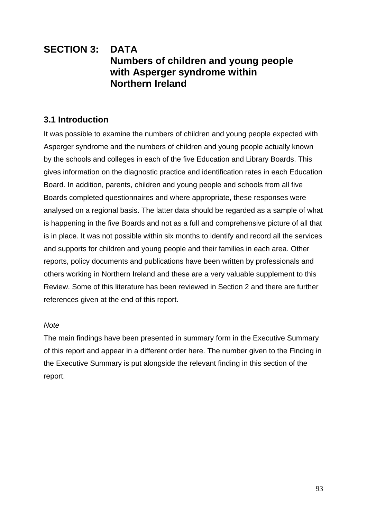## **SECTION 3: DATA Numbers of children and young people with Asperger syndrome within Northern Ireland**

## **3.1 Introduction**

It was possible to examine the numbers of children and young people expected with Asperger syndrome and the numbers of children and young people actually known by the schools and colleges in each of the five Education and Library Boards. This gives information on the diagnostic practice and identification rates in each Education Board. In addition, parents, children and young people and schools from all five Boards completed questionnaires and where appropriate, these responses were analysed on a regional basis. The latter data should be regarded as a sample of what is happening in the five Boards and not as a full and comprehensive picture of all that is in place. It was not possible within six months to identify and record all the services and supports for children and young people and their families in each area. Other reports, policy documents and publications have been written by professionals and others working in Northern Ireland and these are a very valuable supplement to this Review. Some of this literature has been reviewed in Section 2 and there are further references given at the end of this report.

### *Note*

The main findings have been presented in summary form in the Executive Summary of this report and appear in a different order here. The number given to the Finding in the Executive Summary is put alongside the relevant finding in this section of the report.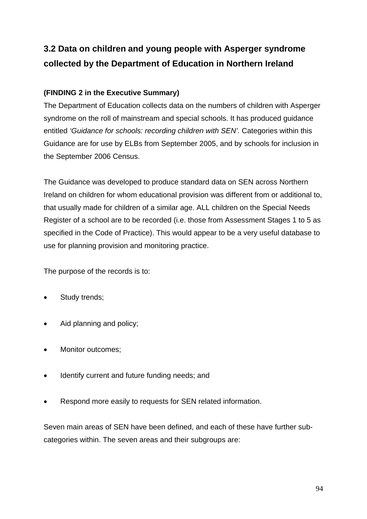# **3.2 Data on children and young people with Asperger syndrome collected by the Department of Education in Northern Ireland**

## **(FINDING 2 in the Executive Summary)**

The Department of Education collects data on the numbers of children with Asperger syndrome on the roll of mainstream and special schools. It has produced guidance entitled *'Guidance for schools: recording children with SEN'.* Categories within this Guidance are for use by ELBs from September 2005, and by schools for inclusion in the September 2006 Census.

The Guidance was developed to produce standard data on SEN across Northern Ireland on children for whom educational provision was different from or additional to, that usually made for children of a similar age. ALL children on the Special Needs Register of a school are to be recorded (i.e. those from Assessment Stages 1 to 5 as specified in the Code of Practice). This would appear to be a very useful database to use for planning provision and monitoring practice.

The purpose of the records is to:

- Study trends;
- Aid planning and policy;
- Monitor outcomes;
- Identify current and future funding needs; and
- Respond more easily to requests for SEN related information.

Seven main areas of SEN have been defined, and each of these have further subcategories within. The seven areas and their subgroups are: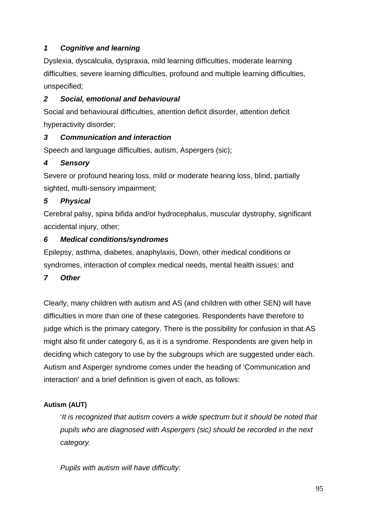## *1 Cognitive and learning*

Dyslexia, dyscalculia, dyspraxia, mild learning difficulties, moderate learning difficulties, severe learning difficulties, profound and multiple learning difficulties, unspecified;

## *2 Social, emotional and behavioural*

Social and behavioural difficulties, attention deficit disorder, attention deficit hyperactivity disorder;

## *3 Communication and interaction*

Speech and language difficulties, autism, Aspergers (sic);

## *4 Sensory*

Severe or profound hearing loss, mild or moderate hearing loss, blind, partially sighted, multi-sensory impairment;

## *5 Physical*

Cerebral palsy, spina bifida and/or hydrocephalus, muscular dystrophy, significant accidental injury, other;

## *6 Medical conditions/syndromes*

Epilepsy, asthma, diabetes, anaphylaxis, Down, other medical conditions or syndromes, interaction of complex medical needs, mental health issues; and

## *7 Other*

Clearly, many children with autism and AS (and children with other SEN) will have difficulties in more than one of these categories. Respondents have therefore to judge which is the primary category. There is the possibility for confusion in that AS might also fit under category 6, as it is a syndrome. Respondents are given help in deciding which category to use by the subgroups which are suggested under each. Autism and Asperger syndrome comes under the heading of 'Communication and interaction' and a brief definition is given of each, as follows:

## **Autism (AUT)**

'*It is recognized that autism covers a wide spectrum but it should be noted that pupils who are diagnosed with Aspergers (sic) should be recorded in the next category.*

*Pupils with autism will have difficulty:*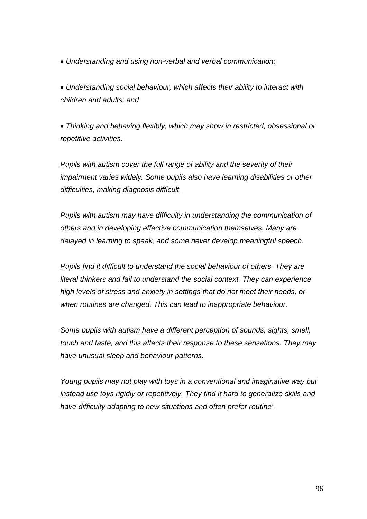*Understanding and using non-verbal and verbal communication;*

 *Understanding social behaviour, which affects their ability to interact with children and adults; and*

 *Thinking and behaving flexibly, which may show in restricted, obsessional or repetitive activities.*

*Pupils with autism cover the full range of ability and the severity of their impairment varies widely. Some pupils also have learning disabilities or other difficulties, making diagnosis difficult.*

*Pupils with autism may have difficulty in understanding the communication of others and in developing effective communication themselves. Many are delayed in learning to speak, and some never develop meaningful speech.*

*Pupils find it difficult to understand the social behaviour of others. They are literal thinkers and fail to understand the social context. They can experience high levels of stress and anxiety in settings that do not meet their needs, or when routines are changed. This can lead to inappropriate behaviour.*

*Some pupils with autism have a different perception of sounds, sights, smell, touch and taste, and this affects their response to these sensations. They may have unusual sleep and behaviour patterns.*

*Young pupils may not play with toys in a conventional and imaginative way but instead use toys rigidly or repetitively. They find it hard to generalize skills and have difficulty adapting to new situations and often prefer routine'.*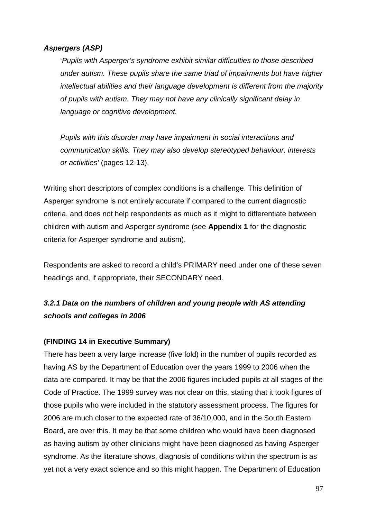### *Aspergers (ASP)*

'*Pupils with Asperger's syndrome exhibit similar difficulties to those described under autism. These pupils share the same triad of impairments but have higher intellectual abilities and their language development is different from the majority of pupils with autism. They may not have any clinically significant delay in language or cognitive development.* 

*Pupils with this disorder may have impairment in social interactions and communication skills. They may also develop stereotyped behaviour, interests or activities'* (pages 12-13).

Writing short descriptors of complex conditions is a challenge. This definition of Asperger syndrome is not entirely accurate if compared to the current diagnostic criteria, and does not help respondents as much as it might to differentiate between children with autism and Asperger syndrome (see **Appendix 1** for the diagnostic criteria for Asperger syndrome and autism).

Respondents are asked to record a child's PRIMARY need under one of these seven headings and, if appropriate, their SECONDARY need.

## *3.2.1 Data on the numbers of children and young people with AS attending schools and colleges in 2006*

#### **(FINDING 14 in Executive Summary)**

There has been a very large increase (five fold) in the number of pupils recorded as having AS by the Department of Education over the years 1999 to 2006 when the data are compared. It may be that the 2006 figures included pupils at all stages of the Code of Practice. The 1999 survey was not clear on this, stating that it took figures of those pupils who were included in the statutory assessment process. The figures for 2006 are much closer to the expected rate of 36/10,000, and in the South Eastern Board, are over this. It may be that some children who would have been diagnosed as having autism by other clinicians might have been diagnosed as having Asperger syndrome. As the literature shows, diagnosis of conditions within the spectrum is as yet not a very exact science and so this might happen. The Department of Education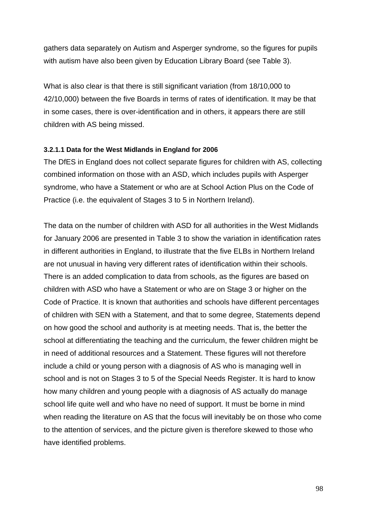gathers data separately on Autism and Asperger syndrome, so the figures for pupils with autism have also been given by Education Library Board (see Table 3).

What is also clear is that there is still significant variation (from 18/10,000 to 42/10,000) between the five Boards in terms of rates of identification. It may be that in some cases, there is over-identification and in others, it appears there are still children with AS being missed.

#### **3.2.1.1 Data for the West Midlands in England for 2006**

The DfES in England does not collect separate figures for children with AS, collecting combined information on those with an ASD, which includes pupils with Asperger syndrome, who have a Statement or who are at School Action Plus on the Code of Practice (i.e. the equivalent of Stages 3 to 5 in Northern Ireland).

The data on the number of children with ASD for all authorities in the West Midlands for January 2006 are presented in Table 3 to show the variation in identification rates in different authorities in England, to illustrate that the five ELBs in Northern Ireland are not unusual in having very different rates of identification within their schools. There is an added complication to data from schools, as the figures are based on children with ASD who have a Statement or who are on Stage 3 or higher on the Code of Practice. It is known that authorities and schools have different percentages of children with SEN with a Statement, and that to some degree, Statements depend on how good the school and authority is at meeting needs. That is, the better the school at differentiating the teaching and the curriculum, the fewer children might be in need of additional resources and a Statement. These figures will not therefore include a child or young person with a diagnosis of AS who is managing well in school and is not on Stages 3 to 5 of the Special Needs Register. It is hard to know how many children and young people with a diagnosis of AS actually do manage school life quite well and who have no need of support. It must be borne in mind when reading the literature on AS that the focus will inevitably be on those who come to the attention of services, and the picture given is therefore skewed to those who have identified problems.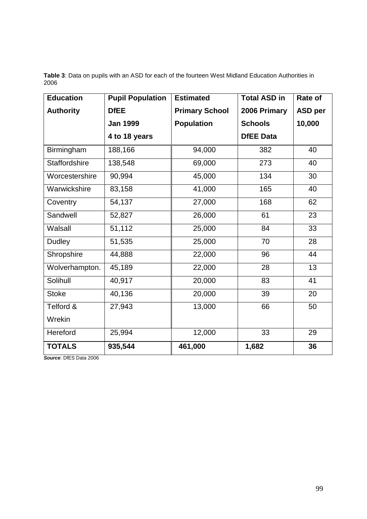**Table 3**: Data on pupils with an ASD for each of the fourteen West Midland Education Authorities in 2006

| <b>Education</b> | <b>Pupil Population</b> | <b>Estimated</b>      | <b>Total ASD in</b> | Rate of        |
|------------------|-------------------------|-----------------------|---------------------|----------------|
| <b>Authority</b> | <b>DfEE</b>             | <b>Primary School</b> | 2006 Primary        | <b>ASD per</b> |
|                  | <b>Jan 1999</b>         | <b>Population</b>     | <b>Schools</b>      | 10,000         |
|                  | 4 to 18 years           |                       | <b>DfEE Data</b>    |                |
| Birmingham       | 188,166                 | 94,000                | 382                 | 40             |
| Staffordshire    | 138,548                 | 69,000                | 273                 | 40             |
| Worcestershire   | 90,994                  | 45,000                | 134                 | 30             |
| Warwickshire     | 83,158                  | 41,000                | 165                 | 40             |
| Coventry         | 54,137                  | 27,000                | 168                 | 62             |
| Sandwell         | 52,827                  | 26,000                | 61                  | 23             |
| Walsall          | 51,112                  | 25,000                | 84                  | 33             |
| <b>Dudley</b>    | 51,535                  | 25,000                | 70                  | 28             |
| Shropshire       | 44,888                  | 22,000                | 96                  | 44             |
| Wolverhampton.   | 45,189                  | 22,000                | 28                  | 13             |
| Solihull         | 40,917                  | 20,000                | 83                  | 41             |
| <b>Stoke</b>     | 40,136                  | 20,000                | 39                  | 20             |
| Telford &        | 27,943                  | 13,000                | 66                  | 50             |
| Wrekin           |                         |                       |                     |                |
| Hereford         | 25,994                  | 12,000                | 33                  | 29             |
| <b>TOTALS</b>    | 935,544                 | 461,000               | 1,682               | 36             |

*Source*: DfES Data 2006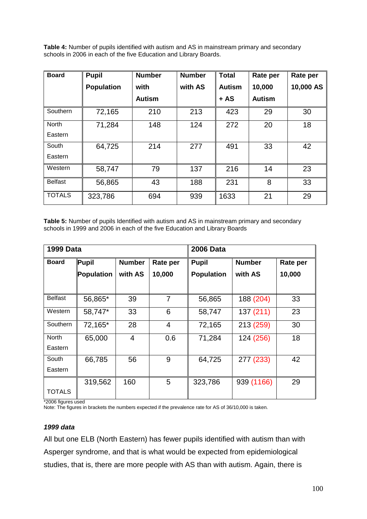**Table 4:** Number of pupils identified with autism and AS in mainstream primary and secondary schools in 2006 in each of the five Education and Library Boards.

| <b>Board</b>   | <b>Pupil</b>      | <b>Number</b> | <b>Number</b> | <b>Total</b>  | Rate per      | Rate per  |
|----------------|-------------------|---------------|---------------|---------------|---------------|-----------|
|                | <b>Population</b> | with          | with AS       | <b>Autism</b> | 10,000        | 10,000 AS |
|                |                   | <b>Autism</b> |               | $+ AS$        | <b>Autism</b> |           |
| Southern       | 72,165            | 210           | 213           | 423           | 29            | 30        |
| <b>North</b>   | 71,284            | 148           | 124           | 272           | 20            | 18        |
| Eastern        |                   |               |               |               |               |           |
| South          | 64,725            | 214           | 277           | 491           | 33            | 42        |
| Eastern        |                   |               |               |               |               |           |
| Western        | 58,747            | 79            | 137           | 216           | 14            | 23        |
| <b>Belfast</b> | 56,865            | 43            | 188           | 231           | 8             | 33        |
| <b>TOTALS</b>  | 323,786           | 694           | 939           | 1633          | 21            | 29        |

**Table 5:** Number of pupils Identified with autism and AS in mainstream primary and secondary schools in 1999 and 2006 in each of the five Education and Library Boards

| <b>1999 Data</b> |            |               |                | <b>2006 Data</b>              |            |          |  |
|------------------|------------|---------------|----------------|-------------------------------|------------|----------|--|
| <b>Board</b>     | Pupil      | <b>Number</b> | Rate per       | <b>Number</b><br><b>Pupil</b> |            | Rate per |  |
|                  | Population | with AS       | 10,000         | <b>Population</b>             | with AS    | 10,000   |  |
|                  |            |               |                |                               |            |          |  |
| <b>Belfast</b>   | 56,865*    | 39            | $\overline{7}$ | 56,865                        | 188 (204)  | 33       |  |
| Western          | 58,747*    | 33            | 6              | 58,747                        | 137 (211)  | 23       |  |
| Southern         | 72,165*    | 28            | $\overline{4}$ | 72,165                        | 213 (259)  | 30       |  |
| North            | 65,000     | 4             | 0.6            | 71,284                        | 124 (256)  | 18       |  |
| Eastern          |            |               |                |                               |            |          |  |
| South            | 66,785     | 56            | 9              | 64,725                        | 277 (233)  | 42       |  |
| Eastern          |            |               |                |                               |            |          |  |
|                  | 319,562    | 160           | 5              | 323,786                       | 939 (1166) | 29       |  |
| <b>TOTALS</b>    |            |               |                |                               |            |          |  |

\*2006 figures used

Note: The figures in brackets the numbers expected if the prevalence rate for AS of 36/10,000 is taken.

#### *1999 data*

All but one ELB (North Eastern) has fewer pupils identified with autism than with Asperger syndrome, and that is what would be expected from epidemiological studies, that is, there are more people with AS than with autism. Again, there is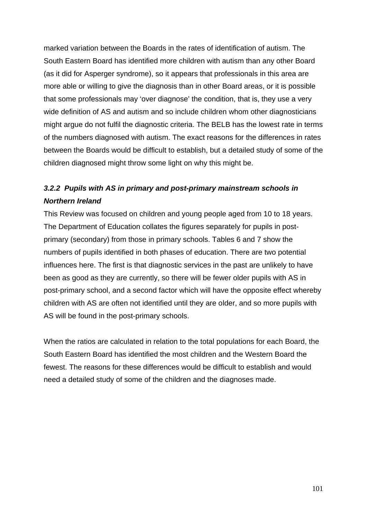marked variation between the Boards in the rates of identification of autism. The South Eastern Board has identified more children with autism than any other Board (as it did for Asperger syndrome), so it appears that professionals in this area are more able or willing to give the diagnosis than in other Board areas, or it is possible that some professionals may 'over diagnose' the condition, that is, they use a very wide definition of AS and autism and so include children whom other diagnosticians might argue do not fulfil the diagnostic criteria. The BELB has the lowest rate in terms of the numbers diagnosed with autism. The exact reasons for the differences in rates between the Boards would be difficult to establish, but a detailed study of some of the children diagnosed might throw some light on why this might be.

## *3.2.2 Pupils with AS in primary and post-primary mainstream schools in Northern Ireland*

This Review was focused on children and young people aged from 10 to 18 years. The Department of Education collates the figures separately for pupils in postprimary (secondary) from those in primary schools. Tables 6 and 7 show the numbers of pupils identified in both phases of education. There are two potential influences here. The first is that diagnostic services in the past are unlikely to have been as good as they are currently, so there will be fewer older pupils with AS in post-primary school, and a second factor which will have the opposite effect whereby children with AS are often not identified until they are older, and so more pupils with AS will be found in the post-primary schools.

When the ratios are calculated in relation to the total populations for each Board, the South Eastern Board has identified the most children and the Western Board the fewest. The reasons for these differences would be difficult to establish and would need a detailed study of some of the children and the diagnoses made.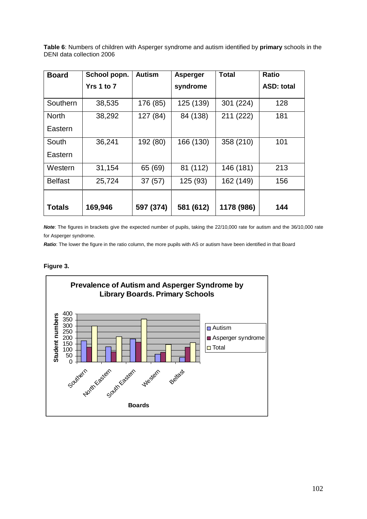**Table 6**: Numbers of children with Asperger syndrome and autism identified by **primary** schools in the DENI data collection 2006

| <b>Board</b>            | School popn. | Autism    | <b>Asperger</b> | Total      | <b>Ratio</b>      |
|-------------------------|--------------|-----------|-----------------|------------|-------------------|
|                         | Yrs 1 to 7   |           | syndrome        |            | <b>ASD: total</b> |
| Southern                | 38,535       | 176 (85)  | 125 (139)       | 301 (224)  | 128               |
| <b>North</b><br>Eastern | 38,292       | 127 (84)  | 84 (138)        | 211 (222)  | 181               |
| South<br>Eastern        | 36,241       | 192 (80)  | 166 (130)       | 358 (210)  | 101               |
| Western                 | 31,154       | 65 (69)   | 81 (112)        | 146 (181)  | 213               |
| <b>Belfast</b>          | 25,724       | 37(57)    | 125 (93)        | 162 (149)  | 156               |
| <b>Totals</b>           | 169,946      | 597 (374) | 581 (612)       | 1178 (986) | 144               |

*Note*: The figures in brackets give the expected number of pupils, taking the 22/10,000 rate for autism and the 36/10,000 rate for Asperger syndrome.

*Ratio*: The lower the figure in the ratio column, the more pupils with AS or autism have been identified in that Board

#### **Figure 3.**

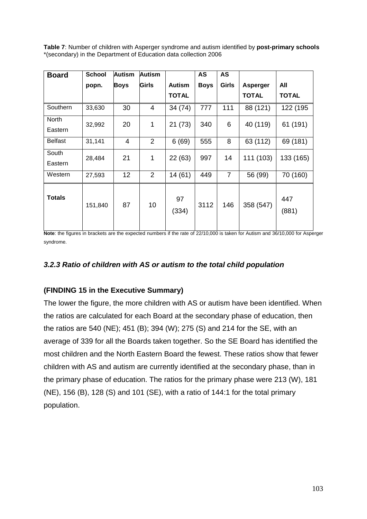**Table 7**: Number of children with Asperger syndrome and autism identified by **post-primary schools** \*(secondary) in the Department of Education data collection 2006

| <b>Board</b>     | <b>School</b> | <b>Autism</b>   | <b>Autism</b>  |               | AS          | AS             |              |              |
|------------------|---------------|-----------------|----------------|---------------|-------------|----------------|--------------|--------------|
|                  | popn.         | <b>Boys</b>     | Girls          | <b>Autism</b> | <b>Boys</b> | <b>Girls</b>   | Asperger     | All          |
|                  |               |                 |                | <b>TOTAL</b>  |             |                | <b>TOTAL</b> | <b>TOTAL</b> |
| Southern         | 33,630        | 30              | 4              | 34 (74)       | 777         | 111            | 88 (121)     | 122 (195     |
| North<br>Eastern | 32,992        | 20              | 1              | 21(73)        | 340         | 6              | 40 (119)     | 61 (191)     |
| <b>Belfast</b>   | 31,141        | $\overline{4}$  | $\overline{2}$ | 6(69)         | 555         | 8              | 63 (112)     | 69 (181)     |
| South<br>Eastern | 28,484        | 21              | 1              | 22 (63)       | 997         | 14             | 111 (103)    | 133 (165)    |
| Western          | 27,593        | 12 <sub>2</sub> | 2              | 14(61)        | 449         | $\overline{7}$ | 56 (99)      | 70 (160)     |
| Totals           | 151,840       | 87              | 10             | 97<br>(334)   | 3112        | 146            | 358 (547)    | 447<br>(881) |

**Note**: the figures in brackets are the expected numbers if the rate of 22/10,000 is taken for Autism and 36/10,000 for Asperger syndrome.

### *3.2.3 Ratio of children with AS or autism to the total child population*

## **(FINDING 15 in the Executive Summary)**

The lower the figure, the more children with AS or autism have been identified. When the ratios are calculated for each Board at the secondary phase of education, then the ratios are 540 (NE); 451 (B); 394 (W); 275 (S) and 214 for the SE, with an average of 339 for all the Boards taken together. So the SE Board has identified the most children and the North Eastern Board the fewest. These ratios show that fewer children with AS and autism are currently identified at the secondary phase, than in the primary phase of education. The ratios for the primary phase were 213 (W), 181 (NE), 156 (B), 128 (S) and 101 (SE), with a ratio of 144:1 for the total primary population.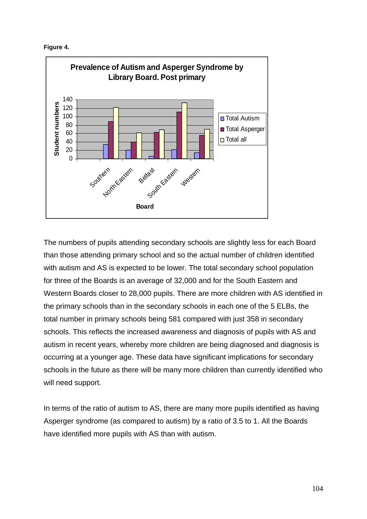



The numbers of pupils attending secondary schools are slightly less for each Board than those attending primary school and so the actual number of children identified with autism and AS is expected to be lower. The total secondary school population for three of the Boards is an average of 32,000 and for the South Eastern and Western Boards closer to 28,000 pupils. There are more children with AS identified in the primary schools than in the secondary schools in each one of the 5 ELBs, the total number in primary schools being 581 compared with just 358 in secondary schools. This reflects the increased awareness and diagnosis of pupils with AS and autism in recent years, whereby more children are being diagnosed and diagnosis is occurring at a younger age. These data have significant implications for secondary schools in the future as there will be many more children than currently identified who will need support.

In terms of the ratio of autism to AS, there are many more pupils identified as having Asperger syndrome (as compared to autism) by a ratio of 3.5 to 1. All the Boards have identified more pupils with AS than with autism.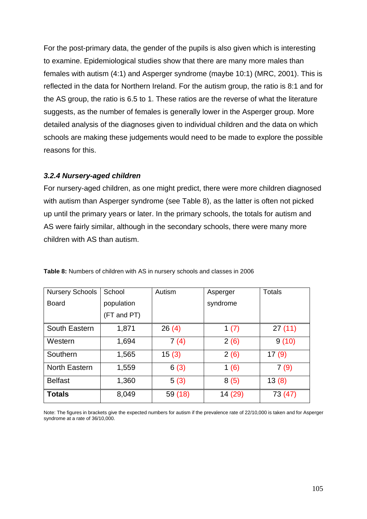For the post-primary data, the gender of the pupils is also given which is interesting to examine. Epidemiological studies show that there are many more males than females with autism (4:1) and Asperger syndrome (maybe 10:1) (MRC, 2001). This is reflected in the data for Northern Ireland. For the autism group, the ratio is 8:1 and for the AS group, the ratio is 6.5 to 1. These ratios are the reverse of what the literature suggests, as the number of females is generally lower in the Asperger group. More detailed analysis of the diagnoses given to individual children and the data on which schools are making these judgements would need to be made to explore the possible reasons for this.

#### *3.2.4 Nursery-aged children*

For nursery-aged children, as one might predict, there were more children diagnosed with autism than Asperger syndrome (see Table 8), as the latter is often not picked up until the primary years or later. In the primary schools, the totals for autism and AS were fairly similar, although in the secondary schools, there were many more children with AS than autism.

| <b>Nursery Schools</b> | School      | Autism  | Asperger | <b>Totals</b> |
|------------------------|-------------|---------|----------|---------------|
| <b>Board</b>           | population  |         | syndrome |               |
|                        | (FT and PT) |         |          |               |
| South Eastern          | 1,871       | 26(4)   | 1 $(7)$  | 27(11)        |
| Western                | 1,694       | 7(4)    | 2(6)     | 9(10)         |
| Southern               | 1,565       | 15(3)   | 2(6)     | 17(9)         |
| <b>North Eastern</b>   | 1,559       | 6(3)    | 1(6)     | 7(9)          |
| <b>Belfast</b>         | 1,360       | 5(3)    | 8(5)     | 13(8)         |
| <b>Totals</b>          | 8,049       | 59 (18) | 14 (29)  | 73 (47)       |

**Table 8:** Numbers of children with AS in nursery schools and classes in 2006

Note: The figures in brackets give the expected numbers for autism if the prevalence rate of 22/10,000 is taken and for Asperger syndrome at a rate of 36/10,000.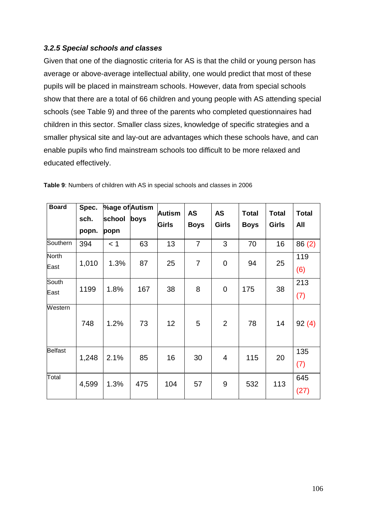### *3.2.5 Special schools and classes*

Given that one of the diagnostic criteria for AS is that the child or young person has average or above-average intellectual ability, one would predict that most of these pupils will be placed in mainstream schools. However, data from special schools show that there are a total of 66 children and young people with AS attending special schools (see Table 9) and three of the parents who completed questionnaires had children in this sector. Smaller class sizes, knowledge of specific strategies and a smaller physical site and lay-out are advantages which these schools have, and can enable pupils who find mainstream schools too difficult to be more relaxed and educated effectively.

| <b>Board</b>   | Spec. | %age of Autism |      | <b>Autism</b> | <b>AS</b>      | <b>AS</b>      | <b>Total</b> | <b>Total</b> | <b>Total</b> |
|----------------|-------|----------------|------|---------------|----------------|----------------|--------------|--------------|--------------|
|                | sch.  | school         | boys | Girls         | <b>Boys</b>    | <b>Girls</b>   | <b>Boys</b>  | <b>Girls</b> | All          |
|                | popn. | popn           |      |               |                |                |              |              |              |
| Southern       | 394   | < 1            | 63   | 13            | $\overline{7}$ | 3              | 70           | 16           | 86(2)        |
| North<br>East  | 1,010 | 1.3%           | 87   | 25            | 7              | $\overline{0}$ | 94           | 25           | 119<br>(6)   |
| South<br>East  | 1199  | 1.8%           | 167  | 38            | 8              | 0              | 175          | 38           | 213<br>(7)   |
| Western        | 748   | 1.2%           | 73   | 12            | 5              | 2              | 78           | 14           | 92(4)        |
| <b>Belfast</b> | 1,248 | 2.1%           | 85   | 16            | 30             | $\overline{4}$ | 115          | 20           | 135<br>(7)   |
| Total          | 4,599 | 1.3%           | 475  | 104           | 57             | 9              | 532          | 113          | 645<br>(27)  |

**Table 9**: Numbers of children with AS in special schools and classes in 2006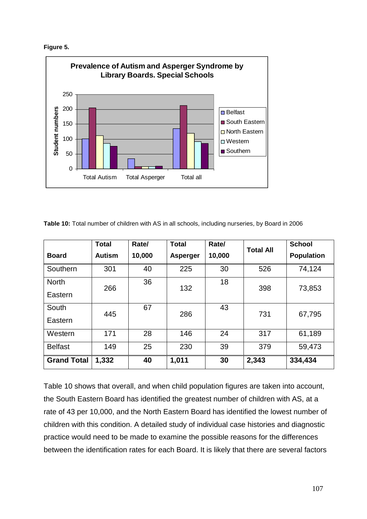



**Table 10:** Total number of children with AS in all schools, including nurseries, by Board in 2006

|                         | <b>Total</b>  | Rate/  | <b>Total</b>    | Rate/  | <b>Total All</b> | <b>School</b>     |
|-------------------------|---------------|--------|-----------------|--------|------------------|-------------------|
| <b>Board</b>            | <b>Autism</b> | 10,000 | <b>Asperger</b> | 10,000 |                  | <b>Population</b> |
| Southern                | 301           | 40     | 225             | 30     | 526              | 74,124            |
| <b>North</b><br>Eastern | 266           | 36     | 132             | 18     | 398              | 73,853            |
| South<br>Eastern        | 445           | 67     | 286             | 43     | 731              | 67,795            |
| Western                 | 171           | 28     | 146             | 24     | 317              | 61,189            |
| <b>Belfast</b>          | 149           | 25     | 230             | 39     | 379              | 59,473            |
| <b>Grand Total</b>      | 1,332         | 40     | 1,011           | 30     | 2,343            | 334,434           |

Table 10 shows that overall, and when child population figures are taken into account, the South Eastern Board has identified the greatest number of children with AS, at a rate of 43 per 10,000, and the North Eastern Board has identified the lowest number of children with this condition. A detailed study of individual case histories and diagnostic practice would need to be made to examine the possible reasons for the differences between the identification rates for each Board. It is likely that there are several factors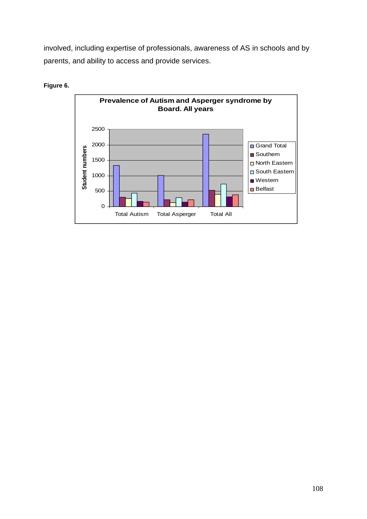involved, including expertise of professionals, awareness of AS in schools and by parents, and ability to access and provide services.



**Figure 6.**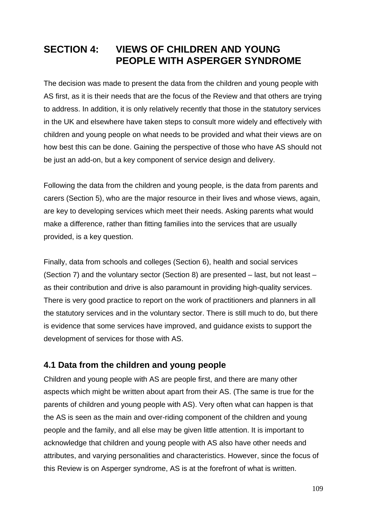# **SECTION 4: VIEWS OF CHILDREN AND YOUNG PEOPLE WITH ASPERGER SYNDROME**

The decision was made to present the data from the children and young people with AS first, as it is their needs that are the focus of the Review and that others are trying to address. In addition, it is only relatively recently that those in the statutory services in the UK and elsewhere have taken steps to consult more widely and effectively with children and young people on what needs to be provided and what their views are on how best this can be done. Gaining the perspective of those who have AS should not be just an add-on, but a key component of service design and delivery.

Following the data from the children and young people, is the data from parents and carers (Section 5), who are the major resource in their lives and whose views, again, are key to developing services which meet their needs. Asking parents what would make a difference, rather than fitting families into the services that are usually provided, is a key question.

Finally, data from schools and colleges (Section 6), health and social services (Section 7) and the voluntary sector (Section 8) are presented – last, but not least – as their contribution and drive is also paramount in providing high-quality services. There is very good practice to report on the work of practitioners and planners in all the statutory services and in the voluntary sector. There is still much to do, but there is evidence that some services have improved, and guidance exists to support the development of services for those with AS.

# **4.1 Data from the children and young people**

Children and young people with AS are people first, and there are many other aspects which might be written about apart from their AS. (The same is true for the parents of children and young people with AS). Very often what can happen is that the AS is seen as the main and over-riding component of the children and young people and the family, and all else may be given little attention. It is important to acknowledge that children and young people with AS also have other needs and attributes, and varying personalities and characteristics. However, since the focus of this Review is on Asperger syndrome, AS is at the forefront of what is written.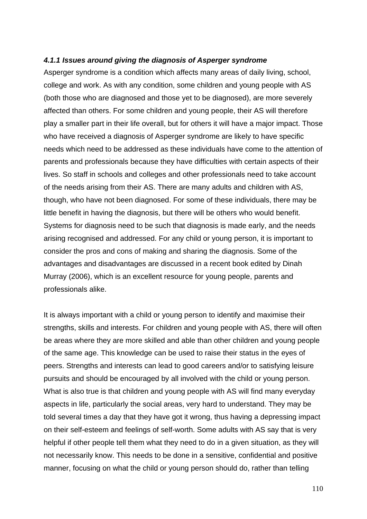#### *4.1.1 Issues around giving the diagnosis of Asperger syndrome*

Asperger syndrome is a condition which affects many areas of daily living, school, college and work. As with any condition, some children and young people with AS (both those who are diagnosed and those yet to be diagnosed), are more severely affected than others. For some children and young people, their AS will therefore play a smaller part in their life overall, but for others it will have a major impact. Those who have received a diagnosis of Asperger syndrome are likely to have specific needs which need to be addressed as these individuals have come to the attention of parents and professionals because they have difficulties with certain aspects of their lives. So staff in schools and colleges and other professionals need to take account of the needs arising from their AS. There are many adults and children with AS, though, who have not been diagnosed. For some of these individuals, there may be little benefit in having the diagnosis, but there will be others who would benefit. Systems for diagnosis need to be such that diagnosis is made early, and the needs arising recognised and addressed. For any child or young person, it is important to consider the pros and cons of making and sharing the diagnosis. Some of the advantages and disadvantages are discussed in a recent book edited by Dinah Murray (2006), which is an excellent resource for young people, parents and professionals alike.

It is always important with a child or young person to identify and maximise their strengths, skills and interests. For children and young people with AS, there will often be areas where they are more skilled and able than other children and young people of the same age. This knowledge can be used to raise their status in the eyes of peers. Strengths and interests can lead to good careers and/or to satisfying leisure pursuits and should be encouraged by all involved with the child or young person. What is also true is that children and young people with AS will find many everyday aspects in life, particularly the social areas, very hard to understand. They may be told several times a day that they have got it wrong, thus having a depressing impact on their self-esteem and feelings of self-worth. Some adults with AS say that is very helpful if other people tell them what they need to do in a given situation, as they will not necessarily know. This needs to be done in a sensitive, confidential and positive manner, focusing on what the child or young person should do, rather than telling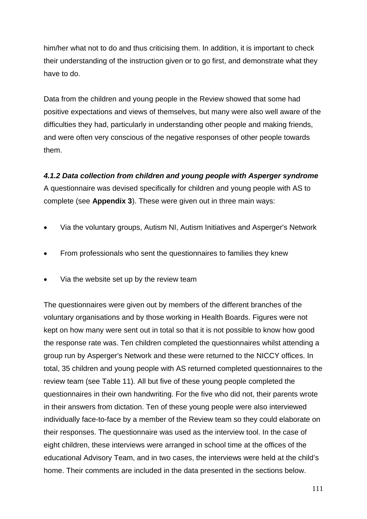him/her what not to do and thus criticising them. In addition, it is important to check their understanding of the instruction given or to go first, and demonstrate what they have to do.

Data from the children and young people in the Review showed that some had positive expectations and views of themselves, but many were also well aware of the difficulties they had, particularly in understanding other people and making friends, and were often very conscious of the negative responses of other people towards them.

*4.1.2 Data collection from children and young people with Asperger syndrome* A questionnaire was devised specifically for children and young people with AS to complete (see **Appendix 3**). These were given out in three main ways:

- Via the voluntary groups, Autism NI, Autism Initiatives and Asperger's Network
- From professionals who sent the questionnaires to families they knew
- Via the website set up by the review team

The questionnaires were given out by members of the different branches of the voluntary organisations and by those working in Health Boards. Figures were not kept on how many were sent out in total so that it is not possible to know how good the response rate was. Ten children completed the questionnaires whilst attending a group run by Asperger's Network and these were returned to the NICCY offices. In total, 35 children and young people with AS returned completed questionnaires to the review team (see Table 11)*.* All but five of these young people completed the questionnaires in their own handwriting. For the five who did not, their parents wrote in their answers from dictation. Ten of these young people were also interviewed individually face-to-face by a member of the Review team so they could elaborate on their responses. The questionnaire was used as the interview tool. In the case of eight children, these interviews were arranged in school time at the offices of the educational Advisory Team, and in two cases, the interviews were held at the child's home. Their comments are included in the data presented in the sections below.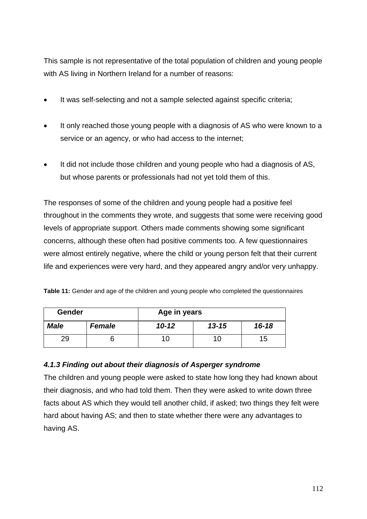This sample is not representative of the total population of children and young people with AS living in Northern Ireland for a number of reasons:

- It was self-selecting and not a sample selected against specific criteria;
- It only reached those young people with a diagnosis of AS who were known to a service or an agency, or who had access to the internet;
- It did not include those children and young people who had a diagnosis of AS, but whose parents or professionals had not yet told them of this.

The responses of some of the children and young people had a positive feel throughout in the comments they wrote, and suggests that some were receiving good levels of appropriate support. Others made comments showing some significant concerns, although these often had positive comments too. A few questionnaires were almost entirely negative, where the child or young person felt that their current life and experiences were very hard, and they appeared angry and/or very unhappy.

**Table 11:** Gender and age of the children and young people who completed the questionnaires

| Gender<br>Age in years |               |           |           |           |
|------------------------|---------------|-----------|-----------|-----------|
| <b>Male</b>            | <b>Female</b> | $10 - 12$ | $13 - 15$ | $16 - 18$ |
| 29                     |               |           | 10        | 15        |

# *4.1.3 Finding out about their diagnosis of Asperger syndrome*

The children and young people were asked to state how long they had known about their diagnosis, and who had told them. Then they were asked to write down three facts about AS which they would tell another child, if asked; two things they felt were hard about having AS; and then to state whether there were any advantages to having AS.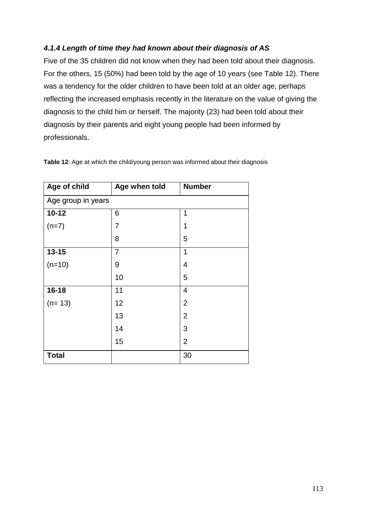# *4.1.4 Length of time they had known about their diagnosis of AS*

Five of the 35 children did not know when they had been told about their diagnosis. For the others, 15 (50%) had been told by the age of 10 years (see Table 12). There was a tendency for the older children to have been told at an older age, perhaps reflecting the increased emphasis recently in the literature on the value of giving the diagnosis to the child him or herself. The majority (23) had been told about their diagnosis by their parents and eight young people had been informed by professionals.

| Age of child       | Age when told  | <b>Number</b>  |  |
|--------------------|----------------|----------------|--|
| Age group in years |                |                |  |
| $10 - 12$          | 6              | 1              |  |
| $(n=7)$            | 7              | 1              |  |
|                    | 8              | 5              |  |
| $13 - 15$          | $\overline{7}$ | 1              |  |
| $(n=10)$           | 9              | 4              |  |
|                    | 10             | 5              |  |
| $16 - 18$          | 11             | $\overline{4}$ |  |
| $(n=13)$           | 12             | $\overline{2}$ |  |
|                    | 13             | $\overline{2}$ |  |
|                    | 14             | 3              |  |
|                    | 15             | $\overline{2}$ |  |
| <b>Total</b>       |                | 30             |  |

**Table 12**: Age at which the child/young person was informed about their diagnosis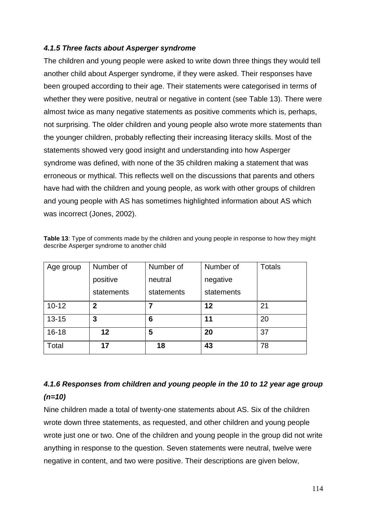## *4.1.5 Three facts about Asperger syndrome*

The children and young people were asked to write down three things they would tell another child about Asperger syndrome, if they were asked. Their responses have been grouped according to their age. Their statements were categorised in terms of whether they were positive, neutral or negative in content (see Table 13). There were almost twice as many negative statements as positive comments which is, perhaps, not surprising. The older children and young people also wrote more statements than the younger children, probably reflecting their increasing literacy skills. Most of the statements showed very good insight and understanding into how Asperger syndrome was defined, with none of the 35 children making a statement that was erroneous or mythical. This reflects well on the discussions that parents and others have had with the children and young people, as work with other groups of children and young people with AS has sometimes highlighted information about AS which was incorrect (Jones, 2002).

| Age group | Number of    | Number of  | Number of  | Totals |
|-----------|--------------|------------|------------|--------|
|           | positive     | neutral    | negative   |        |
|           |              |            |            |        |
|           | statements   | statements | statements |        |
| $10 - 12$ | $\mathbf{2}$ | 7          | 12         | 21     |
| $13 - 15$ | 3            | 6          | 11         | 20     |
| $16 - 18$ | $12 \,$      | 5          | 20         | 37     |
| Total     | 17           | 18         | 43         | 78     |

**Table 13**: Type of comments made by the children and young people in response to how they might describe Asperger syndrome to another child

# *4.1.6 Responses from children and young people in the 10 to 12 year age group (n=10)*

Nine children made a total of twenty-one statements about AS. Six of the children wrote down three statements, as requested, and other children and young people wrote just one or two. One of the children and young people in the group did not write anything in response to the question. Seven statements were neutral, twelve were negative in content, and two were positive. Their descriptions are given below,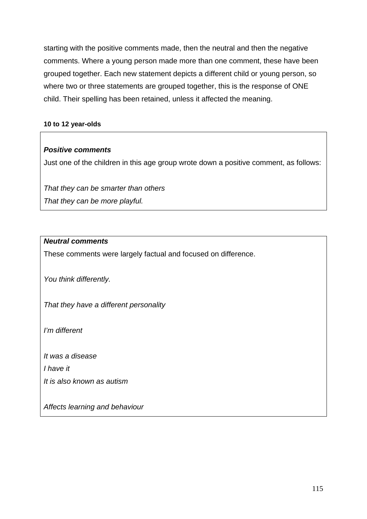starting with the positive comments made, then the neutral and then the negative comments. Where a young person made more than one comment, these have been grouped together. Each new statement depicts a different child or young person, so where two or three statements are grouped together, this is the response of ONE child. Their spelling has been retained, unless it affected the meaning.

#### **10 to 12 year-olds**

## *Positive comments*

Just one of the children in this age group wrote down a positive comment, as follows:

*That they can be smarter than others That they can be more playful.*

## *Neutral comments*

These comments were largely factual and focused on difference.

*You think differently.*

*That they have a different personality*

*I'm different*

*It was a disease*

*I have it*

*It is also known as autism*

*Affects learning and behaviour*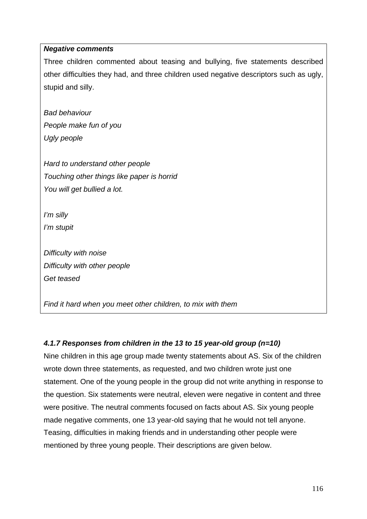## *Negative comments*

Three children commented about teasing and bullying, five statements described other difficulties they had, and three children used negative descriptors such as ugly, stupid and silly.

*Bad behaviour People make fun of you Ugly people*

*Hard to understand other people Touching other things like paper is horrid You will get bullied a lot.*

*I'm silly*

*I'm stupit*

*Difficulty with noise Difficulty with other people Get teased*

*Find it hard when you meet other children, to mix with them*

# *4.1.7 Responses from children in the 13 to 15 year-old group (n=10)*

Nine children in this age group made twenty statements about AS. Six of the children wrote down three statements, as requested, and two children wrote just one statement. One of the young people in the group did not write anything in response to the question. Six statements were neutral, eleven were negative in content and three were positive. The neutral comments focused on facts about AS. Six young people made negative comments, one 13 year-old saying that he would not tell anyone. Teasing, difficulties in making friends and in understanding other people were mentioned by three young people. Their descriptions are given below.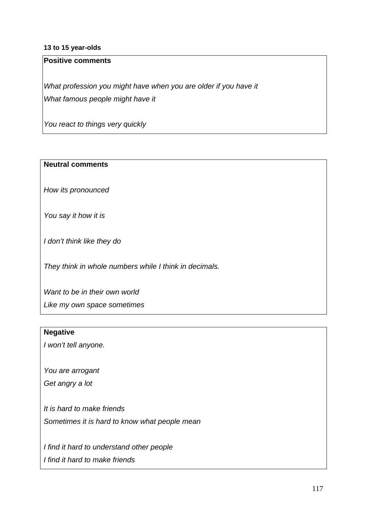#### **13 to 15 year-olds**

## **Positive comments**

*What profession you might have when you are older if you have it What famous people might have it*

*You react to things very quickly*

#### **Neutral comments**

*How its pronounced*

*You say it how it is*

*I don't think like they do*

*They think in whole numbers while I think in decimals.*

*Want to be in their own world Like my own space sometimes*

#### **Negative**

*I won't tell anyone.*

*You are arrogant*

*Get angry a lot*

*It is hard to make friends Sometimes it is hard to know what people mean*

*I find it hard to understand other people I find it hard to make friends*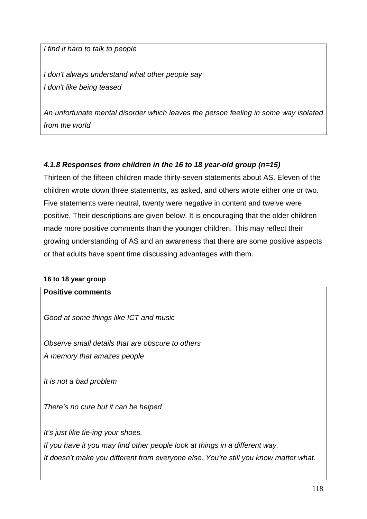*I find it hard to talk to people*

*I don't always understand what other people say I don't like being teased*

*An unfortunate mental disorder which leaves the person feeling in some way isolated from the world*

# *4.1.8 Responses from children in the 16 to 18 year-old group (n=15)*

Thirteen of the fifteen children made thirty-seven statements about AS. Eleven of the children wrote down three statements, as asked, and others wrote either one or two. Five statements were neutral, twenty were negative in content and twelve were positive. Their descriptions are given below. It is encouraging that the older children made more positive comments than the younger children. This may reflect their growing understanding of AS and an awareness that there are some positive aspects or that adults have spent time discussing advantages with them.

#### **16 to 18 year group**

## **Positive comments**

*Good at some things like ICT and music*

*Observe small details that are obscure to others A memory that amazes people*

*It is not a bad problem*

*There's no cure but it can be helped*

*It's just like tie-ing your shoes.*

*If you have it you may find other people look at things in a different way. It doesn't make you different from everyone else. You're still you know matter what.*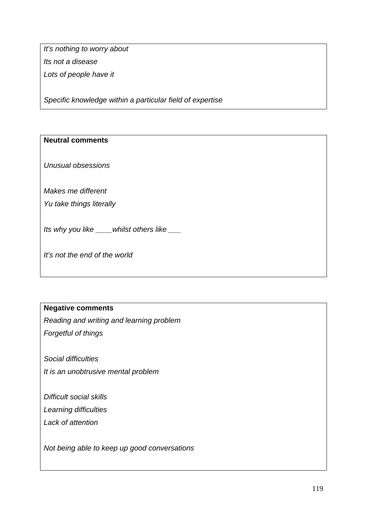*It's nothing to worry about Its not a disease Lots of people have it*

*Specific knowledge within a particular field of expertise*

## **Neutral comments**

*Unusual obsessions*

*Makes me different*

*Yu take things literally*

*Its why you like \_\_\_\_whilst others like \_\_\_*

*It's not the end of the world*

# **Negative comments**

*Reading and writing and learning problem*

*Forgetful of things*

*Social difficulties It is an unobtrusive mental problem*

*Difficult social skills Learning difficulties Lack of attention*

*Not being able to keep up good conversations*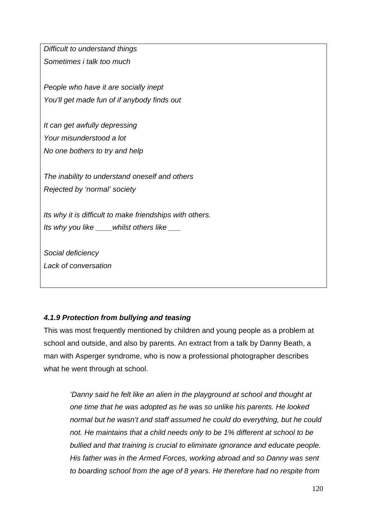*Difficult to understand things Sometimes i talk too much*

*People who have it are socially inept You'll get made fun of if anybody finds out*

*It can get awfully depressing Your misunderstood a lot No one bothers to try and help*

*The inability to understand oneself and others Rejected by 'normal' society*

*Its why it is difficult to make friendships with others. Its why you like \_\_\_\_whilst others like \_\_\_*

*Social deficiency Lack of conversation*

# *4.1.9 Protection from bullying and teasing*

This was most frequently mentioned by children and young people as a problem at school and outside, and also by parents. An extract from a talk by Danny Beath, a man with Asperger syndrome, who is now a professional photographer describes what he went through at school.

*'Danny said he felt like an alien in the playground at school and thought at one time that he was adopted as he was so unlike his parents. He looked normal but he wasn't and staff assumed he could do everything, but he could not. He maintains that a child needs only to be 1% different at school to be bullied and that training is crucial to eliminate ignorance and educate people. His father was in the Armed Forces, working abroad and so Danny was sent to boarding school from the age of 8 years. He therefore had no respite from*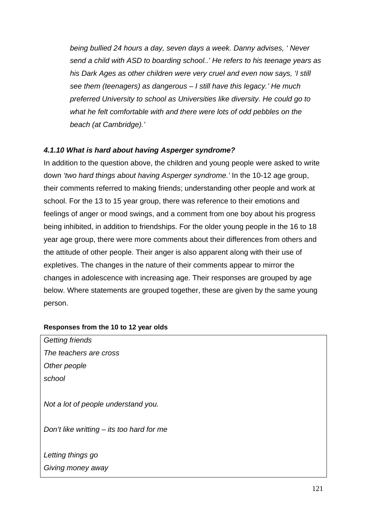*being bullied 24 hours a day, seven days a week. Danny advises, ' Never send a child with ASD to boarding school..' He refers to his teenage years as his Dark Ages as other children were very cruel and even now says, 'I still see them (teenagers) as dangerous – I still have this legacy.' He much preferred University to school as Universities like diversity. He could go to what he felt comfortable with and there were lots of odd pebbles on the beach (at Cambridge).'*

# *4.1.10 What is hard about having Asperger syndrome?*

In addition to the question above, the children and young people were asked to write down *'two hard things about having Asperger syndrome.'* In the 10-12 age group, their comments referred to making friends; understanding other people and work at school. For the 13 to 15 year group, there was reference to their emotions and feelings of anger or mood swings, and a comment from one boy about his progress being inhibited, in addition to friendships. For the older young people in the 16 to 18 year age group, there were more comments about their differences from others and the attitude of other people. Their anger is also apparent along with their use of expletives. The changes in the nature of their comments appear to mirror the changes in adolescence with increasing age. Their responses are grouped by age below. Where statements are grouped together, these are given by the same young person.

## **Responses from the 10 to 12 year olds**

| Not a lot of people understand you.         |  |  |  |
|---------------------------------------------|--|--|--|
|                                             |  |  |  |
| Don't like writting $-$ its too hard for me |  |  |  |
|                                             |  |  |  |
|                                             |  |  |  |
|                                             |  |  |  |
|                                             |  |  |  |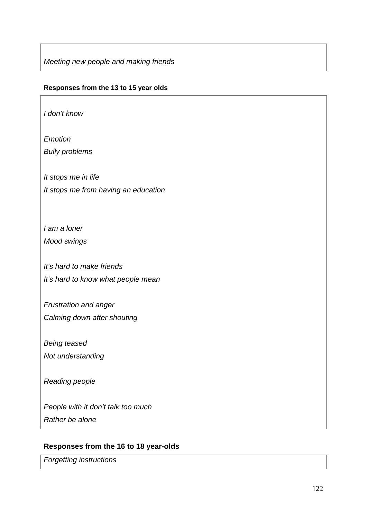*Meeting new people and making friends*

#### **Responses from the 13 to 15 year olds**

*I don't know*

*Emotion*

*Bully problems*

*It stops me in life It stops me from having an education*

*I am a loner Mood swings*

*It's hard to make friends It's hard to know what people mean*

*Frustration and anger Calming down after shouting*

*Being teased Not understanding*

*Reading people*

*People with it don't talk too much Rather be alone*

## **Responses from the 16 to 18 year-olds**

*Forgetting instructions*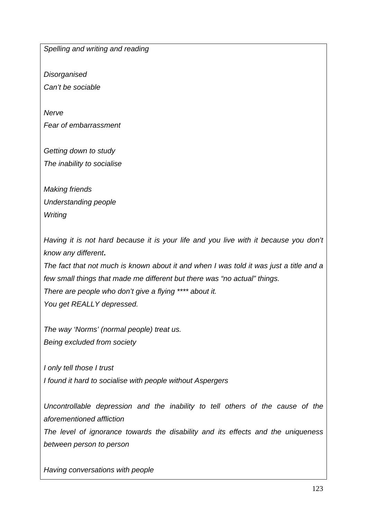*Spelling and writing and reading*

*Disorganised Can't be sociable*

*Nerve Fear of embarrassment*

*Getting down to study The inability to socialise*

*Making friends Understanding people Writing*

*Having it is not hard because it is your life and you live with it because you don't know any different***.** 

*The fact that not much is known about it and when I was told it was just a title and a few small things that made me different but there was "no actual" things. There are people who don't give a flying \*\*\*\* about it. You get REALLY depressed.*

*The way 'Norms' (normal people) treat us. Being excluded from society*

*I only tell those I trust I found it hard to socialise with people without Aspergers*

*Uncontrollable depression and the inability to tell others of the cause of the aforementioned affliction*

*The level of ignorance towards the disability and its effects and the uniqueness between person to person*

*Having conversations with people*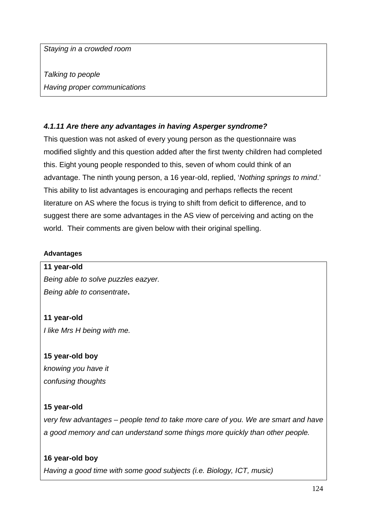*Staying in a crowded room*

*Talking to people Having proper communications*

# *4.1.11 Are there any advantages in having Asperger syndrome?*

This question was not asked of every young person as the questionnaire was modified slightly and this question added after the first twenty children had completed this. Eight young people responded to this, seven of whom could think of an advantage. The ninth young person, a 16 year-old, replied, '*Nothing springs to mind*.' This ability to list advantages is encouraging and perhaps reflects the recent literature on AS where the focus is trying to shift from deficit to difference, and to suggest there are some advantages in the AS view of perceiving and acting on the world. Their comments are given below with their original spelling.

## **Advantages**

#### **11 year-old**

*Being able to solve puzzles eazyer. Being able to consentrate***.**

## **11 year-old**

*I like Mrs H being with me.*

## **15 year-old boy**

*knowing you have it confusing thoughts*

## **15 year-old**

*very few advantages – people tend to take more care of you. We are smart and have a good memory and can understand some things more quickly than other people.*

## **16 year-old boy**

*Having a good time with some good subjects (i.e. Biology, ICT, music)*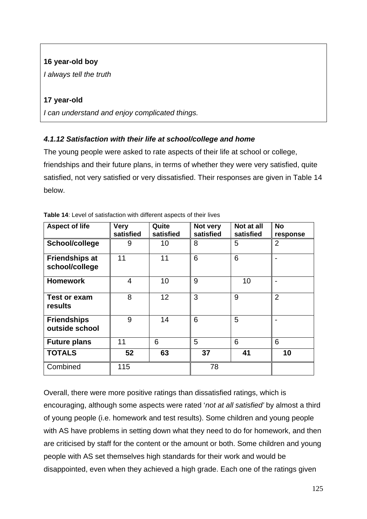# **16 year-old boy**

*I always tell the truth*

# **17 year-old**

*I can understand and enjoy complicated things.*

# *4.1.12 Satisfaction with their life at school/college and home*

The young people were asked to rate aspects of their life at school or college, friendships and their future plans, in terms of whether they were very satisfied, quite satisfied, not very satisfied or very dissatisfied. Their responses are given in Table 14 below.

| <b>Aspect of life</b>                   | <b>Very</b><br>satisfied | Quite<br>satisfied | Not very<br>satisfied | Not at all<br>satisfied | <b>No</b><br>response |
|-----------------------------------------|--------------------------|--------------------|-----------------------|-------------------------|-----------------------|
| School/college                          | 9                        | 10                 | 8                     | 5                       | $\overline{2}$        |
| <b>Friendships at</b><br>school/college | 11                       | 11                 | 6                     | 6                       |                       |
| <b>Homework</b>                         | 4                        | 10                 | 9                     | 10                      |                       |
| <b>Test or exam</b><br>results          | 8                        | 12                 | 3                     | 9                       | $\overline{2}$        |
| <b>Friendships</b><br>outside school    | 9                        | 14                 | 6                     | 5                       |                       |
| <b>Future plans</b>                     | 11                       | 6                  | 5                     | 6                       | 6                     |
| <b>TOTALS</b>                           | 52                       | 63                 | 37                    | 41                      | 10                    |
| Combined                                | 115                      |                    | 78                    |                         |                       |

Overall, there were more positive ratings than dissatisfied ratings, which is encouraging, although some aspects were rated '*not at all satisfied'* by almost a third of young people (i.e. homework and test results). Some children and young people with AS have problems in setting down what they need to do for homework, and then are criticised by staff for the content or the amount or both. Some children and young people with AS set themselves high standards for their work and would be disappointed, even when they achieved a high grade. Each one of the ratings given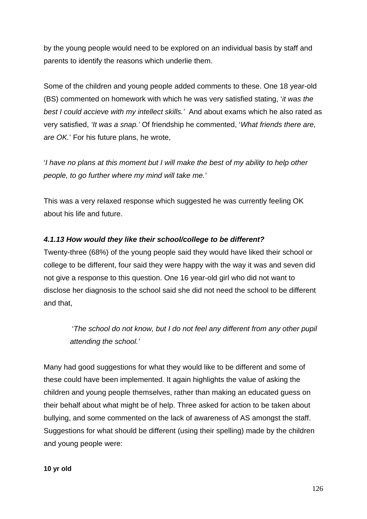by the young people would need to be explored on an individual basis by staff and parents to identify the reasons which underlie them.

Some of the children and young people added comments to these. One 18 year-old (BS) commented on homework with which he was very satisfied stating, '*it was the best I could accieve with my intellect skills.'* And about exams which he also rated as very satisfied, *'It was a snap.'* Of friendship he commented, '*What friends there are, are OK.*' For his future plans, he wrote,

'*I have no plans at this moment but I will make the best of my ability to help other people, to go further where my mind will take me.'*

This was a very relaxed response which suggested he was currently feeling OK about his life and future.

# *4.1.13 How would they like their school/college to be different?*

Twenty-three (68%) of the young people said they would have liked their school or college to be different, four said they were happy with the way it was and seven did not give a response to this question. One 16 year-old girl who did not want to disclose her diagnosis to the school said she did not need the school to be different and that,

 '*The school do not know, but I do not feel any different from any other pupil attending the school.'*

Many had good suggestions for what they would like to be different and some of these could have been implemented. It again highlights the value of asking the children and young people themselves, rather than making an educated guess on their behalf about what might be of help. Three asked for action to be taken about bullying, and some commented on the lack of awareness of AS amongst the staff. Suggestions for what should be different (using their spelling) made by the children and young people were: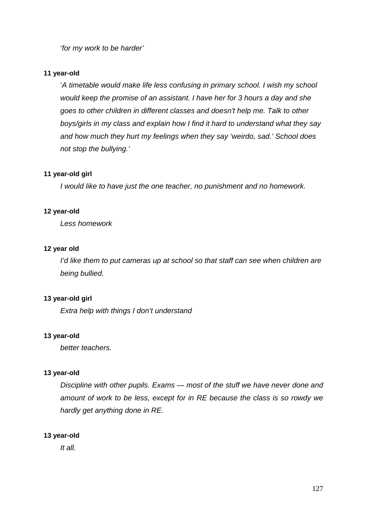'*for my work to be harder'*

#### **11 year-old**

'*A timetable would make life less confusing in primary school. I wish my school would keep the promise of an assistant. I have her for 3 hours a day and she goes to other children in different classes and doesn't help me. Talk to other boys/girls in my class and explain how I find it hard to understand what they say and how much they hurt my feelings when they say 'weirdo, sad.' School does not stop the bullying.'*

#### **11 year-old girl**

*I would like to have just the one teacher, no punishment and no homework.*

#### **12 year-old**

*Less homework*

#### **12 year old**

*I'd like them to put cameras up at school so that staff can see when children are being bullied.*

## **13 year-old girl**

*Extra help with things I don't understand*

#### **13 year-old**

*better teachers.*

#### **13 year-old**

*Discipline with other pupils. Exams — most of the stuff we have never done and amount of work to be less, except for in RE because the class is so rowdy we hardly get anything done in RE.*

## **13 year-old**

*It all.*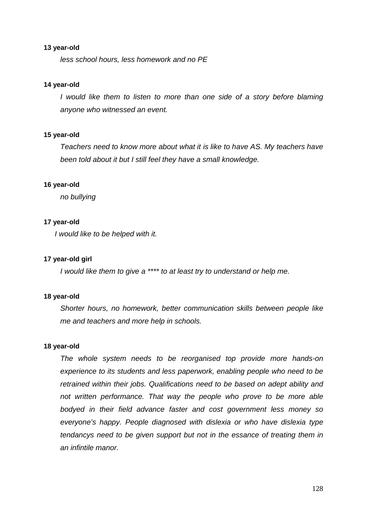#### **13 year-old**

*less school hours, less homework and no PE*

#### **14 year-old**

*I* would like them to listen to more than one side of a story before blaming *anyone who witnessed an event.*

#### **15 year-old**

*Teachers need to know more about what it is like to have AS. My teachers have been told about it but I still feel they have a small knowledge.* 

#### **16 year-old**

*no bullying*

#### **17 year-old**

*I would like to be helped with it.*

#### **17 year-old girl**

*I would like them to give a \*\*\*\* to at least try to understand or help me.*

#### **18 year-old**

*Shorter hours, no homework, better communication skills between people like me and teachers and more help in schools.*

#### **18 year-old**

*The whole system needs to be reorganised top provide more hands-on experience to its students and less paperwork, enabling people who need to be retrained within their jobs. Qualifications need to be based on adept ability and not written performance. That way the people who prove to be more able bodyed in their field advance faster and cost government less money so everyone's happy. People diagnosed with dislexia or who have dislexia type tendancys need to be given support but not in the essance of treating them in an infintile manor.*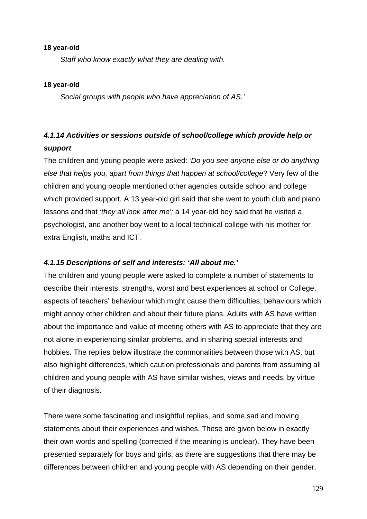#### **18 year-old**

*Staff who know exactly what they are dealing with.* 

## **18 year-old**

*Social groups with people who have appreciation of AS.'*

# *4.1.14 Activities or sessions outside of school/college which provide help or support*

The children and young people were asked: '*Do you see anyone else or do anything else that helps you, apart from things that happen at school/college*? Very few of the children and young people mentioned other agencies outside school and college which provided support. A 13 year-old girl said that she went to youth club and piano lessons and that *'they all look after me';* a 14 year-old boy said that he visited a psychologist, and another boy went to a local technical college with his mother for extra English, maths and ICT.

## *4.1.15 Descriptions of self and interests: 'All about me.'*

The children and young people were asked to complete a number of statements to describe their interests, strengths, worst and best experiences at school or College, aspects of teachers' behaviour which might cause them difficulties, behaviours which might annoy other children and about their future plans. Adults with AS have written about the importance and value of meeting others with AS to appreciate that they are not alone in experiencing similar problems, and in sharing special interests and hobbies. The replies below illustrate the commonalities between those with AS, but also highlight differences, which caution professionals and parents from assuming all children and young people with AS have similar wishes, views and needs, by virtue of their diagnosis.

There were some fascinating and insightful replies, and some sad and moving statements about their experiences and wishes. These are given below in exactly their own words and spelling (corrected if the meaning is unclear). They have been presented separately for boys and girls, as there are suggestions that there may be differences between children and young people with AS depending on their gender.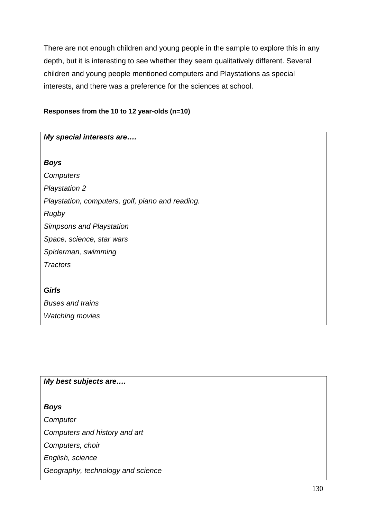There are not enough children and young people in the sample to explore this in any depth, but it is interesting to see whether they seem qualitatively different. Several children and young people mentioned computers and Playstations as special interests, and there was a preference for the sciences at school.

## **Responses from the 10 to 12 year-olds (n=10)**

| My special interests are                         |
|--------------------------------------------------|
|                                                  |
| <b>Boys</b>                                      |
| Computers                                        |
| <b>Playstation 2</b>                             |
| Playstation, computers, golf, piano and reading. |
| Rugby                                            |
| <b>Simpsons and Playstation</b>                  |
| Space, science, star wars                        |
| Spiderman, swimming                              |
| <b>Tractors</b>                                  |
|                                                  |
| <b>Girls</b>                                     |
| <b>Buses and trains</b>                          |
| <b>Watching movies</b>                           |

## *My best subjects are….*

*Boys Computer Computers and history and art Computers, choir English, science Geography, technology and science*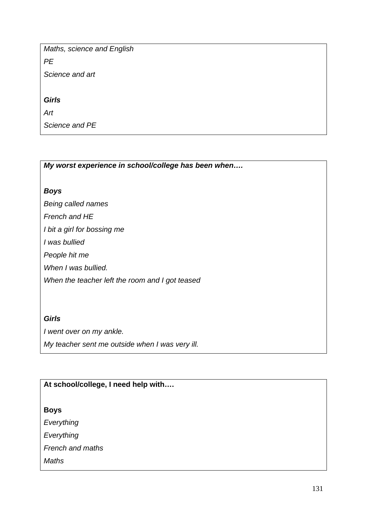*Maths, science and English*

*PE*

*Science and art*

*Girls*

*Art*

*Science and PE*

*My worst experience in school/college has been when….*

# *Boys*

*Being called names*

*French and HE*

*I bit a girl for bossing me*

*I was bullied*

*People hit me*

*When I was bullied.*

*When the teacher left the room and I got teased*

# *Girls*

*I went over on my ankle.*

*My teacher sent me outside when I was very ill.*

# **At school/college, I need help with….**

# **Boys**

*Everything*

*Everything*

*French and maths*

*Maths*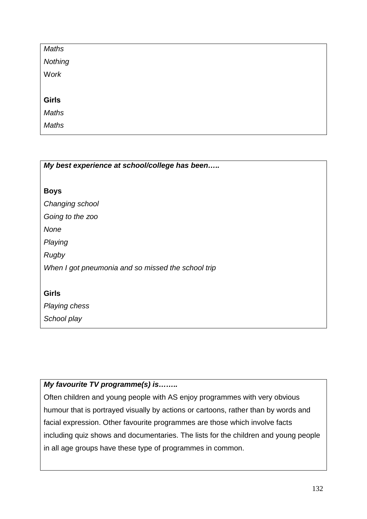| <b>Maths</b> |  |
|--------------|--|
| Nothing      |  |
| Work         |  |
|              |  |
| <b>Girls</b> |  |
| Maths        |  |
| Maths        |  |

| My best experience at school/college has been      |
|----------------------------------------------------|
|                                                    |
| <b>Boys</b>                                        |
| Changing school                                    |
| Going to the zoo                                   |
| None                                               |
| Playing                                            |
| Rugby                                              |
| When I got pneumonia and so missed the school trip |
|                                                    |
| <b>Girls</b>                                       |
| Playing chess                                      |

*School play*

# *My favourite TV programme(s) is……..*

Often children and young people with AS enjoy programmes with very obvious humour that is portrayed visually by actions or cartoons, rather than by words and facial expression. Other favourite programmes are those which involve facts including quiz shows and documentaries. The lists for the children and young people in all age groups have these type of programmes in common.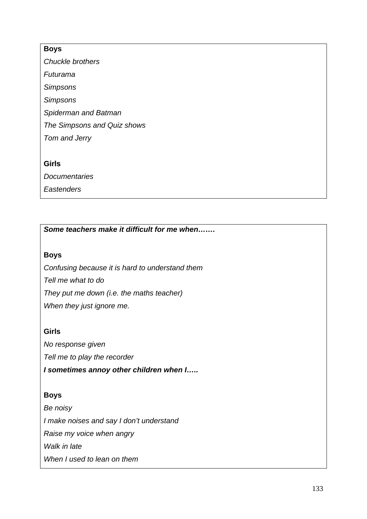## **Boys**

*Chuckle brothers Futurama Simpsons Simpsons Spiderman and Batman The Simpsons and Quiz shows Tom and Jerry*

### **Girls**

*Documentaries*

*Eastenders*

*Some teachers make it difficult for me when…….*

## **Boys**

*Confusing because it is hard to understand them Tell me what to do They put me down (i.e. the maths teacher) When they just ignore me.*

## **Girls**

*No response given Tell me to play the recorder I sometimes annoy other children when I…..*

# **Boys**

*Be noisy I make noises and say I don't understand Raise my voice when angry Walk in late When I used to lean on them*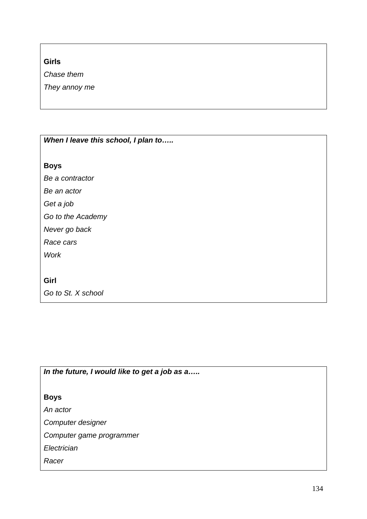# **Girls**

*Chase them*

*They annoy me*

| When I leave this school, I plan to |
|-------------------------------------|
| <b>Boys</b>                         |
| Be a contractor                     |
| Be an actor                         |
| Get a job                           |
| Go to the Academy                   |
| Never go back                       |
| Race cars                           |
| <b>Work</b>                         |
|                                     |
| Girl                                |
| Go to St. X school                  |

*In the future, I would like to get a job as a…..*

# **Boys**

*An actor*

*Computer designer*

*Computer game programmer*

*Electrician*

*Racer*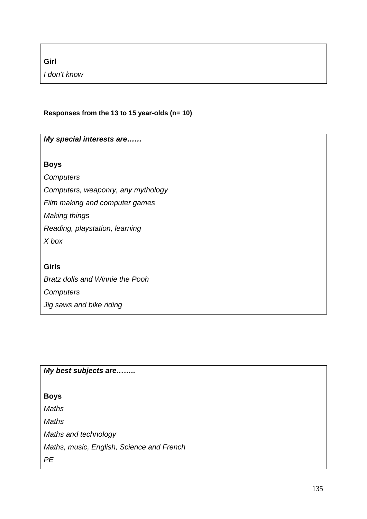**Girl**

*I don't know*

# **Responses from the 13 to 15 year-olds (n= 10)**

| My special interests are               |
|----------------------------------------|
| <b>Boys</b>                            |
| Computers                              |
| Computers, weaponry, any mythology     |
| Film making and computer games         |
| Making things                          |
| Reading, playstation, learning         |
| X box                                  |
|                                        |
| <b>Girls</b>                           |
| <b>Bratz dolls and Winnie the Pooh</b> |
| Computers                              |
| Jig saws and bike riding               |

*My best subjects are……..*

**Boys**

*Maths*

*Maths*

*Maths and technology*

*Maths, music, English, Science and French*

*PE*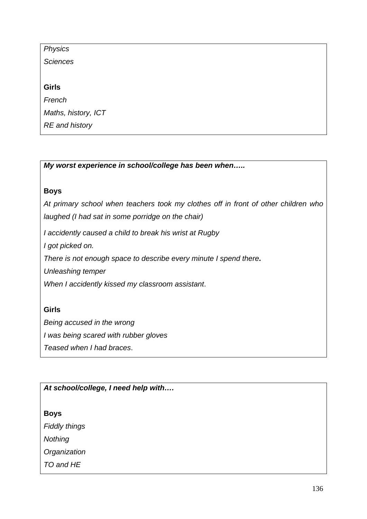| <b>Physics</b>        |  |
|-----------------------|--|
| <b>Sciences</b>       |  |
|                       |  |
| <b>Girls</b>          |  |
| French                |  |
| Maths, history, ICT   |  |
| <b>RE</b> and history |  |
|                       |  |

*My worst experience in school/college has been when…..*

## **Boys**

*At primary school when teachers took my clothes off in front of other children who laughed (I had sat in some porridge on the chair)*

*I accidently caused a child to break his wrist at Rugby*

*I got picked on.*

*There is not enough space to describe every minute I spend there.* 

*Unleashing temper*

*When I accidently kissed my classroom assistant*.

# **Girls**

*Being accused in the wrong*

*I was being scared with rubber gloves*

*Teased when I had braces*.

# *At school/college, I need help with….*

## **Boys**

*Fiddly things*

*Nothing*

*Organization*

*TO and HE*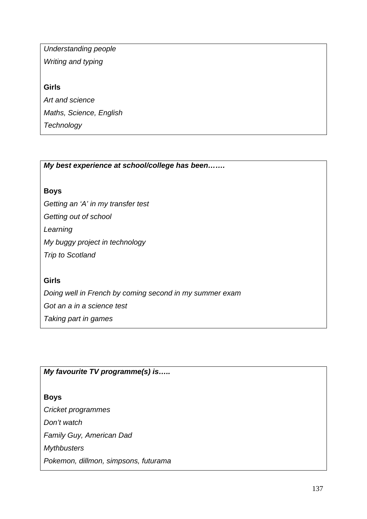*Understanding people Writing and typing* **Girls**

*Art and science Maths, Science, English Technology*

*My best experience at school/college has been…….*

# **Boys**

*Getting an 'A' in my transfer test*

*Getting out of school*

*Learning*

*My buggy project in technology*

*Trip to Scotland*

# **Girls**

*Doing well in French by coming second in my summer exam Got an a in a science test Taking part in games*

# *My favourite TV programme(s) is…..*

# **Boys**

*Cricket programmes Don't watch Family Guy, American Dad Mythbusters Pokemon, dillmon, simpsons, futurama*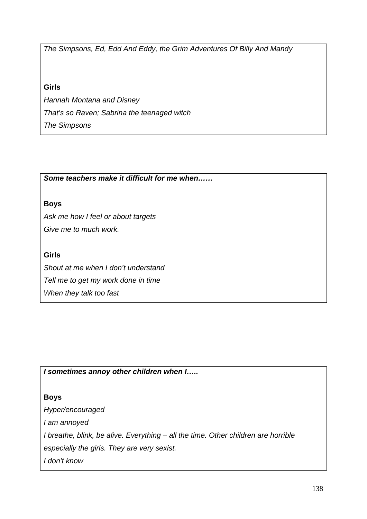*The Simpsons, Ed, Edd And Eddy, the Grim Adventures Of Billy And Mandy*

# **Girls**

*Hannah Montana and Disney That's so Raven; Sabrina the teenaged witch The Simpsons*

*Some teachers make it difficult for me when……*

## **Boys**

*Ask me how I feel or about targets Give me to much work.*

## **Girls**

*Shout at me when I don't understand Tell me to get my work done in time When they talk too fast*

*I sometimes annoy other children when I…..*

# **Boys**

*Hyper/encouraged I am annoyed I breathe, blink, be alive. Everything – all the time. Other children are horrible especially the girls. They are very sexist. I don't know*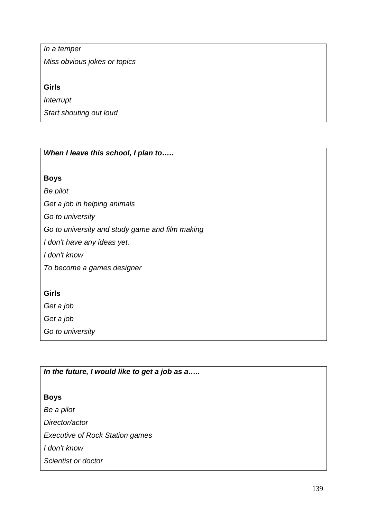*In a temper*

*Miss obvious jokes or topics*

## **Girls**

*Interrupt*

*Start shouting out loud*

*When I leave this school, I plan to…..*

## **Boys**

*Be pilot*

*Get a job in helping animals*

*Go to university*

*Go to university and study game and film making*

*I don't have any ideas yet.*

*I don't know*

*To become a games designer*

## **Girls**

*Get a job*

*Get a job*

*Go to university*

*In the future, I would like to get a job as a…..*

## **Boys**

*Be a pilot Director/actor*

*Executive of Rock Station games*

*I don't know*

*Scientist or doctor*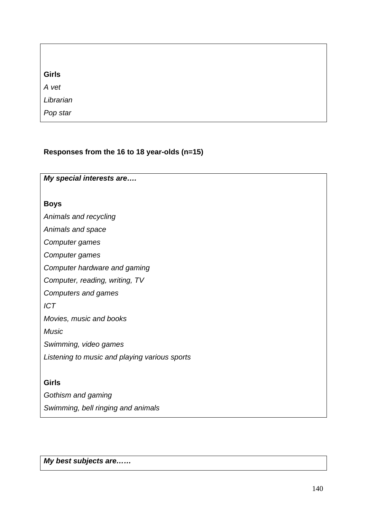| <b>Girls</b>    |  |  |
|-----------------|--|--|
| A vet           |  |  |
| Librarian       |  |  |
| <i>Pop star</i> |  |  |

## **Responses from the 16 to 18 year-olds (n=15)**

*My special interests are….*

#### **Boys**

*Animals and recycling*

*Animals and space*

*Computer games*

*Computer games*

*Computer hardware and gaming*

*Computer, reading, writing, TV*

*Computers and games*

*ICT*

*Movies, music and books*

*Music*

*Swimming, video games*

*Listening to music and playing various sports*

## **Girls**

*Gothism and gaming Swimming, bell ringing and animals*

*My best subjects are……*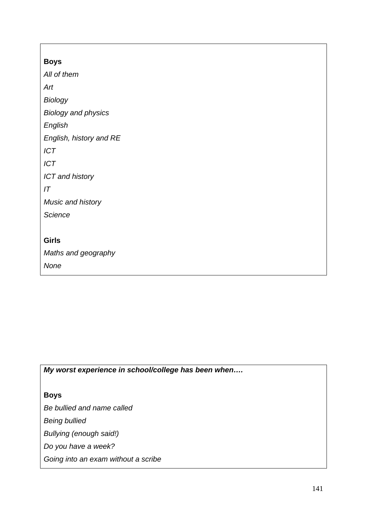| <b>Boys</b>                |
|----------------------------|
| All of them                |
| Art                        |
| <b>Biology</b>             |
| <b>Biology and physics</b> |
| English                    |
| English, history and RE    |
| <b>ICT</b>                 |
| <b>ICT</b>                 |
| <b>ICT</b> and history     |
| IT                         |
| Music and history          |
| <b>Science</b>             |
|                            |
| <b>Girls</b>               |
| Maths and geography        |
| None                       |
|                            |

*My worst experience in school/college has been when….*

**Boys**

*Be bullied and name called*

*Being bullied*

*Bullying (enough said!)*

*Do you have a week?*

*Going into an exam without a scribe*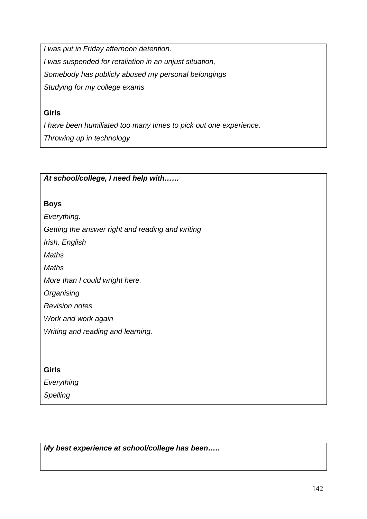*I was put in Friday afternoon detention. I was suspended for retaliation in an unjust situation, Somebody has publicly abused my personal belongings Studying for my college exams*

## **Girls**

*I have been humiliated too many times to pick out one experience. Throwing up in technology*

## *At school/college, I need help with……*

## **Boys**

*Everything*.

*Getting the answer right and reading and writing*

*Irish, English*

*Maths*

*Maths*

*More than I could wright here.*

*Organising*

*Revision notes*

*Work and work again*

*Writing and reading and learning.*

## **Girls**

*Everything*

*Spelling*

*My best experience at school/college has been…..*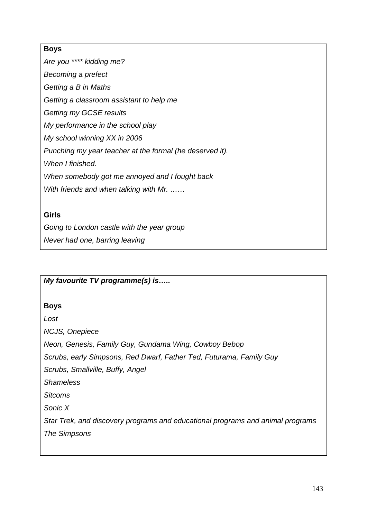## **Boys**

*Are you \*\*\*\* kidding me? Becoming a prefect Getting a B in Maths Getting a classroom assistant to help me Getting my GCSE results My performance in the school play My school winning XX in 2006 Punching my year teacher at the formal (he deserved it). When I finished. When somebody got me annoyed and I fought back With friends and when talking with Mr. ……*

# **Girls**

*Going to London castle with the year group*

*Never had one, barring leaving*

# *My favourite TV programme(s) is…..*

# **Boys**

*Lost*

*NCJS, Onepiece*

*Neon, Genesis, Family Guy, Gundama Wing, Cowboy Bebop*

*Scrubs, early Simpsons, Red Dwarf, Father Ted, Futurama, Family Guy*

*Scrubs, Smallville, Buffy, Angel*

*Shameless*

*Sitcoms*

*Sonic X*

*Star Trek, and discovery programs and educational programs and animal programs The Simpsons*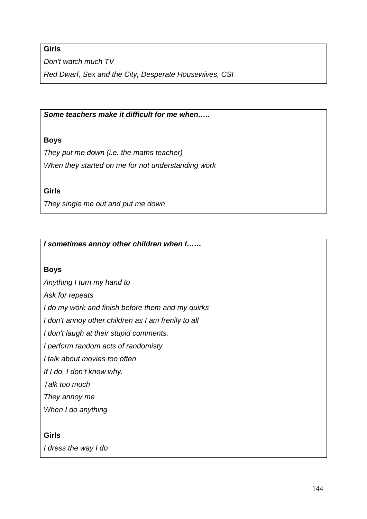# **Girls**

*Don't watch much TV*

*Red Dwarf, Sex and the City, Desperate Housewives, CSI*

*Some teachers make it difficult for me when…..*

# **Boys**

*They put me down (i.e. the maths teacher) When they started on me for not understanding work*

**Girls**

*They single me out and put me down*

*I sometimes annoy other children when I……*

## **Boys**

*Anything I turn my hand to*

*Ask for repeats*

*I do my work and finish before them and my quirks*

*I don't annoy other children as I am frenily to all*

*I don't laugh at their stupid comments.*

*I perform random acts of randomisty*

*I talk about movies too often*

*If I do, I don't know why.*

*Talk too much*

*They annoy me*

*When I do anything*

## **Girls**

*I dress the way I do*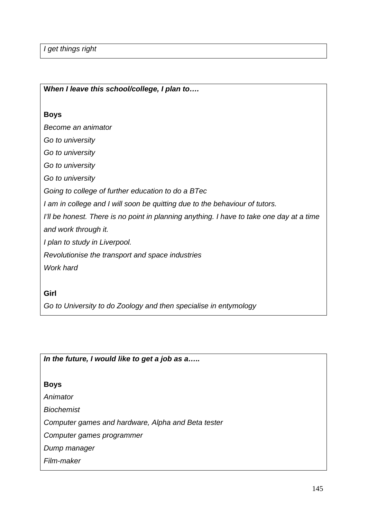*I get things right*

**Boys** *Become an animator Go to university Go to university Go to university Go to university Going to college of further education to do a BTec I am in college and I will soon be quitting due to the behaviour of tutors. I'll be honest. There is no point in planning anything. I have to take one day at a time and work through it. I plan to study in Liverpool. Revolutionise the transport and space industries Work hard*

**Girl**

*Go to University to do Zoology and then specialise in entymology*

*In the future, I would like to get a job as a…..*

**W***hen I leave this school/college, I plan to….*

**Boys**

*Animator*

*Biochemist*

*Computer games and hardware, Alpha and Beta tester*

*Computer games programmer*

*Dump manager*

*Film-maker*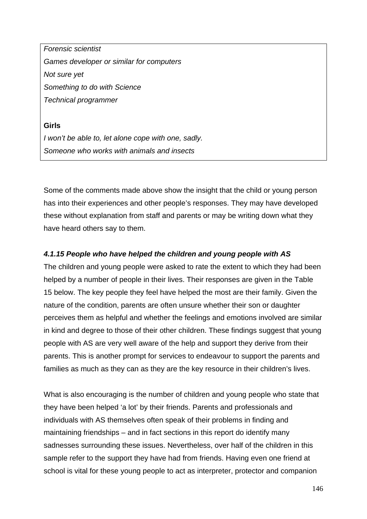*Forensic scientist Games developer or similar for computers Not sure yet Something to do with Science Technical programmer*

#### **Girls**

*I won't be able to, let alone cope with one, sadly. Someone who works with animals and insects*

Some of the comments made above show the insight that the child or young person has into their experiences and other people's responses. They may have developed these without explanation from staff and parents or may be writing down what they have heard others say to them.

### *4.1.15 People who have helped the children and young people with AS*

The children and young people were asked to rate the extent to which they had been helped by a number of people in their lives. Their responses are given in the Table 15 below. The key people they feel have helped the most are their family. Given the nature of the condition, parents are often unsure whether their son or daughter perceives them as helpful and whether the feelings and emotions involved are similar in kind and degree to those of their other children. These findings suggest that young people with AS are very well aware of the help and support they derive from their parents. This is another prompt for services to endeavour to support the parents and families as much as they can as they are the key resource in their children's lives.

What is also encouraging is the number of children and young people who state that they have been helped 'a lot' by their friends. Parents and professionals and individuals with AS themselves often speak of their problems in finding and maintaining friendships – and in fact sections in this report do identify many sadnesses surrounding these issues. Nevertheless, over half of the children in this sample refer to the support they have had from friends. Having even one friend at school is vital for these young people to act as interpreter, protector and companion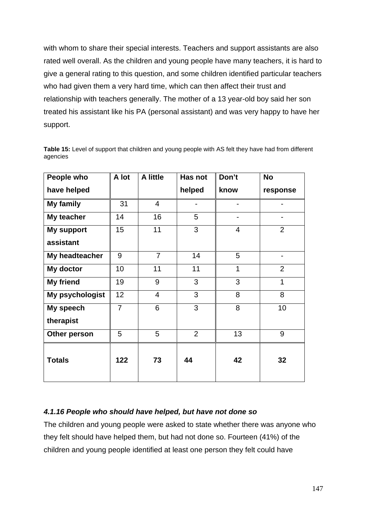with whom to share their special interests. Teachers and support assistants are also rated well overall. As the children and young people have many teachers, it is hard to give a general rating to this question, and some children identified particular teachers who had given them a very hard time, which can then affect their trust and relationship with teachers generally. The mother of a 13 year-old boy said her son treated his assistant like his PA (personal assistant) and was very happy to have her support.

| People who      | A lot          | A little       | Has not        | Don't          | <b>No</b>      |
|-----------------|----------------|----------------|----------------|----------------|----------------|
| have helped     |                |                | helped         | know           | response       |
| My family       | 31             | $\overline{4}$ |                |                |                |
| My teacher      | 14             | 16             | 5              |                |                |
| My support      | 15             | 11             | 3              | $\overline{4}$ | $\overline{2}$ |
| assistant       |                |                |                |                |                |
| My headteacher  | 9              | $\overline{7}$ | 14             | 5              |                |
| My doctor       | 10             | 11             | 11             | $\overline{1}$ | $\overline{2}$ |
| My friend       | 19             | 9              | 3              | 3              | 1              |
| My psychologist | 12             | $\overline{4}$ | 3              | 8              | 8              |
| My speech       | $\overline{7}$ | 6              | 3              | 8              | 10             |
| therapist       |                |                |                |                |                |
| Other person    | 5              | 5              | $\overline{2}$ | 13             | 9              |
| <b>Totals</b>   | 122            | 73             | 44             | 42             | 32             |

**Table 15:** Level of support that children and young people with AS felt they have had from different agencies

## *4.1.16 People who should have helped, but have not done so*

The children and young people were asked to state whether there was anyone who they felt should have helped them, but had not done so. Fourteen (41%) of the children and young people identified at least one person they felt could have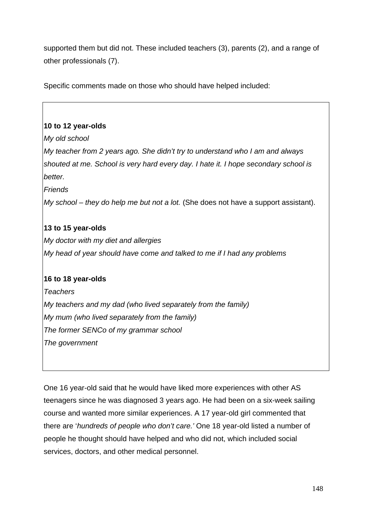supported them but did not. These included teachers (3), parents (2), and a range of other professionals (7).

Specific comments made on those who should have helped included:

## **10 to 12 year-olds**

*My old school*

*My teacher from 2 years ago. She didn't try to understand who I am and always shouted at me. School is very hard every day. I hate it. I hope secondary school is better.*

*Friends*

*My school – they do help me but not a lot.* (She does not have a support assistant).

## **13 to 15 year-olds**

*My doctor with my diet and allergies My head of year should have come and talked to me if I had any problems*

## **16 to 18 year-olds**

*Teachers My teachers and my dad (who lived separately from the family) My mum (who lived separately from the family) The former SENCo of my grammar school The government*

One 16 year-old said that he would have liked more experiences with other AS teenagers since he was diagnosed 3 years ago. He had been on a six-week sailing course and wanted more similar experiences. A 17 year-old girl commented that there are '*hundreds of people who don't care.'* One 18 year-old listed a number of people he thought should have helped and who did not, which included social services, doctors, and other medical personnel.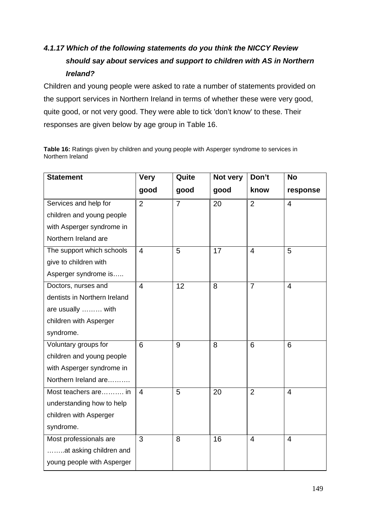# *4.1.17 Which of the following statements do you think the NICCY Review should say about services and support to children with AS in Northern Ireland?*

Children and young people were asked to rate a number of statements provided on the support services in Northern Ireland in terms of whether these were very good, quite good, or not very good. They were able to tick 'don't know' to these. Their responses are given below by age group in Table 16.

**Table 16:** Ratings given by children and young people with Asperger syndrome to services in Northern Ireland

| <b>Statement</b>             | <b>Very</b>    | Quite          | Not very | Don't                   | <b>No</b>      |
|------------------------------|----------------|----------------|----------|-------------------------|----------------|
|                              | good           | good           | good     | know                    | response       |
| Services and help for        | $\overline{2}$ | $\overline{7}$ | 20       | $\overline{2}$          | $\overline{4}$ |
| children and young people    |                |                |          |                         |                |
| with Asperger syndrome in    |                |                |          |                         |                |
| Northern Ireland are         |                |                |          |                         |                |
| The support which schools    | $\overline{4}$ | 5              | 17       | $\overline{\mathbf{4}}$ | 5              |
| give to children with        |                |                |          |                         |                |
| Asperger syndrome is         |                |                |          |                         |                |
| Doctors, nurses and          | $\overline{4}$ | 12             | 8        | $\overline{7}$          | $\overline{4}$ |
| dentists in Northern Ireland |                |                |          |                         |                |
| are usually  with            |                |                |          |                         |                |
| children with Asperger       |                |                |          |                         |                |
| syndrome.                    |                |                |          |                         |                |
| Voluntary groups for         | 6              | 9              | 8        | 6                       | 6              |
| children and young people    |                |                |          |                         |                |
| with Asperger syndrome in    |                |                |          |                         |                |
| Northern Ireland are         |                |                |          |                         |                |
| Most teachers are in         | 4              | 5              | 20       | $\overline{2}$          | $\overline{4}$ |
| understanding how to help    |                |                |          |                         |                |
| children with Asperger       |                |                |          |                         |                |
| syndrome.                    |                |                |          |                         |                |
| Most professionals are       | 3              | 8              | 16       | $\overline{4}$          | $\overline{4}$ |
| at asking children and       |                |                |          |                         |                |
| young people with Asperger   |                |                |          |                         |                |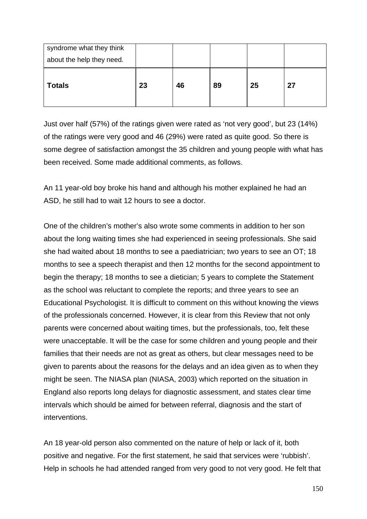| syndrome what they think<br>about the help they need. |    |    |    |    |    |
|-------------------------------------------------------|----|----|----|----|----|
| <b>Totals</b>                                         | 23 | 46 | 89 | 25 | 27 |

Just over half (57%) of the ratings given were rated as 'not very good', but 23 (14%) of the ratings were very good and 46 (29%) were rated as quite good. So there is some degree of satisfaction amongst the 35 children and young people with what has been received. Some made additional comments, as follows.

An 11 year-old boy broke his hand and although his mother explained he had an ASD, he still had to wait 12 hours to see a doctor.

One of the children's mother's also wrote some comments in addition to her son about the long waiting times she had experienced in seeing professionals. She said she had waited about 18 months to see a paediatrician; two years to see an OT; 18 months to see a speech therapist and then 12 months for the second appointment to begin the therapy; 18 months to see a dietician; 5 years to complete the Statement as the school was reluctant to complete the reports; and three years to see an Educational Psychologist. It is difficult to comment on this without knowing the views of the professionals concerned. However, it is clear from this Review that not only parents were concerned about waiting times, but the professionals, too, felt these were unacceptable. It will be the case for some children and young people and their families that their needs are not as great as others, but clear messages need to be given to parents about the reasons for the delays and an idea given as to when they might be seen. The NIASA plan (NIASA, 2003) which reported on the situation in England also reports long delays for diagnostic assessment, and states clear time intervals which should be aimed for between referral, diagnosis and the start of interventions.

An 18 year-old person also commented on the nature of help or lack of it, both positive and negative. For the first statement, he said that services were 'rubbish'. Help in schools he had attended ranged from very good to not very good. He felt that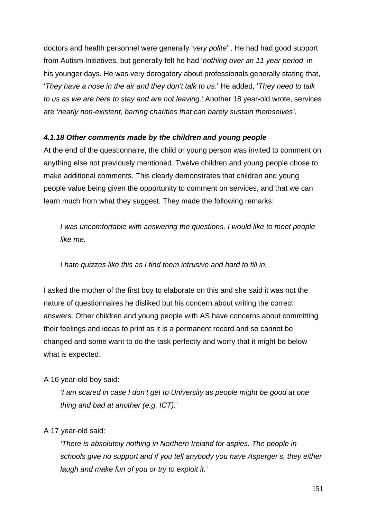doctors and health personnel were generally '*very polite*' . He had had good support from Autism Initiatives, but generally felt he had '*nothing over an 11 year period*' in his younger days. He was very derogatory about professionals generally stating that, '*They have a nose in the air and they don't talk to us*.' He added, '*They need to talk to us as we are here to stay and are not leaving.'* Another 18 year-old wrote, services are *'nearly non-existent, barring charities that can barely sustain themselves'*.

## *4.1.18 Other comments made by the children and young people*

At the end of the questionnaire, the child or young person was invited to comment on anything else not previously mentioned. Twelve children and young people chose to make additional comments. This clearly demonstrates that children and young people value being given the opportunity to comment on services, and that we can learn much from what they suggest. They made the following remarks:

*I was uncomfortable with answering the questions. I would like to meet people like me.*

*I hate quizzes like this as I find them intrusive and hard to fill in.* 

I asked the mother of the first boy to elaborate on this and she said it was not the nature of questionnaires he disliked but his concern about writing the correct answers. Other children and young people with AS have concerns about committing their feelings and ideas to print as it is a permanent record and so cannot be changed and some want to do the task perfectly and worry that it might be below what is expected.

## A 16 year-old boy said:

*'I am scared in case I don't get to University as people might be good at one thing and bad at another (e.g. ICT).'*

#### A 17 year-old said:

*'There is absolutely nothing in Northern Ireland for aspies. The people in schools give no support and if you tell anybody you have Asperger's, they either laugh and make fun of you or try to exploit it.'*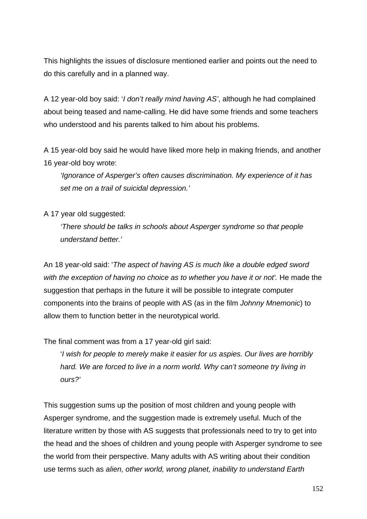This highlights the issues of disclosure mentioned earlier and points out the need to do this carefully and in a planned way.

A 12 year-old boy said: '*I don't really mind having AS'*, although he had complained about being teased and name-calling. He did have some friends and some teachers who understood and his parents talked to him about his problems.

A 15 year-old boy said he would have liked more help in making friends, and another 16 year-old boy wrote:

*'Ignorance of Asperger's often causes discrimination. My experience of it has set me on a trail of suicidal depression.'*

## A 17 year old suggested:

*'There should be talks in schools about Asperger syndrome so that people understand better.'*

An 18 year-old said: '*The aspect of having AS is much like a double edged sword*  with the exception of having no choice as to whether you have it or not'. He made the suggestion that perhaps in the future it will be possible to integrate computer components into the brains of people with AS (as in the film *Johnny Mnemonic*) to allow them to function better in the neurotypical world.

The final comment was from a 17 year-old girl said:

'*I wish for people to merely make it easier for us aspies. Our lives are horribly hard. We are forced to live in a norm world. Why can't someone try living in ours?'*

This suggestion sums up the position of most children and young people with Asperger syndrome, and the suggestion made is extremely useful. Much of the literature written by those with AS suggests that professionals need to try to get into the head and the shoes of children and young people with Asperger syndrome to see the world from their perspective. Many adults with AS writing about their condition use terms such as *alien, other world, wrong planet, inability to understand Earth*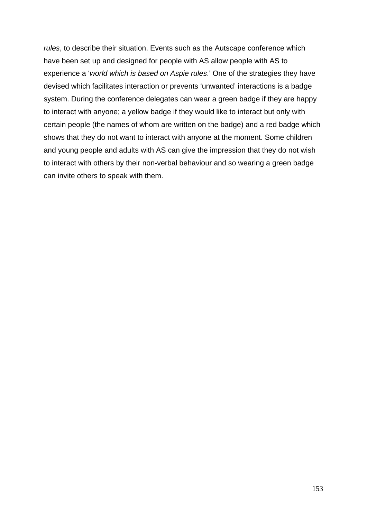*rules*, to describe their situation. Events such as the Autscape conference which have been set up and designed for people with AS allow people with AS to experience a '*world which is based on Aspie rules*.' One of the strategies they have devised which facilitates interaction or prevents 'unwanted' interactions is a badge system. During the conference delegates can wear a green badge if they are happy to interact with anyone; a yellow badge if they would like to interact but only with certain people (the names of whom are written on the badge) and a red badge which shows that they do not want to interact with anyone at the moment. Some children and young people and adults with AS can give the impression that they do not wish to interact with others by their non-verbal behaviour and so wearing a green badge can invite others to speak with them.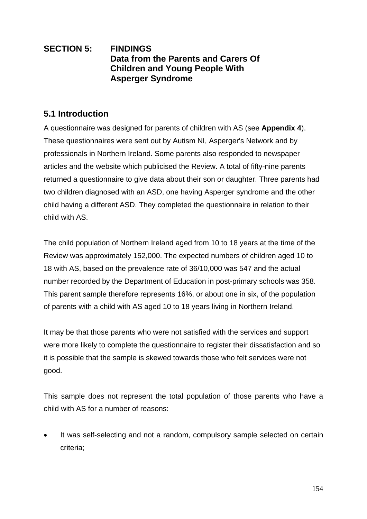# **SECTION 5: FINDINGS Data from the Parents and Carers Of Children and Young People With Asperger Syndrome**

# **5.1 Introduction**

A questionnaire was designed for parents of children with AS (see **Appendix 4**). These questionnaires were sent out by Autism NI, Asperger's Network and by professionals in Northern Ireland. Some parents also responded to newspaper articles and the website which publicised the Review. A total of fifty-nine parents returned a questionnaire to give data about their son or daughter. Three parents had two children diagnosed with an ASD, one having Asperger syndrome and the other child having a different ASD. They completed the questionnaire in relation to their child with AS.

The child population of Northern Ireland aged from 10 to 18 years at the time of the Review was approximately 152,000. The expected numbers of children aged 10 to 18 with AS, based on the prevalence rate of 36/10,000 was 547 and the actual number recorded by the Department of Education in post-primary schools was 358. This parent sample therefore represents 16%, or about one in six, of the population of parents with a child with AS aged 10 to 18 years living in Northern Ireland.

It may be that those parents who were not satisfied with the services and support were more likely to complete the questionnaire to register their dissatisfaction and so it is possible that the sample is skewed towards those who felt services were not good.

This sample does not represent the total population of those parents who have a child with AS for a number of reasons:

 It was self-selecting and not a random, compulsory sample selected on certain criteria;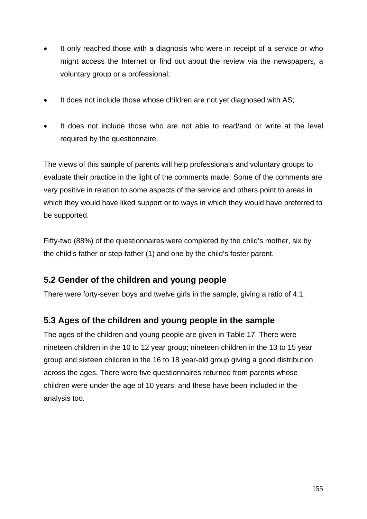- It only reached those with a diagnosis who were in receipt of a service or who might access the Internet or find out about the review via the newspapers, a voluntary group or a professional;
- It does not include those whose children are not yet diagnosed with AS;
- It does not include those who are not able to read/and or write at the level required by the questionnaire.

The views of this sample of parents will help professionals and voluntary groups to evaluate their practice in the light of the comments made. Some of the comments are very positive in relation to some aspects of the service and others point to areas in which they would have liked support or to ways in which they would have preferred to be supported.

Fifty-two (88%) of the questionnaires were completed by the child's mother, six by the child's father or step-father (1) and one by the child's foster parent.

# **5.2 Gender of the children and young people**

There were forty-seven boys and twelve girls in the sample, giving a ratio of 4:1.

# **5.3 Ages of the children and young people in the sample**

The ages of the children and young people are given in Table 17. There were nineteen children in the 10 to 12 year group; nineteen children in the 13 to 15 year group and sixteen children in the 16 to 18 year-old group giving a good distribution across the ages. There were five questionnaires returned from parents whose children were under the age of 10 years, and these have been included in the analysis too.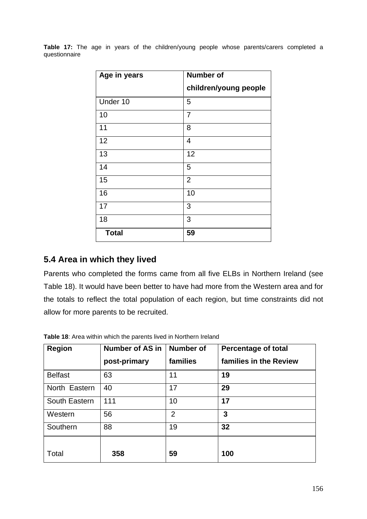|               |  |  |  | Table 17: The age in years of the children/young people whose parents/carers completed a |  |  |  |
|---------------|--|--|--|------------------------------------------------------------------------------------------|--|--|--|
| questionnaire |  |  |  |                                                                                          |  |  |  |

| Age in years | <b>Number of</b>      |
|--------------|-----------------------|
|              | children/young people |
| Under 10     | 5                     |
| 10           | $\overline{7}$        |
| 11           | 8                     |
| 12           | 4                     |
| 13           | 12                    |
| 14           | 5                     |
| 15           | $\overline{2}$        |
| 16           | 10                    |
| 17           | 3                     |
| 18           | 3                     |
| <b>Total</b> | 59                    |

# **5.4 Area in which they lived**

Parents who completed the forms came from all five ELBs in Northern Ireland (see Table 18). It would have been better to have had more from the Western area and for the totals to reflect the total population of each region, but time constraints did not allow for more parents to be recruited.

| <b>Region</b>  | <b>Number of AS in</b> | <b>Number of</b> | <b>Percentage of total</b> |
|----------------|------------------------|------------------|----------------------------|
|                | post-primary           | families         | families in the Review     |
| <b>Belfast</b> | 63                     | 11               | 19                         |
| North Eastern  | 40                     | 17               | 29                         |
| South Eastern  | 111                    | 10               | 17                         |
| Western        | 56                     | $\overline{2}$   | 3                          |
| Southern       | 88                     | 19               | 32                         |
|                |                        |                  |                            |
| Total          | 358                    | 59               | 100                        |

**Table 18**: Area within which the parents lived in Northern Ireland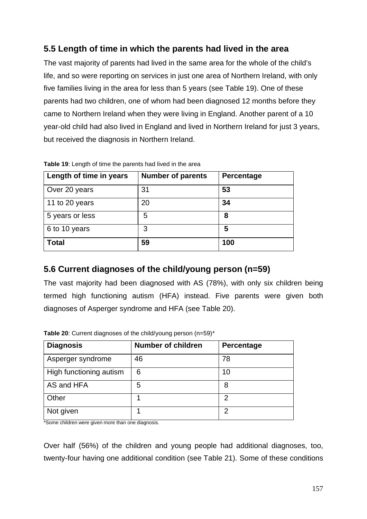# **5.5 Length of time in which the parents had lived in the area**

The vast majority of parents had lived in the same area for the whole of the child's life, and so were reporting on services in just one area of Northern Ireland, with only five families living in the area for less than 5 years (see Table 19). One of these parents had two children, one of whom had been diagnosed 12 months before they came to Northern Ireland when they were living in England. Another parent of a 10 year-old child had also lived in England and lived in Northern Ireland for just 3 years, but received the diagnosis in Northern Ireland.

| Length of time in years | <b>Number of parents</b> | Percentage |
|-------------------------|--------------------------|------------|
| Over 20 years           | 31                       | 53         |
| 11 to 20 years          | 20                       | 34         |
| 5 years or less         | 5                        | 8          |
| 6 to 10 years           | 3                        | 5          |
| <b>Total</b>            | 59                       | 100        |

**Table 19**: Length of time the parents had lived in the area

# **5.6 Current diagnoses of the child/young person (n=59)**

The vast majority had been diagnosed with AS (78%), with only six children being termed high functioning autism (HFA) instead. Five parents were given both diagnoses of Asperger syndrome and HFA (see Table 20).

| <b>Diagnosis</b>        | <b>Number of children</b> | Percentage |
|-------------------------|---------------------------|------------|
| Asperger syndrome       | 46                        | 78         |
| High functioning autism | 6                         | 10         |
| AS and HFA              | 5                         | 8          |
| Other                   | 1                         | 2          |
| Not given               | 1                         | 2          |

**Table 20**: Current diagnoses of the child/young person (n=59)\*

\*Some children were given more than one diagnosis.

Over half (56%) of the children and young people had additional diagnoses, too, twenty-four having one additional condition (see Table 21). Some of these conditions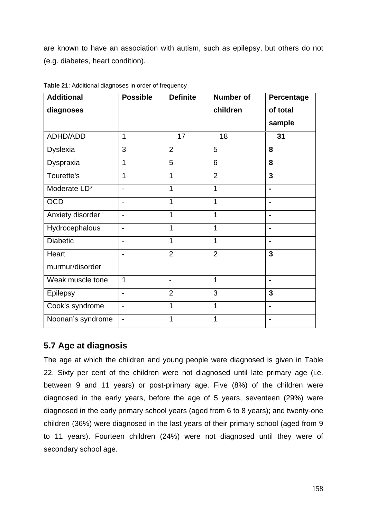are known to have an association with autism, such as epilepsy, but others do not (e.g. diabetes, heart condition).

| <b>Additional</b> | <b>Possible</b>          | <b>Definite</b> | <b>Number of</b> | Percentage     |
|-------------------|--------------------------|-----------------|------------------|----------------|
| diagnoses         |                          |                 | children         | of total       |
|                   |                          |                 |                  | sample         |
| ADHD/ADD          | 1                        | 17              | 18               | 31             |
| <b>Dyslexia</b>   | 3                        | $\overline{2}$  | 5                | 8              |
| Dyspraxia         | 1                        | 5               | 6                | 8              |
| Tourette's        | 1                        | 1               | $\overline{2}$   | $\overline{3}$ |
| Moderate LD*      |                          | 1               | 1                | $\blacksquare$ |
| <b>OCD</b>        | $\blacksquare$           | 1               | 1                | $\blacksquare$ |
| Anxiety disorder  |                          | 1               | $\mathbf 1$      | $\blacksquare$ |
| Hydrocephalous    |                          | 1               | 1                | $\blacksquare$ |
| <b>Diabetic</b>   |                          | 1               | 1                | $\blacksquare$ |
| Heart             |                          | $\overline{2}$  | $\overline{2}$   | $\overline{3}$ |
| murmur/disorder   |                          |                 |                  |                |
| Weak muscle tone  | 1                        | $\blacksquare$  | 1                | $\blacksquare$ |
| <b>Epilepsy</b>   | $\overline{\phantom{0}}$ | $\overline{2}$  | 3                | $\overline{3}$ |
| Cook's syndrome   | $\overline{\phantom{a}}$ | 1               | 1                | $\blacksquare$ |
| Noonan's syndrome | $\overline{\phantom{a}}$ | 1               | $\mathbf 1$      | $\blacksquare$ |

**Table 21**: Additional diagnoses in order of frequency

# **5.7 Age at diagnosis**

The age at which the children and young people were diagnosed is given in Table 22. Sixty per cent of the children were not diagnosed until late primary age (i.e. between 9 and 11 years) or post-primary age. Five (8%) of the children were diagnosed in the early years, before the age of 5 years, seventeen (29%) were diagnosed in the early primary school years (aged from 6 to 8 years); and twenty-one children (36%) were diagnosed in the last years of their primary school (aged from 9 to 11 years). Fourteen children (24%) were not diagnosed until they were of secondary school age.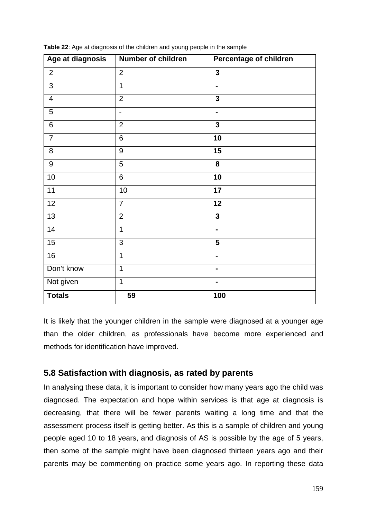| Age at diagnosis        | <b>Number of children</b> | Percentage of children  |
|-------------------------|---------------------------|-------------------------|
| $\overline{2}$          | $\overline{2}$            | $\mathbf{3}$            |
| 3                       | 1                         | $\blacksquare$          |
| $\overline{\mathbf{4}}$ | $\overline{2}$            | 3                       |
| 5                       | $\overline{\phantom{a}}$  | $\blacksquare$          |
| 6                       | $\overline{2}$            | $\overline{\mathbf{3}}$ |
| $\overline{7}$          | $\overline{6}$            | 10                      |
| 8                       | $9\,$                     | 15                      |
| $\boldsymbol{9}$        | 5                         | 8                       |
| 10                      | $6\phantom{1}$            | 10                      |
| 11                      | 10                        | $\overline{17}$         |
| $\overline{12}$         | $\overline{7}$            | $\overline{12}$         |
| 13                      | $\overline{2}$            | $\overline{\mathbf{3}}$ |
| 14                      | $\mathbf{1}$              |                         |
| 15                      | $\mathfrak{S}$            | 5                       |
| 16                      | 1                         | ۰                       |
| Don't know              | $\overline{1}$            | $\blacksquare$          |
| Not given               | $\overline{1}$            | $\blacksquare$          |
| <b>Totals</b>           | 59                        | 100                     |

**Table 22**: Age at diagnosis of the children and young people in the sample

It is likely that the younger children in the sample were diagnosed at a younger age than the older children, as professionals have become more experienced and methods for identification have improved.

## **5.8 Satisfaction with diagnosis, as rated by parents**

In analysing these data, it is important to consider how many years ago the child was diagnosed. The expectation and hope within services is that age at diagnosis is decreasing, that there will be fewer parents waiting a long time and that the assessment process itself is getting better. As this is a sample of children and young people aged 10 to 18 years, and diagnosis of AS is possible by the age of 5 years, then some of the sample might have been diagnosed thirteen years ago and their parents may be commenting on practice some years ago. In reporting these data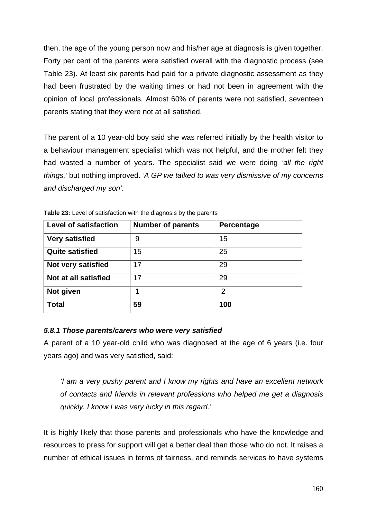then, the age of the young person now and his/her age at diagnosis is given together. Forty per cent of the parents were satisfied overall with the diagnostic process (see Table 23). At least six parents had paid for a private diagnostic assessment as they had been frustrated by the waiting times or had not been in agreement with the opinion of local professionals. Almost 60% of parents were not satisfied, seventeen parents stating that they were not at all satisfied.

The parent of a 10 year-old boy said she was referred initially by the health visitor to a behaviour management specialist which was not helpful, and the mother felt they had wasted a number of years. The specialist said we were doing *'all the right things,'* but nothing improved. '*A GP we talked to was very dismissive of my concerns and discharged my son'*.

| <b>Level of satisfaction</b> | <b>Number of parents</b> | Percentage |
|------------------------------|--------------------------|------------|
| <b>Very satisfied</b>        | 9                        | 15         |
| <b>Quite satisfied</b>       | 15                       | 25         |
| Not very satisfied           | 17                       | 29         |
| Not at all satisfied         | 17                       | 29         |
| Not given                    | 1                        | 2          |
| <b>Total</b>                 | 59                       | 100        |

**Table 23:** Level of satisfaction with the diagnosis by the parents

## *5.8.1 Those parents/carers who were very satisfied*

A parent of a 10 year-old child who was diagnosed at the age of 6 years (i.e. four years ago) and was very satisfied, said:

*'I am a very pushy parent and I know my rights and have an excellent network of contacts and friends in relevant professions who helped me get a diagnosis quickly. I know I was very lucky in this regard.'* 

It is highly likely that those parents and professionals who have the knowledge and resources to press for support will get a better deal than those who do not. It raises a number of ethical issues in terms of fairness, and reminds services to have systems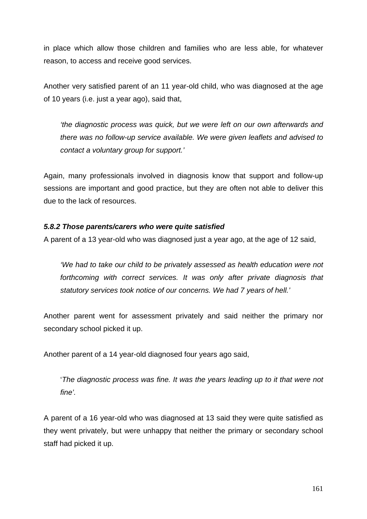in place which allow those children and families who are less able, for whatever reason, to access and receive good services.

Another very satisfied parent of an 11 year-old child, who was diagnosed at the age of 10 years (i.e. just a year ago), said that,

*'the diagnostic process was quick, but we were left on our own afterwards and there was no follow-up service available. We were given leaflets and advised to contact a voluntary group for support.'* 

Again, many professionals involved in diagnosis know that support and follow-up sessions are important and good practice, but they are often not able to deliver this due to the lack of resources.

## *5.8.2 Those parents/carers who were quite satisfied*

A parent of a 13 year-old who was diagnosed just a year ago, at the age of 12 said,

*'We had to take our child to be privately assessed as health education were not forthcoming with correct services. It was only after private diagnosis that statutory services took notice of our concerns. We had 7 years of hell.'*

Another parent went for assessment privately and said neither the primary nor secondary school picked it up.

Another parent of a 14 year-old diagnosed four years ago said,

'*The diagnostic process was fine. It was the years leading up to it that were not fine'.*

A parent of a 16 year-old who was diagnosed at 13 said they were quite satisfied as they went privately, but were unhappy that neither the primary or secondary school staff had picked it up.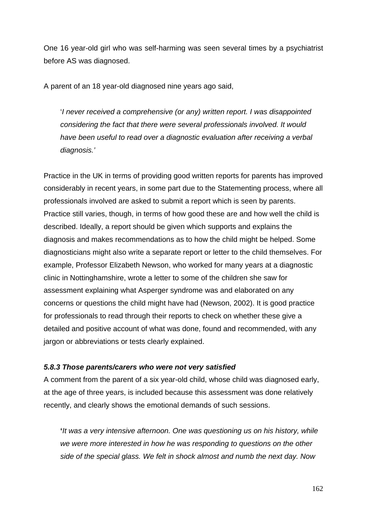One 16 year-old girl who was self-harming was seen several times by a psychiatrist before AS was diagnosed.

A parent of an 18 year-old diagnosed nine years ago said,

'*I never received a comprehensive (or any) written report. I was disappointed considering the fact that there were several professionals involved. It would have been useful to read over a diagnostic evaluation after receiving a verbal diagnosis.'*

Practice in the UK in terms of providing good written reports for parents has improved considerably in recent years, in some part due to the Statementing process, where all professionals involved are asked to submit a report which is seen by parents. Practice still varies, though, in terms of how good these are and how well the child is described. Ideally, a report should be given which supports and explains the diagnosis and makes recommendations as to how the child might be helped. Some diagnosticians might also write a separate report or letter to the child themselves. For example, Professor Elizabeth Newson, who worked for many years at a diagnostic clinic in Nottinghamshire, wrote a letter to some of the children she saw for assessment explaining what Asperger syndrome was and elaborated on any concerns or questions the child might have had (Newson, 2002). It is good practice for professionals to read through their reports to check on whether these give a detailed and positive account of what was done, found and recommended, with any jargon or abbreviations or tests clearly explained.

#### *5.8.3 Those parents/carers who were not very satisfied*

A comment from the parent of a six year-old child, whose child was diagnosed early, at the age of three years, is included because this assessment was done relatively recently, and clearly shows the emotional demands of such sessions.

**'***It was a very intensive afternoon. One was questioning us on his history, while we were more interested in how he was responding to questions on the other side of the special glass. We felt in shock almost and numb the next day. Now*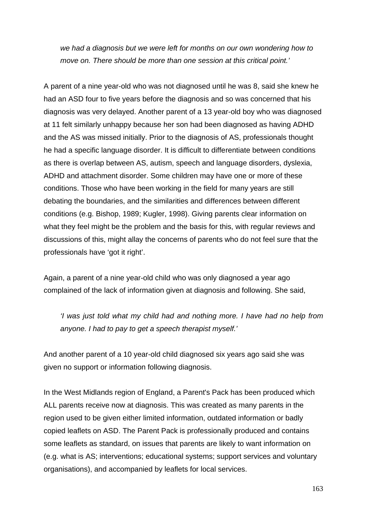*we had a diagnosis but we were left for months on our own wondering how to move on. There should be more than one session at this critical point.'*

A parent of a nine year-old who was not diagnosed until he was 8, said she knew he had an ASD four to five years before the diagnosis and so was concerned that his diagnosis was very delayed. Another parent of a 13 year-old boy who was diagnosed at 11 felt similarly unhappy because her son had been diagnosed as having ADHD and the AS was missed initially. Prior to the diagnosis of AS, professionals thought he had a specific language disorder. It is difficult to differentiate between conditions as there is overlap between AS, autism, speech and language disorders, dyslexia, ADHD and attachment disorder. Some children may have one or more of these conditions. Those who have been working in the field for many years are still debating the boundaries, and the similarities and differences between different conditions (e.g. Bishop, 1989; Kugler, 1998). Giving parents clear information on what they feel might be the problem and the basis for this, with regular reviews and discussions of this, might allay the concerns of parents who do not feel sure that the professionals have 'got it right'.

Again, a parent of a nine year-old child who was only diagnosed a year ago complained of the lack of information given at diagnosis and following. She said,

*'I was just told what my child had and nothing more. I have had no help from anyone. I had to pay to get a speech therapist myself.'*

And another parent of a 10 year-old child diagnosed six years ago said she was given no support or information following diagnosis.

In the West Midlands region of England, a Parent's Pack has been produced which ALL parents receive now at diagnosis. This was created as many parents in the region used to be given either limited information, outdated information or badly copied leaflets on ASD. The Parent Pack is professionally produced and contains some leaflets as standard, on issues that parents are likely to want information on (e.g. what is AS; interventions; educational systems; support services and voluntary organisations), and accompanied by leaflets for local services.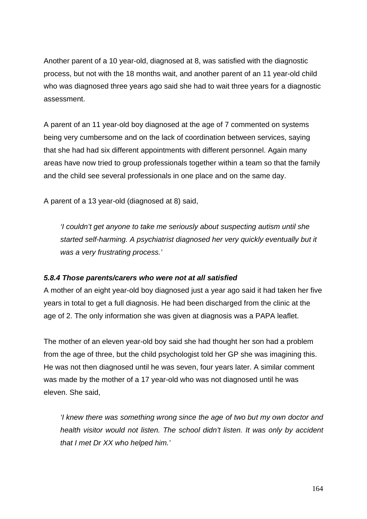Another parent of a 10 year-old, diagnosed at 8, was satisfied with the diagnostic process, but not with the 18 months wait, and another parent of an 11 year-old child who was diagnosed three years ago said she had to wait three years for a diagnostic assessment.

A parent of an 11 year-old boy diagnosed at the age of 7 commented on systems being very cumbersome and on the lack of coordination between services, saying that she had had six different appointments with different personnel. Again many areas have now tried to group professionals together within a team so that the family and the child see several professionals in one place and on the same day.

A parent of a 13 year-old (diagnosed at 8) said,

*'I couldn't get anyone to take me seriously about suspecting autism until she started self-harming. A psychiatrist diagnosed her very quickly eventually but it was a very frustrating process.'*

## *5.8.4 Those parents/carers who were not at all satisfied*

A mother of an eight year-old boy diagnosed just a year ago said it had taken her five years in total to get a full diagnosis. He had been discharged from the clinic at the age of 2. The only information she was given at diagnosis was a PAPA leaflet.

The mother of an eleven year-old boy said she had thought her son had a problem from the age of three, but the child psychologist told her GP she was imagining this. He was not then diagnosed until he was seven, four years later. A similar comment was made by the mother of a 17 year-old who was not diagnosed until he was eleven. She said,

*'I knew there was something wrong since the age of two but my own doctor and health visitor would not listen. The school didn't listen. It was only by accident that I met Dr XX who helped him.'*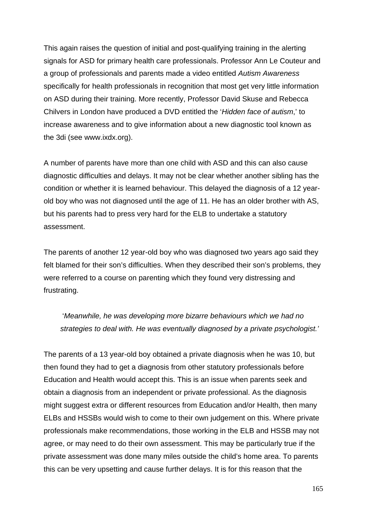This again raises the question of initial and post-qualifying training in the alerting signals for ASD for primary health care professionals. Professor Ann Le Couteur and a group of professionals and parents made a video entitled *Autism Awareness* specifically for health professionals in recognition that most get very little information on ASD during their training. More recently, Professor David Skuse and Rebecca Chilvers in London have produced a DVD entitled the '*Hidden face of autism*,' to increase awareness and to give information about a new diagnostic tool known as the 3di (see www.ixdx.org).

A number of parents have more than one child with ASD and this can also cause diagnostic difficulties and delays. It may not be clear whether another sibling has the condition or whether it is learned behaviour. This delayed the diagnosis of a 12 yearold boy who was not diagnosed until the age of 11. He has an older brother with AS, but his parents had to press very hard for the ELB to undertake a statutory assessment.

The parents of another 12 year-old boy who was diagnosed two years ago said they felt blamed for their son's difficulties. When they described their son's problems, they were referred to a course on parenting which they found very distressing and frustrating.

 '*Meanwhile, he was developing more bizarre behaviours which we had no strategies to deal with. He was eventually diagnosed by a private psychologist.'*

The parents of a 13 year-old boy obtained a private diagnosis when he was 10, but then found they had to get a diagnosis from other statutory professionals before Education and Health would accept this. This is an issue when parents seek and obtain a diagnosis from an independent or private professional. As the diagnosis might suggest extra or different resources from Education and/or Health, then many ELBs and HSSBs would wish to come to their own judgement on this. Where private professionals make recommendations, those working in the ELB and HSSB may not agree, or may need to do their own assessment. This may be particularly true if the private assessment was done many miles outside the child's home area. To parents this can be very upsetting and cause further delays. It is for this reason that the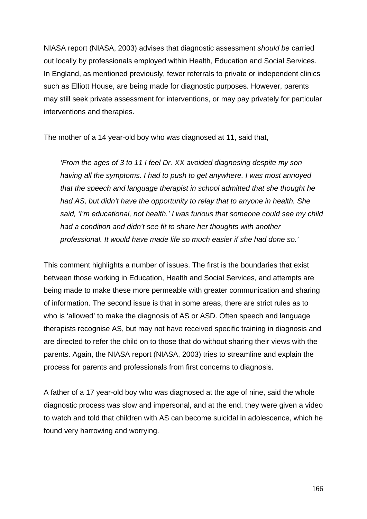NIASA report (NIASA, 2003) advises that diagnostic assessment *should be* carried out locally by professionals employed within Health, Education and Social Services. In England, as mentioned previously, fewer referrals to private or independent clinics such as Elliott House, are being made for diagnostic purposes. However, parents may still seek private assessment for interventions, or may pay privately for particular interventions and therapies.

The mother of a 14 year-old boy who was diagnosed at 11, said that,

*'From the ages of 3 to 11 I feel Dr. XX avoided diagnosing despite my son having all the symptoms. I had to push to get anywhere. I was most annoyed that the speech and language therapist in school admitted that she thought he had AS, but didn't have the opportunity to relay that to anyone in health. She said, 'I'm educational, not health.' I was furious that someone could see my child had a condition and didn't see fit to share her thoughts with another professional. It would have made life so much easier if she had done so.'*

This comment highlights a number of issues. The first is the boundaries that exist between those working in Education, Health and Social Services, and attempts are being made to make these more permeable with greater communication and sharing of information. The second issue is that in some areas, there are strict rules as to who is 'allowed' to make the diagnosis of AS or ASD. Often speech and language therapists recognise AS, but may not have received specific training in diagnosis and are directed to refer the child on to those that do without sharing their views with the parents. Again, the NIASA report (NIASA, 2003) tries to streamline and explain the process for parents and professionals from first concerns to diagnosis.

A father of a 17 year-old boy who was diagnosed at the age of nine, said the whole diagnostic process was slow and impersonal, and at the end, they were given a video to watch and told that children with AS can become suicidal in adolescence, which he found very harrowing and worrying.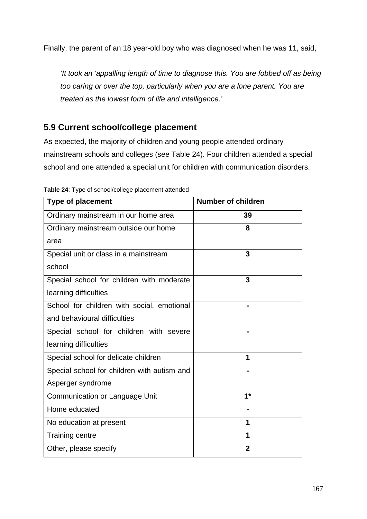Finally, the parent of an 18 year-old boy who was diagnosed when he was 11, said,

*'It took an 'appalling length of time to diagnose this. You are fobbed off as being too caring or over the top, particularly when you are a lone parent. You are treated as the lowest form of life and intelligence.'*

# **5.9 Current school/college placement**

As expected, the majority of children and young people attended ordinary mainstream schools and colleges (see Table 24). Four children attended a special school and one attended a special unit for children with communication disorders.

| <b>Type of placement</b>                    | <b>Number of children</b> |
|---------------------------------------------|---------------------------|
| Ordinary mainstream in our home area        | 39                        |
| Ordinary mainstream outside our home        | 8                         |
| area                                        |                           |
| Special unit or class in a mainstream       | 3                         |
| school                                      |                           |
| Special school for children with moderate   | 3                         |
| learning difficulties                       |                           |
| School for children with social, emotional  |                           |
| and behavioural difficulties                |                           |
| Special school for children with severe     |                           |
| learning difficulties                       |                           |
| Special school for delicate children        | 1                         |
| Special school for children with autism and |                           |
| Asperger syndrome                           |                           |
| Communication or Language Unit              | $1*$                      |
| Home educated                               |                           |
| No education at present                     | 1                         |
| <b>Training centre</b>                      | 1                         |
| Other, please specify                       | $\mathbf{2}$              |

**Table 24**: Type of school/college placement attended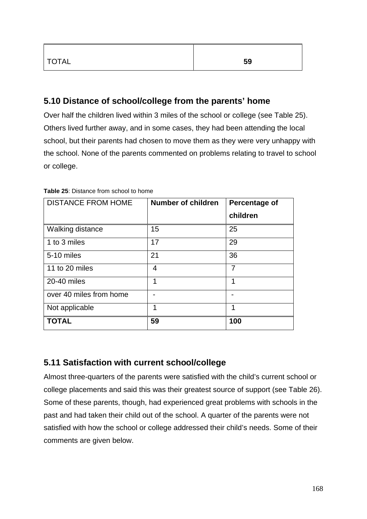| <b>TOTAL</b> | 59 |
|--------------|----|
|              |    |

# **5.10 Distance of school/college from the parents' home**

Over half the children lived within 3 miles of the school or college (see Table 25). Others lived further away, and in some cases, they had been attending the local school, but their parents had chosen to move them as they were very unhappy with the school. None of the parents commented on problems relating to travel to school or college.

| <b>DISTANCE FROM HOME</b> | <b>Number of children</b> | <b>Percentage of</b> |
|---------------------------|---------------------------|----------------------|
|                           |                           | children             |
| <b>Walking distance</b>   | 15                        | 25                   |
| 1 to 3 miles              | 17                        | 29                   |
| 5-10 miles                | 21                        | 36                   |
| 11 to 20 miles            | 4                         | 7                    |
| 20-40 miles               | 1                         | 1                    |
| over 40 miles from home   |                           |                      |
| Not applicable            | 1                         | 1                    |
| <b>TOTAL</b>              | 59                        | 100                  |

**Table 25**: Distance from school to home

# **5.11 Satisfaction with current school/college**

Almost three-quarters of the parents were satisfied with the child's current school or college placements and said this was their greatest source of support (see Table 26). Some of these parents, though, had experienced great problems with schools in the past and had taken their child out of the school. A quarter of the parents were not satisfied with how the school or college addressed their child's needs. Some of their comments are given below.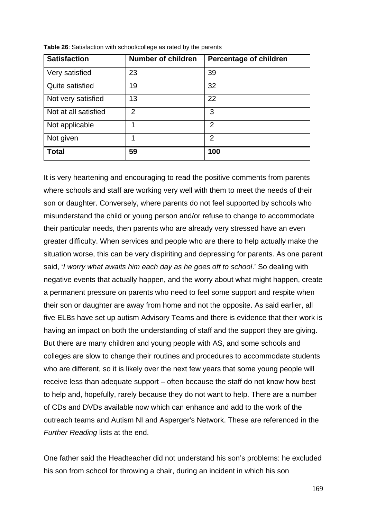| <b>Satisfaction</b>  | <b>Number of children</b> | <b>Percentage of children</b> |
|----------------------|---------------------------|-------------------------------|
| Very satisfied       | 23                        | 39                            |
| Quite satisfied      | 19                        | 32                            |
| Not very satisfied   | 13                        | 22                            |
| Not at all satisfied | $\overline{2}$            | 3                             |
| Not applicable       |                           | 2                             |
| Not given            | 1                         | $\overline{2}$                |
| <b>Total</b>         | 59                        | 100                           |

**Table 26**: Satisfaction with school/college as rated by the parents

It is very heartening and encouraging to read the positive comments from parents where schools and staff are working very well with them to meet the needs of their son or daughter. Conversely, where parents do not feel supported by schools who misunderstand the child or young person and/or refuse to change to accommodate their particular needs, then parents who are already very stressed have an even greater difficulty. When services and people who are there to help actually make the situation worse, this can be very dispiriting and depressing for parents. As one parent said, '*I worry what awaits him each day as he goes off to school*.' So dealing with negative events that actually happen, and the worry about what might happen, create a permanent pressure on parents who need to feel some support and respite when their son or daughter are away from home and not the opposite. As said earlier, all five ELBs have set up autism Advisory Teams and there is evidence that their work is having an impact on both the understanding of staff and the support they are giving. But there are many children and young people with AS, and some schools and colleges are slow to change their routines and procedures to accommodate students who are different, so it is likely over the next few years that some young people will receive less than adequate support – often because the staff do not know how best to help and, hopefully, rarely because they do not want to help. There are a number of CDs and DVDs available now which can enhance and add to the work of the outreach teams and Autism NI and Asperger's Network. These are referenced in the *Further Reading* lists at the end.

One father said the Headteacher did not understand his son's problems: he excluded his son from school for throwing a chair, during an incident in which his son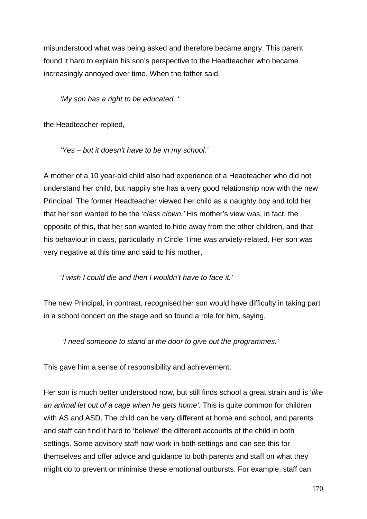misunderstood what was being asked and therefore became angry. This parent found it hard to explain his son's perspective to the Headteacher who became increasingly annoyed over time. When the father said,

*'My son has a right to be educated, ' '*

the Headteacher replied,

*'Yes – but it doesn't have to be in my school.'* 

A mother of a 10 year-old child also had experience of a Headteacher who did not understand her child, but happily she has a very good relationship now with the new Principal. The former Headteacher viewed her child as a naughty boy and told her that her son wanted to be the *'class clown.'* His mother's view was, in fact, the opposite of this, that her son wanted to hide away from the other children, and that his behaviour in class, particularly in Circle Time was anxiety-related. Her son was very negative at this time and said to his mother,

'*I wish I could die and then I wouldn't have to face it.'*

The new Principal, in contrast, recognised her son would have difficulty in taking part in a school concert on the stage and so found a role for him, saying,

'*I need someone to stand at the door to give out the programmes.'*

This gave him a sense of responsibility and achievement.

Her son is much better understood now, but still finds school a great strain and is '*like an animal let out of a cage when he gets home'*. This is quite common for children with AS and ASD. The child can be very different at home and school, and parents and staff can find it hard to 'believe' the different accounts of the child in both settings. Some advisory staff now work in both settings and can see this for themselves and offer advice and guidance to both parents and staff on what they might do to prevent or minimise these emotional outbursts. For example, staff can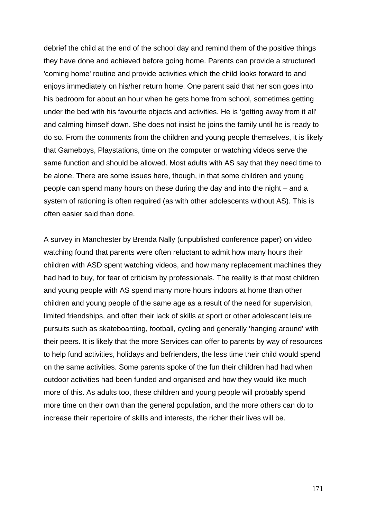debrief the child at the end of the school day and remind them of the positive things they have done and achieved before going home. Parents can provide a structured 'coming home' routine and provide activities which the child looks forward to and enjoys immediately on his/her return home. One parent said that her son goes into his bedroom for about an hour when he gets home from school, sometimes getting under the bed with his favourite objects and activities. He is 'getting away from it all' and calming himself down. She does not insist he joins the family until he is ready to do so. From the comments from the children and young people themselves, it is likely that Gameboys, Playstations, time on the computer or watching videos serve the same function and should be allowed. Most adults with AS say that they need time to be alone. There are some issues here, though, in that some children and young people can spend many hours on these during the day and into the night – and a system of rationing is often required (as with other adolescents without AS). This is often easier said than done.

A survey in Manchester by Brenda Nally (unpublished conference paper) on video watching found that parents were often reluctant to admit how many hours their children with ASD spent watching videos, and how many replacement machines they had had to buy, for fear of criticism by professionals. The reality is that most children and young people with AS spend many more hours indoors at home than other children and young people of the same age as a result of the need for supervision, limited friendships, and often their lack of skills at sport or other adolescent leisure pursuits such as skateboarding, football, cycling and generally 'hanging around' with their peers. It is likely that the more Services can offer to parents by way of resources to help fund activities, holidays and befrienders, the less time their child would spend on the same activities. Some parents spoke of the fun their children had had when outdoor activities had been funded and organised and how they would like much more of this. As adults too, these children and young people will probably spend more time on their own than the general population, and the more others can do to increase their repertoire of skills and interests, the richer their lives will be.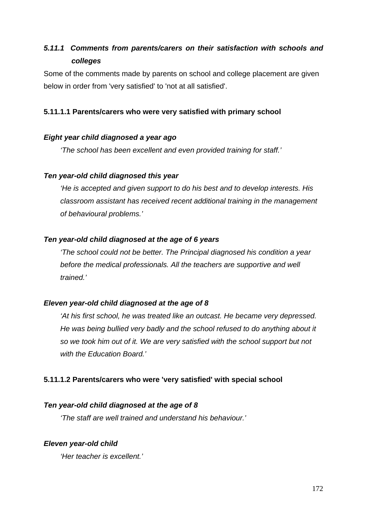# *5.11.1 Comments from parents/carers on their satisfaction with schools and colleges*

Some of the comments made by parents on school and college placement are given below in order from 'very satisfied' to 'not at all satisfied'.

## **5.11.1.1 Parents/carers who were very satisfied with primary school**

### *Eight year child diagnosed a year ago*

*'The school has been excellent and even provided training for staff.'*

### *Ten year-old child diagnosed this year*

*'He is accepted and given support to do his best and to develop interests. His classroom assistant has received recent additional training in the management of behavioural problems.'*

### *Ten year-old child diagnosed at the age of 6 years*

*'The school could not be better. The Principal diagnosed his condition a year before the medical professionals. All the teachers are supportive and well trained.'*

#### *Eleven year-old child diagnosed at the age of 8*

*'At his first school, he was treated like an outcast. He became very depressed. He was being bullied very badly and the school refused to do anything about it so we took him out of it. We are very satisfied with the school support but not with the Education Board.'*

## **5.11.1.2 Parents/carers who were 'very satisfied' with special school**

## *Ten year-old child diagnosed at the age of 8*

*'The staff are well trained and understand his behaviour.'*

## *Eleven year-old child*

*'Her teacher is excellent.'*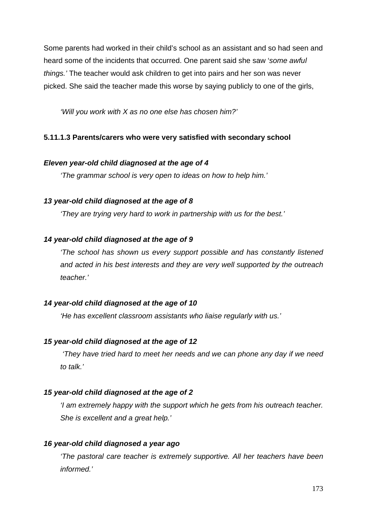Some parents had worked in their child's school as an assistant and so had seen and heard some of the incidents that occurred. One parent said she saw '*some awful things.'* The teacher would ask children to get into pairs and her son was never picked. She said the teacher made this worse by saying publicly to one of the girls,

*'Will you work with X as no one else has chosen him?'*

## **5.11.1.3 Parents/carers who were very satisfied with secondary school**

### *Eleven year-old child diagnosed at the age of 4*

*'The grammar school is very open to ideas on how to help him.'*

## *13 year-old child diagnosed at the age of 8*

*'They are trying very hard to work in partnership with us for the best.'*

## *14 year-old child diagnosed at the age of 9*

*'The school has shown us every support possible and has constantly listened and acted in his best interests and they are very well supported by the outreach teacher.'*

#### *14 year-old child diagnosed at the age of 10*

*'He has excellent classroom assistants who liaise regularly with us.'*

## *15 year-old child diagnosed at the age of 12*

*'They have tried hard to meet her needs and we can phone any day if we need to talk.'*

## *15 year-old child diagnosed at the age of 2*

*'I am extremely happy with the support which he gets from his outreach teacher. She is excellent and a great help.'*

## *16 year-old child diagnosed a year ago*

*'The pastoral care teacher is extremely supportive. All her teachers have been informed.'*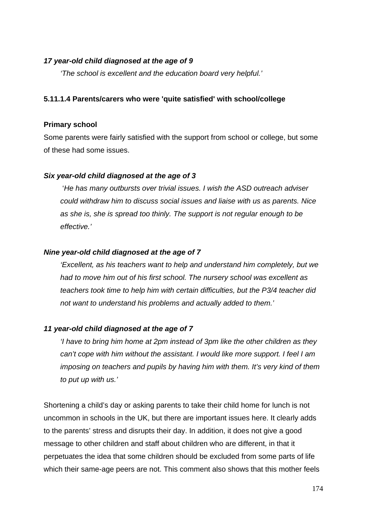#### *17 year-old child diagnosed at the age of 9*

*'The school is excellent and the education board very helpful.'*

#### **5.11.1.4 Parents/carers who were 'quite satisfied' with school/college**

#### **Primary school**

Some parents were fairly satisfied with the support from school or college, but some of these had some issues.

#### *Six year-old child diagnosed at the age of 3*

 '*He has many outbursts over trivial issues. I wish the ASD outreach adviser could withdraw him to discuss social issues and liaise with us as parents. Nice as she is, she is spread too thinly. The support is not regular enough to be effective.'*

#### *Nine year-old child diagnosed at the age of 7*

*'Excellent, as his teachers want to help and understand him completely, but we had to move him out of his first school. The nursery school was excellent as teachers took time to help him with certain difficulties, but the P3/4 teacher did not want to understand his problems and actually added to them.'*

#### *11 year-old child diagnosed at the age of 7*

*'I have to bring him home at 2pm instead of 3pm like the other children as they can't cope with him without the assistant. I would like more support. I feel I am imposing on teachers and pupils by having him with them. It's very kind of them to put up with us.'*

Shortening a child's day or asking parents to take their child home for lunch is not uncommon in schools in the UK, but there are important issues here. It clearly adds to the parents' stress and disrupts their day. In addition, it does not give a good message to other children and staff about children who are different, in that it perpetuates the idea that some children should be excluded from some parts of life which their same-age peers are not. This comment also shows that this mother feels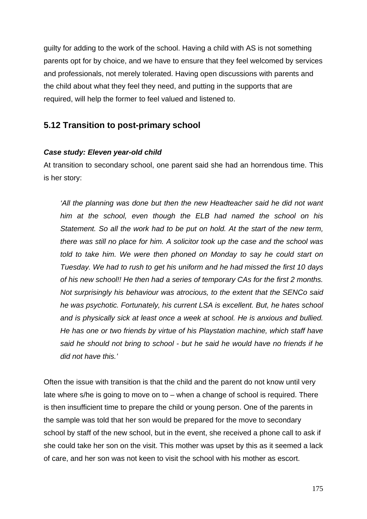guilty for adding to the work of the school. Having a child with AS is not something parents opt for by choice, and we have to ensure that they feel welcomed by services and professionals, not merely tolerated. Having open discussions with parents and the child about what they feel they need, and putting in the supports that are required, will help the former to feel valued and listened to.

## **5.12 Transition to post-primary school**

### *Case study: Eleven year-old child*

At transition to secondary school, one parent said she had an horrendous time. This is her story:

*'All the planning was done but then the new Headteacher said he did not want him at the school, even though the ELB had named the school on his Statement. So all the work had to be put on hold. At the start of the new term, there was still no place for him. A solicitor took up the case and the school was told to take him. We were then phoned on Monday to say he could start on Tuesday. We had to rush to get his uniform and he had missed the first 10 days of his new school!! He then had a series of temporary CAs for the first 2 months. Not surprisingly his behaviour was atrocious, to the extent that the SENCo said he was psychotic. Fortunately, his current LSA is excellent. But, he hates school and is physically sick at least once a week at school. He is anxious and bullied. He has one or two friends by virtue of his Playstation machine, which staff have said he should not bring to school - but he said he would have no friends if he did not have this.'*

Often the issue with transition is that the child and the parent do not know until very late where s/he is going to move on to – when a change of school is required. There is then insufficient time to prepare the child or young person. One of the parents in the sample was told that her son would be prepared for the move to secondary school by staff of the new school, but in the event, she received a phone call to ask if she could take her son on the visit. This mother was upset by this as it seemed a lack of care, and her son was not keen to visit the school with his mother as escort.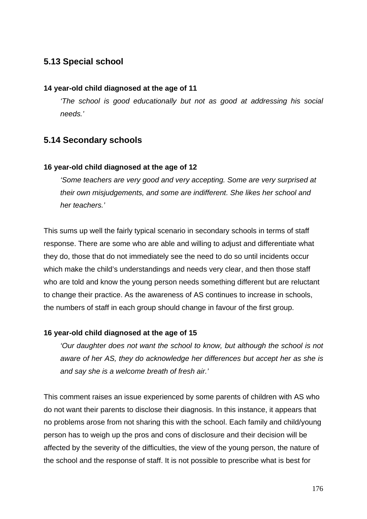# **5.13 Special school**

### **14 year-old child diagnosed at the age of 11**

*'The school is good educationally but not as good at addressing his social needs.'*

# **5.14 Secondary schools**

### **16 year-old child diagnosed at the age of 12**

*'Some teachers are very good and very accepting. Some are very surprised at their own misjudgements, and some are indifferent. She likes her school and her teachers.'*

This sums up well the fairly typical scenario in secondary schools in terms of staff response. There are some who are able and willing to adjust and differentiate what they do, those that do not immediately see the need to do so until incidents occur which make the child's understandings and needs very clear, and then those staff who are told and know the young person needs something different but are reluctant to change their practice. As the awareness of AS continues to increase in schools, the numbers of staff in each group should change in favour of the first group.

#### **16 year-old child diagnosed at the age of 15**

*'Our daughter does not want the school to know, but although the school is not aware of her AS, they do acknowledge her differences but accept her as she is and say she is a welcome breath of fresh air.'*

This comment raises an issue experienced by some parents of children with AS who do not want their parents to disclose their diagnosis. In this instance, it appears that no problems arose from not sharing this with the school. Each family and child/young person has to weigh up the pros and cons of disclosure and their decision will be affected by the severity of the difficulties, the view of the young person, the nature of the school and the response of staff. It is not possible to prescribe what is best for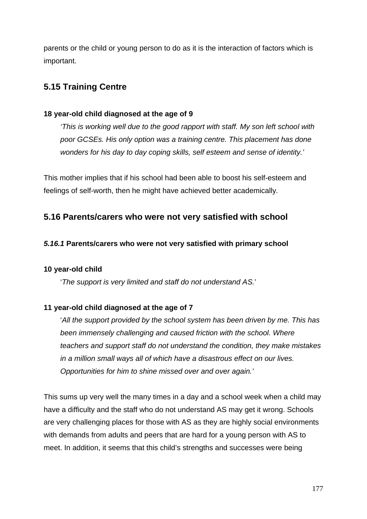parents or the child or young person to do as it is the interaction of factors which is important.

# **5.15 Training Centre**

## **18 year-old child diagnosed at the age of 9**

*'This is working well due to the good rapport with staff. My son left school with poor GCSEs. His only option was a training centre. This placement has done wonders for his day to day coping skills, self esteem and sense of identity.'*

This mother implies that if his school had been able to boost his self-esteem and feelings of self-worth, then he might have achieved better academically.

# **5.16 Parents/carers who were not very satisfied with school**

## *5.16.1* **Parents/carers who were not very satisfied with primary school**

## **10 year-old child**

'*The support is very limited and staff do not understand AS.*'

## **11 year-old child diagnosed at the age of 7**

'*All the support provided by the school system has been driven by me. This has been immensely challenging and caused friction with the school. Where teachers and support staff do not understand the condition, they make mistakes in a million small ways all of which have a disastrous effect on our lives. Opportunities for him to shine missed over and over again.'*

This sums up very well the many times in a day and a school week when a child may have a difficulty and the staff who do not understand AS may get it wrong. Schools are very challenging places for those with AS as they are highly social environments with demands from adults and peers that are hard for a young person with AS to meet. In addition, it seems that this child's strengths and successes were being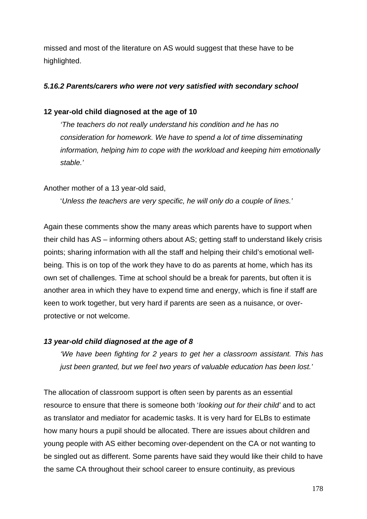missed and most of the literature on AS would suggest that these have to be highlighted.

## *5.16.2 Parents/carers who were not very satisfied with secondary school*

## **12 year-old child diagnosed at the age of 10**

*'The teachers do not really understand his condition and he has no consideration for homework. We have to spend a lot of time disseminating information, helping him to cope with the workload and keeping him emotionally stable.'*

Another mother of a 13 year-old said,

'*Unless the teachers are very specific, he will only do a couple of lines.'*

Again these comments show the many areas which parents have to support when their child has AS – informing others about AS; getting staff to understand likely crisis points; sharing information with all the staff and helping their child's emotional wellbeing. This is on top of the work they have to do as parents at home, which has its own set of challenges. Time at school should be a break for parents, but often it is another area in which they have to expend time and energy, which is fine if staff are keen to work together, but very hard if parents are seen as a nuisance, or overprotective or not welcome.

#### *13 year-old child diagnosed at the age of 8*

*'We have been fighting for 2 years to get her a classroom assistant. This has just been granted, but we feel two years of valuable education has been lost.'*

The allocation of classroom support is often seen by parents as an essential resource to ensure that there is someone both '*looking out for their child'* and to act as translator and mediator for academic tasks. It is very hard for ELBs to estimate how many hours a pupil should be allocated. There are issues about children and young people with AS either becoming over-dependent on the CA or not wanting to be singled out as different. Some parents have said they would like their child to have the same CA throughout their school career to ensure continuity, as previous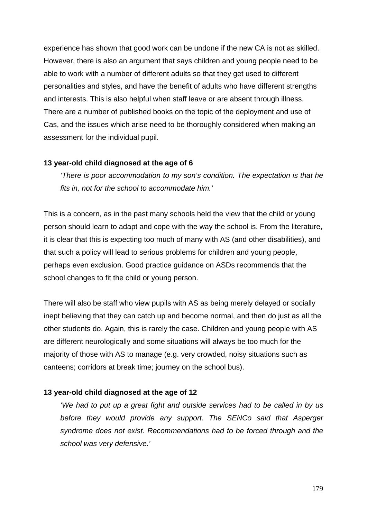experience has shown that good work can be undone if the new CA is not as skilled. However, there is also an argument that says children and young people need to be able to work with a number of different adults so that they get used to different personalities and styles, and have the benefit of adults who have different strengths and interests. This is also helpful when staff leave or are absent through illness. There are a number of published books on the topic of the deployment and use of Cas, and the issues which arise need to be thoroughly considered when making an assessment for the individual pupil.

#### **13 year-old child diagnosed at the age of 6**

*'There is poor accommodation to my son's condition. The expectation is that he fits in, not for the school to accommodate him.'*

This is a concern, as in the past many schools held the view that the child or young person should learn to adapt and cope with the way the school is. From the literature, it is clear that this is expecting too much of many with AS (and other disabilities), and that such a policy will lead to serious problems for children and young people, perhaps even exclusion. Good practice guidance on ASDs recommends that the school changes to fit the child or young person.

There will also be staff who view pupils with AS as being merely delayed or socially inept believing that they can catch up and become normal, and then do just as all the other students do. Again, this is rarely the case. Children and young people with AS are different neurologically and some situations will always be too much for the majority of those with AS to manage (e.g. very crowded, noisy situations such as canteens; corridors at break time; journey on the school bus).

#### **13 year-old child diagnosed at the age of 12**

*'We had to put up a great fight and outside services had to be called in by us before they would provide any support. The SENCo said that Asperger syndrome does not exist. Recommendations had to be forced through and the school was very defensive.'*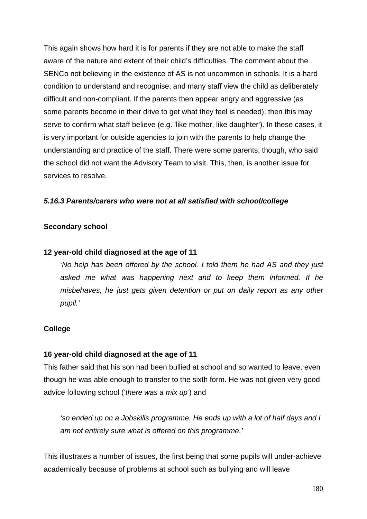This again shows how hard it is for parents if they are not able to make the staff aware of the nature and extent of their child's difficulties. The comment about the SENCo not believing in the existence of AS is not uncommon in schools. It is a hard condition to understand and recognise, and many staff view the child as deliberately difficult and non-compliant. If the parents then appear angry and aggressive (as some parents become in their drive to get what they feel is needed), then this may serve to confirm what staff believe (e.g. 'like mother, like daughter'). In these cases, it is very important for outside agencies to join with the parents to help change the understanding and practice of the staff. There were some parents, though, who said the school did not want the Advisory Team to visit. This, then, is another issue for services to resolve.

## *5.16.3 Parents/carers who were not at all satisfied with school/college*

#### **Secondary school**

#### **12 year-old child diagnosed at the age of 11**

'*No help has been offered by the school. I told them he had AS and they just asked me what was happening next and to keep them informed. If he misbehaves, he just gets given detention or put on daily report as any other pupil.'*

#### **College**

#### **16 year-old child diagnosed at the age of 11**

This father said that his son had been bullied at school and so wanted to leave, even though he was able enough to transfer to the sixth form. He was not given very good advice following school ('*there was a mix up'*) and

*'so ended up on a Jobskills programme. He ends up with a lot of half days and I am not entirely sure what is offered on this programme.'*

This illustrates a number of issues, the first being that some pupils will under-achieve academically because of problems at school such as bullying and will leave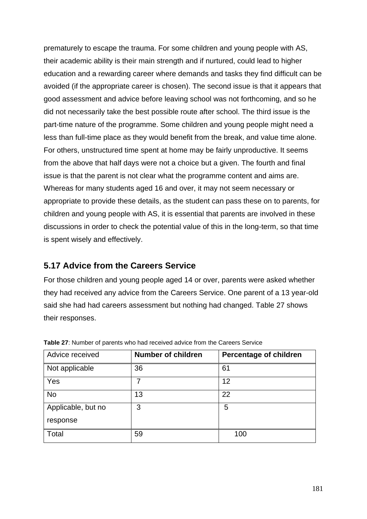prematurely to escape the trauma. For some children and young people with AS, their academic ability is their main strength and if nurtured, could lead to higher education and a rewarding career where demands and tasks they find difficult can be avoided (if the appropriate career is chosen). The second issue is that it appears that good assessment and advice before leaving school was not forthcoming, and so he did not necessarily take the best possible route after school. The third issue is the part-time nature of the programme. Some children and young people might need a less than full-time place as they would benefit from the break, and value time alone. For others, unstructured time spent at home may be fairly unproductive. It seems from the above that half days were not a choice but a given. The fourth and final issue is that the parent is not clear what the programme content and aims are. Whereas for many students aged 16 and over, it may not seem necessary or appropriate to provide these details, as the student can pass these on to parents, for children and young people with AS, it is essential that parents are involved in these discussions in order to check the potential value of this in the long-term, so that time is spent wisely and effectively.

### **5.17 Advice from the Careers Service**

For those children and young people aged 14 or over, parents were asked whether they had received any advice from the Careers Service. One parent of a 13 year-old said she had had careers assessment but nothing had changed. Table 27 shows their responses.

| Advice received    | <b>Number of children</b> | <b>Percentage of children</b> |
|--------------------|---------------------------|-------------------------------|
| Not applicable     | 36                        | 61                            |
| Yes                | 7                         | 12                            |
| <b>No</b>          | 13                        | 22                            |
| Applicable, but no | 3                         | 5                             |
| response           |                           |                               |
| Total              | 59                        | 100                           |

**Table 27**: Number of parents who had received advice from the Careers Service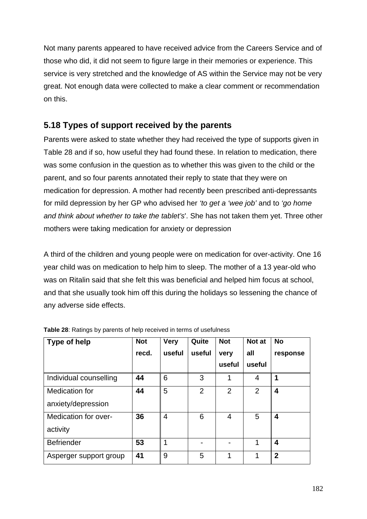Not many parents appeared to have received advice from the Careers Service and of those who did, it did not seem to figure large in their memories or experience. This service is very stretched and the knowledge of AS within the Service may not be very great. Not enough data were collected to make a clear comment or recommendation on this.

## **5.18 Types of support received by the parents**

Parents were asked to state whether they had received the type of supports given in Table 28 and if so, how useful they had found these. In relation to medication, there was some confusion in the question as to whether this was given to the child or the parent, and so four parents annotated their reply to state that they were on medication for depression. A mother had recently been prescribed anti-depressants for mild depression by her GP who advised her *'to get a 'wee job'* and to *'go home and think about whether to take the tablet's*'. She has not taken them yet. Three other mothers were taking medication for anxiety or depression

A third of the children and young people were on medication for over-activity. One 16 year child was on medication to help him to sleep. The mother of a 13 year-old who was on Ritalin said that she felt this was beneficial and helped him focus at school, and that she usually took him off this during the holidays so lessening the chance of any adverse side effects.

| <b>Type of help</b>                  | <b>Not</b><br>recd. | <b>Very</b><br>useful | Quite<br>useful | <b>Not</b><br>very<br>useful | Not at<br>all<br>useful | <b>No</b><br>response |
|--------------------------------------|---------------------|-----------------------|-----------------|------------------------------|-------------------------|-----------------------|
| Individual counselling               | 44                  | 6                     | 3               | 1                            | 4                       | 1                     |
| Medication for<br>anxiety/depression | 44                  | 5                     | $\overline{2}$  | $\overline{2}$               | $\overline{2}$          | 4                     |
| Medication for over-<br>activity     | 36                  | 4                     | 6               | 4                            | 5                       | 4                     |
| <b>Befriender</b>                    | 53                  | 1                     |                 |                              | 1                       | 4                     |
| Asperger support group               | 41                  | 9                     | 5               | 1                            | 1                       | $\overline{2}$        |

**Table 28**: Ratings by parents of help received in terms of usefulness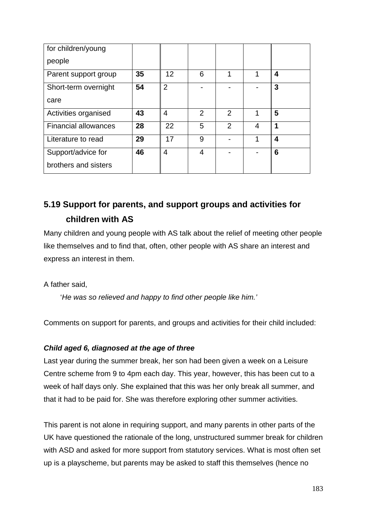| for children/young          |    |                |                |                |   |   |
|-----------------------------|----|----------------|----------------|----------------|---|---|
| people                      |    |                |                |                |   |   |
| Parent support group        | 35 | 12             | 6              | 1              | 1 | 4 |
| Short-term overnight        | 54 | $\overline{2}$ |                |                |   | 3 |
| care                        |    |                |                |                |   |   |
| Activities organised        | 43 | 4              | $\overline{2}$ | $\overline{2}$ | 1 | 5 |
| <b>Financial allowances</b> | 28 | 22             | 5              | $\overline{2}$ | 4 | 1 |
| Literature to read          | 29 | 17             | 9              |                | 1 | 4 |
| Support/advice for          | 46 | 4              | 4              |                |   | 6 |
| brothers and sisters        |    |                |                |                |   |   |

# **5.19 Support for parents, and support groups and activities for children with AS**

Many children and young people with AS talk about the relief of meeting other people like themselves and to find that, often, other people with AS share an interest and express an interest in them.

A father said,

'*He was so relieved and happy to find other people like him.'*

Comments on support for parents, and groups and activities for their child included:

### *Child aged 6, diagnosed at the age of three*

Last year during the summer break, her son had been given a week on a Leisure Centre scheme from 9 to 4pm each day. This year, however, this has been cut to a week of half days only. She explained that this was her only break all summer, and that it had to be paid for. She was therefore exploring other summer activities.

This parent is not alone in requiring support, and many parents in other parts of the UK have questioned the rationale of the long, unstructured summer break for children with ASD and asked for more support from statutory services. What is most often set up is a playscheme, but parents may be asked to staff this themselves (hence no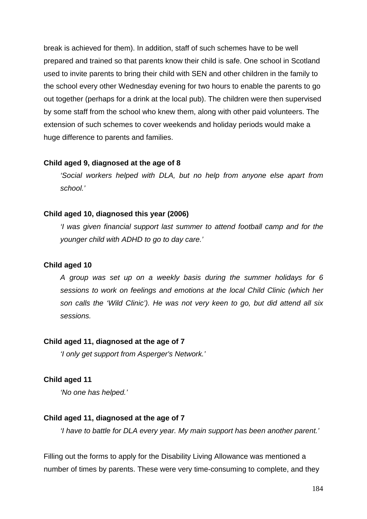break is achieved for them). In addition, staff of such schemes have to be well prepared and trained so that parents know their child is safe. One school in Scotland used to invite parents to bring their child with SEN and other children in the family to the school every other Wednesday evening for two hours to enable the parents to go out together (perhaps for a drink at the local pub). The children were then supervised by some staff from the school who knew them, along with other paid volunteers. The extension of such schemes to cover weekends and holiday periods would make a huge difference to parents and families.

#### **Child aged 9, diagnosed at the age of 8**

*'Social workers helped with DLA, but no help from anyone else apart from school.'*

#### **Child aged 10, diagnosed this year (2006)**

*'I was given financial support last summer to attend football camp and for the younger child with ADHD to go to day care.'*

#### **Child aged 10**

*A group was set up on a weekly basis during the summer holidays for 6 sessions to work on feelings and emotions at the local Child Clinic (which her son calls the 'Wild Clinic'). He was not very keen to go, but did attend all six sessions.*

#### **Child aged 11, diagnosed at the age of 7**

*'I only get support from Asperger's Network.'*

#### **Child aged 11**

*'No one has helped.'*

#### **Child aged 11, diagnosed at the age of 7**

*'I have to battle for DLA every year. My main support has been another parent.'*

Filling out the forms to apply for the Disability Living Allowance was mentioned a number of times by parents. These were very time-consuming to complete, and they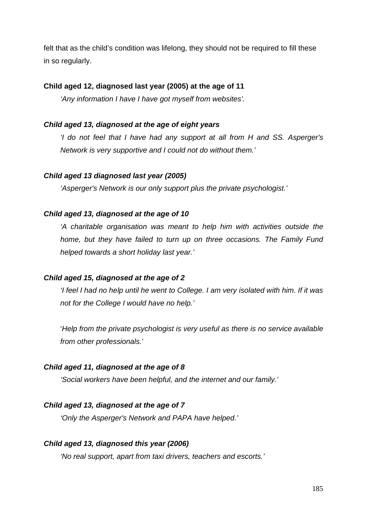felt that as the child's condition was lifelong, they should not be required to fill these in so regularly.

### **Child aged 12, diagnosed last year (2005) at the age of 11**

*'Any information I have I have got myself from websites'.*

#### *Child aged 13, diagnosed at the age of eight years*

*'I do not feel that I have had any support at all from H and SS. Asperger's Network is very supportive and I could not do without them.'*

#### *Child aged 13 diagnosed last year (2005)*

*'Asperger's Network is our only support plus the private psychologist.'*

#### *Child aged 13, diagnosed at the age of 10*

*'A charitable organisation was meant to help him with activities outside the home, but they have failed to turn up on three occasions. The Family Fund helped towards a short holiday last year.'*

#### *Child aged 15, diagnosed at the age of 2*

*'I feel I had no help until he went to College. I am very isolated with him. If it was not for the College I would have no help.'*

'*Help from the private psychologist is very useful as there is no service available from other professionals.*'

#### *Child aged 11, diagnosed at the age of 8*

*'Social workers have been helpful, and the internet and our family.'*

#### *Child aged 13, diagnosed at the age of 7*

*'Only the Asperger's Network and PAPA have helped.'* 

#### *Child aged 13, diagnosed this year (2006)*

*'No real support, apart from taxi drivers, teachers and escorts.'*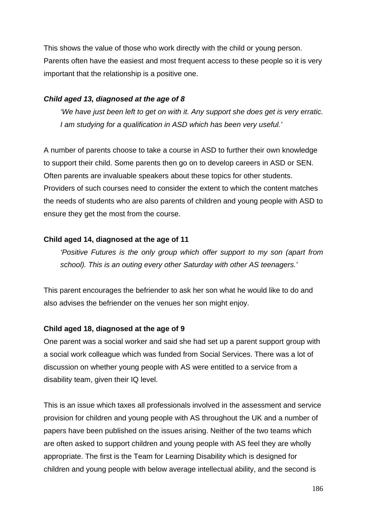This shows the value of those who work directly with the child or young person. Parents often have the easiest and most frequent access to these people so it is very important that the relationship is a positive one.

#### *Child aged 13, diagnosed at the age of 8*

*'We have just been left to get on with it. Any support she does get is very erratic. I am studying for a qualification in ASD which has been very useful.'*

A number of parents choose to take a course in ASD to further their own knowledge to support their child. Some parents then go on to develop careers in ASD or SEN. Often parents are invaluable speakers about these topics for other students. Providers of such courses need to consider the extent to which the content matches the needs of students who are also parents of children and young people with ASD to ensure they get the most from the course.

### **Child aged 14, diagnosed at the age of 11**

*'Positive Futures is the only group which offer support to my son (apart from school). This is an outing every other Saturday with other AS teenagers.'*

This parent encourages the befriender to ask her son what he would like to do and also advises the befriender on the venues her son might enjoy.

#### **Child aged 18, diagnosed at the age of 9**

One parent was a social worker and said she had set up a parent support group with a social work colleague which was funded from Social Services. There was a lot of discussion on whether young people with AS were entitled to a service from a disability team, given their IQ level.

This is an issue which taxes all professionals involved in the assessment and service provision for children and young people with AS throughout the UK and a number of papers have been published on the issues arising. Neither of the two teams which are often asked to support children and young people with AS feel they are wholly appropriate. The first is the Team for Learning Disability which is designed for children and young people with below average intellectual ability, and the second is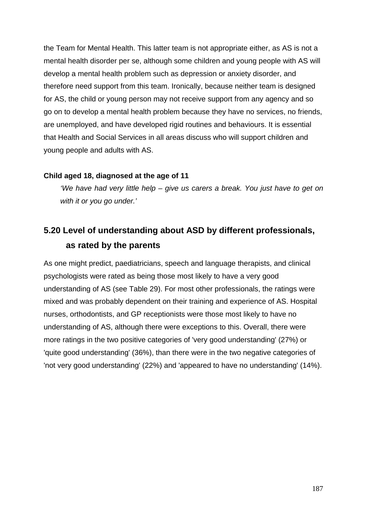the Team for Mental Health. This latter team is not appropriate either, as AS is not a mental health disorder per se, although some children and young people with AS will develop a mental health problem such as depression or anxiety disorder, and therefore need support from this team. Ironically, because neither team is designed for AS, the child or young person may not receive support from any agency and so go on to develop a mental health problem because they have no services, no friends, are unemployed, and have developed rigid routines and behaviours. It is essential that Health and Social Services in all areas discuss who will support children and young people and adults with AS.

#### **Child aged 18, diagnosed at the age of 11**

*'We have had very little help – give us carers a break. You just have to get on with it or you go under.'*

# **5.20 Level of understanding about ASD by different professionals, as rated by the parents**

As one might predict, paediatricians, speech and language therapists, and clinical psychologists were rated as being those most likely to have a very good understanding of AS (see Table 29). For most other professionals, the ratings were mixed and was probably dependent on their training and experience of AS. Hospital nurses, orthodontists, and GP receptionists were those most likely to have no understanding of AS, although there were exceptions to this. Overall, there were more ratings in the two positive categories of 'very good understanding' (27%) or 'quite good understanding' (36%), than there were in the two negative categories of 'not very good understanding' (22%) and 'appeared to have no understanding' (14%).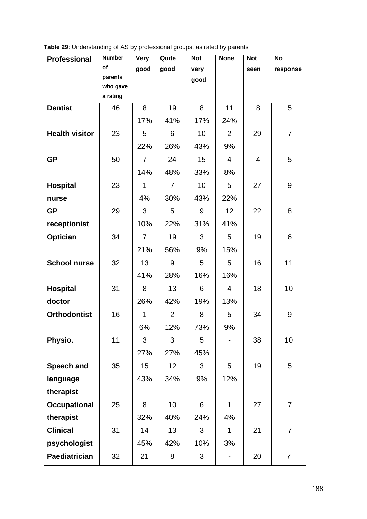| Table 29: Understanding of AS by professional groups, as rated by parents |  |  |  |
|---------------------------------------------------------------------------|--|--|--|
|                                                                           |  |  |  |

| <b>Professional</b>   | <b>Number</b>        | <b>Very</b>    | Quite          | <b>Not</b>      | <b>None</b>              | <b>Not</b>     | <b>No</b>      |
|-----------------------|----------------------|----------------|----------------|-----------------|--------------------------|----------------|----------------|
|                       | of                   | good           | good           | very            |                          | seen           | response       |
|                       | parents              |                |                | good            |                          |                |                |
|                       | who gave<br>a rating |                |                |                 |                          |                |                |
| <b>Dentist</b>        | 46                   | 8              | 19             | 8               | 11                       | 8              | 5              |
|                       |                      |                |                |                 |                          |                |                |
|                       |                      | 17%            | 41%            | 17%             | 24%                      |                |                |
| <b>Health visitor</b> | 23                   | 5              | 6              | 10 <sup>1</sup> | $\overline{2}$           | 29             | $\overline{7}$ |
|                       |                      | 22%            | 26%            | 43%             | 9%                       |                |                |
| <b>GP</b>             | 50                   | $\overline{7}$ | 24             | 15              | $\overline{4}$           | $\overline{4}$ | 5              |
|                       |                      | 14%            | 48%            | 33%             | 8%                       |                |                |
| <b>Hospital</b>       | 23                   | $\mathbf{1}$   | $\overline{7}$ | 10              | 5                        | 27             | 9              |
| nurse                 |                      | 4%             | 30%            | 43%             | 22%                      |                |                |
| <b>GP</b>             | 29                   | 3              | 5              | 9               | 12                       | 22             | 8              |
| receptionist          |                      | 10%            | 22%            | 31%             | 41%                      |                |                |
| <b>Optician</b>       | 34                   | $\overline{7}$ | 19             | 3               | 5                        | 19             | 6              |
|                       |                      | 21%            | 56%            | 9%              | 15%                      |                |                |
| <b>School nurse</b>   | 32                   | 13             | 9              | 5               | 5                        | 16             | 11             |
|                       |                      | 41%            | 28%            | 16%             | 16%                      |                |                |
| <b>Hospital</b>       | 31                   | 8              | 13             | 6               | $\overline{4}$           | 18             | 10             |
| doctor                |                      | 26%            | 42%            | 19%             | 13%                      |                |                |
| <b>Orthodontist</b>   | 16                   | $\mathbf{1}$   | $\overline{2}$ | 8               | 5                        | 34             | 9              |
|                       |                      | 6%             | 12%            | 73%             | 9%                       |                |                |
| Physio.               | 11                   | 3              | 3              | 5               | $\overline{\phantom{0}}$ | 38             | 10             |
|                       |                      | 27%            | 27%            | 45%             |                          |                |                |
| Speech and            | 35                   | 15             | 12             | 3               | 5                        | 19             | 5              |
| language              |                      | 43%            | 34%            | 9%              | 12%                      |                |                |
| therapist             |                      |                |                |                 |                          |                |                |
| <b>Occupational</b>   | 25                   | 8              | 10             | 6               | $\mathbf{1}$             | 27             | $\overline{7}$ |
| therapist             |                      | 32%            | 40%            | 24%             | 4%                       |                |                |
| <b>Clinical</b>       | 31                   | 14             | 13             | 3               | $\mathbf 1$              | 21             | $\overline{7}$ |
| psychologist          |                      | 45%            | 42%            | 10%             | 3%                       |                |                |
| <b>Paediatrician</b>  | 32                   | 21             | 8              | 3               |                          | 20             | $\overline{7}$ |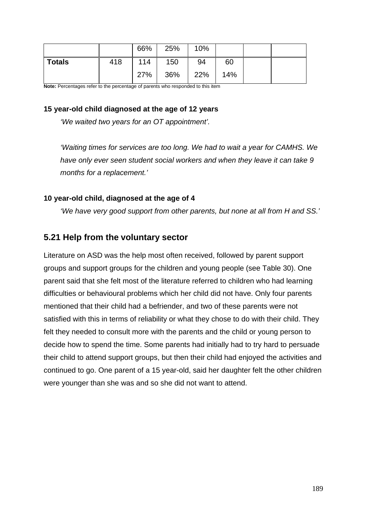|               |     | 66% | 25% | 10% |     |  |
|---------------|-----|-----|-----|-----|-----|--|
| <b>Totals</b> | 418 | 114 | 150 | 94  | 60  |  |
|               |     | 27% | 36% | 22% | 14% |  |

**Note:** Percentages refer to the percentage of parents who responded to this item

### **15 year-old child diagnosed at the age of 12 years**

*'We waited two years for an OT appointment'.*

*'Waiting times for services are too long. We had to wait a year for CAMHS. We have only ever seen student social workers and when they leave it can take 9 months for a replacement.'*

### **10 year-old child, diagnosed at the age of 4**

*'We have very good support from other parents, but none at all from H and SS.'*

### **5.21 Help from the voluntary sector**

Literature on ASD was the help most often received, followed by parent support groups and support groups for the children and young people (see Table 30). One parent said that she felt most of the literature referred to children who had learning difficulties or behavioural problems which her child did not have. Only four parents mentioned that their child had a befriender, and two of these parents were not satisfied with this in terms of reliability or what they chose to do with their child. They felt they needed to consult more with the parents and the child or young person to decide how to spend the time. Some parents had initially had to try hard to persuade their child to attend support groups, but then their child had enjoyed the activities and continued to go. One parent of a 15 year-old, said her daughter felt the other children were younger than she was and so she did not want to attend.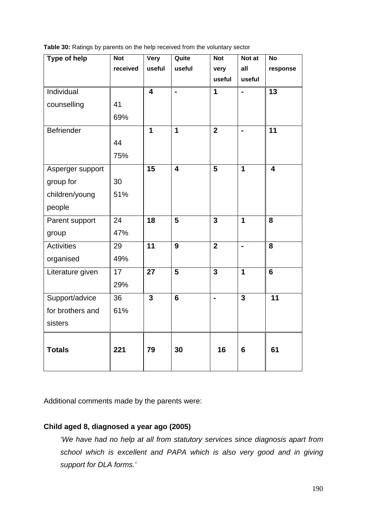**Table 30:** Ratings by parents on the help received from the voluntary sector

| <b>Type of help</b> | $\overline{\text{Not}}$ | Very                    | Quite                   | <b>Not</b>     | Not at         | $\overline{No}$         |
|---------------------|-------------------------|-------------------------|-------------------------|----------------|----------------|-------------------------|
|                     | received                | useful                  | useful                  | very           | all            | response                |
|                     |                         |                         |                         | useful         | useful         |                         |
| Individual          |                         | $\overline{4}$          | $\overline{a}$          | 1              | $\blacksquare$ | $\overline{13}$         |
| counselling         | 41                      |                         |                         |                |                |                         |
|                     | 69%                     |                         |                         |                |                |                         |
| Befriender          |                         | 1                       | 1                       | $\overline{2}$ | $\frac{1}{2}$  | 11                      |
|                     | 44                      |                         |                         |                |                |                         |
|                     | 75%                     |                         |                         |                |                |                         |
| Asperger support    |                         | 15                      | $\overline{\mathbf{4}}$ | $\overline{5}$ | $\mathbf{1}$   | $\overline{\mathbf{4}}$ |
| group for           | 30                      |                         |                         |                |                |                         |
| children/young      | 51%                     |                         |                         |                |                |                         |
| people              |                         |                         |                         |                |                |                         |
| Parent support      | 24                      | 18                      | $5\phantom{1}$          | $\overline{3}$ | $\mathbf{1}$   | 8                       |
| group               | 47%                     |                         |                         |                |                |                         |
| <b>Activities</b>   | 29                      | $\overline{11}$         | 9                       | $\overline{2}$ | $\blacksquare$ | $\overline{\mathbf{8}}$ |
| organised           | 49%                     |                         |                         |                |                |                         |
| Literature given    | 17                      | $\overline{27}$         | 5                       | $\overline{3}$ | $\mathbf 1$    | $\overline{6}$          |
|                     | 29%                     |                         |                         |                |                |                         |
| Support/advice      | 36                      | $\overline{\mathbf{3}}$ | $6\phantom{1}$          | $\blacksquare$ | $\overline{3}$ | $\overline{11}$         |
| for brothers and    | 61%                     |                         |                         |                |                |                         |
| sisters             |                         |                         |                         |                |                |                         |
| <b>Totals</b>       | 221                     | 79                      | 30                      | 16             | $6\phantom{1}$ | 61                      |

Additional comments made by the parents were:

### **Child aged 8, diagnosed a year ago (2005)**

*'We have had no help at all from statutory services since diagnosis apart from school which is excellent and PAPA which is also very good and in giving support for DLA forms.'*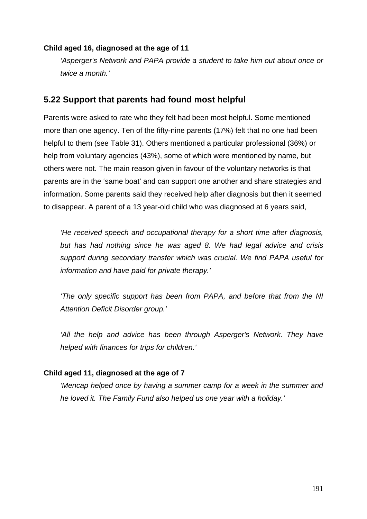### **Child aged 16, diagnosed at the age of 11**

*'Asperger's Network and PAPA provide a student to take him out about once or twice a month.'*

## **5.22 Support that parents had found most helpful**

Parents were asked to rate who they felt had been most helpful. Some mentioned more than one agency. Ten of the fifty-nine parents (17%) felt that no one had been helpful to them (see Table 31). Others mentioned a particular professional (36%) or help from voluntary agencies (43%), some of which were mentioned by name, but others were not. The main reason given in favour of the voluntary networks is that parents are in the 'same boat' and can support one another and share strategies and information. Some parents said they received help after diagnosis but then it seemed to disappear. A parent of a 13 year-old child who was diagnosed at 6 years said,

*'He received speech and occupational therapy for a short time after diagnosis, but has had nothing since he was aged 8. We had legal advice and crisis support during secondary transfer which was crucial. We find PAPA useful for information and have paid for private therapy.'*

*'The only specific support has been from PAPA, and before that from the NI Attention Deficit Disorder group.'* 

'All the help and advice has been through Asperger's Network. They have *helped with finances for trips for children.'*

### **Child aged 11, diagnosed at the age of 7**

*'Mencap helped once by having a summer camp for a week in the summer and he loved it. The Family Fund also helped us one year with a holiday.'*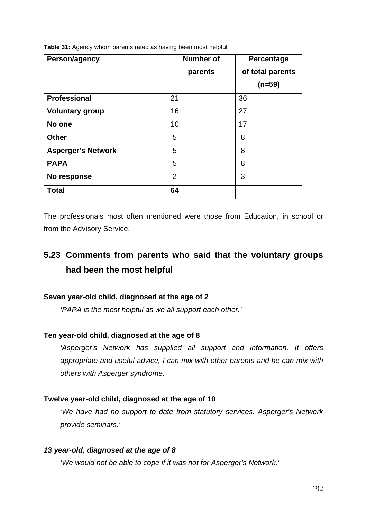| Person/agency             | <b>Number of</b> | Percentage       |
|---------------------------|------------------|------------------|
|                           | parents          | of total parents |
|                           |                  | $(n=59)$         |
| <b>Professional</b>       | 21               | 36               |
| <b>Voluntary group</b>    | 16               | 27               |
| No one                    | 10               | 17               |
| <b>Other</b>              | 5                | 8                |
| <b>Asperger's Network</b> | 5                | 8                |
| <b>PAPA</b>               | 5                | 8                |
| No response               | $\overline{2}$   | 3                |
| <b>Total</b>              | 64               |                  |

**Table 31:** Agency whom parents rated as having been most helpful

The professionals most often mentioned were those from Education, in school or from the Advisory Service.

# **5.23 Comments from parents who said that the voluntary groups had been the most helpful**

#### **Seven year-old child, diagnosed at the age of 2**

*'PAPA is the most helpful as we all support each other.'*

### **Ten year-old child, diagnosed at the age of 8**

*'Asperger's Network has supplied all support and information. It offers appropriate and useful advice, I can mix with other parents and he can mix with others with Asperger syndrome.'*

#### **Twelve year-old child, diagnosed at the age of 10**

'*We have had no support to date from statutory services. Asperger's Network provide seminars.'*

#### *13 year-old, diagnosed at the age of 8*

*'We would not be able to cope if it was not for Asperger's Network.'*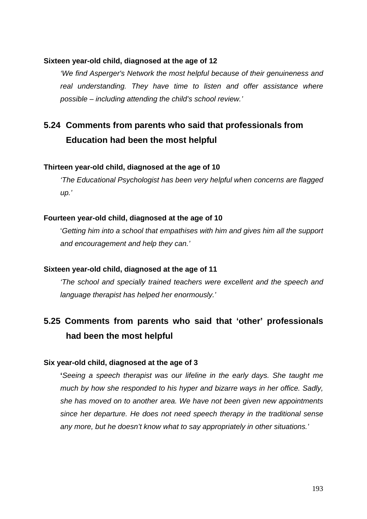#### **Sixteen year-old child, diagnosed at the age of 12**

*'We find Asperger's Network the most helpful because of their genuineness and real understanding. They have time to listen and offer assistance where possible – including attending the child's school review.'*

# **5.24 Comments from parents who said that professionals from Education had been the most helpful**

#### **Thirteen year-old child, diagnosed at the age of 10**

*'The Educational Psychologist has been very helpful when concerns are flagged up.'*

#### **Fourteen year-old child, diagnosed at the age of 10**

'*Getting him into a school that empathises with him and gives him all the support and encouragement and help they can.'*

#### **Sixteen year-old child, diagnosed at the age of 11**

*'The school and specially trained teachers were excellent and the speech and language therapist has helped her enormously.'*

# **5.25 Comments from parents who said that 'other' professionals had been the most helpful**

#### **Six year-old child, diagnosed at the age of 3**

**'***Seeing a speech therapist was our lifeline in the early days. She taught me much by how she responded to his hyper and bizarre ways in her office. Sadly, she has moved on to another area. We have not been given new appointments since her departure. He does not need speech therapy in the traditional sense any more, but he doesn't know what to say appropriately in other situations.'*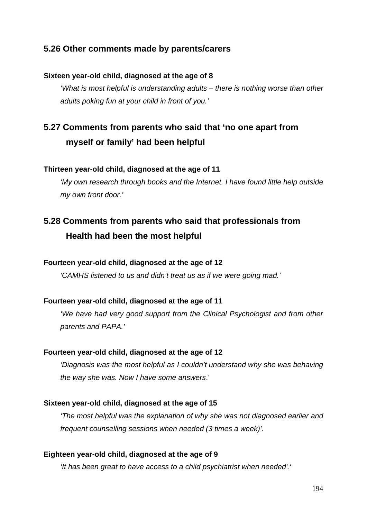## **5.26 Other comments made by parents/carers**

### **Sixteen year-old child, diagnosed at the age of 8**

*'What is most helpful is understanding adults – there is nothing worse than other adults poking fun at your child in front of you.'*

# **5.27 Comments from parents who said that 'no one apart from myself or family' had been helpful**

### **Thirteen year-old child, diagnosed at the age of 11**

*'My own research through books and the Internet. I have found little help outside my own front door.'*

# **5.28 Comments from parents who said that professionals from Health had been the most helpful**

#### **Fourteen year-old child, diagnosed at the age of 12**

*'CAMHS listened to us and didn't treat us as if we were going mad.'*

#### **Fourteen year-old child, diagnosed at the age of 11**

*'We have had very good support from the Clinical Psychologist and from other parents and PAPA.'*

#### **Fourteen year-old child, diagnosed at the age of 12**

*'Diagnosis was the most helpful as I couldn't understand why she was behaving the way she was. Now I have some answers*.'

#### **Sixteen year-old child, diagnosed at the age of 15**

*'The most helpful was the explanation of why she was not diagnosed earlier and frequent counselling sessions when needed (3 times a week)'.*

#### **Eighteen year-old child, diagnosed at the age of 9**

*'It has been great to have access to a child psychiatrist when needed'.'*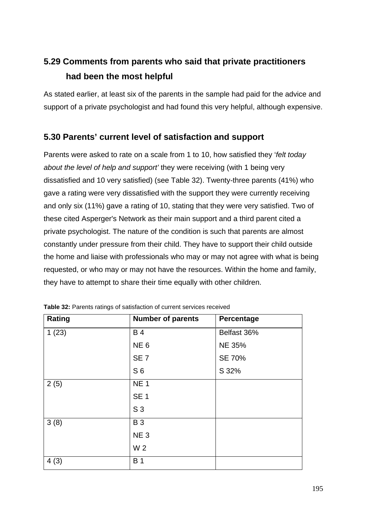# **5.29 Comments from parents who said that private practitioners had been the most helpful**

As stated earlier, at least six of the parents in the sample had paid for the advice and support of a private psychologist and had found this very helpful, although expensive.

## **5.30 Parents' current level of satisfaction and support**

Parents were asked to rate on a scale from 1 to 10, how satisfied they '*felt today about the level of help and support'* they were receiving (with 1 being very dissatisfied and 10 very satisfied) (see Table 32). Twenty-three parents (41%) who gave a rating were very dissatisfied with the support they were currently receiving and only six (11%) gave a rating of 10, stating that they were very satisfied. Two of these cited Asperger's Network as their main support and a third parent cited a private psychologist. The nature of the condition is such that parents are almost constantly under pressure from their child. They have to support their child outside the home and liaise with professionals who may or may not agree with what is being requested, or who may or may not have the resources. Within the home and family, they have to attempt to share their time equally with other children.

| Rating | <b>Number of parents</b> | Percentage    |
|--------|--------------------------|---------------|
| 1(23)  | <b>B4</b>                | Belfast 36%   |
|        | NE <sub>6</sub>          | <b>NE 35%</b> |
|        | SE <sub>7</sub>          | SE 70%        |
|        | S <sub>6</sub>           | S 32%         |
| 2(5)   | NE <sub>1</sub>          |               |
|        | <b>SE 1</b>              |               |
|        | S <sub>3</sub>           |               |
| 3(8)   | <b>B3</b>                |               |
|        | NE <sub>3</sub>          |               |
|        | W 2                      |               |
| 4(3)   | <b>B</b> 1               |               |

**Table 32:** Parents ratings of satisfaction of current services received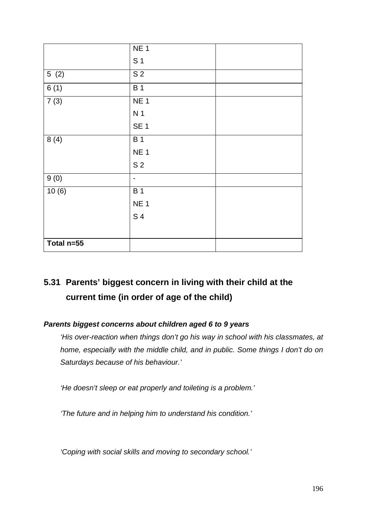|                   | NE <sub>1</sub>              |  |
|-------------------|------------------------------|--|
|                   | S <sub>1</sub>               |  |
| 5(2)              | $\overline{S2}$              |  |
| 6(1)              | <b>B1</b>                    |  |
| 7(3)              | <b>NE1</b>                   |  |
|                   | N <sub>1</sub>               |  |
|                   | SE <sub>1</sub>              |  |
| 8(4)              | <b>B1</b>                    |  |
|                   | NE <sub>1</sub>              |  |
|                   | S <sub>2</sub>               |  |
| $\overline{9(0)}$ | $\qquad \qquad \blacksquare$ |  |
| 10(6)             | $\overline{B}$ 1             |  |
|                   | NE <sub>1</sub>              |  |
|                   | S 4                          |  |
|                   |                              |  |
| Total n=55        |                              |  |

# **5.31 Parents' biggest concern in living with their child at the current time (in order of age of the child)**

### *Parents biggest concerns about children aged 6 to 9 years*

*'His over-reaction when things don't go his way in school with his classmates, at home, especially with the middle child, and in public. Some things I don't do on Saturdays because of his behaviour.'*

*'He doesn't sleep or eat properly and toileting is a problem.'*

*'The future and in helping him to understand his condition.'*

*'Coping with social skills and moving to secondary school.'*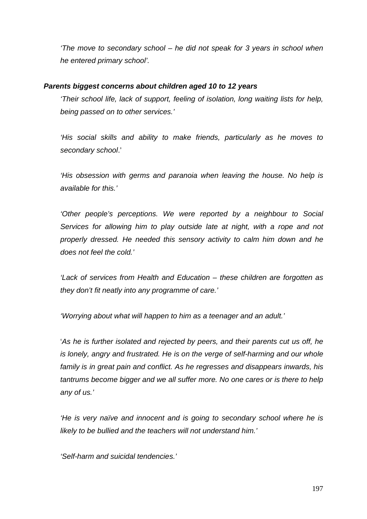*'The move to secondary school – he did not speak for 3 years in school when he entered primary school'.*

### *Parents biggest concerns about children aged 10 to 12 years*

*'Their school life, lack of support, feeling of isolation, long waiting lists for help, being passed on to other services.'*

*'His social skills and ability to make friends, particularly as he moves to secondary school*.'

*'His obsession with germs and paranoia when leaving the house. No help is available for this.'*

*'Other people's perceptions. We were reported by a neighbour to Social Services for allowing him to play outside late at night, with a rope and not properly dressed. He needed this sensory activity to calm him down and he does not feel the cold.'*

*'Lack of services from Health and Education – these children are forgotten as they don't fit neatly into any programme of care.'*

*'Worrying about what will happen to him as a teenager and an adult.'*

'*As he is further isolated and rejected by peers, and their parents cut us off, he is lonely, angry and frustrated. He is on the verge of self-harming and our whole family is in great pain and conflict. As he regresses and disappears inwards, his tantrums become bigger and we all suffer more. No one cares or is there to help any of us.'*

*'He is very naïve and innocent and is going to secondary school where he is likely to be bullied and the teachers will not understand him.'*

*'Self-harm and suicidal tendencies.'*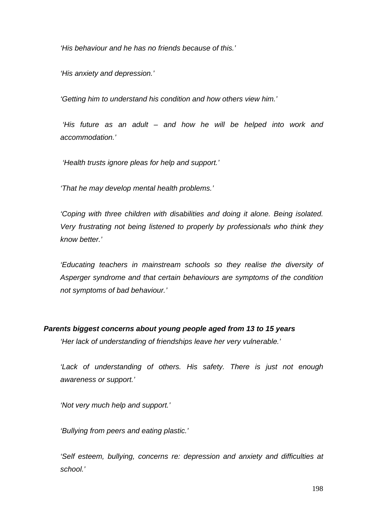*'His behaviour and he has no friends because of this.'*

*'His anxiety and depression.'*

*'Getting him to understand his condition and how others view him.'*

*'His future as an adult – and how he will be helped into work and accommodation.'*

*'Health trusts ignore pleas for help and support.'*

*'That he may develop mental health problems.'*

*'Coping with three children with disabilities and doing it alone. Being isolated. Very frustrating not being listened to properly by professionals who think they know better.'*

*'Educating teachers in mainstream schools so they realise the diversity of Asperger syndrome and that certain behaviours are symptoms of the condition not symptoms of bad behaviour.'*

#### *Parents biggest concerns about young people aged from 13 to 15 years*

*'Her lack of understanding of friendships leave her very vulnerable.'*

*'Lack of understanding of others. His safety. There is just not enough awareness or support.'*

*'Not very much help and support.'*

*'Bullying from peers and eating plastic.'*

*'Self esteem, bullying, concerns re: depression and anxiety and difficulties at school.'*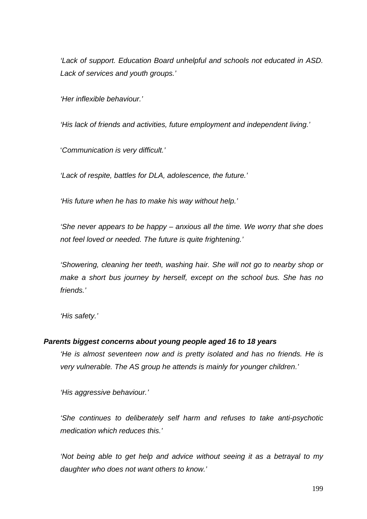*'Lack of support. Education Board unhelpful and schools not educated in ASD. Lack of services and youth groups.'*

*'Her inflexible behaviour.'*

*'His lack of friends and activities, future employment and independent living.'*

'*Communication is very difficult.'*

*'Lack of respite, battles for DLA, adolescence, the future.'*

*'His future when he has to make his way without help.'*

*'She never appears to be happy – anxious all the time. We worry that she does not feel loved or needed. The future is quite frightening.'*

*'Showering, cleaning her teeth, washing hair. She will not go to nearby shop or make a short bus journey by herself, except on the school bus. She has no friends.'*

*'His safety.'*

#### *Parents biggest concerns about young people aged 16 to 18 years*

*'He is almost seventeen now and is pretty isolated and has no friends. He is very vulnerable. The AS group he attends is mainly for younger children.'*

*'His aggressive behaviour.'*

*'She continues to deliberately self harm and refuses to take anti-psychotic medication which reduces this.'*

*'Not being able to get help and advice without seeing it as a betrayal to my daughter who does not want others to know.'*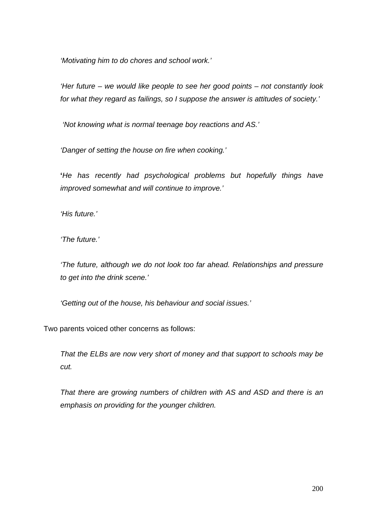*'Motivating him to do chores and school work.'*

*'Her future – we would like people to see her good points – not constantly look for what they regard as failings, so I suppose the answer is attitudes of society.'*

*'Not knowing what is normal teenage boy reactions and AS.'*

*'Danger of setting the house on fire when cooking.'*

**'***He has recently had psychological problems but hopefully things have improved somewhat and will continue to improve.'*

*'His future.'*

*'The future.'*

*'The future, although we do not look too far ahead. Relationships and pressure to get into the drink scene.'*

*'Getting out of the house, his behaviour and social issues.'*

Two parents voiced other concerns as follows:

*That the ELBs are now very short of money and that support to schools may be cut.*

*That there are growing numbers of children with AS and ASD and there is an emphasis on providing for the younger children.*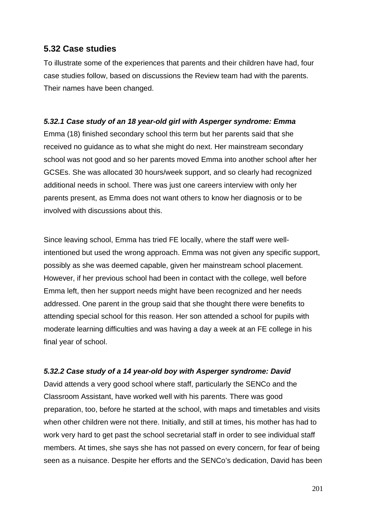## **5.32 Case studies**

To illustrate some of the experiences that parents and their children have had, four case studies follow, based on discussions the Review team had with the parents. Their names have been changed.

### *5.32.1 Case study of an 18 year-old girl with Asperger syndrome: Emma*

Emma (18) finished secondary school this term but her parents said that she received no guidance as to what she might do next. Her mainstream secondary school was not good and so her parents moved Emma into another school after her GCSEs. She was allocated 30 hours/week support, and so clearly had recognized additional needs in school. There was just one careers interview with only her parents present, as Emma does not want others to know her diagnosis or to be involved with discussions about this.

Since leaving school, Emma has tried FE locally, where the staff were wellintentioned but used the wrong approach. Emma was not given any specific support, possibly as she was deemed capable, given her mainstream school placement. However, if her previous school had been in contact with the college, well before Emma left, then her support needs might have been recognized and her needs addressed. One parent in the group said that she thought there were benefits to attending special school for this reason. Her son attended a school for pupils with moderate learning difficulties and was having a day a week at an FE college in his final year of school.

### *5.32.2 Case study of a 14 year-old boy with Asperger syndrome: David*

David attends a very good school where staff, particularly the SENCo and the Classroom Assistant, have worked well with his parents. There was good preparation, too, before he started at the school, with maps and timetables and visits when other children were not there. Initially, and still at times, his mother has had to work very hard to get past the school secretarial staff in order to see individual staff members. At times, she says she has not passed on every concern, for fear of being seen as a nuisance. Despite her efforts and the SENCo's dedication, David has been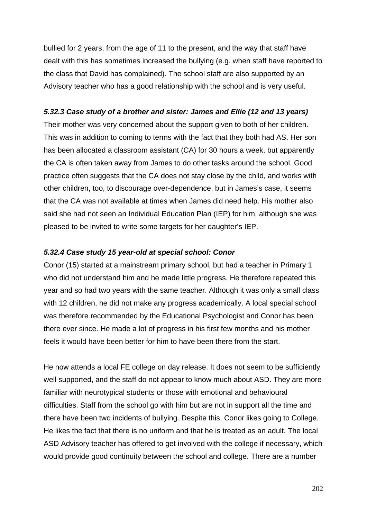bullied for 2 years, from the age of 11 to the present, and the way that staff have dealt with this has sometimes increased the bullying (e.g. when staff have reported to the class that David has complained). The school staff are also supported by an Advisory teacher who has a good relationship with the school and is very useful.

### *5.32.3 Case study of a brother and sister: James and Ellie (12 and 13 years)*

Their mother was very concerned about the support given to both of her children. This was in addition to coming to terms with the fact that they both had AS. Her son has been allocated a classroom assistant (CA) for 30 hours a week, but apparently the CA is often taken away from James to do other tasks around the school. Good practice often suggests that the CA does not stay close by the child, and works with other children, too, to discourage over-dependence, but in James's case, it seems that the CA was not available at times when James did need help. His mother also said she had not seen an Individual Education Plan (IEP) for him, although she was pleased to be invited to write some targets for her daughter's IEP.

### *5.32.4 Case study 15 year-old at special school: Conor*

Conor (15) started at a mainstream primary school, but had a teacher in Primary 1 who did not understand him and he made little progress. He therefore repeated this year and so had two years with the same teacher. Although it was only a small class with 12 children, he did not make any progress academically. A local special school was therefore recommended by the Educational Psychologist and Conor has been there ever since. He made a lot of progress in his first few months and his mother feels it would have been better for him to have been there from the start.

He now attends a local FE college on day release. It does not seem to be sufficiently well supported, and the staff do not appear to know much about ASD. They are more familiar with neurotypical students or those with emotional and behavioural difficulties. Staff from the school go with him but are not in support all the time and there have been two incidents of bullying. Despite this, Conor likes going to College. He likes the fact that there is no uniform and that he is treated as an adult. The local ASD Advisory teacher has offered to get involved with the college if necessary, which would provide good continuity between the school and college. There are a number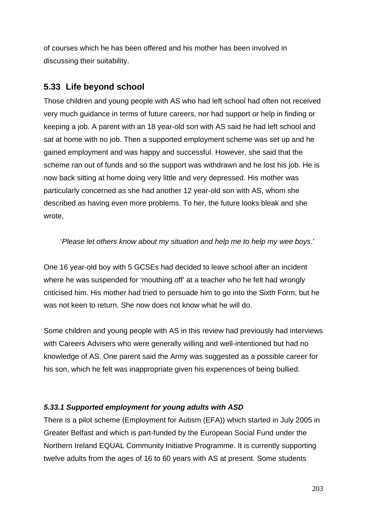of courses which he has been offered and his mother has been involved in discussing their suitability.

## **5.33 Life beyond school**

Those children and young people with AS who had left school had often not received very much guidance in terms of future careers, nor had support or help in finding or keeping a job. A parent with an 18 year-old son with AS said he had left school and sat at home with no job. Then a supported employment scheme was set up and he gained employment and was happy and successful. However, she said that the scheme ran out of funds and so the support was withdrawn and he lost his job. He is now back sitting at home doing very little and very depressed. His mother was particularly concerned as she had another 12 year-old son with AS, whom she described as having even more problems. To her, the future looks bleak and she wrote,

### '*Please let others know about my situation and help me to help my wee boys*.'

One 16 year-old boy with 5 GCSEs had decided to leave school after an incident where he was suspended for 'mouthing off' at a teacher who he felt had wrongly criticised him. His mother had tried to persuade him to go into the Sixth Form, but he was not keen to return. She now does not know what he will do.

Some children and young people with AS in this review had previously had interviews with Careers Advisers who were generally willing and well-intentioned but had no knowledge of AS. One parent said the Army was suggested as a possible career for his son, which he felt was inappropriate given his experiences of being bullied.

### *5.33.1 Supported employment for young adults with ASD*

There is a pilot scheme (Employment for Autism (EFA)) which started in July 2005 in Greater Belfast and which is part-funded by the European Social Fund under the Northern Ireland EQUAL Community Initiative Programme. It is currently supporting twelve adults from the ages of 16 to 60 years with AS at present. Some students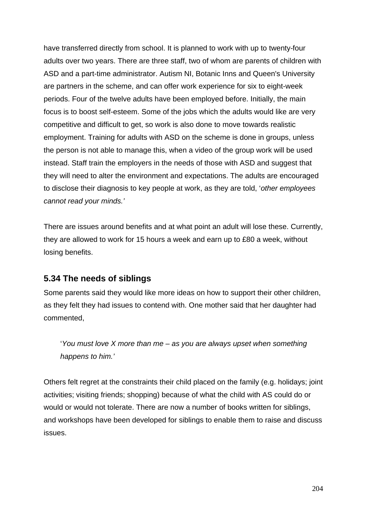have transferred directly from school. It is planned to work with up to twenty-four adults over two years. There are three staff, two of whom are parents of children with ASD and a part-time administrator. Autism NI, Botanic Inns and Queen's University are partners in the scheme, and can offer work experience for six to eight-week periods. Four of the twelve adults have been employed before. Initially, the main focus is to boost self-esteem. Some of the jobs which the adults would like are very competitive and difficult to get, so work is also done to move towards realistic employment. Training for adults with ASD on the scheme is done in groups, unless the person is not able to manage this, when a video of the group work will be used instead. Staff train the employers in the needs of those with ASD and suggest that they will need to alter the environment and expectations. The adults are encouraged to disclose their diagnosis to key people at work, as they are told, '*other employees cannot read your minds.'*

There are issues around benefits and at what point an adult will lose these. Currently, they are allowed to work for 15 hours a week and earn up to £80 a week, without losing benefits.

## **5.34 The needs of siblings**

Some parents said they would like more ideas on how to support their other children, as they felt they had issues to contend with. One mother said that her daughter had commented,

'*You must love X more than me – as you are always upset when something happens to him.'*

Others felt regret at the constraints their child placed on the family (e.g. holidays; joint activities; visiting friends; shopping) because of what the child with AS could do or would or would not tolerate. There are now a number of books written for siblings, and workshops have been developed for siblings to enable them to raise and discuss issues.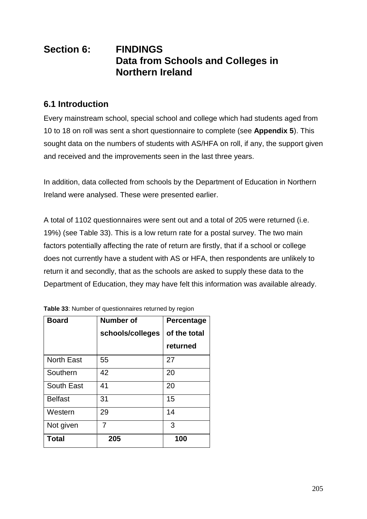# **Section 6: FINDINGS Data from Schools and Colleges in Northern Ireland**

## **6.1 Introduction**

Every mainstream school, special school and college which had students aged from 10 to 18 on roll was sent a short questionnaire to complete (see **Appendix 5**). This sought data on the numbers of students with AS/HFA on roll, if any, the support given and received and the improvements seen in the last three years.

In addition, data collected from schools by the Department of Education in Northern Ireland were analysed. These were presented earlier.

A total of 1102 questionnaires were sent out and a total of 205 were returned (i.e. 19%) (see Table 33). This is a low return rate for a postal survey. The two main factors potentially affecting the rate of return are firstly, that if a school or college does not currently have a student with AS or HFA, then respondents are unlikely to return it and secondly, that as the schools are asked to supply these data to the Department of Education, they may have felt this information was available already.

| <b>Board</b>      | <b>Number of</b> | <b>Percentage</b> |
|-------------------|------------------|-------------------|
|                   | schools/colleges | of the total      |
|                   |                  | returned          |
| <b>North East</b> | 55               | 27                |
| Southern          | 42               | 20                |
| <b>South East</b> | 41               | 20                |
| <b>Belfast</b>    | 31               | 15                |
| Western           | 29               | 14                |
| Not given         | 7                | 3                 |
| <b>Total</b>      | 205              | 100               |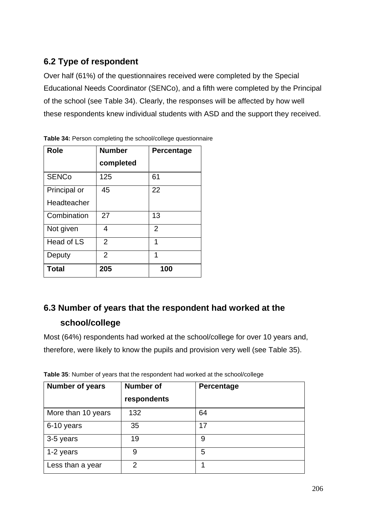## **6.2 Type of respondent**

Over half (61%) of the questionnaires received were completed by the Special Educational Needs Coordinator (SENCo), and a fifth were completed by the Principal of the school (see Table 34). Clearly, the responses will be affected by how well these respondents knew individual students with ASD and the support they received.

| <b>Role</b>  | <b>Number</b>  | Percentage     |
|--------------|----------------|----------------|
|              | completed      |                |
| <b>SENCo</b> | 125            | 61             |
| Principal or | 45             | 22             |
| Headteacher  |                |                |
| Combination  | 27             | 13             |
| Not given    | 4              | $\overline{2}$ |
| Head of LS   | $\overline{2}$ | 1              |
| Deputy       | $\overline{2}$ | 1              |
| <b>Total</b> | 205            | 100            |

**Table 34:** Person completing the school/college questionnaire

# **6.3 Number of years that the respondent had worked at the school/college**

Most (64%) respondents had worked at the school/college for over 10 years and, therefore, were likely to know the pupils and provision very well (see Table 35).

| <b>Number of years</b> | <b>Number of</b><br>respondents | Percentage |
|------------------------|---------------------------------|------------|
| More than 10 years     | 132                             | 64         |
| 6-10 years             | 35                              | 17         |
| 3-5 years              | 19                              | 9          |
| 1-2 years              | 9                               | 5          |
| Less than a year       | $\overline{2}$                  |            |

**Table 35**: Number of years that the respondent had worked at the school/college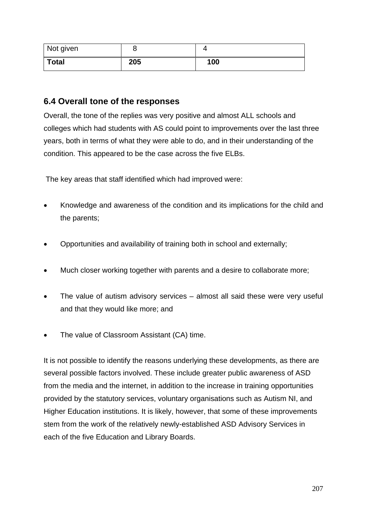| Not given    | O   |     |
|--------------|-----|-----|
| <b>Total</b> | 205 | 100 |

## **6.4 Overall tone of the responses**

Overall, the tone of the replies was very positive and almost ALL schools and colleges which had students with AS could point to improvements over the last three years, both in terms of what they were able to do, and in their understanding of the condition. This appeared to be the case across the five ELBs.

The key areas that staff identified which had improved were:

- Knowledge and awareness of the condition and its implications for the child and the parents;
- Opportunities and availability of training both in school and externally;
- Much closer working together with parents and a desire to collaborate more;
- The value of autism advisory services almost all said these were very useful and that they would like more; and
- The value of Classroom Assistant (CA) time.

It is not possible to identify the reasons underlying these developments, as there are several possible factors involved. These include greater public awareness of ASD from the media and the internet, in addition to the increase in training opportunities provided by the statutory services, voluntary organisations such as Autism NI, and Higher Education institutions. It is likely, however, that some of these improvements stem from the work of the relatively newly-established ASD Advisory Services in each of the five Education and Library Boards.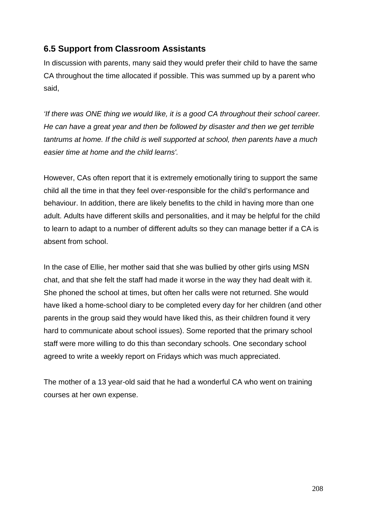## **6.5 Support from Classroom Assistants**

In discussion with parents, many said they would prefer their child to have the same CA throughout the time allocated if possible. This was summed up by a parent who said,

*'If there was ONE thing we would like, it is a good CA throughout their school career. He can have a great year and then be followed by disaster and then we get terrible tantrums at home. If the child is well supported at school, then parents have a much easier time at home and the child learns'.*

However, CAs often report that it is extremely emotionally tiring to support the same child all the time in that they feel over-responsible for the child's performance and behaviour. In addition, there are likely benefits to the child in having more than one adult. Adults have different skills and personalities, and it may be helpful for the child to learn to adapt to a number of different adults so they can manage better if a CA is absent from school.

In the case of Ellie, her mother said that she was bullied by other girls using MSN chat, and that she felt the staff had made it worse in the way they had dealt with it. She phoned the school at times, but often her calls were not returned. She would have liked a home-school diary to be completed every day for her children (and other parents in the group said they would have liked this, as their children found it very hard to communicate about school issues). Some reported that the primary school staff were more willing to do this than secondary schools. One secondary school agreed to write a weekly report on Fridays which was much appreciated.

The mother of a 13 year-old said that he had a wonderful CA who went on training courses at her own expense.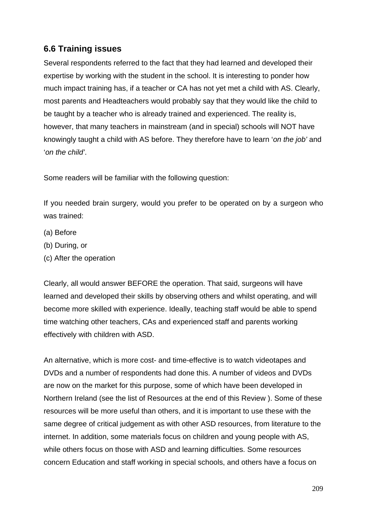## **6.6 Training issues**

Several respondents referred to the fact that they had learned and developed their expertise by working with the student in the school. It is interesting to ponder how much impact training has, if a teacher or CA has not yet met a child with AS. Clearly, most parents and Headteachers would probably say that they would like the child to be taught by a teacher who is already trained and experienced. The reality is, however, that many teachers in mainstream (and in special) schools will NOT have knowingly taught a child with AS before. They therefore have to learn '*on the job'* and '*on the child'*.

Some readers will be familiar with the following question:

If you needed brain surgery, would you prefer to be operated on by a surgeon who was trained:

- (a) Before
- (b) During, or
- (c) After the operation

Clearly, all would answer BEFORE the operation. That said, surgeons will have learned and developed their skills by observing others and whilst operating, and will become more skilled with experience. Ideally, teaching staff would be able to spend time watching other teachers, CAs and experienced staff and parents working effectively with children with ASD.

An alternative, which is more cost- and time-effective is to watch videotapes and DVDs and a number of respondents had done this. A number of videos and DVDs are now on the market for this purpose, some of which have been developed in Northern Ireland (see the list of Resources at the end of this Review ). Some of these resources will be more useful than others, and it is important to use these with the same degree of critical judgement as with other ASD resources, from literature to the internet. In addition, some materials focus on children and young people with AS, while others focus on those with ASD and learning difficulties. Some resources concern Education and staff working in special schools, and others have a focus on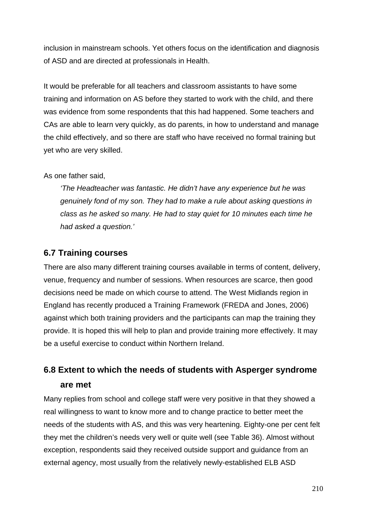inclusion in mainstream schools. Yet others focus on the identification and diagnosis of ASD and are directed at professionals in Health.

It would be preferable for all teachers and classroom assistants to have some training and information on AS before they started to work with the child, and there was evidence from some respondents that this had happened. Some teachers and CAs are able to learn very quickly, as do parents, in how to understand and manage the child effectively, and so there are staff who have received no formal training but yet who are very skilled.

As one father said,

*'The Headteacher was fantastic. He didn't have any experience but he was genuinely fond of my son. They had to make a rule about asking questions in class as he asked so many. He had to stay quiet for 10 minutes each time he had asked a question.'*

## **6.7 Training courses**

There are also many different training courses available in terms of content, delivery, venue, frequency and number of sessions. When resources are scarce, then good decisions need be made on which course to attend. The West Midlands region in England has recently produced a Training Framework (FREDA and Jones, 2006) against which both training providers and the participants can map the training they provide. It is hoped this will help to plan and provide training more effectively. It may be a useful exercise to conduct within Northern Ireland.

# **6.8 Extent to which the needs of students with Asperger syndrome are met**

Many replies from school and college staff were very positive in that they showed a real willingness to want to know more and to change practice to better meet the needs of the students with AS, and this was very heartening. Eighty-one per cent felt they met the children's needs very well or quite well (see Table 36). Almost without exception, respondents said they received outside support and guidance from an external agency, most usually from the relatively newly-established ELB ASD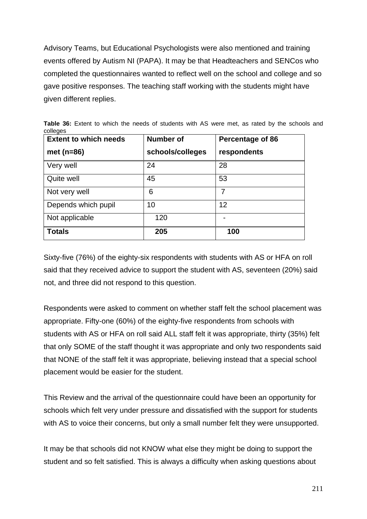Advisory Teams, but Educational Psychologists were also mentioned and training events offered by Autism NI (PAPA). It may be that Headteachers and SENCos who completed the questionnaires wanted to reflect well on the school and college and so gave positive responses. The teaching staff working with the students might have given different replies.

| <b>Extent to which needs</b> | <b>Number of</b> | Percentage of 86 |
|------------------------------|------------------|------------------|
| met $(n=86)$                 | schools/colleges | respondents      |
| Very well                    | 24               | 28               |
| Quite well                   | 45               | 53               |
| Not very well                | 6                | 7                |
| Depends which pupil          | 10               | 12               |
| Not applicable               | 120              |                  |
| <b>Totals</b>                | 205              | 100              |

**Table 36:** Extent to which the needs of students with AS were met, as rated by the schools and colleges

Sixty-five (76%) of the eighty-six respondents with students with AS or HFA on roll said that they received advice to support the student with AS, seventeen (20%) said not, and three did not respond to this question.

Respondents were asked to comment on whether staff felt the school placement was appropriate. Fifty-one (60%) of the eighty-five respondents from schools with students with AS or HFA on roll said ALL staff felt it was appropriate, thirty (35%) felt that only SOME of the staff thought it was appropriate and only two respondents said that NONE of the staff felt it was appropriate, believing instead that a special school placement would be easier for the student.

This Review and the arrival of the questionnaire could have been an opportunity for schools which felt very under pressure and dissatisfied with the support for students with AS to voice their concerns, but only a small number felt they were unsupported.

It may be that schools did not KNOW what else they might be doing to support the student and so felt satisfied. This is always a difficulty when asking questions about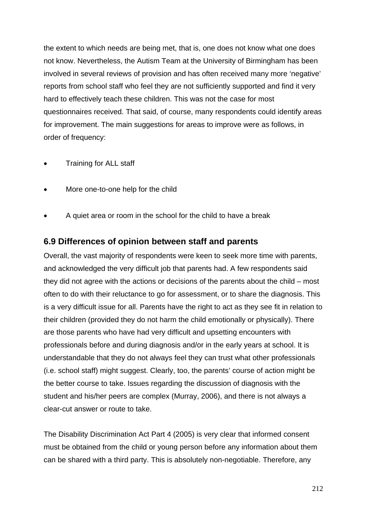the extent to which needs are being met, that is, one does not know what one does not know. Nevertheless, the Autism Team at the University of Birmingham has been involved in several reviews of provision and has often received many more 'negative' reports from school staff who feel they are not sufficiently supported and find it very hard to effectively teach these children. This was not the case for most questionnaires received. That said, of course, many respondents could identify areas for improvement. The main suggestions for areas to improve were as follows, in order of frequency:

- Training for ALL staff
- More one-to-one help for the child
- A quiet area or room in the school for the child to have a break

## **6.9 Differences of opinion between staff and parents**

Overall, the vast majority of respondents were keen to seek more time with parents, and acknowledged the very difficult job that parents had. A few respondents said they did not agree with the actions or decisions of the parents about the child – most often to do with their reluctance to go for assessment, or to share the diagnosis. This is a very difficult issue for all. Parents have the right to act as they see fit in relation to their children (provided they do not harm the child emotionally or physically). There are those parents who have had very difficult and upsetting encounters with professionals before and during diagnosis and/or in the early years at school. It is understandable that they do not always feel they can trust what other professionals (i.e. school staff) might suggest. Clearly, too, the parents' course of action might be the better course to take. Issues regarding the discussion of diagnosis with the student and his/her peers are complex (Murray, 2006), and there is not always a clear-cut answer or route to take.

The Disability Discrimination Act Part 4 (2005) is very clear that informed consent must be obtained from the child or young person before any information about them can be shared with a third party. This is absolutely non-negotiable. Therefore, any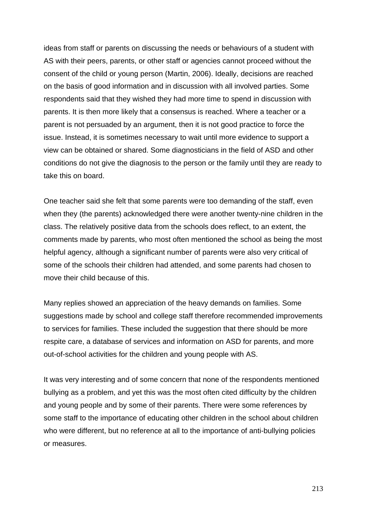ideas from staff or parents on discussing the needs or behaviours of a student with AS with their peers, parents, or other staff or agencies cannot proceed without the consent of the child or young person (Martin, 2006). Ideally, decisions are reached on the basis of good information and in discussion with all involved parties. Some respondents said that they wished they had more time to spend in discussion with parents. It is then more likely that a consensus is reached. Where a teacher or a parent is not persuaded by an argument, then it is not good practice to force the issue. Instead, it is sometimes necessary to wait until more evidence to support a view can be obtained or shared. Some diagnosticians in the field of ASD and other conditions do not give the diagnosis to the person or the family until they are ready to take this on board.

One teacher said she felt that some parents were too demanding of the staff, even when they (the parents) acknowledged there were another twenty-nine children in the class. The relatively positive data from the schools does reflect, to an extent, the comments made by parents, who most often mentioned the school as being the most helpful agency, although a significant number of parents were also very critical of some of the schools their children had attended, and some parents had chosen to move their child because of this.

Many replies showed an appreciation of the heavy demands on families. Some suggestions made by school and college staff therefore recommended improvements to services for families. These included the suggestion that there should be more respite care, a database of services and information on ASD for parents, and more out-of-school activities for the children and young people with AS.

It was very interesting and of some concern that none of the respondents mentioned bullying as a problem, and yet this was the most often cited difficulty by the children and young people and by some of their parents. There were some references by some staff to the importance of educating other children in the school about children who were different, but no reference at all to the importance of anti-bullying policies or measures.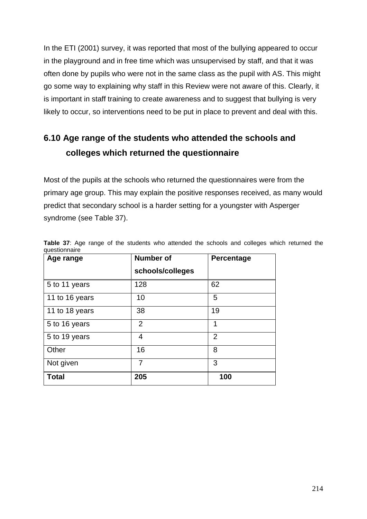In the ETI (2001) survey, it was reported that most of the bullying appeared to occur in the playground and in free time which was unsupervised by staff, and that it was often done by pupils who were not in the same class as the pupil with AS. This might go some way to explaining why staff in this Review were not aware of this. Clearly, it is important in staff training to create awareness and to suggest that bullying is very likely to occur, so interventions need to be put in place to prevent and deal with this.

# **6.10 Age range of the students who attended the schools and colleges which returned the questionnaire**

Most of the pupils at the schools who returned the questionnaires were from the primary age group. This may explain the positive responses received, as many would predict that secondary school is a harder setting for a youngster with Asperger syndrome (see Table 37).

| Age range      | <b>Number of</b> | <b>Percentage</b> |
|----------------|------------------|-------------------|
|                | schools/colleges |                   |
| 5 to 11 years  | 128              | 62                |
| 11 to 16 years | 10               | 5                 |
| 11 to 18 years | 38               | 19                |
| 5 to 16 years  | $\overline{2}$   | 1                 |
| 5 to 19 years  | $\overline{4}$   | $\overline{2}$    |
| Other          | 16               | 8                 |
| Not given      | 7                | 3                 |
| <b>Total</b>   | 205              | 100               |

**Table 37**: Age range of the students who attended the schools and colleges which returned the questionnaire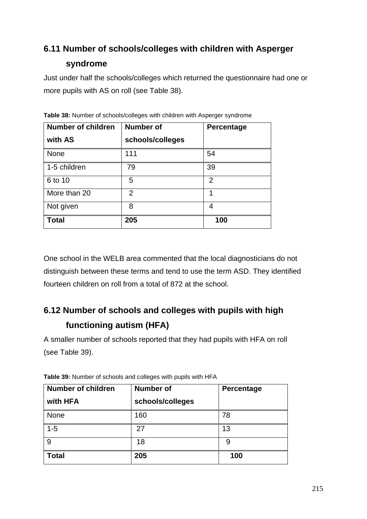# **6.11 Number of schools/colleges with children with Asperger syndrome**

Just under half the schools/colleges which returned the questionnaire had one or more pupils with AS on roll (see Table 38).

| <b>Number of children</b> | <b>Number of</b> | Percentage     |
|---------------------------|------------------|----------------|
| with AS                   | schools/colleges |                |
| <b>None</b>               | 111              | 54             |
| 1-5 children              | 79               | 39             |
| 6 to 10                   | 5                | $\overline{2}$ |
| More than 20              | 2                | 1              |
| Not given                 | 8                | 4              |
| <b>Total</b>              | 205              | 100            |

**Table 38:** Number of schools/colleges with children with Asperger syndrome

One school in the WELB area commented that the local diagnosticians do not distinguish between these terms and tend to use the term ASD. They identified fourteen children on roll from a total of 872 at the school.

# **6.12 Number of schools and colleges with pupils with high functioning autism (HFA)**

A smaller number of schools reported that they had pupils with HFA on roll (see Table 39).

| Number of children<br>with HFA | <b>Number of</b><br>schools/colleges | Percentage |
|--------------------------------|--------------------------------------|------------|
| <b>None</b>                    | 160                                  | 78         |
| $1 - 5$                        | 27                                   | 13         |
| 9                              | 18                                   | 9          |
| Total                          | 205                                  | 100        |

**Table 39:** Number of schools and colleges with pupils with HFA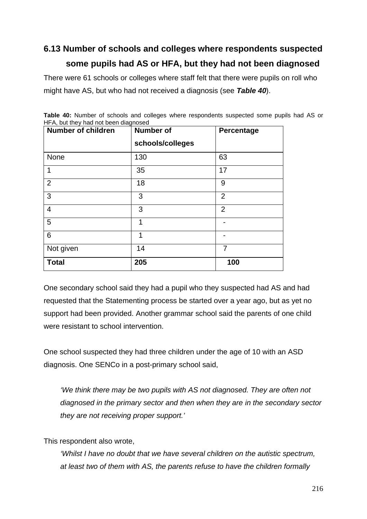# **6.13 Number of schools and colleges where respondents suspected some pupils had AS or HFA, but they had not been diagnosed**

There were 61 schools or colleges where staff felt that there were pupils on roll who might have AS, but who had not received a diagnosis (see *Table 40*).

| <b>Number of children</b> | <b>Number of</b> | Percentage     |
|---------------------------|------------------|----------------|
|                           | schools/colleges |                |
| None                      | 130              | 63             |
| 1                         | 35               | 17             |
| $\overline{2}$            | 18               | 9              |
| 3                         | 3                | $\overline{2}$ |
| $\overline{4}$            | 3                | $\overline{2}$ |
| 5                         | 1                |                |
| 6                         | 1                |                |
| Not given                 | 14               | 7              |
| <b>Total</b>              | 205              | 100            |

**Table 40:** Number of schools and colleges where respondents suspected some pupils had AS or HFA, but they had not been diagnosed

One secondary school said they had a pupil who they suspected had AS and had requested that the Statementing process be started over a year ago, but as yet no support had been provided. Another grammar school said the parents of one child were resistant to school intervention.

One school suspected they had three children under the age of 10 with an ASD diagnosis. One SENCo in a post-primary school said,

*'We think there may be two pupils with AS not diagnosed. They are often not diagnosed in the primary sector and then when they are in the secondary sector they are not receiving proper support.'*

This respondent also wrote,

*'Whilst I have no doubt that we have several children on the autistic spectrum, at least two of them with AS, the parents refuse to have the children formally*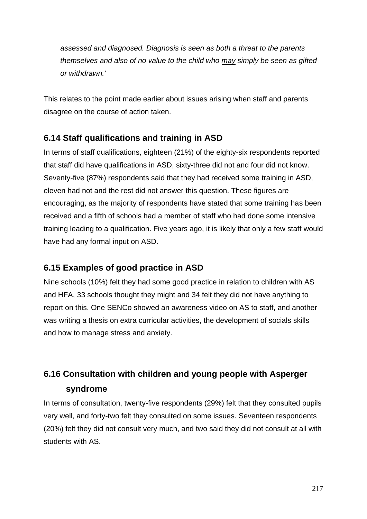*assessed and diagnosed. Diagnosis is seen as both a threat to the parents themselves and also of no value to the child who may simply be seen as gifted or withdrawn.'*

This relates to the point made earlier about issues arising when staff and parents disagree on the course of action taken.

## **6.14 Staff qualifications and training in ASD**

In terms of staff qualifications, eighteen (21%) of the eighty-six respondents reported that staff did have qualifications in ASD, sixty-three did not and four did not know. Seventy-five (87%) respondents said that they had received some training in ASD, eleven had not and the rest did not answer this question. These figures are encouraging, as the majority of respondents have stated that some training has been received and a fifth of schools had a member of staff who had done some intensive training leading to a qualification. Five years ago, it is likely that only a few staff would have had any formal input on ASD.

## **6.15 Examples of good practice in ASD**

Nine schools (10%) felt they had some good practice in relation to children with AS and HFA, 33 schools thought they might and 34 felt they did not have anything to report on this. One SENCo showed an awareness video on AS to staff, and another was writing a thesis on extra curricular activities, the development of socials skills and how to manage stress and anxiety.

# **6.16 Consultation with children and young people with Asperger syndrome**

In terms of consultation, twenty-five respondents (29%) felt that they consulted pupils very well, and forty-two felt they consulted on some issues. Seventeen respondents (20%) felt they did not consult very much, and two said they did not consult at all with students with AS.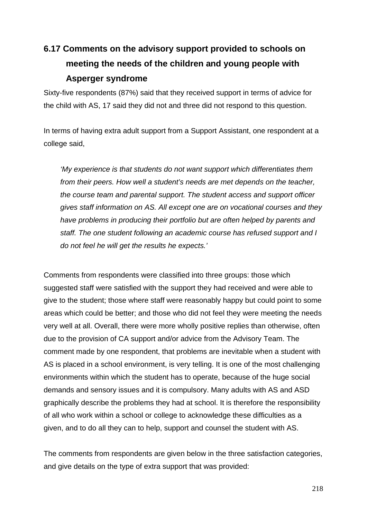# **6.17 Comments on the advisory support provided to schools on meeting the needs of the children and young people with Asperger syndrome**

Sixty-five respondents (87%) said that they received support in terms of advice for the child with AS, 17 said they did not and three did not respond to this question.

In terms of having extra adult support from a Support Assistant, one respondent at a college said,

*'My experience is that students do not want support which differentiates them from their peers. How well a student's needs are met depends on the teacher, the course team and parental support. The student access and support officer gives staff information on AS. All except one are on vocational courses and they have problems in producing their portfolio but are often helped by parents and staff. The one student following an academic course has refused support and I do not feel he will get the results he expects.'*

Comments from respondents were classified into three groups: those which suggested staff were satisfied with the support they had received and were able to give to the student; those where staff were reasonably happy but could point to some areas which could be better; and those who did not feel they were meeting the needs very well at all. Overall, there were more wholly positive replies than otherwise, often due to the provision of CA support and/or advice from the Advisory Team. The comment made by one respondent, that problems are inevitable when a student with AS is placed in a school environment, is very telling. It is one of the most challenging environments within which the student has to operate, because of the huge social demands and sensory issues and it is compulsory. Many adults with AS and ASD graphically describe the problems they had at school. It is therefore the responsibility of all who work within a school or college to acknowledge these difficulties as a given, and to do all they can to help, support and counsel the student with AS.

The comments from respondents are given below in the three satisfaction categories, and give details on the type of extra support that was provided: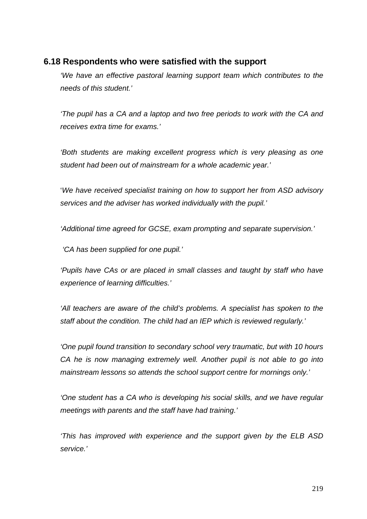## **6.18 Respondents who were satisfied with the support**

*'We have an effective pastoral learning support team which contributes to the needs of this student.'*

*'The pupil has a CA and a laptop and two free periods to work with the CA and receives extra time for exams.'*

*'Both students are making excellent progress which is very pleasing as one student had been out of mainstream for a whole academic year.'*

'*We have received specialist training on how to support her from ASD advisory services and the adviser has worked individually with the pupil.'*

*'Additional time agreed for GCSE, exam prompting and separate supervision.'*

*'CA has been supplied for one pupil.'*

*'Pupils have CAs or are placed in small classes and taught by staff who have experience of learning difficulties.'*

*'All teachers are aware of the child's problems. A specialist has spoken to the staff about the condition. The child had an IEP which is reviewed regularly.'*

*'One pupil found transition to secondary school very traumatic, but with 10 hours CA he is now managing extremely well. Another pupil is not able to go into mainstream lessons so attends the school support centre for mornings only.'*

*'One student has a CA who is developing his social skills, and we have regular meetings with parents and the staff have had training.'*

*'This has improved with experience and the support given by the ELB ASD service.'*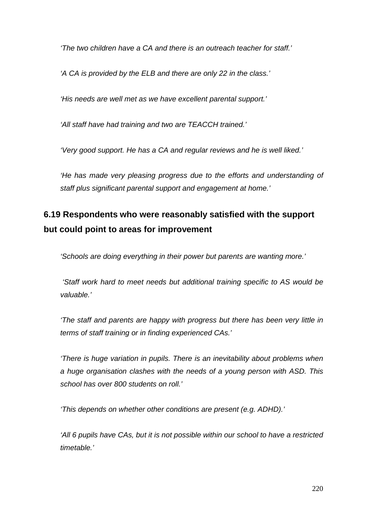*'The two children have a CA and there is an outreach teacher for staff.'*

*'A CA is provided by the ELB and there are only 22 in the class.'*

*'His needs are well met as we have excellent parental support.'*

*'All staff have had training and two are TEACCH trained.'*

*'Very good support. He has a CA and regular reviews and he is well liked.'*

*'He has made very pleasing progress due to the efforts and understanding of staff plus significant parental support and engagement at home.'*

# **6.19 Respondents who were reasonably satisfied with the support but could point to areas for improvement**

*'Schools are doing everything in their power but parents are wanting more.'*

 *'Staff work hard to meet needs but additional training specific to AS would be valuable.'*

*'The staff and parents are happy with progress but there has been very little in terms of staff training or in finding experienced CAs.'*

*'There is huge variation in pupils. There is an inevitability about problems when a huge organisation clashes with the needs of a young person with ASD. This school has over 800 students on roll.'*

*'This depends on whether other conditions are present (e.g. ADHD).'*

*'All 6 pupils have CAs, but it is not possible within our school to have a restricted timetable.'*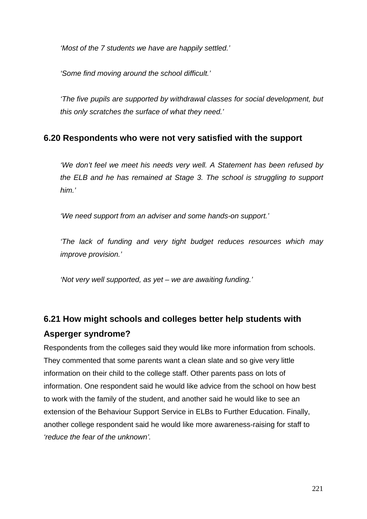*'Most of the 7 students we have are happily settled.'*

*'Some find moving around the school difficult.'*

*'The five pupils are supported by withdrawal classes for social development, but this only scratches the surface of what they need.'*

## **6.20 Respondents who were not very satisfied with the support**

*'We don't feel we meet his needs very well. A Statement has been refused by the ELB and he has remained at Stage 3. The school is struggling to support him.'*

*'We need support from an adviser and some hands-on support.'*

*'The lack of funding and very tight budget reduces resources which may improve provision.'*

*'Not very well supported, as yet – we are awaiting funding.'*

# **6.21 How might schools and colleges better help students with Asperger syndrome?**

Respondents from the colleges said they would like more information from schools. They commented that some parents want a clean slate and so give very little information on their child to the college staff. Other parents pass on lots of information. One respondent said he would like advice from the school on how best to work with the family of the student, and another said he would like to see an extension of the Behaviour Support Service in ELBs to Further Education. Finally, another college respondent said he would like more awareness-raising for staff to *'reduce the fear of the unknown'.*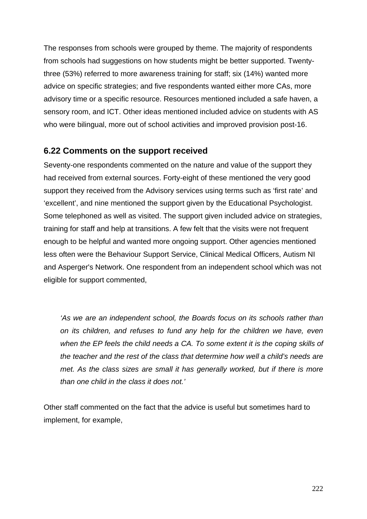The responses from schools were grouped by theme. The majority of respondents from schools had suggestions on how students might be better supported. Twentythree (53%) referred to more awareness training for staff; six (14%) wanted more advice on specific strategies; and five respondents wanted either more CAs, more advisory time or a specific resource. Resources mentioned included a safe haven, a sensory room, and ICT. Other ideas mentioned included advice on students with AS who were bilingual, more out of school activities and improved provision post-16.

## **6.22 Comments on the support received**

Seventy-one respondents commented on the nature and value of the support they had received from external sources. Forty-eight of these mentioned the very good support they received from the Advisory services using terms such as 'first rate' and 'excellent', and nine mentioned the support given by the Educational Psychologist. Some telephoned as well as visited. The support given included advice on strategies, training for staff and help at transitions. A few felt that the visits were not frequent enough to be helpful and wanted more ongoing support. Other agencies mentioned less often were the Behaviour Support Service, Clinical Medical Officers, Autism NI and Asperger's Network. One respondent from an independent school which was not eligible for support commented,

*'As we are an independent school, the Boards focus on its schools rather than on its children, and refuses to fund any help for the children we have, even when the EP feels the child needs a CA. To some extent it is the coping skills of the teacher and the rest of the class that determine how well a child's needs are met. As the class sizes are small it has generally worked, but if there is more than one child in the class it does not.'*

Other staff commented on the fact that the advice is useful but sometimes hard to implement, for example,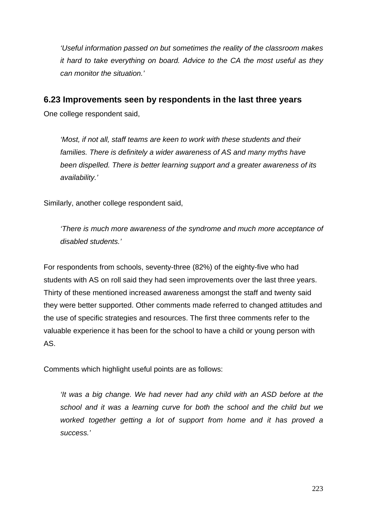*'Useful information passed on but sometimes the reality of the classroom makes it hard to take everything on board. Advice to the CA the most useful as they can monitor the situation.'*

## **6.23 Improvements seen by respondents in the last three years**

One college respondent said,

*'Most, if not all, staff teams are keen to work with these students and their families. There is definitely a wider awareness of AS and many myths have been dispelled. There is better learning support and a greater awareness of its availability.'*

Similarly, another college respondent said,

*'There is much more awareness of the syndrome and much more acceptance of disabled students.'*

For respondents from schools, seventy-three (82%) of the eighty-five who had students with AS on roll said they had seen improvements over the last three years. Thirty of these mentioned increased awareness amongst the staff and twenty said they were better supported. Other comments made referred to changed attitudes and the use of specific strategies and resources. The first three comments refer to the valuable experience it has been for the school to have a child or young person with AS.

Comments which highlight useful points are as follows:

*'It was a big change. We had never had any child with an ASD before at the school and it was a learning curve for both the school and the child but we worked together getting a lot of support from home and it has proved a success.'*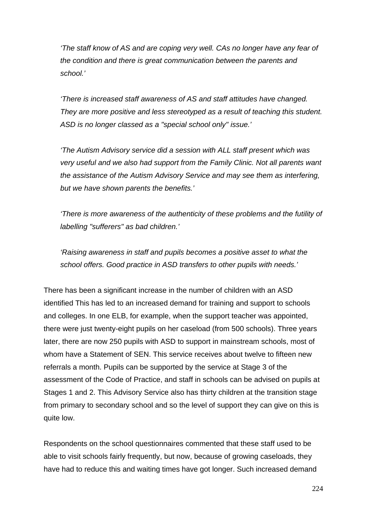*'The staff know of AS and are coping very well. CAs no longer have any fear of the condition and there is great communication between the parents and school.'*

*'There is increased staff awareness of AS and staff attitudes have changed. They are more positive and less stereotyped as a result of teaching this student. ASD is no longer classed as a "special school only" issue.'*

*'The Autism Advisory service did a session with ALL staff present which was very useful and we also had support from the Family Clinic. Not all parents want the assistance of the Autism Advisory Service and may see them as interfering, but we have shown parents the benefits.'*

*'There is more awareness of the authenticity of these problems and the futility of labelling "sufferers" as bad children.'*

*'Raising awareness in staff and pupils becomes a positive asset to what the school offers. Good practice in ASD transfers to other pupils with needs.'*

There has been a significant increase in the number of children with an ASD identified This has led to an increased demand for training and support to schools and colleges. In one ELB, for example, when the support teacher was appointed, there were just twenty-eight pupils on her caseload (from 500 schools). Three years later, there are now 250 pupils with ASD to support in mainstream schools, most of whom have a Statement of SEN. This service receives about twelve to fifteen new referrals a month. Pupils can be supported by the service at Stage 3 of the assessment of the Code of Practice, and staff in schools can be advised on pupils at Stages 1 and 2. This Advisory Service also has thirty children at the transition stage from primary to secondary school and so the level of support they can give on this is quite low.

Respondents on the school questionnaires commented that these staff used to be able to visit schools fairly frequently, but now, because of growing caseloads, they have had to reduce this and waiting times have got longer. Such increased demand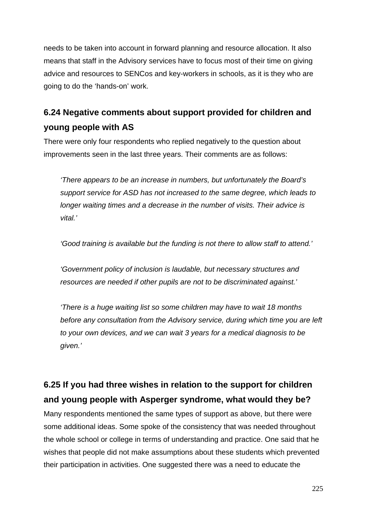needs to be taken into account in forward planning and resource allocation. It also means that staff in the Advisory services have to focus most of their time on giving advice and resources to SENCos and key-workers in schools, as it is they who are going to do the 'hands-on' work.

# **6.24 Negative comments about support provided for children and young people with AS**

There were only four respondents who replied negatively to the question about improvements seen in the last three years. Their comments are as follows:

*'There appears to be an increase in numbers, but unfortunately the Board's support service for ASD has not increased to the same degree, which leads to longer waiting times and a decrease in the number of visits. Their advice is vital.'*

*'Good training is available but the funding is not there to allow staff to attend.'*

*'Government policy of inclusion is laudable, but necessary structures and resources are needed if other pupils are not to be discriminated against.'*

*'There is a huge waiting list so some children may have to wait 18 months before any consultation from the Advisory service, during which time you are left to your own devices, and we can wait 3 years for a medical diagnosis to be given.'*

# **6.25 If you had three wishes in relation to the support for children and young people with Asperger syndrome, what would they be?**

Many respondents mentioned the same types of support as above, but there were some additional ideas. Some spoke of the consistency that was needed throughout the whole school or college in terms of understanding and practice. One said that he wishes that people did not make assumptions about these students which prevented their participation in activities. One suggested there was a need to educate the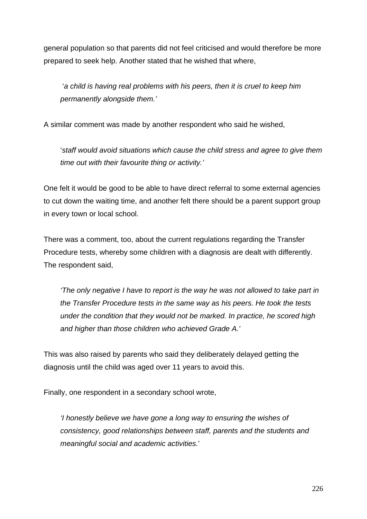general population so that parents did not feel criticised and would therefore be more prepared to seek help. Another stated that he wished that where,

 '*a child is having real problems with his peers, then it is cruel to keep him permanently alongside them.'*

A similar comment was made by another respondent who said he wished,

'*staff would avoid situations which cause the child stress and agree to give them time out with their favourite thing or activity.'*

One felt it would be good to be able to have direct referral to some external agencies to cut down the waiting time, and another felt there should be a parent support group in every town or local school.

There was a comment, too, about the current regulations regarding the Transfer Procedure tests, whereby some children with a diagnosis are dealt with differently. The respondent said,

*'The only negative I have to report is the way he was not allowed to take part in the Transfer Procedure tests in the same way as his peers. He took the tests under the condition that they would not be marked. In practice, he scored high and higher than those children who achieved Grade A.'*

This was also raised by parents who said they deliberately delayed getting the diagnosis until the child was aged over 11 years to avoid this.

Finally, one respondent in a secondary school wrote,

*'I honestly believe we have gone a long way to ensuring the wishes of consistency, good relationships between staff, parents and the students and meaningful social and academic activities.*'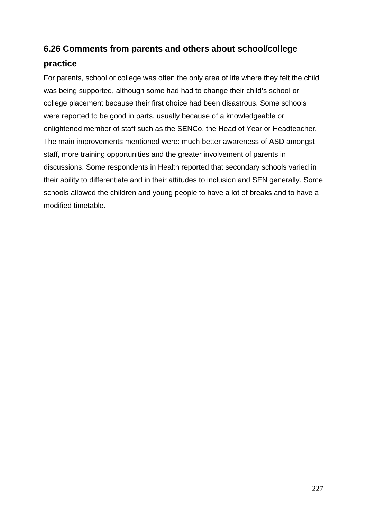# **6.26 Comments from parents and others about school/college**

## **practice**

For parents, school or college was often the only area of life where they felt the child was being supported, although some had had to change their child's school or college placement because their first choice had been disastrous. Some schools were reported to be good in parts, usually because of a knowledgeable or enlightened member of staff such as the SENCo, the Head of Year or Headteacher. The main improvements mentioned were: much better awareness of ASD amongst staff, more training opportunities and the greater involvement of parents in discussions. Some respondents in Health reported that secondary schools varied in their ability to differentiate and in their attitudes to inclusion and SEN generally. Some schools allowed the children and young people to have a lot of breaks and to have a modified timetable.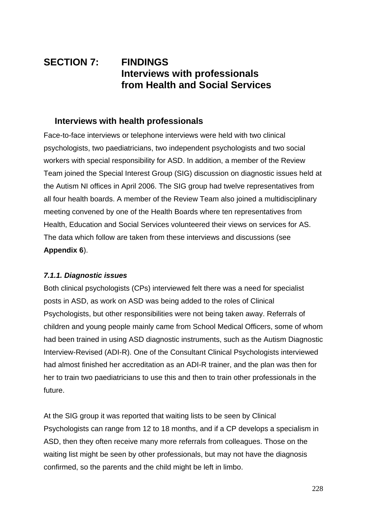# **SECTION 7: FINDINGS Interviews with professionals from Health and Social Services**

## **Interviews with health professionals**

Face-to-face interviews or telephone interviews were held with two clinical psychologists, two paediatricians, two independent psychologists and two social workers with special responsibility for ASD. In addition, a member of the Review Team joined the Special Interest Group (SIG) discussion on diagnostic issues held at the Autism NI offices in April 2006. The SIG group had twelve representatives from all four health boards. A member of the Review Team also joined a multidisciplinary meeting convened by one of the Health Boards where ten representatives from Health, Education and Social Services volunteered their views on services for AS. The data which follow are taken from these interviews and discussions (see **Appendix 6**).

#### *7.1.1. Diagnostic issues*

Both clinical psychologists (CPs) interviewed felt there was a need for specialist posts in ASD, as work on ASD was being added to the roles of Clinical Psychologists, but other responsibilities were not being taken away. Referrals of children and young people mainly came from School Medical Officers, some of whom had been trained in using ASD diagnostic instruments, such as the Autism Diagnostic Interview-Revised (ADI-R). One of the Consultant Clinical Psychologists interviewed had almost finished her accreditation as an ADI-R trainer, and the plan was then for her to train two paediatricians to use this and then to train other professionals in the future.

At the SIG group it was reported that waiting lists to be seen by Clinical Psychologists can range from 12 to 18 months, and if a CP develops a specialism in ASD, then they often receive many more referrals from colleagues. Those on the waiting list might be seen by other professionals, but may not have the diagnosis confirmed, so the parents and the child might be left in limbo.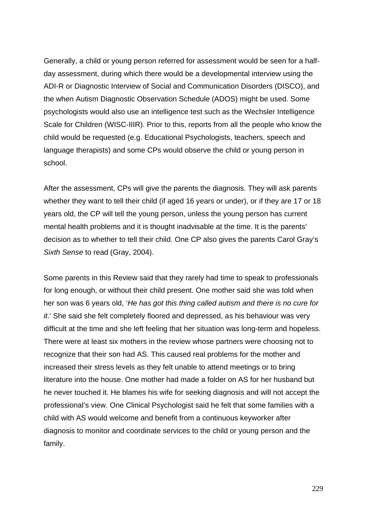Generally, a child or young person referred for assessment would be seen for a halfday assessment, during which there would be a developmental interview using the ADI-R or Diagnostic Interview of Social and Communication Disorders (DISCO), and the when Autism Diagnostic Observation Schedule (ADOS) might be used. Some psychologists would also use an intelligence test such as the Wechsler Intelligence Scale for Children (WISC-IIIR). Prior to this, reports from all the people who know the child would be requested (e.g. Educational Psychologists, teachers, speech and language therapists) and some CPs would observe the child or young person in school.

After the assessment, CPs will give the parents the diagnosis. They will ask parents whether they want to tell their child (if aged 16 years or under), or if they are 17 or 18 years old, the CP will tell the young person, unless the young person has current mental health problems and it is thought inadvisable at the time. It is the parents' decision as to whether to tell their child. One CP also gives the parents Carol Gray's *Sixth Sense* to read (Gray, 2004).

Some parents in this Review said that they rarely had time to speak to professionals for long enough, or without their child present. One mother said she was told when her son was 6 years old, '*He has got this thing called autism and there is no cure for it*.' She said she felt completely floored and depressed, as his behaviour was very difficult at the time and she left feeling that her situation was long-term and hopeless. There were at least six mothers in the review whose partners were choosing not to recognize that their son had AS. This caused real problems for the mother and increased their stress levels as they felt unable to attend meetings or to bring literature into the house. One mother had made a folder on AS for her husband but he never touched it. He blames his wife for seeking diagnosis and will not accept the professional's view. One Clinical Psychologist said he felt that some families with a child with AS would welcome and benefit from a continuous keyworker after diagnosis to monitor and coordinate services to the child or young person and the family.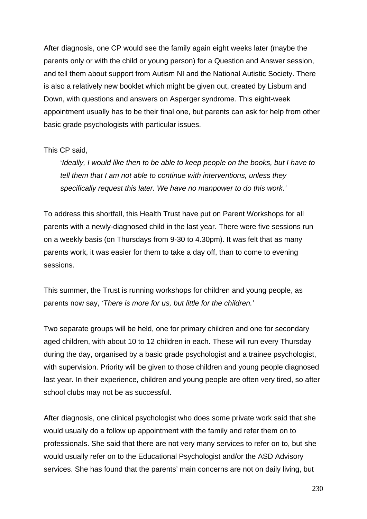After diagnosis, one CP would see the family again eight weeks later (maybe the parents only or with the child or young person) for a Question and Answer session, and tell them about support from Autism NI and the National Autistic Society. There is also a relatively new booklet which might be given out, created by Lisburn and Down, with questions and answers on Asperger syndrome. This eight-week appointment usually has to be their final one, but parents can ask for help from other basic grade psychologists with particular issues.

#### This CP said,

'*Ideally, I would like then to be able to keep people on the books, but I have to tell them that I am not able to continue with interventions, unless they specifically request this later. We have no manpower to do this work.'*

To address this shortfall, this Health Trust have put on Parent Workshops for all parents with a newly-diagnosed child in the last year. There were five sessions run on a weekly basis (on Thursdays from 9-30 to 4.30pm). It was felt that as many parents work, it was easier for them to take a day off, than to come to evening sessions.

This summer, the Trust is running workshops for children and young people, as parents now say, *'There is more for us, but little for the children.'*

Two separate groups will be held, one for primary children and one for secondary aged children, with about 10 to 12 children in each. These will run every Thursday during the day, organised by a basic grade psychologist and a trainee psychologist, with supervision. Priority will be given to those children and young people diagnosed last year. In their experience, children and young people are often very tired, so after school clubs may not be as successful.

After diagnosis, one clinical psychologist who does some private work said that she would usually do a follow up appointment with the family and refer them on to professionals. She said that there are not very many services to refer on to, but she would usually refer on to the Educational Psychologist and/or the ASD Advisory services. She has found that the parents' main concerns are not on daily living, but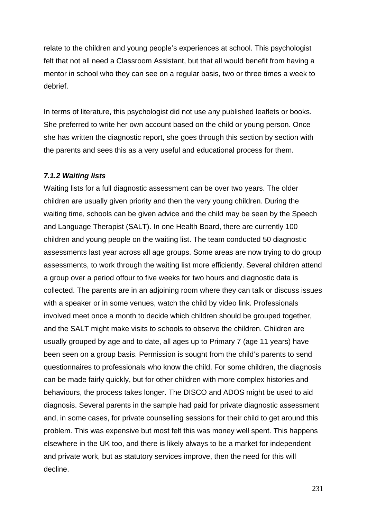relate to the children and young people's experiences at school. This psychologist felt that not all need a Classroom Assistant, but that all would benefit from having a mentor in school who they can see on a regular basis, two or three times a week to debrief.

In terms of literature, this psychologist did not use any published leaflets or books. She preferred to write her own account based on the child or young person. Once she has written the diagnostic report, she goes through this section by section with the parents and sees this as a very useful and educational process for them.

### *7.1.2 Waiting lists*

Waiting lists for a full diagnostic assessment can be over two years. The older children are usually given priority and then the very young children. During the waiting time, schools can be given advice and the child may be seen by the Speech and Language Therapist (SALT). In one Health Board, there are currently 100 children and young people on the waiting list. The team conducted 50 diagnostic assessments last year across all age groups. Some areas are now trying to do group assessments, to work through the waiting list more efficiently. Several children attend a group over a period offour to five weeks for two hours and diagnostic data is collected. The parents are in an adjoining room where they can talk or discuss issues with a speaker or in some venues, watch the child by video link. Professionals involved meet once a month to decide which children should be grouped together, and the SALT might make visits to schools to observe the children. Children are usually grouped by age and to date, all ages up to Primary 7 (age 11 years) have been seen on a group basis. Permission is sought from the child's parents to send questionnaires to professionals who know the child. For some children, the diagnosis can be made fairly quickly, but for other children with more complex histories and behaviours, the process takes longer. The DISCO and ADOS might be used to aid diagnosis. Several parents in the sample had paid for private diagnostic assessment and, in some cases, for private counselling sessions for their child to get around this problem. This was expensive but most felt this was money well spent. This happens elsewhere in the UK too, and there is likely always to be a market for independent and private work, but as statutory services improve, then the need for this will decline.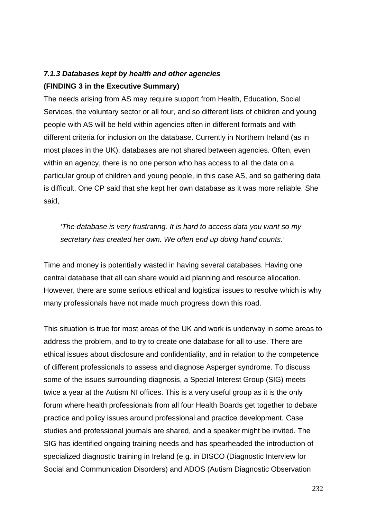## *7.1.3 Databases kept by health and other agencies* **(FINDING 3 in the Executive Summary)**

The needs arising from AS may require support from Health, Education, Social Services, the voluntary sector or all four, and so different lists of children and young people with AS will be held within agencies often in different formats and with different criteria for inclusion on the database. Currently in Northern Ireland (as in most places in the UK), databases are not shared between agencies. Often, even within an agency, there is no one person who has access to all the data on a particular group of children and young people, in this case AS, and so gathering data is difficult. One CP said that she kept her own database as it was more reliable. She said,

*'The database is very frustrating. It is hard to access data you want so my secretary has created her own. We often end up doing hand counts.'*

Time and money is potentially wasted in having several databases. Having one central database that all can share would aid planning and resource allocation. However, there are some serious ethical and logistical issues to resolve which is why many professionals have not made much progress down this road.

This situation is true for most areas of the UK and work is underway in some areas to address the problem, and to try to create one database for all to use. There are ethical issues about disclosure and confidentiality, and in relation to the competence of different professionals to assess and diagnose Asperger syndrome. To discuss some of the issues surrounding diagnosis, a Special Interest Group (SIG) meets twice a year at the Autism NI offices. This is a very useful group as it is the only forum where health professionals from all four Health Boards get together to debate practice and policy issues around professional and practice development. Case studies and professional journals are shared, and a speaker might be invited. The SIG has identified ongoing training needs and has spearheaded the introduction of specialized diagnostic training in Ireland (e.g. in DISCO (Diagnostic Interview for Social and Communication Disorders) and ADOS (Autism Diagnostic Observation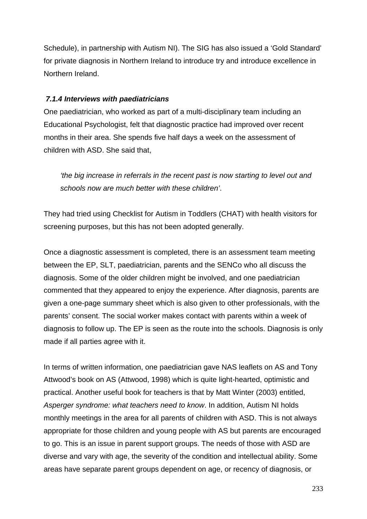Schedule), in partnership with Autism NI). The SIG has also issued a 'Gold Standard' for private diagnosis in Northern Ireland to introduce try and introduce excellence in Northern Ireland.

#### *7.1.4 Interviews with paediatricians*

One paediatrician, who worked as part of a multi-disciplinary team including an Educational Psychologist, felt that diagnostic practice had improved over recent months in their area. She spends five half days a week on the assessment of children with ASD. She said that,

*'the big increase in referrals in the recent past is now starting to level out and schools now are much better with these children'*.

They had tried using Checklist for Autism in Toddlers (CHAT) with health visitors for screening purposes, but this has not been adopted generally.

Once a diagnostic assessment is completed, there is an assessment team meeting between the EP, SLT, paediatrician, parents and the SENCo who all discuss the diagnosis. Some of the older children might be involved, and one paediatrician commented that they appeared to enjoy the experience. After diagnosis, parents are given a one-page summary sheet which is also given to other professionals, with the parents' consent. The social worker makes contact with parents within a week of diagnosis to follow up. The EP is seen as the route into the schools. Diagnosis is only made if all parties agree with it.

In terms of written information, one paediatrician gave NAS leaflets on AS and Tony Attwood's book on AS (Attwood, 1998) which is quite light-hearted, optimistic and practical. Another useful book for teachers is that by Matt Winter (2003) entitled, *Asperger syndrome: what teachers need to know*. In addition, Autism NI holds monthly meetings in the area for all parents of children with ASD. This is not always appropriate for those children and young people with AS but parents are encouraged to go. This is an issue in parent support groups. The needs of those with ASD are diverse and vary with age, the severity of the condition and intellectual ability. Some areas have separate parent groups dependent on age, or recency of diagnosis, or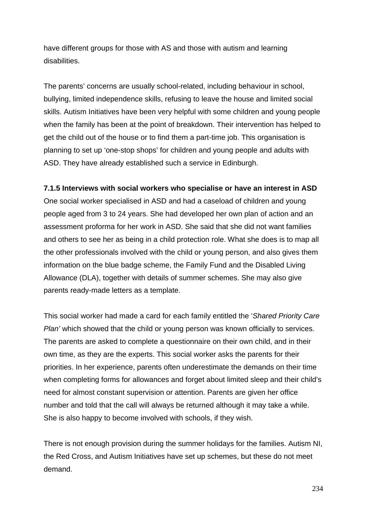have different groups for those with AS and those with autism and learning disabilities.

The parents' concerns are usually school-related, including behaviour in school, bullying, limited independence skills, refusing to leave the house and limited social skills. Autism Initiatives have been very helpful with some children and young people when the family has been at the point of breakdown. Their intervention has helped to get the child out of the house or to find them a part-time job. This organisation is planning to set up 'one-stop shops' for children and young people and adults with ASD. They have already established such a service in Edinburgh.

### **7.1.5 Interviews with social workers who specialise or have an interest in ASD**

One social worker specialised in ASD and had a caseload of children and young people aged from 3 to 24 years. She had developed her own plan of action and an assessment proforma for her work in ASD. She said that she did not want families and others to see her as being in a child protection role. What she does is to map all the other professionals involved with the child or young person, and also gives them information on the blue badge scheme, the Family Fund and the Disabled Living Allowance (DLA), together with details of summer schemes. She may also give parents ready-made letters as a template.

This social worker had made a card for each family entitled the '*Shared Priority Care Plan'* which showed that the child or young person was known officially to services. The parents are asked to complete a questionnaire on their own child, and in their own time, as they are the experts. This social worker asks the parents for their priorities. In her experience, parents often underestimate the demands on their time when completing forms for allowances and forget about limited sleep and their child's need for almost constant supervision or attention. Parents are given her office number and told that the call will always be returned although it may take a while. She is also happy to become involved with schools, if they wish.

There is not enough provision during the summer holidays for the families. Autism NI, the Red Cross, and Autism Initiatives have set up schemes, but these do not meet demand.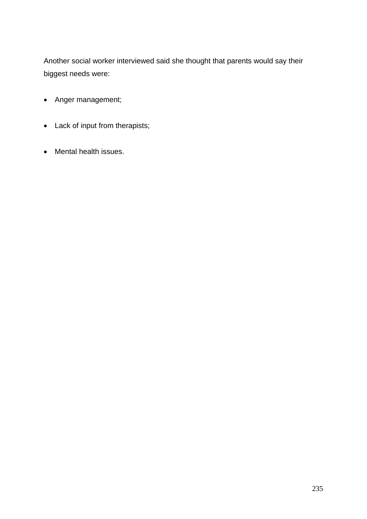Another social worker interviewed said she thought that parents would say their biggest needs were:

- Anger management;
- Lack of input from therapists;
- Mental health issues.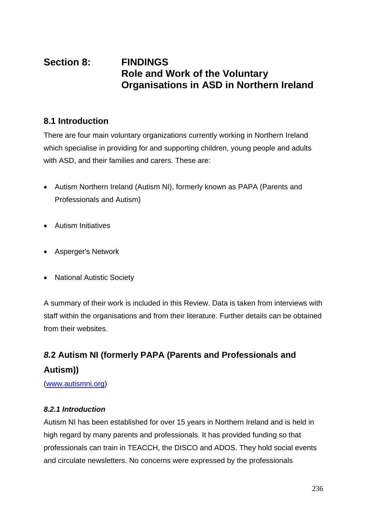# **Section 8: FINDINGS Role and Work of the Voluntary Organisations in ASD in Northern Ireland**

## **8.1 Introduction**

There are four main voluntary organizations currently working in Northern Ireland which specialise in providing for and supporting children, young people and adults with ASD, and their families and carers. These are:

- Autism Northern Ireland (Autism NI), formerly known as PAPA (Parents and Professionals and Autism)
- Autism Initiatives
- Asperger's Network
- National Autistic Society

A summary of their work is included in this Review. Data is taken from interviews with staff within the organisations and from their literature. Further details can be obtained from their websites.

# *8.***2 Autism NI (formerly PAPA (Parents and Professionals and Autism))**

(www.autismni.org)

### *8.2.1 Introduction*

Autism NI has been established for over 15 years in Northern Ireland and is held in high regard by many parents and professionals. It has provided funding so that professionals can train in TEACCH, the DISCO and ADOS. They hold social events and circulate newsletters. No concerns were expressed by the professionals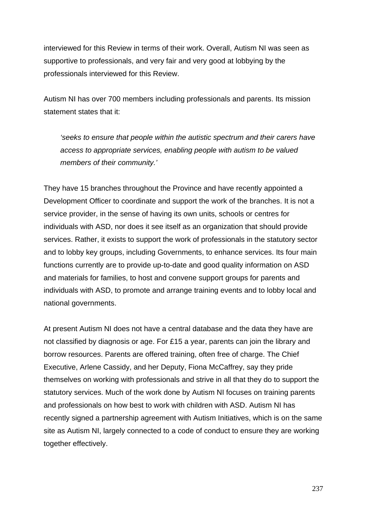interviewed for this Review in terms of their work. Overall, Autism NI was seen as supportive to professionals, and very fair and very good at lobbying by the professionals interviewed for this Review.

Autism NI has over 700 members including professionals and parents. Its mission statement states that it:

*'seeks to ensure that people within the autistic spectrum and their carers have access to appropriate services, enabling people with autism to be valued members of their community.'*

They have 15 branches throughout the Province and have recently appointed a Development Officer to coordinate and support the work of the branches. It is not a service provider, in the sense of having its own units, schools or centres for individuals with ASD, nor does it see itself as an organization that should provide services. Rather, it exists to support the work of professionals in the statutory sector and to lobby key groups, including Governments, to enhance services. Its four main functions currently are to provide up-to-date and good quality information on ASD and materials for families, to host and convene support groups for parents and individuals with ASD, to promote and arrange training events and to lobby local and national governments.

At present Autism NI does not have a central database and the data they have are not classified by diagnosis or age. For £15 a year, parents can join the library and borrow resources. Parents are offered training, often free of charge. The Chief Executive, Arlene Cassidy, and her Deputy, Fiona McCaffrey, say they pride themselves on working with professionals and strive in all that they do to support the statutory services. Much of the work done by Autism NI focuses on training parents and professionals on how best to work with children with ASD. Autism NI has recently signed a partnership agreement with Autism Initiatives, which is on the same site as Autism NI, largely connected to a code of conduct to ensure they are working together effectively.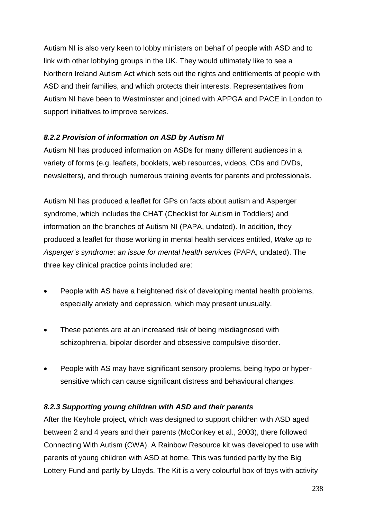Autism NI is also very keen to lobby ministers on behalf of people with ASD and to link with other lobbying groups in the UK. They would ultimately like to see a Northern Ireland Autism Act which sets out the rights and entitlements of people with ASD and their families, and which protects their interests. Representatives from Autism NI have been to Westminster and joined with APPGA and PACE in London to support initiatives to improve services.

## *8.2.2 Provision of information on ASD by Autism NI*

Autism NI has produced information on ASDs for many different audiences in a variety of forms (e.g. leaflets, booklets, web resources, videos, CDs and DVDs, newsletters), and through numerous training events for parents and professionals.

Autism NI has produced a leaflet for GPs on facts about autism and Asperger syndrome, which includes the CHAT (Checklist for Autism in Toddlers) and information on the branches of Autism NI (PAPA, undated). In addition, they produced a leaflet for those working in mental health services entitled, *Wake up to Asperger's syndrome: an issue for mental health services* (PAPA, undated). The three key clinical practice points included are:

- People with AS have a heightened risk of developing mental health problems, especially anxiety and depression, which may present unusually.
- These patients are at an increased risk of being misdiagnosed with schizophrenia, bipolar disorder and obsessive compulsive disorder.
- People with AS may have significant sensory problems, being hypo or hypersensitive which can cause significant distress and behavioural changes.

## *8.2.3 Supporting young children with ASD and their parents*

After the Keyhole project, which was designed to support children with ASD aged between 2 and 4 years and their parents (McConkey et al., 2003), there followed Connecting With Autism (CWA). A Rainbow Resource kit was developed to use with parents of young children with ASD at home. This was funded partly by the Big Lottery Fund and partly by Lloyds. The Kit is a very colourful box of toys with activity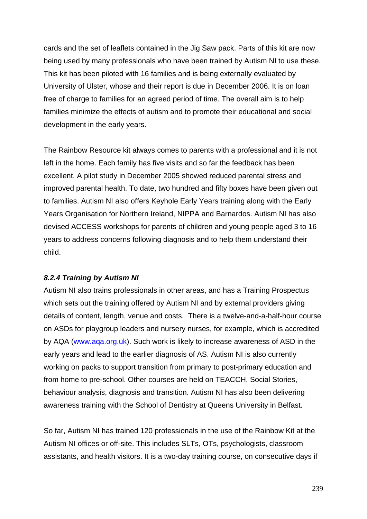cards and the set of leaflets contained in the Jig Saw pack. Parts of this kit are now being used by many professionals who have been trained by Autism NI to use these. This kit has been piloted with 16 families and is being externally evaluated by University of Ulster, whose and their report is due in December 2006. It is on loan free of charge to families for an agreed period of time. The overall aim is to help families minimize the effects of autism and to promote their educational and social development in the early years.

The Rainbow Resource kit always comes to parents with a professional and it is not left in the home. Each family has five visits and so far the feedback has been excellent. A pilot study in December 2005 showed reduced parental stress and improved parental health. To date, two hundred and fifty boxes have been given out to families. Autism NI also offers Keyhole Early Years training along with the Early Years Organisation for Northern Ireland, NIPPA and Barnardos. Autism NI has also devised ACCESS workshops for parents of children and young people aged 3 to 16 years to address concerns following diagnosis and to help them understand their child.

#### *8.2.4 Training by Autism NI*

Autism NI also trains professionals in other areas, and has a Training Prospectus which sets out the training offered by Autism NI and by external providers giving details of content, length, venue and costs. There is a twelve-and-a-half-hour course on ASDs for playgroup leaders and nursery nurses, for example, which is accredited by AQA (www.aqa.org.uk). Such work is likely to increase awareness of ASD in the early years and lead to the earlier diagnosis of AS. Autism NI is also currently working on packs to support transition from primary to post-primary education and from home to pre-school. Other courses are held on TEACCH, Social Stories, behaviour analysis, diagnosis and transition. Autism NI has also been delivering awareness training with the School of Dentistry at Queens University in Belfast.

So far, Autism NI has trained 120 professionals in the use of the Rainbow Kit at the Autism NI offices or off-site. This includes SLTs, OTs, psychologists, classroom assistants, and health visitors. It is a two-day training course, on consecutive days if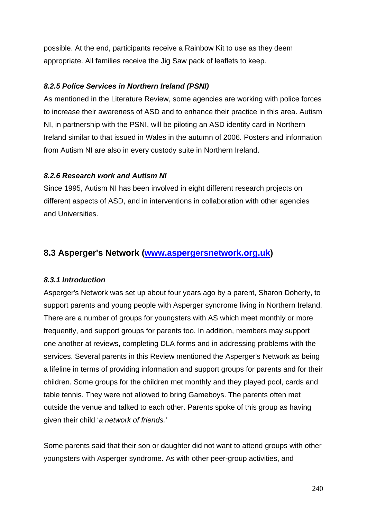possible. At the end, participants receive a Rainbow Kit to use as they deem appropriate. All families receive the Jig Saw pack of leaflets to keep.

### *8.2.5 Police Services in Northern Ireland (PSNI)*

As mentioned in the Literature Review, some agencies are working with police forces to increase their awareness of ASD and to enhance their practice in this area. Autism NI, in partnership with the PSNI, will be piloting an ASD identity card in Northern Ireland similar to that issued in Wales in the autumn of 2006. Posters and information from Autism NI are also in every custody suite in Northern Ireland.

### *8.2.6 Research work and Autism NI*

Since 1995, Autism NI has been involved in eight different research projects on different aspects of ASD, and in interventions in collaboration with other agencies and Universities.

## **8.3 Asperger's Network (www.aspergersnetwork.org.uk)**

## *8.3.1 Introduction*

Asperger's Network was set up about four years ago by a parent, Sharon Doherty, to support parents and young people with Asperger syndrome living in Northern Ireland. There are a number of groups for youngsters with AS which meet monthly or more frequently, and support groups for parents too. In addition, members may support one another at reviews, completing DLA forms and in addressing problems with the services. Several parents in this Review mentioned the Asperger's Network as being a lifeline in terms of providing information and support groups for parents and for their children. Some groups for the children met monthly and they played pool, cards and table tennis. They were not allowed to bring Gameboys. The parents often met outside the venue and talked to each other. Parents spoke of this group as having given their child '*a network of friends.'*

Some parents said that their son or daughter did not want to attend groups with other youngsters with Asperger syndrome. As with other peer-group activities, and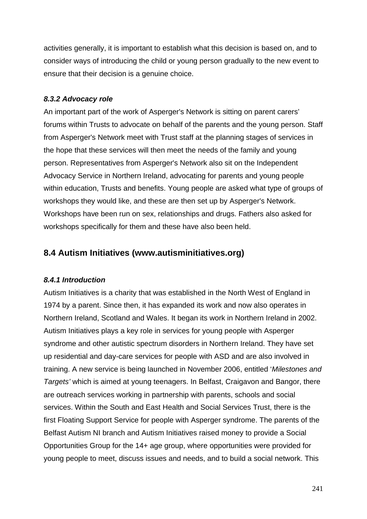activities generally, it is important to establish what this decision is based on, and to consider ways of introducing the child or young person gradually to the new event to ensure that their decision is a genuine choice.

### *8.3.2 Advocacy role*

An important part of the work of Asperger's Network is sitting on parent carers' forums within Trusts to advocate on behalf of the parents and the young person. Staff from Asperger's Network meet with Trust staff at the planning stages of services in the hope that these services will then meet the needs of the family and young person. Representatives from Asperger's Network also sit on the Independent Advocacy Service in Northern Ireland, advocating for parents and young people within education, Trusts and benefits. Young people are asked what type of groups of workshops they would like, and these are then set up by Asperger's Network. Workshops have been run on sex, relationships and drugs. Fathers also asked for workshops specifically for them and these have also been held.

## **8.4 Autism Initiatives (www.autisminitiatives.org)**

## *8.4.1 Introduction*

Autism Initiatives is a charity that was established in the North West of England in 1974 by a parent. Since then, it has expanded its work and now also operates in Northern Ireland, Scotland and Wales. It began its work in Northern Ireland in 2002. Autism Initiatives plays a key role in services for young people with Asperger syndrome and other autistic spectrum disorders in Northern Ireland. They have set up residential and day-care services for people with ASD and are also involved in training. A new service is being launched in November 2006, entitled '*Milestones and Targets'* which is aimed at young teenagers. In Belfast, Craigavon and Bangor, there are outreach services working in partnership with parents, schools and social services. Within the South and East Health and Social Services Trust, there is the first Floating Support Service for people with Asperger syndrome. The parents of the Belfast Autism NI branch and Autism Initiatives raised money to provide a Social Opportunities Group for the 14+ age group, where opportunities were provided for young people to meet, discuss issues and needs, and to build a social network. This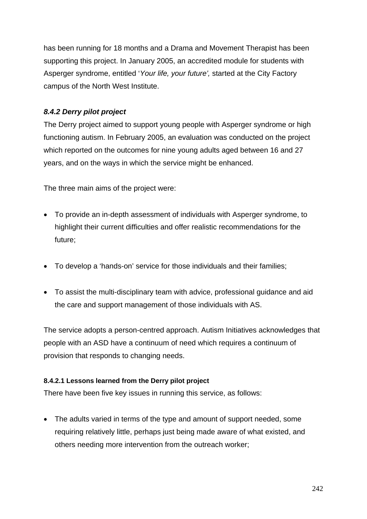has been running for 18 months and a Drama and Movement Therapist has been supporting this project. In January 2005, an accredited module for students with Asperger syndrome, entitled '*Your life, your future',* started at the City Factory campus of the North West Institute.

## *8.4.2 Derry pilot project*

The Derry project aimed to support young people with Asperger syndrome or high functioning autism. In February 2005, an evaluation was conducted on the project which reported on the outcomes for nine young adults aged between 16 and 27 years, and on the ways in which the service might be enhanced.

The three main aims of the project were:

- To provide an in-depth assessment of individuals with Asperger syndrome, to highlight their current difficulties and offer realistic recommendations for the future;
- To develop a 'hands-on' service for those individuals and their families;
- To assist the multi-disciplinary team with advice, professional guidance and aid the care and support management of those individuals with AS.

The service adopts a person-centred approach. Autism Initiatives acknowledges that people with an ASD have a continuum of need which requires a continuum of provision that responds to changing needs.

### **8.4.2.1 Lessons learned from the Derry pilot project**

There have been five key issues in running this service, as follows:

• The adults varied in terms of the type and amount of support needed, some requiring relatively little, perhaps just being made aware of what existed, and others needing more intervention from the outreach worker;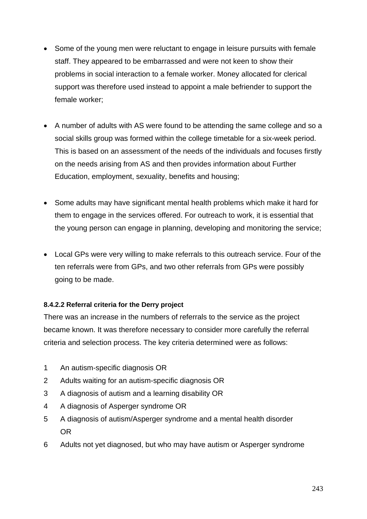- Some of the young men were reluctant to engage in leisure pursuits with female staff. They appeared to be embarrassed and were not keen to show their problems in social interaction to a female worker. Money allocated for clerical support was therefore used instead to appoint a male befriender to support the female worker;
- A number of adults with AS were found to be attending the same college and so a social skills group was formed within the college timetable for a six-week period. This is based on an assessment of the needs of the individuals and focuses firstly on the needs arising from AS and then provides information about Further Education, employment, sexuality, benefits and housing;
- Some adults may have significant mental health problems which make it hard for them to engage in the services offered. For outreach to work, it is essential that the young person can engage in planning, developing and monitoring the service;
- Local GPs were very willing to make referrals to this outreach service. Four of the ten referrals were from GPs, and two other referrals from GPs were possibly going to be made.

### **8.4.2.2 Referral criteria for the Derry project**

There was an increase in the numbers of referrals to the service as the project became known. It was therefore necessary to consider more carefully the referral criteria and selection process. The key criteria determined were as follows:

- 1 An autism-specific diagnosis OR
- 2 Adults waiting for an autism-specific diagnosis OR
- 3 A diagnosis of autism and a learning disability OR
- 4 A diagnosis of Asperger syndrome OR
- 5 A diagnosis of autism/Asperger syndrome and a mental health disorder OR
- 6 Adults not yet diagnosed, but who may have autism or Asperger syndrome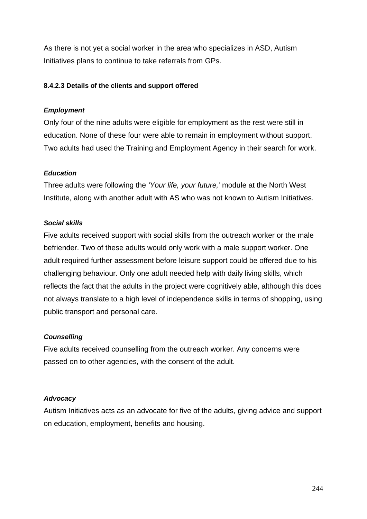As there is not yet a social worker in the area who specializes in ASD, Autism Initiatives plans to continue to take referrals from GPs.

#### **8.4.2.3 Details of the clients and support offered**

#### *Employment*

Only four of the nine adults were eligible for employment as the rest were still in education. None of these four were able to remain in employment without support. Two adults had used the Training and Employment Agency in their search for work.

#### *Education*

Three adults were following the *'Your life, your future,'* module at the North West Institute, along with another adult with AS who was not known to Autism Initiatives.

#### *Social skills*

Five adults received support with social skills from the outreach worker or the male befriender. Two of these adults would only work with a male support worker. One adult required further assessment before leisure support could be offered due to his challenging behaviour. Only one adult needed help with daily living skills, which reflects the fact that the adults in the project were cognitively able, although this does not always translate to a high level of independence skills in terms of shopping, using public transport and personal care.

#### *Counselling*

Five adults received counselling from the outreach worker. Any concerns were passed on to other agencies, with the consent of the adult.

#### *Advocacy*

Autism Initiatives acts as an advocate for five of the adults, giving advice and support on education, employment, benefits and housing.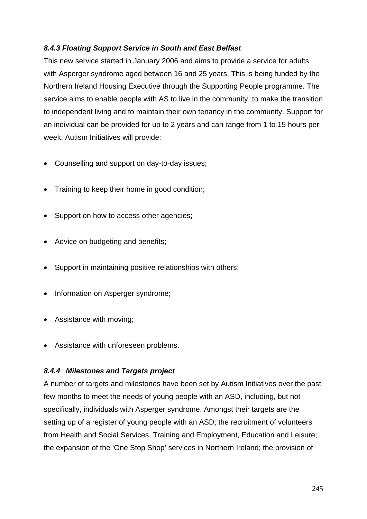### *8.4.3 Floating Support Service in South and East Belfast*

This new service started in January 2006 and aims to provide a service for adults with Asperger syndrome aged between 16 and 25 years. This is being funded by the Northern Ireland Housing Executive through the Supporting People programme. The service aims to enable people with AS to live in the community, to make the transition to independent living and to maintain their own tenancy in the community. Support for an individual can be provided for up to 2 years and can range from 1 to 15 hours per week. Autism Initiatives will provide:

- Counselling and support on day-to-day issues;
- Training to keep their home in good condition;
- Support on how to access other agencies;
- Advice on budgeting and benefits;
- Support in maintaining positive relationships with others:
- Information on Asperger syndrome;
- Assistance with moving;
- Assistance with unforeseen problems.

### *8.4.4 Milestones and Targets project*

A number of targets and milestones have been set by Autism Initiatives over the past few months to meet the needs of young people with an ASD, including, but not specifically, individuals with Asperger syndrome. Amongst their targets are the setting up of a register of young people with an ASD; the recruitment of volunteers from Health and Social Services, Training and Employment, Education and Leisure; the expansion of the 'One Stop Shop' services in Northern Ireland; the provision of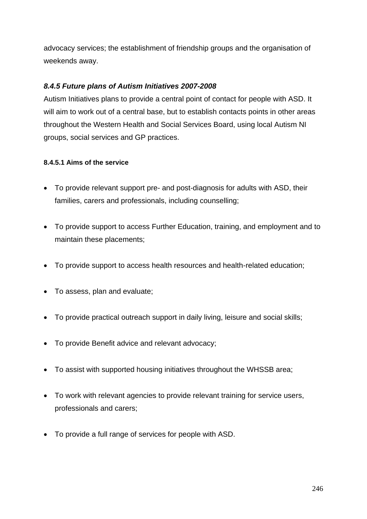advocacy services; the establishment of friendship groups and the organisation of weekends away.

### *8.4.5 Future plans of Autism Initiatives 2007-2008*

Autism Initiatives plans to provide a central point of contact for people with ASD. It will aim to work out of a central base, but to establish contacts points in other areas throughout the Western Health and Social Services Board, using local Autism NI groups, social services and GP practices.

### **8.4.5.1 Aims of the service**

- To provide relevant support pre- and post-diagnosis for adults with ASD, their families, carers and professionals, including counselling;
- To provide support to access Further Education, training, and employment and to maintain these placements;
- To provide support to access health resources and health-related education;
- To assess, plan and evaluate;
- To provide practical outreach support in daily living, leisure and social skills;
- To provide Benefit advice and relevant advocacy;
- To assist with supported housing initiatives throughout the WHSSB area;
- To work with relevant agencies to provide relevant training for service users, professionals and carers;
- To provide a full range of services for people with ASD.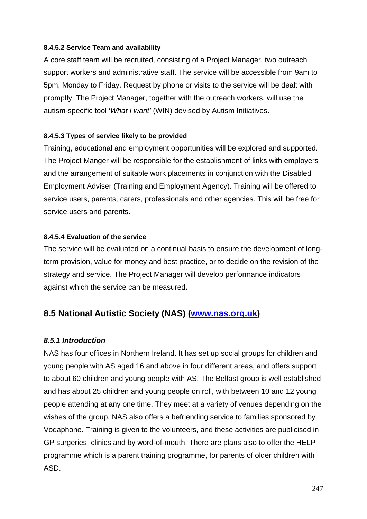#### **8.4.5.2 Service Team and availability**

A core staff team will be recruited, consisting of a Project Manager, two outreach support workers and administrative staff. The service will be accessible from 9am to 5pm, Monday to Friday. Request by phone or visits to the service will be dealt with promptly. The Project Manager, together with the outreach workers, will use the autism-specific tool '*What I want'* (WIN) devised by Autism Initiatives.

### **8.4.5.3 Types of service likely to be provided**

Training, educational and employment opportunities will be explored and supported. The Project Manger will be responsible for the establishment of links with employers and the arrangement of suitable work placements in conjunction with the Disabled Employment Adviser (Training and Employment Agency). Training will be offered to service users, parents, carers, professionals and other agencies. This will be free for service users and parents.

#### **8.4.5.4 Evaluation of the service**

The service will be evaluated on a continual basis to ensure the development of longterm provision, value for money and best practice, or to decide on the revision of the strategy and service. The Project Manager will develop performance indicators against which the service can be measured**.** 

## **8.5 National Autistic Society (NAS) (www.nas.org.uk)**

### *8.5.1 Introduction*

NAS has four offices in Northern Ireland. It has set up social groups for children and young people with AS aged 16 and above in four different areas, and offers support to about 60 children and young people with AS. The Belfast group is well established and has about 25 children and young people on roll, with between 10 and 12 young people attending at any one time. They meet at a variety of venues depending on the wishes of the group. NAS also offers a befriending service to families sponsored by Vodaphone. Training is given to the volunteers, and these activities are publicised in GP surgeries, clinics and by word-of-mouth. There are plans also to offer the HELP programme which is a parent training programme, for parents of older children with ASD.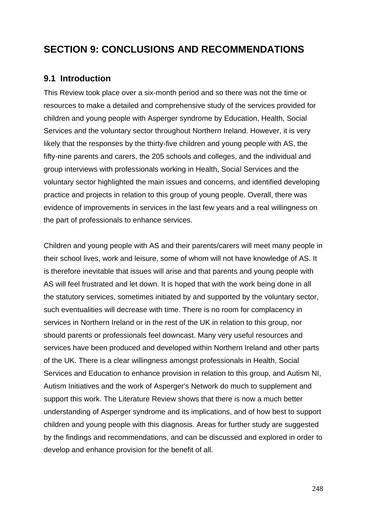# **SECTION 9: CONCLUSIONS AND RECOMMENDATIONS**

## **9.1 Introduction**

This Review took place over a six-month period and so there was not the time or resources to make a detailed and comprehensive study of the services provided for children and young people with Asperger syndrome by Education, Health, Social Services and the voluntary sector throughout Northern Ireland. However, it is very likely that the responses by the thirty-five children and young people with AS, the fifty-nine parents and carers, the 205 schools and colleges, and the individual and group interviews with professionals working in Health, Social Services and the voluntary sector highlighted the main issues and concerns, and identified developing practice and projects in relation to this group of young people. Overall, there was evidence of improvements in services in the last few years and a real willingness on the part of professionals to enhance services.

Children and young people with AS and their parents/carers will meet many people in their school lives, work and leisure, some of whom will not have knowledge of AS. It is therefore inevitable that issues will arise and that parents and young people with AS will feel frustrated and let down. It is hoped that with the work being done in all the statutory services, sometimes initiated by and supported by the voluntary sector, such eventualities will decrease with time. There is no room for complacency in services in Northern Ireland or in the rest of the UK in relation to this group, nor should parents or professionals feel downcast. Many very useful resources and services have been produced and developed within Northern Ireland and other parts of the UK. There is a clear willingness amongst professionals in Health, Social Services and Education to enhance provision in relation to this group, and Autism NI, Autism Initiatives and the work of Asperger's Network do much to supplement and support this work. The Literature Review shows that there is now a much better understanding of Asperger syndrome and its implications, and of how best to support children and young people with this diagnosis. Areas for further study are suggested by the findings and recommendations, and can be discussed and explored in order to develop and enhance provision for the benefit of all.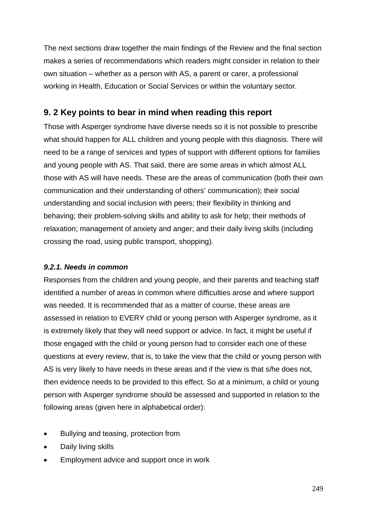The next sections draw together the main findings of the Review and the final section makes a series of recommendations which readers might consider in relation to their own situation – whether as a person with AS, a parent or carer, a professional working in Health, Education or Social Services or within the voluntary sector.

## **9. 2 Key points to bear in mind when reading this report**

Those with Asperger syndrome have diverse needs so it is not possible to prescribe what should happen for ALL children and young people with this diagnosis. There will need to be a range of services and types of support with different options for families and young people with AS. That said, there are some areas in which almost ALL those with AS will have needs. These are the areas of communication (both their own communication and their understanding of others' communication); their social understanding and social inclusion with peers; their flexibility in thinking and behaving; their problem-solving skills and ability to ask for help; their methods of relaxation; management of anxiety and anger; and their daily living skills (including crossing the road, using public transport, shopping).

## *9.2.1. Needs in common*

Responses from the children and young people, and their parents and teaching staff identified a number of areas in common where difficulties arose and where support was needed. It is recommended that as a matter of course, these areas are assessed in relation to EVERY child or young person with Asperger syndrome, as it is extremely likely that they will need support or advice. In fact, it might be useful if those engaged with the child or young person had to consider each one of these questions at every review, that is, to take the view that the child or young person with AS is very likely to have needs in these areas and if the view is that s/he does not, then evidence needs to be provided to this effect. So at a minimum, a child or young person with Asperger syndrome should be assessed and supported in relation to the following areas (given here in alphabetical order):

- Bullying and teasing, protection from
- Daily living skills
- Employment advice and support once in work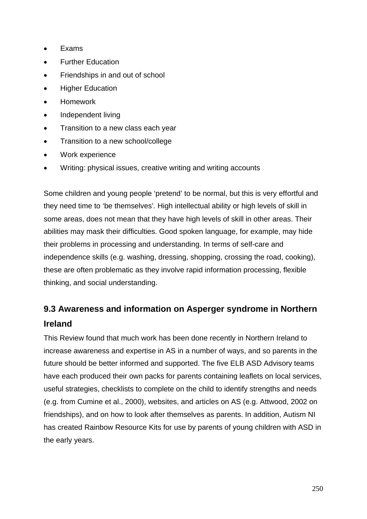- Exams
- Further Education
- Friendships in and out of school
- Higher Education
- Homework
- Independent living
- Transition to a new class each year
- Transition to a new school/college
- Work experience
- Writing: physical issues, creative writing and writing accounts

Some children and young people 'pretend' to be normal, but this is very effortful and they need time to 'be themselves'*.* High intellectual ability or high levels of skill in some areas, does not mean that they have high levels of skill in other areas. Their abilities may mask their difficulties. Good spoken language, for example, may hide their problems in processing and understanding. In terms of self-care and independence skills (e.g. washing, dressing, shopping, crossing the road, cooking), these are often problematic as they involve rapid information processing, flexible thinking, and social understanding.

# **9.3 Awareness and information on Asperger syndrome in Northern Ireland**

This Review found that much work has been done recently in Northern Ireland to increase awareness and expertise in AS in a number of ways, and so parents in the future should be better informed and supported. The five ELB ASD Advisory teams have each produced their own packs for parents containing leaflets on local services, useful strategies, checklists to complete on the child to identify strengths and needs (e.g. from Cumine et al., 2000), websites, and articles on AS (e.g. Attwood, 2002 on friendships), and on how to look after themselves as parents. In addition, Autism NI has created Rainbow Resource Kits for use by parents of young children with ASD in the early years.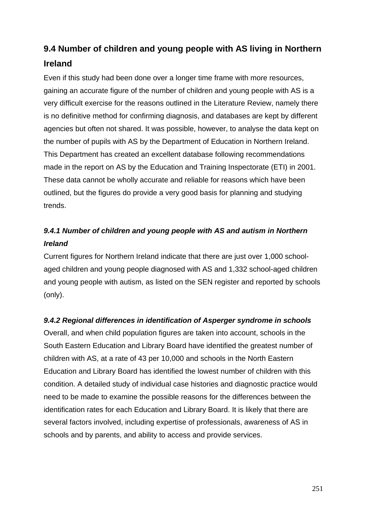# **9.4 Number of children and young people with AS living in Northern Ireland**

Even if this study had been done over a longer time frame with more resources, gaining an accurate figure of the number of children and young people with AS is a very difficult exercise for the reasons outlined in the Literature Review, namely there is no definitive method for confirming diagnosis, and databases are kept by different agencies but often not shared. It was possible, however, to analyse the data kept on the number of pupils with AS by the Department of Education in Northern Ireland. This Department has created an excellent database following recommendations made in the report on AS by the Education and Training Inspectorate (ETI) in 2001. These data cannot be wholly accurate and reliable for reasons which have been outlined, but the figures do provide a very good basis for planning and studying trends.

# *9.4.1 Number of children and young people with AS and autism in Northern Ireland*

Current figures for Northern Ireland indicate that there are just over 1,000 schoolaged children and young people diagnosed with AS and 1,332 school-aged children and young people with autism, as listed on the SEN register and reported by schools (only).

## *9.4.2 Regional differences in identification of Asperger syndrome in schools*

Overall, and when child population figures are taken into account, schools in the South Eastern Education and Library Board have identified the greatest number of children with AS, at a rate of 43 per 10,000 and schools in the North Eastern Education and Library Board has identified the lowest number of children with this condition. A detailed study of individual case histories and diagnostic practice would need to be made to examine the possible reasons for the differences between the identification rates for each Education and Library Board. It is likely that there are several factors involved, including expertise of professionals, awareness of AS in schools and by parents, and ability to access and provide services.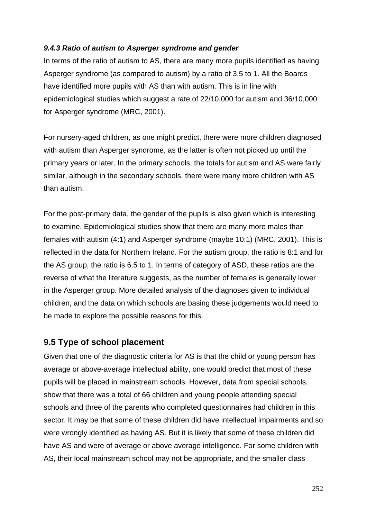#### *9.4.3 Ratio of autism to Asperger syndrome and gender*

In terms of the ratio of autism to AS, there are many more pupils identified as having Asperger syndrome (as compared to autism) by a ratio of 3.5 to 1. All the Boards have identified more pupils with AS than with autism. This is in line with epidemiological studies which suggest a rate of 22/10,000 for autism and 36/10,000 for Asperger syndrome (MRC, 2001).

For nursery-aged children, as one might predict, there were more children diagnosed with autism than Asperger syndrome, as the latter is often not picked up until the primary years or later. In the primary schools, the totals for autism and AS were fairly similar, although in the secondary schools, there were many more children with AS than autism.

For the post-primary data, the gender of the pupils is also given which is interesting to examine. Epidemiological studies show that there are many more males than females with autism (4:1) and Asperger syndrome (maybe 10:1) (MRC, 2001). This is reflected in the data for Northern Ireland. For the autism group, the ratio is 8:1 and for the AS group, the ratio is 6.5 to 1. In terms of category of ASD, these ratios are the reverse of what the literature suggests, as the number of females is generally lower in the Asperger group. More detailed analysis of the diagnoses given to individual children, and the data on which schools are basing these judgements would need to be made to explore the possible reasons for this.

## **9.5 Type of school placement**

Given that one of the diagnostic criteria for AS is that the child or young person has average or above-average intellectual ability, one would predict that most of these pupils will be placed in mainstream schools. However, data from special schools, show that there was a total of 66 children and young people attending special schools and three of the parents who completed questionnaires had children in this sector. It may be that some of these children did have intellectual impairments and so were wrongly identified as having AS. But it is likely that some of these children did have AS and were of average or above average intelligence. For some children with AS, their local mainstream school may not be appropriate, and the smaller class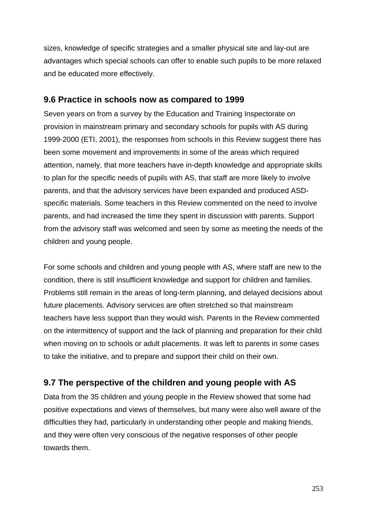sizes, knowledge of specific strategies and a smaller physical site and lay-out are advantages which special schools can offer to enable such pupils to be more relaxed and be educated more effectively.

# **9.6 Practice in schools now as compared to 1999**

Seven years on from a survey by the Education and Training Inspectorate on provision in mainstream primary and secondary schools for pupils with AS during 1999-2000 (ETI, 2001), the responses from schools in this Review suggest there has been some movement and improvements in some of the areas which required attention, namely, that more teachers have in-depth knowledge and appropriate skills to plan for the specific needs of pupils with AS, that staff are more likely to involve parents, and that the advisory services have been expanded and produced ASDspecific materials. Some teachers in this Review commented on the need to involve parents, and had increased the time they spent in discussion with parents. Support from the advisory staff was welcomed and seen by some as meeting the needs of the children and young people.

For some schools and children and young people with AS, where staff are new to the condition, there is still insufficient knowledge and support for children and families. Problems still remain in the areas of long-term planning, and delayed decisions about future placements. Advisory services are often stretched so that mainstream teachers have less support than they would wish. Parents in the Review commented on the intermittency of support and the lack of planning and preparation for their child when moving on to schools or adult placements. It was left to parents in some cases to take the initiative, and to prepare and support their child on their own.

# **9.7 The perspective of the children and young people with AS**

Data from the 35 children and young people in the Review showed that some had positive expectations and views of themselves, but many were also well aware of the difficulties they had, particularly in understanding other people and making friends, and they were often very conscious of the negative responses of other people towards them.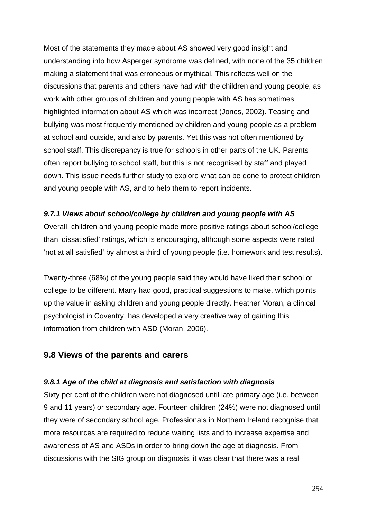Most of the statements they made about AS showed very good insight and understanding into how Asperger syndrome was defined, with none of the 35 children making a statement that was erroneous or mythical. This reflects well on the discussions that parents and others have had with the children and young people, as work with other groups of children and young people with AS has sometimes highlighted information about AS which was incorrect (Jones, 2002). Teasing and bullying was most frequently mentioned by children and young people as a problem at school and outside, and also by parents. Yet this was not often mentioned by school staff. This discrepancy is true for schools in other parts of the UK. Parents often report bullying to school staff, but this is not recognised by staff and played down. This issue needs further study to explore what can be done to protect children and young people with AS, and to help them to report incidents.

# *9.7.1 Views about school/college by children and young people with AS*

Overall, children and young people made more positive ratings about school/college than 'dissatisfied' ratings, which is encouraging, although some aspects were rated 'not at all satisfied*'* by almost a third of young people (i.e. homework and test results).

Twenty-three (68%) of the young people said they would have liked their school or college to be different. Many had good, practical suggestions to make, which points up the value in asking children and young people directly. Heather Moran, a clinical psychologist in Coventry, has developed a very creative way of gaining this information from children with ASD (Moran, 2006).

# **9.8 Views of the parents and carers**

# *9.8.1 Age of the child at diagnosis and satisfaction with diagnosis*

Sixty per cent of the children were not diagnosed until late primary age (i.e. between 9 and 11 years) or secondary age. Fourteen children (24%) were not diagnosed until they were of secondary school age. Professionals in Northern Ireland recognise that more resources are required to reduce waiting lists and to increase expertise and awareness of AS and ASDs in order to bring down the age at diagnosis. From discussions with the SIG group on diagnosis, it was clear that there was a real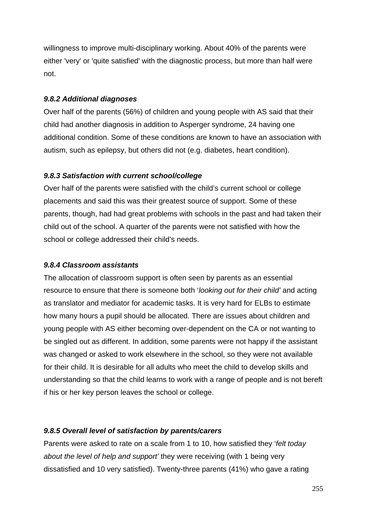willingness to improve multi-disciplinary working. About 40% of the parents were either 'very' or 'quite satisfied' with the diagnostic process, but more than half were not.

#### *9.8.2 Additional diagnoses*

Over half of the parents (56%) of children and young people with AS said that their child had another diagnosis in addition to Asperger syndrome, 24 having one additional condition. Some of these conditions are known to have an association with autism, such as epilepsy, but others did not (e.g. diabetes, heart condition).

#### *9.8.3 Satisfaction with current school/college*

Over half of the parents were satisfied with the child's current school or college placements and said this was their greatest source of support. Some of these parents, though, had had great problems with schools in the past and had taken their child out of the school. A quarter of the parents were not satisfied with how the school or college addressed their child's needs.

# *9.8.4 Classroom assistants*

The allocation of classroom support is often seen by parents as an essential resource to ensure that there is someone both '*looking out for their child'* and acting as translator and mediator for academic tasks. It is very hard for ELBs to estimate how many hours a pupil should be allocated. There are issues about children and young people with AS either becoming over-dependent on the CA or not wanting to be singled out as different. In addition, some parents were not happy if the assistant was changed or asked to work elsewhere in the school, so they were not available for their child. It is desirable for all adults who meet the child to develop skills and understanding so that the child learns to work with a range of people and is not bereft if his or her key person leaves the school or college.

# *9.8.5 Overall level of satisfaction by parents/carers*

Parents were asked to rate on a scale from 1 to 10, how satisfied they '*felt today about the level of help and support'* they were receiving (with 1 being very dissatisfied and 10 very satisfied). Twenty-three parents (41%) who gave a rating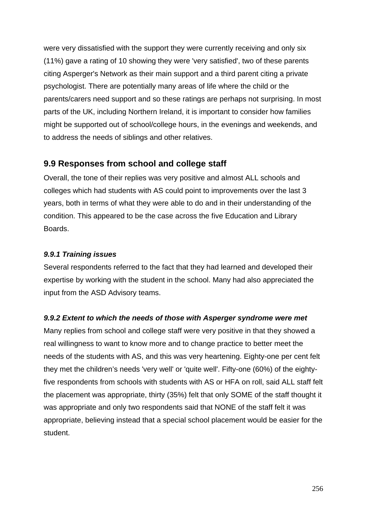were very dissatisfied with the support they were currently receiving and only six (11%) gave a rating of 10 showing they were 'very satisfied', two of these parents citing Asperger's Network as their main support and a third parent citing a private psychologist. There are potentially many areas of life where the child or the parents/carers need support and so these ratings are perhaps not surprising. In most parts of the UK, including Northern Ireland, it is important to consider how families might be supported out of school/college hours, in the evenings and weekends, and to address the needs of siblings and other relatives.

# **9.9 Responses from school and college staff**

Overall, the tone of their replies was very positive and almost ALL schools and colleges which had students with AS could point to improvements over the last 3 years, both in terms of what they were able to do and in their understanding of the condition. This appeared to be the case across the five Education and Library Boards.

#### *9.9.1 Training issues*

Several respondents referred to the fact that they had learned and developed their expertise by working with the student in the school. Many had also appreciated the input from the ASD Advisory teams.

# *9.9.2 Extent to which the needs of those with Asperger syndrome were met*

Many replies from school and college staff were very positive in that they showed a real willingness to want to know more and to change practice to better meet the needs of the students with AS, and this was very heartening. Eighty-one per cent felt they met the children's needs 'very well' or 'quite well'. Fifty-one (60%) of the eightyfive respondents from schools with students with AS or HFA on roll, said ALL staff felt the placement was appropriate, thirty (35%) felt that only SOME of the staff thought it was appropriate and only two respondents said that NONE of the staff felt it was appropriate, believing instead that a special school placement would be easier for the student.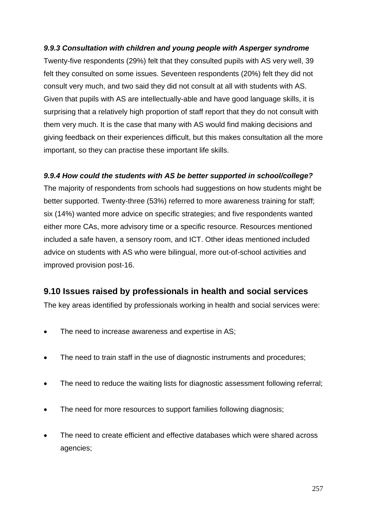# *9.9.3 Consultation with children and young people with Asperger syndrome*

Twenty-five respondents (29%) felt that they consulted pupils with AS very well, 39 felt they consulted on some issues. Seventeen respondents (20%) felt they did not consult very much, and two said they did not consult at all with students with AS. Given that pupils with AS are intellectually-able and have good language skills, it is surprising that a relatively high proportion of staff report that they do not consult with them very much. It is the case that many with AS would find making decisions and giving feedback on their experiences difficult, but this makes consultation all the more important, so they can practise these important life skills.

# *9.9.4 How could the students with AS be better supported in school/college?*

The majority of respondents from schools had suggestions on how students might be better supported. Twenty-three (53%) referred to more awareness training for staff; six (14%) wanted more advice on specific strategies; and five respondents wanted either more CAs, more advisory time or a specific resource. Resources mentioned included a safe haven, a sensory room, and ICT. Other ideas mentioned included advice on students with AS who were bilingual, more out-of-school activities and improved provision post-16.

# **9.10 Issues raised by professionals in health and social services**

The key areas identified by professionals working in health and social services were:

- The need to increase awareness and expertise in AS;
- The need to train staff in the use of diagnostic instruments and procedures;
- The need to reduce the waiting lists for diagnostic assessment following referral;
- The need for more resources to support families following diagnosis:
- The need to create efficient and effective databases which were shared across agencies;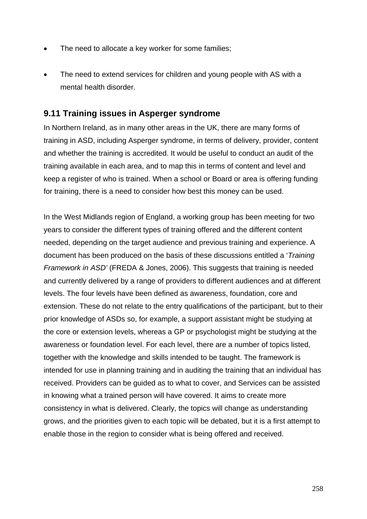- The need to allocate a key worker for some families;
- The need to extend services for children and young people with AS with a mental health disorder.

# **9.11 Training issues in Asperger syndrome**

In Northern Ireland, as in many other areas in the UK, there are many forms of training in ASD, including Asperger syndrome, in terms of delivery, provider, content and whether the training is accredited. It would be useful to conduct an audit of the training available in each area, and to map this in terms of content and level and keep a register of who is trained. When a school or Board or area is offering funding for training, there is a need to consider how best this money can be used.

In the West Midlands region of England, a working group has been meeting for two years to consider the different types of training offered and the different content needed, depending on the target audience and previous training and experience. A document has been produced on the basis of these discussions entitled a '*Training Framework in ASD'* (FREDA & Jones, 2006). This suggests that training is needed and currently delivered by a range of providers to different audiences and at different levels. The four levels have been defined as awareness, foundation, core and extension. These do not relate to the entry qualifications of the participant, but to their prior knowledge of ASDs so, for example, a support assistant might be studying at the core or extension levels, whereas a GP or psychologist might be studying at the awareness or foundation level. For each level, there are a number of topics listed, together with the knowledge and skills intended to be taught. The framework is intended for use in planning training and in auditing the training that an individual has received. Providers can be guided as to what to cover, and Services can be assisted in knowing what a trained person will have covered. It aims to create more consistency in what is delivered. Clearly, the topics will change as understanding grows, and the priorities given to each topic will be debated, but it is a first attempt to enable those in the region to consider what is being offered and received.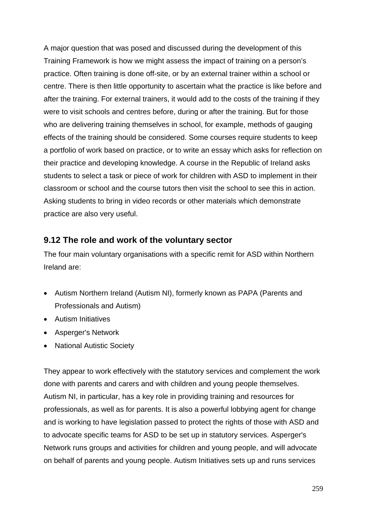A major question that was posed and discussed during the development of this Training Framework is how we might assess the impact of training on a person's practice. Often training is done off-site, or by an external trainer within a school or centre. There is then little opportunity to ascertain what the practice is like before and after the training. For external trainers, it would add to the costs of the training if they were to visit schools and centres before, during or after the training. But for those who are delivering training themselves in school, for example, methods of gauging effects of the training should be considered. Some courses require students to keep a portfolio of work based on practice, or to write an essay which asks for reflection on their practice and developing knowledge. A course in the Republic of Ireland asks students to select a task or piece of work for children with ASD to implement in their classroom or school and the course tutors then visit the school to see this in action. Asking students to bring in video records or other materials which demonstrate practice are also very useful.

# **9.12 The role and work of the voluntary sector**

The four main voluntary organisations with a specific remit for ASD within Northern Ireland are:

- Autism Northern Ireland (Autism NI), formerly known as PAPA (Parents and Professionals and Autism)
- Autism Initiatives
- Asperger's Network
- National Autistic Society

They appear to work effectively with the statutory services and complement the work done with parents and carers and with children and young people themselves. Autism NI, in particular, has a key role in providing training and resources for professionals, as well as for parents. It is also a powerful lobbying agent for change and is working to have legislation passed to protect the rights of those with ASD and to advocate specific teams for ASD to be set up in statutory services. Asperger's Network runs groups and activities for children and young people, and will advocate on behalf of parents and young people. Autism Initiatives sets up and runs services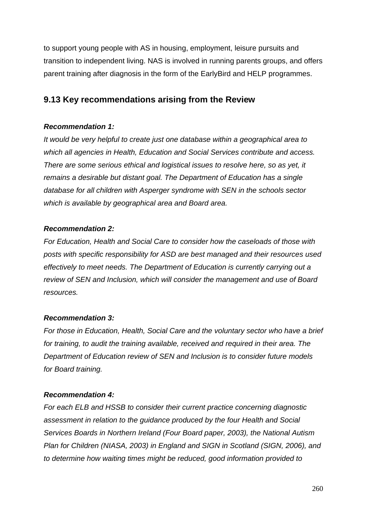to support young people with AS in housing, employment, leisure pursuits and transition to independent living. NAS is involved in running parents groups, and offers parent training after diagnosis in the form of the EarlyBird and HELP programmes.

# **9.13 Key recommendations arising from the Review**

# *Recommendation 1:*

*It would be very helpful to create just one database within a geographical area to which all agencies in Health, Education and Social Services contribute and access. There are some serious ethical and logistical issues to resolve here, so as yet, it remains a desirable but distant goal. The Department of Education has a single database for all children with Asperger syndrome with SEN in the schools sector which is available by geographical area and Board area.*

# *Recommendation 2:*

*For Education, Health and Social Care to consider how the caseloads of those with posts with specific responsibility for ASD are best managed and their resources used effectively to meet needs. The Department of Education is currently carrying out a review of SEN and Inclusion, which will consider the management and use of Board resources.*

# *Recommendation 3:*

*For those in Education, Health, Social Care and the voluntary sector who have a brief for training, to audit the training available, received and required in their area. The Department of Education review of SEN and Inclusion is to consider future models for Board training.*

# *Recommendation 4:*

*For each ELB and HSSB to consider their current practice concerning diagnostic assessment in relation to the guidance produced by the four Health and Social Services Boards in Northern Ireland (Four Board paper, 2003), the National Autism Plan for Children (NIASA, 2003) in England and SIGN in Scotland (SIGN, 2006), and to determine how waiting times might be reduced, good information provided to*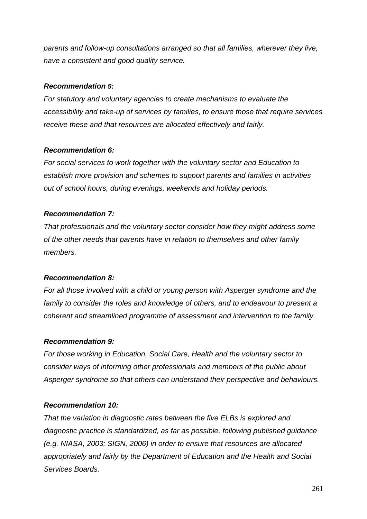*parents and follow-up consultations arranged so that all families, wherever they live, have a consistent and good quality service.*

#### *Recommendation 5:*

*For statutory and voluntary agencies to create mechanisms to evaluate the accessibility and take-up of services by families, to ensure those that require services receive these and that resources are allocated effectively and fairly.*

#### *Recommendation 6:*

*For social services to work together with the voluntary sector and Education to establish more provision and schemes to support parents and families in activities out of school hours, during evenings, weekends and holiday periods.*

#### *Recommendation 7:*

*That professionals and the voluntary sector consider how they might address some of the other needs that parents have in relation to themselves and other family members.*

# *Recommendation 8:*

*For all those involved with a child or young person with Asperger syndrome and the*  family to consider the roles and knowledge of others, and to endeavour to present a *coherent and streamlined programme of assessment and intervention to the family.*

# *Recommendation 9:*

*For those working in Education, Social Care, Health and the voluntary sector to consider ways of informing other professionals and members of the public about Asperger syndrome so that others can understand their perspective and behaviours.*

# *Recommendation 10:*

*That the variation in diagnostic rates between the five ELBs is explored and diagnostic practice is standardized, as far as possible, following published guidance (e.g. NIASA, 2003; SIGN, 2006) in order to ensure that resources are allocated appropriately and fairly by the Department of Education and the Health and Social Services Boards.*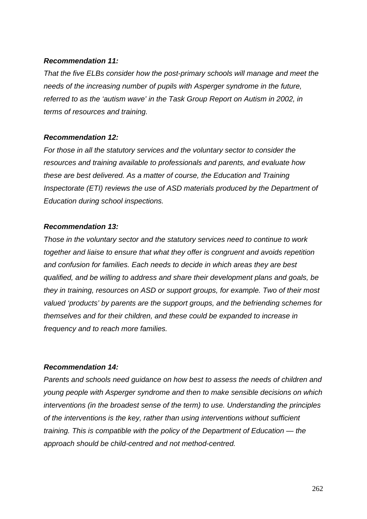#### *Recommendation 11:*

*That the five ELBs consider how the post-primary schools will manage and meet the needs of the increasing number of pupils with Asperger syndrome in the future, referred to as the 'autism wave' in the Task Group Report on Autism in 2002, in terms of resources and training.*

#### *Recommendation 12:*

*For those in all the statutory services and the voluntary sector to consider the resources and training available to professionals and parents, and evaluate how these are best delivered. As a matter of course, the Education and Training Inspectorate (ETI) reviews the use of ASD materials produced by the Department of Education during school inspections.*

#### *Recommendation 13:*

*Those in the voluntary sector and the statutory services need to continue to work together and liaise to ensure that what they offer is congruent and avoids repetition and confusion for families. Each needs to decide in which areas they are best qualified, and be willing to address and share their development plans and goals, be they in training, resources on ASD or support groups, for example. Two of their most valued 'products' by parents are the support groups, and the befriending schemes for themselves and for their children, and these could be expanded to increase in frequency and to reach more families.*

# *Recommendation 14:*

*Parents and schools need guidance on how best to assess the needs of children and young people with Asperger syndrome and then to make sensible decisions on which interventions (in the broadest sense of the term) to use. Understanding the principles of the interventions is the key, rather than using interventions without sufficient training. This is compatible with the policy of the Department of Education — the approach should be child-centred and not method-centred.*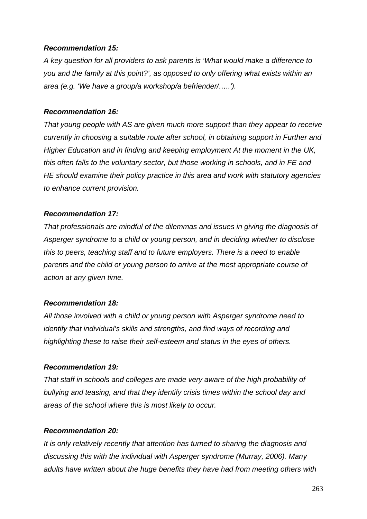#### *Recommendation 15:*

*A key question for all providers to ask parents is 'What would make a difference to you and the family at this point?', as opposed to only offering what exists within an area (e.g. 'We have a group/a workshop/a befriender/…..').*

#### *Recommendation 16:*

*That young people with AS are given much more support than they appear to receive currently in choosing a suitable route after school, in obtaining support in Further and Higher Education and in finding and keeping employment At the moment in the UK, this often falls to the voluntary sector, but those working in schools, and in FE and HE should examine their policy practice in this area and work with statutory agencies to enhance current provision.*

#### *Recommendation 17:*

*That professionals are mindful of the dilemmas and issues in giving the diagnosis of Asperger syndrome to a child or young person, and in deciding whether to disclose this to peers, teaching staff and to future employers. There is a need to enable parents and the child or young person to arrive at the most appropriate course of action at any given time.*

# *Recommendation 18:*

*All those involved with a child or young person with Asperger syndrome need to identify that individual's skills and strengths, and find ways of recording and highlighting these to raise their self-esteem and status in the eyes of others.*

# *Recommendation 19:*

*That staff in schools and colleges are made very aware of the high probability of bullying and teasing, and that they identify crisis times within the school day and areas of the school where this is most likely to occur.* 

# *Recommendation 20:*

*It is only relatively recently that attention has turned to sharing the diagnosis and discussing this with the individual with Asperger syndrome (Murray, 2006). Many adults have written about the huge benefits they have had from meeting others with*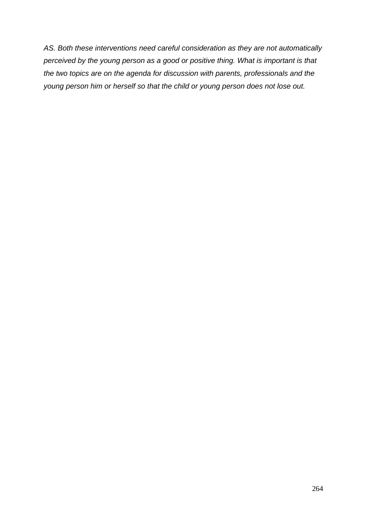*AS. Both these interventions need careful consideration as they are not automatically perceived by the young person as a good or positive thing. What is important is that the two topics are on the agenda for discussion with parents, professionals and the young person him or herself so that the child or young person does not lose out.*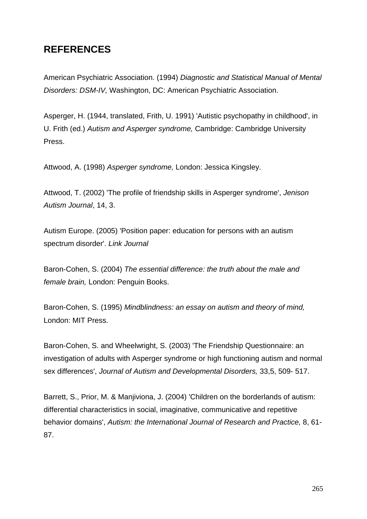# **REFERENCES**

American Psychiatric Association. (1994) *Diagnostic and Statistical Manual of Mental Disorders: DSM-IV,* Washington, DC: American Psychiatric Association.

Asperger, H. (1944, translated, Frith, U. 1991) 'Autistic psychopathy in childhood', in U. Frith (ed.) *Autism and Asperger syndrome,* Cambridge: Cambridge University Press.

Attwood, A. (1998) *Asperger syndrome,* London: Jessica Kingsley.

Attwood, T. (2002) 'The profile of friendship skills in Asperger syndrome', *Jenison Autism Journal*, 14, 3.

Autism Europe. (2005) 'Position paper: education for persons with an autism spectrum disorder'. *Link Journal*

Baron-Cohen, S. (2004) *The essential difference: the truth about the male and female brain,* London: Penguin Books.

Baron-Cohen, S. (1995) *Mindblindness: an essay on autism and theory of mind,*  London: MIT Press.

Baron-Cohen, S. and Wheelwright, S. (2003) 'The Friendship Questionnaire: an investigation of adults with Asperger syndrome or high functioning autism and normal sex differences', *Journal of Autism and Developmental Disorders,* 33,5, 509- 517.

Barrett, S., Prior, M. & Manjiviona, J. (2004) 'Children on the borderlands of autism: differential characteristics in social, imaginative, communicative and repetitive behavior domains', *Autism: the International Journal of Research and Practice,* 8, 61- 87.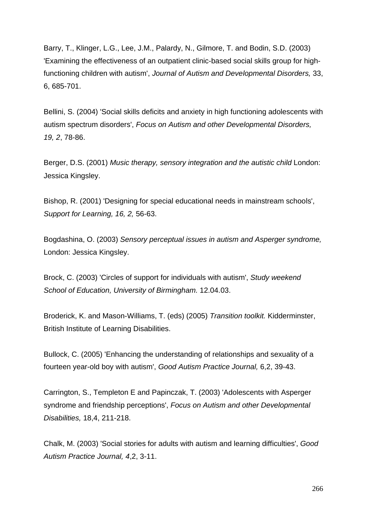Barry, T., Klinger, L.G., Lee, J.M., Palardy, N., Gilmore, T. and Bodin, S.D. (2003) 'Examining the effectiveness of an outpatient clinic-based social skills group for highfunctioning children with autism', *Journal of Autism and Developmental Disorders,* 33, 6, 685-701.

Bellini, S. (2004) 'Social skills deficits and anxiety in high functioning adolescents with autism spectrum disorders', *Focus on Autism and other Developmental Disorders, 19, 2*, 78-86.

Berger, D.S. (2001) *Music therapy, sensory integration and the autistic child* London: Jessica Kingsley.

Bishop, R. (2001) 'Designing for special educational needs in mainstream schools', *Support for Learning, 16, 2,* 56-63.

Bogdashina, O. (2003) *Sensory perceptual issues in autism and Asperger syndrome,* London: Jessica Kingsley.

Brock, C. (2003) 'Circles of support for individuals with autism', *Study weekend School of Education, University of Birmingham.* 12.04.03.

Broderick, K. and Mason-Williams, T. (eds) (2005) *Transition toolkit.* Kidderminster, British Institute of Learning Disabilities.

Bullock, C. (2005) 'Enhancing the understanding of relationships and sexuality of a fourteen year-old boy with autism', *Good Autism Practice Journal,* 6,2, 39-43.

Carrington, S., Templeton E and Papinczak, T. (2003) 'Adolescents with Asperger syndrome and friendship perceptions', *Focus on Autism and other Developmental Disabilities,* 18,4, 211-218.

Chalk, M. (2003) 'Social stories for adults with autism and learning difficulties', *Good Autism Practice Journal, 4*,2, 3-11.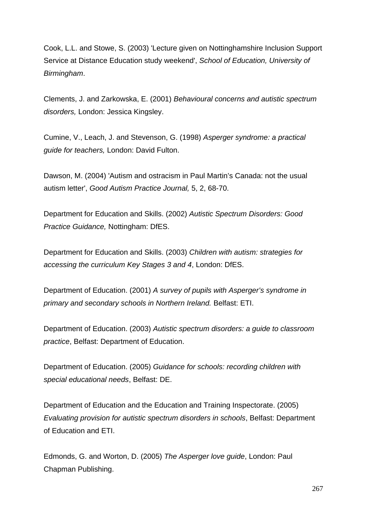Cook, L.L. and Stowe, S. (2003) 'Lecture given on Nottinghamshire Inclusion Support Service at Distance Education study weekend', *School of Education, University of Birmingham*.

Clements, J. and Zarkowska, E. (2001) *Behavioural concerns and autistic spectrum disorders,* London: Jessica Kingsley.

Cumine, V., Leach, J. and Stevenson, G. (1998) *Asperger syndrome: a practical guide for teachers,* London: David Fulton.

Dawson, M. (2004) 'Autism and ostracism in Paul Martin's Canada: not the usual autism letter', *Good Autism Practice Journal,* 5, 2, 68-70.

Department for Education and Skills. (2002) *Autistic Spectrum Disorders: Good Practice Guidance,* Nottingham: DfES.

Department for Education and Skills. (2003) *Children with autism: strategies for accessing the curriculum Key Stages 3 and 4*, London: DfES.

Department of Education. (2001) *A survey of pupils with Asperger's syndrome in primary and secondary schools in Northern Ireland.* Belfast: ETI.

Department of Education. (2003) *Autistic spectrum disorders: a guide to classroom practice*, Belfast: Department of Education.

Department of Education. (2005) *Guidance for schools: recording children with special educational needs*, Belfast: DE.

Department of Education and the Education and Training Inspectorate. (2005) *Evaluating provision for autistic spectrum disorders in schools*, Belfast: Department of Education and ETI.

Edmonds, G. and Worton, D. (2005) *The Asperger love guide*, London: Paul Chapman Publishing.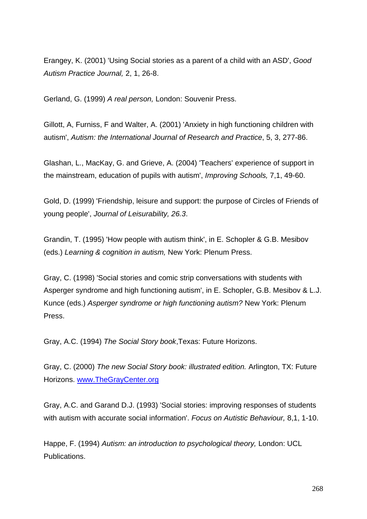Erangey, K. (2001) 'Using Social stories as a parent of a child with an ASD', *Good Autism Practice Journal,* 2, 1, 26-8.

Gerland, G. (1999) *A real person,* London: Souvenir Press.

Gillott, A, Furniss, F and Walter, A. (2001) 'Anxiety in high functioning children with autism', *Autism: the International Journal of Research and Practice*, 5, 3, 277-86.

Glashan, L., MacKay, G. and Grieve, A. (2004) 'Teachers' experience of support in the mainstream, education of pupils with autism', *Improving Schools,* 7,1, 49-60.

Gold, D. (1999) 'Friendship, leisure and support: the purpose of Circles of Friends of young people', *Journal of Leisurability, 26.3*.

Grandin, T. (1995) 'How people with autism think', in E. Schopler & G.B. Mesibov (eds.) *Learning & cognition in autism,* New York: Plenum Press.

Gray, C. (1998) 'Social stories and comic strip conversations with students with Asperger syndrome and high functioning autism', in E. Schopler, G.B. Mesibov & L.J. Kunce (eds.) *Asperger syndrome or high functioning autism?* New York: Plenum Press.

Gray, A.C. (1994) *The Social Story book*,Texas: Future Horizons.

Gray, C. (2000) *The new Social Story book: illustrated edition.* Arlington, TX: Future Horizons. www.TheGrayCenter.org

Gray, A.C. and Garand D.J. (1993) 'Social stories: improving responses of students with autism with accurate social information'. *Focus on Autistic Behaviour,* 8,1, 1-10.

Happe, F. (1994) *Autism: an introduction to psychological theory,* London: UCL Publications.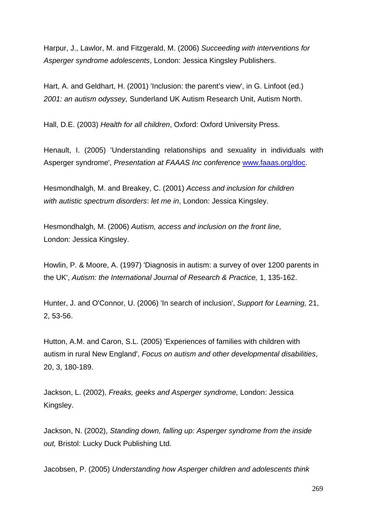Harpur, J., Lawlor, M. and Fitzgerald, M. (2006) *Succeeding with interventions for Asperger syndrome adolescents*, London: Jessica Kingsley Publishers.

Hart, A. and Geldhart, H. (2001) 'Inclusion: the parent's view', in G. Linfoot (ed.) *2001: an autism odyssey,* Sunderland UK Autism Research Unit, Autism North.

Hall, D.E. (2003) *He*a*lth for all children*, Oxford: Oxford University Press.

Henault, I. (2005) 'Understanding relationships and sexuality in individuals with Asperger syndrome', *Presentation at FAAAS Inc conference* www.faaas.org/doc.

Hesmondhalgh, M. and Breakey, C. (2001) *Access and inclusion for children with autistic spectrum disorders*: *let me in*, London: Jessica Kingsley.

Hesmondhalgh, M. (2006) *Autism, access and inclusion on the front line,* London: Jessica Kingsley.

Howlin, P. & Moore, A. (1997) 'Diagnosis in autism: a survey of over 1200 parents in the UK', *Autism: the International Journal of Research & Practice,* 1, 135-162.

Hunter, J. and O'Connor, U. (2006) 'In search of inclusion', *Support for Learning,* 21, 2, 53-56.

Hutton, A.M. and Caron, S.L. (2005) 'Experiences of families with children with autism in rural New England', *Focus on autism and other developmental disabilities*, 20, 3, 180-189.

Jackson, L. (2002), *Freaks, geeks and Asperger syndrome,* London: Jessica Kingsley.

Jackson, N. (2002), *Standing down, falling up: Asperger syndrome from the inside out,* Bristol: Lucky Duck Publishing Ltd.

Jacobsen, P. (2005) *Understanding how Asperger children and adolescents think*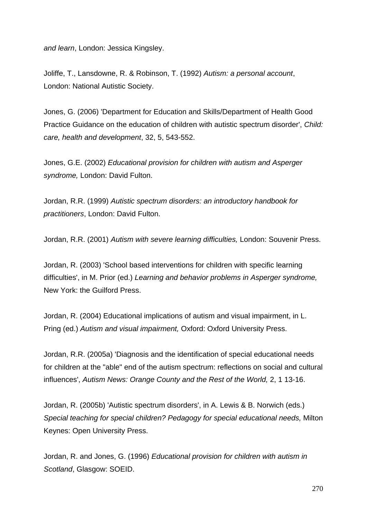*and learn*, London: Jessica Kingsley.

Joliffe, T., Lansdowne, R. & Robinson, T. (1992) *Autism: a personal account*, London: National Autistic Society.

Jones, G. (2006) 'Department for Education and Skills/Department of Health Good Practice Guidance on the education of children with autistic spectrum disorder', *Child: care, health and development*, 32, 5, 543-552.

Jones, G.E. (2002) *Educational provision for children with autism and Asperger syndrome,* London: David Fulton.

Jordan, R.R. (1999) *Autistic spectrum disorders: an introductory handbook for practitioners*, London: David Fulton.

Jordan, R.R. (2001) *Autism with severe learning difficulties,* London: Souvenir Press.

Jordan, R. (2003) 'School based interventions for children with specific learning difficulties', in M. Prior (ed.) *Learning and behavior problems in Asperger syndrome,* New York: the Guilford Press.

Jordan, R. (2004) Educational implications of autism and visual impairment, in L. Pring (ed.) *Autism and visual impairment,* Oxford: Oxford University Press.

Jordan, R.R. (2005a) 'Diagnosis and the identification of special educational needs for children at the "able" end of the autism spectrum: reflections on social and cultural influences', *Autism News: Orange County and the Rest of the World,* 2, 1 13-16.

Jordan, R. (2005b) 'Autistic spectrum disorders', in A. Lewis & B. Norwich (eds.) *Special teaching for special children? Pedagogy for special educational needs,* Milton Keynes: Open University Press.

Jordan, R. and Jones, G. (1996) *Educational provision for children with autism in Scotland*, Glasgow: SOEID.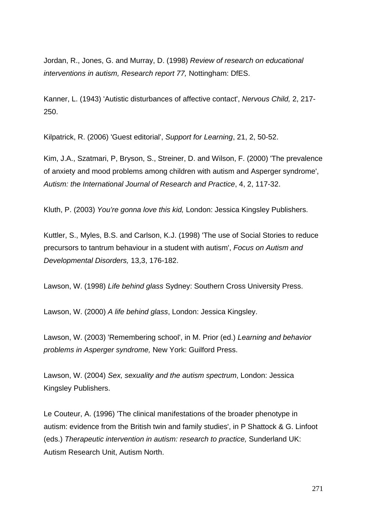Jordan, R., Jones, G. and Murray, D. (1998) *Review of research on educational interventions in autism, Research report 77,* Nottingham: DfES.

Kanner, L. (1943) 'Autistic disturbances of affective contact', *Nervous Child,* 2, 217- 250.

Kilpatrick, R. (2006) 'Guest editorial', *Support for Learning*, 21, 2, 50-52.

Kim, J.A., Szatmari, P, Bryson, S., Streiner, D. and Wilson, F. (2000) 'The prevalence of anxiety and mood problems among children with autism and Asperger syndrome', *Autism: the International Journal of Research and Practice*, 4, 2, 117-32.

Kluth, P. (2003) *You're gonna love this kid,* London: Jessica Kingsley Publishers.

Kuttler, S., Myles, B.S. and Carlson, K.J. (1998) 'The use of Social Stories to reduce precursors to tantrum behaviour in a student with autism', *Focus on Autism and Developmental Disorders,* 13,3, 176-182.

Lawson, W. (1998) *Life behind glass* Sydney: Southern Cross University Press.

Lawson, W. (2000) *A life behind glass*, London: Jessica Kingsley.

Lawson, W. (2003) 'Remembering school', in M. Prior (ed.) *Learning and behavior problems in Asperger syndrome,* New York: Guilford Press.

Lawson, W. (2004) *Sex, sexuality and the autism spectrum*, London: Jessica Kingsley Publishers.

Le Couteur, A. (1996) 'The clinical manifestations of the broader phenotype in autism: evidence from the British twin and family studies', in P Shattock & G. Linfoot (eds.) *Therapeutic intervention in autism: research to practice,* Sunderland UK: Autism Research Unit, Autism North.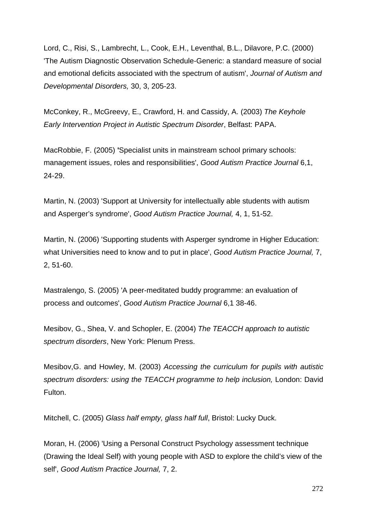Lord, C., Risi, S., Lambrecht, L., Cook, E.H., Leventhal, B.L., Dilavore, P.C. (2000) 'The Autism Diagnostic Observation Schedule-Generic: a standard measure of social and emotional deficits associated with the spectrum of autism', *Journal of Autism and Developmental Disorders,* 30, 3, 205-23.

McConkey, R., McGreevy, E., Crawford, H. and Cassidy, A. (2003) *The Keyhole Early Intervention Project in Autistic Spectrum Disorder*, Belfast: PAPA.

MacRobbie, F. (2005) **'**Specialist units in mainstream school primary schools: management issues, roles and responsibilities', *Good Autism Practice Journal* 6,1, 24-29.

Martin, N. (2003) 'Support at University for intellectually able students with autism and Asperger's syndrome', *Good Autism Practice Journal,* 4, 1, 51-52.

Martin, N. (2006) 'Supporting students with Asperger syndrome in Higher Education: what Universities need to know and to put in place', *Good Autism Practice Journal,* 7, 2, 51-60.

Mastralengo, S. (2005) 'A peer-meditated buddy programme: an evaluation of process and outcomes', *Good Autism Practice Journal* 6,1 38-46.

Mesibov, G., Shea, V. and Schopler, E. (2004) *The TEACCH approach to autistic spectrum disorders*, New York: Plenum Press.

Mesibov,G. and Howley, M. (2003) *Accessing the curriculum for pupils with autistic spectrum disorders: using the TEACCH programme to help inclusion,* London: David Fulton.

Mitchell, C. (2005) *Glass half empty, glass half full*, Bristol: Lucky Duck.

Moran, H. (2006) 'Using a Personal Construct Psychology assessment technique (Drawing the Ideal Self) with young people with ASD to explore the child's view of the self', *Good Autism Practice Journal,* 7, 2.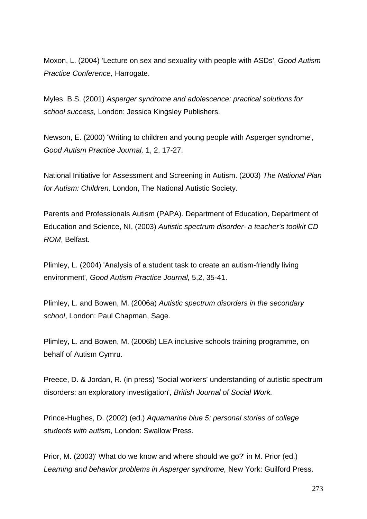Moxon, L. (2004) 'Lecture on sex and sexuality with people with ASDs', *Good Autism Practice Conference,* Harrogate.

Myles, B.S. (2001) *Asperger syndrome and adolescence: practical solutions for school success,* London: Jessica Kingsley Publishers.

Newson, E. (2000) 'Writing to children and young people with Asperger syndrome', *Good Autism Practice Journal,* 1, 2, 17-27.

National Initiative for Assessment and Screening in Autism. (2003) *The National Plan for Autism: Children,* London, The National Autistic Society.

Parents and Professionals Autism (PAPA). Department of Education, Department of Education and Science, NI, (2003) *Autistic spectrum disorder- a teacher's toolkit CD ROM*, Belfast.

Plimley, L. (2004) 'Analysis of a student task to create an autism-friendly living environment', *Good Autism Practice Journal,* 5,2, 35-41.

Plimley, L. and Bowen, M. (2006a) *Autistic spectrum disorders in the secondary school*, London: Paul Chapman, Sage.

Plimley, L. and Bowen, M. (2006b) LEA inclusive schools training programme, on behalf of Autism Cymru.

Preece, D. & Jordan, R. (in press) 'Social workers' understanding of autistic spectrum disorders: an exploratory investigation', *British Journal of Social Work.*

Prince-Hughes, D. (2002) (ed.) *Aquamarine blue 5: personal stories of college students with autism,* London: Swallow Press.

Prior, M. (2003)' What do we know and where should we go?' in M. Prior (ed.) *Learning and behavior problems in Asperger syndrome,* New York: Guilford Press.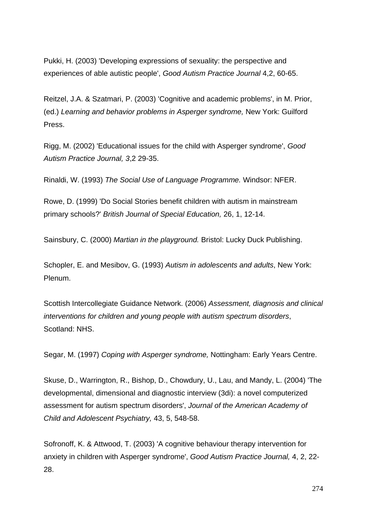Pukki, H. (2003) 'Developing expressions of sexuality: the perspective and experiences of able autistic people', *Good Autism Practice Journal* 4,2, 60-65.

Reitzel, J.A. & Szatmari, P. (2003) 'Cognitive and academic problems', in M. Prior, (ed.) *Learning and behavior problems in Asperger syndrome,* New York: Guilford Press.

Rigg, M. (2002) 'Educational issues for the child with Asperger syndrome', *Good Autism Practice Journal, 3*,2 29-35.

Rinaldi, W. (1993) *The Social Use of Language Programme.* Windsor: NFER.

Rowe, D. (1999) 'Do Social Stories benefit children with autism in mainstream primary schools?' *British Journal of Special Education,* 26, 1, 12-14.

Sainsbury, C. (2000) *Martian in the playground.* Bristol: Lucky Duck Publishing.

Schopler, E. and Mesibov, G. (1993) *Autism in adolescents and adults*, New York: Plenum.

Scottish Intercollegiate Guidance Network. (2006) *Assessment, diagnosis and clinical interventions for children and young people with autism spectrum disorders*, Scotland: NHS.

Segar, M. (1997) *Coping with Asperger syndrome,* Nottingham: Early Years Centre.

Skuse, D., Warrington, R., Bishop, D., Chowdury, U., Lau, and Mandy, L. (2004) 'The developmental, dimensional and diagnostic interview (3di): a novel computerized assessment for autism spectrum disorders', *Journal of the American Academy of Child and Adolescent Psychiatry,* 43, 5, 548-58.

Sofronoff, K. & Attwood, T. (2003) 'A cognitive behaviour therapy intervention for anxiety in children with Asperger syndrome', *Good Autism Practice Journal,* 4, 2, 22- 28.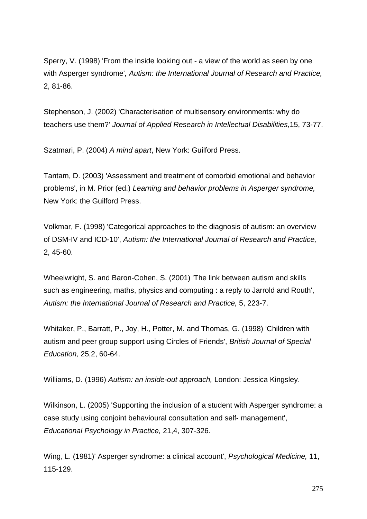Sperry, V. (1998) 'From the inside looking out - a view of the world as seen by one with Asperger syndrome'*, Autism: the International Journal of Research and Practice,* 2, 81-86.

Stephenson, J. (2002) 'Characterisation of multisensory environments: why do teachers use them?' *Journal of Applied Research in Intellectual Disabilities,*15, 73-77.

Szatmari, P. (2004) *A mind apart*, New York: Guilford Press.

Tantam, D. (2003) 'Assessment and treatment of comorbid emotional and behavior problems', in M. Prior (ed.) *Learning and behavior problems in Asperger syndrome,* New York: the Guilford Press.

Volkmar, F. (1998) 'Categorical approaches to the diagnosis of autism: an overview of DSM-IV and ICD-10', *Autism: the International Journal of Research and Practice,*  2, 45-60.

Wheelwright, S. and Baron-Cohen, S. (2001) 'The link between autism and skills such as engineering, maths, physics and computing : a reply to Jarrold and Routh', *Autism: the International Journal of Research and Practice,* 5, 223-7.

Whitaker, P., Barratt, P., Joy, H., Potter, M. and Thomas, G. (1998) 'Children with autism and peer group support using Circles of Friends', *British Journal of Special Education,* 25,2, 60-64.

Williams, D. (1996) *Autism: an inside-out approach,* London: Jessica Kingsley.

Wilkinson, L. (2005) 'Supporting the inclusion of a student with Asperger syndrome: a case study using conjoint behavioural consultation and self- management', *Educational Psychology in Practice,* 21,4, 307-326.

Wing, L. (1981)' Asperger syndrome: a clinical account', *Psychological Medicine,* 11, 115-129.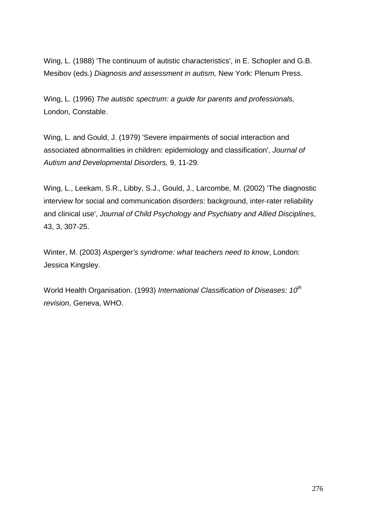Wing, L. (1988) 'The continuum of autistic characteristics', in E. Schopler and G.B. Mesibov (eds.) *Diagnosis and assessment in autism,* New York: Plenum Press.

Wing, L. (1996) *The autistic spectrum: a guide for parents and professionals,*  London, Constable.

Wing, L. and Gould, J. (1979) 'Severe impairments of social interaction and associated abnormalities in children: epidemiology and classification', *Journal of Autism and Developmental Disorders,* 9, 11-29.

Wing, L., Leekam, S.R., Libby, S.J., Gould, J., Larcombe, M. (2002) 'The diagnostic interview for social and communication disorders: background, inter-rater reliability and clinical use', *Journal of Child Psychology and Psychiatry and Allied Disciplines*, 43, 3, 307-25.

Winter, M. (2003) *Asperger's syndrome: what teachers need to know*, London: Jessica Kingsley.

World Health Organisation. (1993) *International Classification of Diseases: 10th revision,* Geneva, WHO.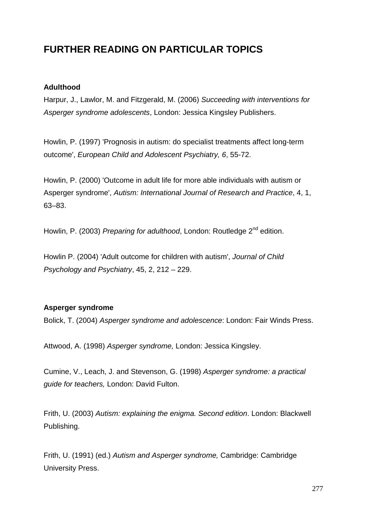# **FURTHER READING ON PARTICULAR TOPICS**

# **Adulthood**

Harpur, J., Lawlor, M. and Fitzgerald, M. (2006) *Succeeding with interventions for Asperger syndrome adolescents*, London: Jessica Kingsley Publishers.

Howlin, P. (1997) 'Prognosis in autism: do specialist treatments affect long-term outcome', *European Child and Adolescent Psychiatry, 6*, 55-72.

Howlin, P. (2000) 'Outcome in adult life for more able individuals with autism or Asperger syndrome', *Autism: International Journal of Research and Practice*, 4, 1, 63–83.

Howlin, P. (2003) *Preparing for adulthood*, London: Routledge 2<sup>nd</sup> edition.

Howlin P. (2004) 'Adult outcome for children with autism', *Journal of Child Psychology and Psychiatry*, 45, 2, 212 – 229.

# **Asperger syndrome**

Bolick, T. (2004) *Asperger syndrome and adolescence*: London: Fair Winds Press.

Attwood, A. (1998) *Asperger syndrome,* London: Jessica Kingsley.

Cumine, V., Leach, J. and Stevenson, G. (1998) *Asperger syndrome: a practical guide for teachers,* London: David Fulton.

Frith, U. (2003) *Autism: explaining the enigma. Second edition*. London: Blackwell Publishing.

Frith, U. (1991) (ed.) *Autism and Asperger syndrome,* Cambridge: Cambridge University Press.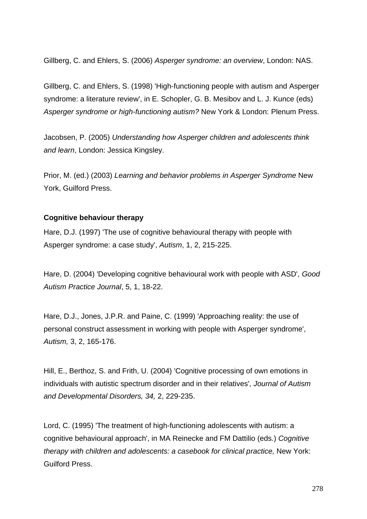Gillberg, C. and Ehlers, S. (2006) *Asperger syndrome: an overview*, London: NAS.

Gillberg, C. and Ehlers, S. (1998) 'High-functioning people with autism and Asperger syndrome: a literature review', in E. Schopler, G. B. Mesibov and L. J. Kunce (eds) *Asperger syndrome or high-functioning autism?* New York & London: Plenum Press.

Jacobsen, P. (2005) *Understanding how Asperger children and adolescents think and learn*, London: Jessica Kingsley.

Prior, M. (ed.) (2003) *Learning and behavior problems in Asperger Syndrome* New York, Guilford Press.

#### **Cognitive behaviour therapy**

Hare, D.J. (1997) 'The use of cognitive behavioural therapy with people with Asperger syndrome: a case study', *Autism*, 1, 2, 215-225.

Hare, D. (2004) 'Developing cognitive behavioural work with people with ASD', *Good Autism Practice Journal*, 5, 1, 18-22.

Hare, D.J., Jones, J.P.R. and Paine, C. (1999) 'Approaching reality: the use of personal construct assessment in working with people with Asperger syndrome', *Autism,* 3, 2, 165-176.

Hill, E., Berthoz, S. and Frith, U. (2004) 'Cognitive processing of own emotions in individuals with autistic spectrum disorder and in their relatives', *Journal of Autism and Developmental Disorders, 34,* 2, 229-235.

Lord, C. (1995) 'The treatment of high-functioning adolescents with autism: a cognitive behavioural approach', in MA Reinecke and FM Dattilio (eds.) *Cognitive therapy with children and adolescents: a casebook for clinical practice,* New York: Guilford Press.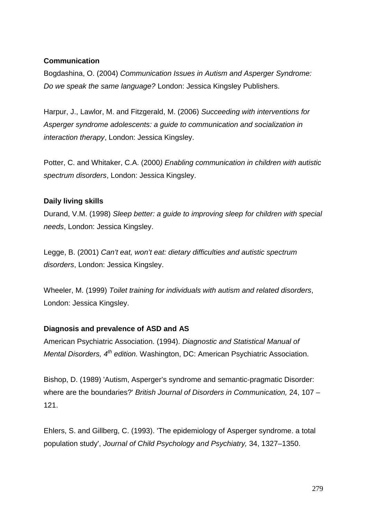# **Communication**

Bogdashina, O. (2004) *Communication Issues in Autism and Asperger Syndrome: Do we speak the same language?* London: Jessica Kingsley Publishers.

Harpur, J., Lawlor, M. and Fitzgerald, M. (2006) *Succeeding with interventions for Asperger syndrome adolescents: a guide to communication and socialization in interaction therapy*, London: Jessica Kingsley.

Potter, C. and Whitaker, C.A. (2000*) Enabling communication in children with autistic spectrum disorders*, London: Jessica Kingsley.

# **Daily living skills**

Durand, V.M. (1998) *Sleep better: a guide to improving sleep for children with special needs*, London: Jessica Kingsley.

Legge, B. (2001) *Can't eat, won't eat: dietary difficulties and autistic spectrum disorders*, London: Jessica Kingsley.

Wheeler, M. (1999) *Toilet training for individuals with autism and related disorders*, London: Jessica Kingsley.

# **Diagnosis and prevalence of ASD and AS**

American Psychiatric Association. (1994). *Diagnostic and Statistical Manual of Mental Disorders, 4th edition.* Washington, DC: American Psychiatric Association.

Bishop, D. (1989) 'Autism, Asperger's syndrome and semantic-pragmatic Disorder: where are the boundaries?' *British Journal of Disorders in Communication,* 24, 107 – 121.

Ehlers, S. and Gillberg, C. (1993). 'The epidemiology of Asperger syndrome. a total population study', *Journal of Child Psychology and Psychiatry,* 34, 1327–1350.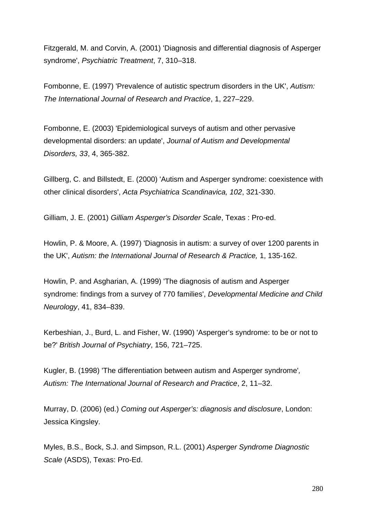Fitzgerald, M. and Corvin, A. (2001) 'Diagnosis and differential diagnosis of Asperger syndrome', *Psychiatric Treatment*, 7, 310–318.

Fombonne, E. (1997) 'Prevalence of autistic spectrum disorders in the UK', *Autism: The International Journal of Research and Practice*, 1, 227–229.

Fombonne, E. (2003) 'Epidemiological surveys of autism and other pervasive developmental disorders: an update', *Journal of Autism and Developmental Disorders, 33*, 4, 365-382.

Gillberg, C. and Billstedt, E. (2000) 'Autism and Asperger syndrome: coexistence with other clinical disorders', *Acta Psychiatrica Scandinavica, 102*, 321-330.

Gilliam, J. E. (2001) *Gilliam Asperger's Disorder Scale*, Texas : Pro-ed.

Howlin, P. & Moore, A. (1997) 'Diagnosis in autism: a survey of over 1200 parents in the UK', *Autism: the International Journal of Research & Practice,* 1, 135-162.

Howlin, P. and Asgharian, A. (1999) 'The diagnosis of autism and Asperger syndrome: findings from a survey of 770 families', *Developmental Medicine and Child Neurology*, 41, 834–839.

Kerbeshian, J., Burd, L. and Fisher, W. (1990) 'Asperger's syndrome: to be or not to be?' *British Journal of Psychiatry*, 156, 721–725.

Kugler, B. (1998) 'The differentiation between autism and Asperger syndrome'*, Autism: The International Journal of Research and Practice*, 2, 11–32.

Murray, D. (2006) (ed.) *Coming out Asperger's: diagnosis and disclosure*, London: Jessica Kingsley.

Myles, B.S., Bock, S.J. and Simpson, R.L. (2001) *Asperger Syndrome Diagnostic Scale* (ASDS), Texas: Pro-Ed.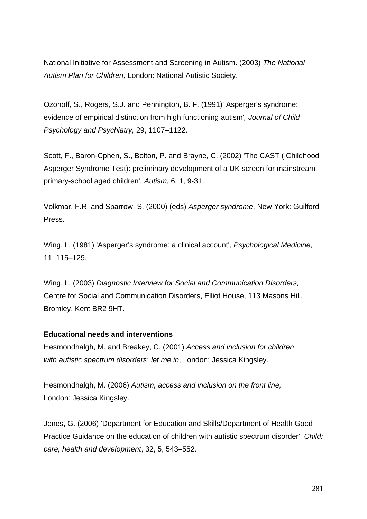National Initiative for Assessment and Screening in Autism. (2003) *The National Autism Plan for Children,* London: National Autistic Society.

Ozonoff, S., Rogers, S.J. and Pennington, B. F. (1991)' Asperger's syndrome: evidence of empirical distinction from high functioning autism'*, Journal of Child Psychology and Psychiatry,* 29, 1107–1122.

Scott, F., Baron-Cphen, S., Bolton, P. and Brayne, C. (2002) 'The CAST ( Childhood Asperger Syndrome Test): preliminary development of a UK screen for mainstream primary-school aged children', *Autism*, 6, 1, 9-31.

Volkmar, F.R. and Sparrow, S. (2000) (eds) *Asperger syndrome*, New York: Guilford Press.

Wing, L. (1981) 'Asperger's syndrome: a clinical account'*, Psychological Medicine*, 11, 115–129.

Wing, L. (2003) *Diagnostic Interview for Social and Communication Disorders,* Centre for Social and Communication Disorders, Elliot House, 113 Masons Hill, Bromley, Kent BR2 9HT.

#### **Educational needs and interventions**

Hesmondhalgh, M. and Breakey, C. (2001) *Access and inclusion for children with autistic spectrum disorders*: *let me in*, London: Jessica Kingsley.

Hesmondhalgh, M. (2006) *Autism, access and inclusion on the front line,* London: Jessica Kingsley.

Jones, G. (2006) 'Department for Education and Skills/Department of Health Good Practice Guidance on the education of children with autistic spectrum disorder', *Child: care, health and development*, 32, 5, 543–552.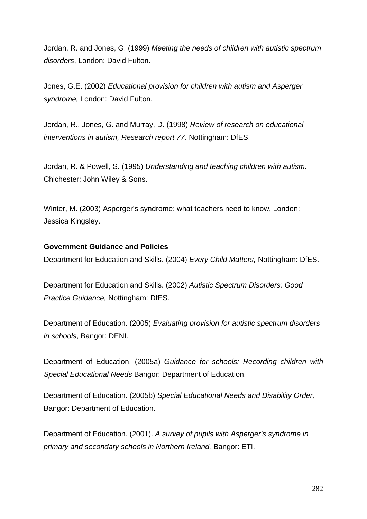Jordan, R. and Jones, G. (1999) *Meeting the needs of children with autistic spectrum disorders*, London: David Fulton.

Jones, G.E. (2002) *Educational provision for children with autism and Asperger syndrome,* London: David Fulton.

Jordan, R., Jones, G. and Murray, D. (1998) *Review of research on educational interventions in autism, Research report 77,* Nottingham: DfES.

Jordan, R. & Powell, S. (1995) *Understanding and teaching children with autism*. Chichester: John Wiley & Sons.

Winter, M. (2003) Asperger's syndrome: what teachers need to know, London: Jessica Kingsley.

#### **Government Guidance and Policies**

Department for Education and Skills. (2004) *Every Child Matters,* Nottingham: DfES.

Department for Education and Skills. (2002) *Autistic Spectrum Disorders: Good Practice Guidance,* Nottingham: DfES.

Department of Education. (2005) *Evaluating provision for autistic spectrum disorders in schools*, Bangor: DENI.

Department of Education. (2005a) *Guidance for schools: Recording children with Special Educational Needs* Bangor: Department of Education.

Department of Education. (2005b) *Special Educational Needs and Disability Order,* Bangor: Department of Education.

Department of Education. (2001). *A survey of pupils with Asperger's syndrome in primary and secondary schools in Northern Ireland.* Bangor: ETI.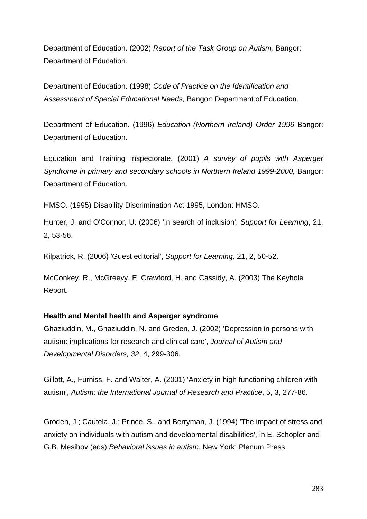Department of Education. (2002) *Report of the Task Group on Autism,* Bangor: Department of Education.

Department of Education. (1998) *Code of Practice on the Identification and Assessment of Special Educational Needs,* Bangor: Department of Education.

Department of Education. (1996) *Education (Northern Ireland) Order 1996* Bangor: Department of Education.

Education and Training Inspectorate. (2001) *A survey of pupils with Asperger Syndrome in primary and secondary schools in Northern Ireland 1999-2000, Bangor:* Department of Education.

HMSO. (1995) Disability Discrimination Act 1995, London: HMSO.

Hunter, J. and O'Connor, U. (2006) 'In search of inclusion', *Support for Learning*, 21, 2, 53-56.

Kilpatrick, R. (2006) 'Guest editorial', *Support for Learning,* 21, 2, 50-52.

McConkey, R., McGreevy, E. Crawford, H. and Cassidy, A. (2003) The Keyhole Report.

#### **Health and Mental health and Asperger syndrome**

Ghaziuddin, M., Ghaziuddin, N. and Greden, J. (2002) 'Depression in persons with autism: implications for research and clinical care', *Journal of Autism and Developmental Disorders, 32*, 4, 299-306.

Gillott, A., Furniss, F. and Walter, A. (2001) 'Anxiety in high functioning children with autism', *Autism: the International Journal of Research and Practice*, 5, 3, 277-86.

Groden, J.; Cautela, J.; Prince, S., and Berryman, J. (1994) 'The impact of stress and anxiety on individuals with autism and developmental disabilities', in E. Schopler and G.B. Mesibov (eds) *Behavioral issues in autism*. New York: Plenum Press.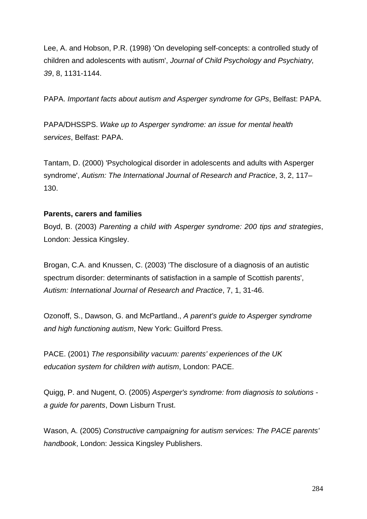Lee, A. and Hobson, P.R. (1998) 'On developing self-concepts: a controlled study of children and adolescents with autism', *Journal of Child Psychology and Psychiatry, 39*, 8, 1131-1144.

PAPA. *Important facts about autism and Asperger syndrome for GPs*, Belfast: PAPA.

PAPA/DHSSPS. *Wake up to Asperger syndrome: an issue for mental health services*, Belfast: PAPA.

Tantam, D. (2000) 'Psychological disorder in adolescents and adults with Asperger syndrome', *Autism: The International Journal of Research and Practice*, 3, 2, 117– 130.

#### **Parents, carers and families**

Boyd, B. (2003) *Parenting a child with Asperger syndrome: 200 tips and strategies*, London: Jessica Kingsley.

Brogan, C.A. and Knussen, C. (2003) 'The disclosure of a diagnosis of an autistic spectrum disorder: determinants of satisfaction in a sample of Scottish parents', *Autism: International Journal of Research and Practice*, 7, 1, 31-46.

Ozonoff, S., Dawson, G. and McPartland., *A parent's guide to Asperger syndrome and high functioning autism*, New York: Guilford Press.

PACE. (2001) *The responsibility vacuum: parents' experiences of the UK education system for children with autism*, London: PACE.

Quigg, P. and Nugent, O. (2005) *Asperger's syndrome: from diagnosis to solutions a guide for parents*, Down Lisburn Trust.

Wason, A. (2005) *Constructive campaigning for autism services: The PACE parents' handbook*, London: Jessica Kingsley Publishers.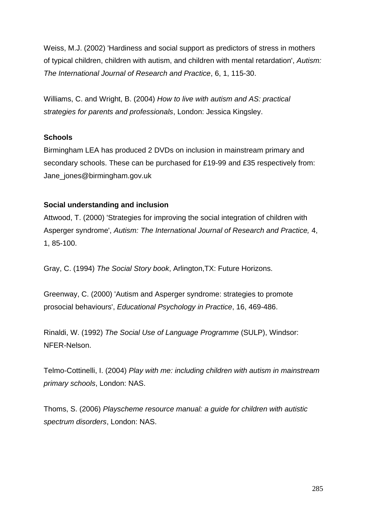Weiss, M.J. (2002) 'Hardiness and social support as predictors of stress in mothers of typical children, children with autism, and children with mental retardation', *Autism: The International Journal of Research and Practice*, 6, 1, 115-30.

Williams, C. and Wright, B. (2004) *How to live with autism and AS: practical strategies for parents and professionals*, London: Jessica Kingsley.

#### **Schools**

Birmingham LEA has produced 2 DVDs on inclusion in mainstream primary and secondary schools. These can be purchased for £19-99 and £35 respectively from: Jane\_jones@birmingham.gov.uk

# **Social understanding and inclusion**

Attwood, T. (2000) 'Strategies for improving the social integration of children with Asperger syndrome', *Autism: The International Journal of Research and Practice,* 4, 1, 85-100.

Gray, C. (1994) *The Social Story book*, Arlington,TX: Future Horizons.

Greenway, C. (2000) 'Autism and Asperger syndrome: strategies to promote prosocial behaviours', *Educational Psychology in Practice*, 16, 469-486.

Rinaldi, W. (1992) *The Social Use of Language Programme* (SULP), Windsor: NFER-Nelson.

Telmo-Cottinelli, I. (2004) *Play with me: including children with autism in mainstream primary schools*, London: NAS.

Thoms, S. (2006) *Playscheme resource manual: a guide for children with autistic spectrum disorders*, London: NAS.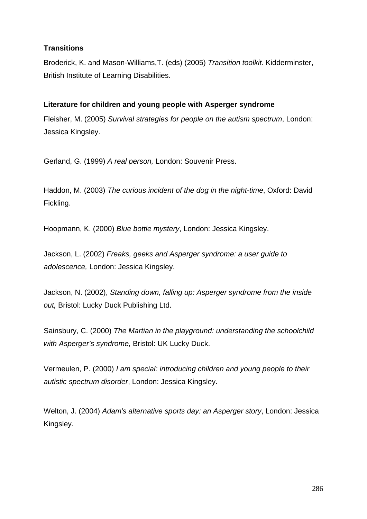# **Transitions**

Broderick, K. and Mason-Williams,T. (eds) (2005) *Transition toolkit.* Kidderminster, British Institute of Learning Disabilities.

# **Literature for children and young people with Asperger syndrome**

Fleisher, M. (2005) *Survival strategies for people on the autism spectrum*, London: Jessica Kingsley.

Gerland, G. (1999) *A real person,* London: Souvenir Press.

Haddon, M. (2003) *The curious incident of the dog in the night-time*, Oxford: David Fickling.

Hoopmann, K. (2000) *Blue bottle mystery*, London: Jessica Kingsley.

Jackson, L. (2002) *Freaks, geeks and Asperger syndrome: a user guide to adolescence,* London: Jessica Kingsley.

Jackson, N. (2002), *Standing down, falling up: Asperger syndrome from the inside out,* Bristol: Lucky Duck Publishing Ltd.

Sainsbury, C. (2000) *The Martian in the playground: understanding the schoolchild with Asperger's syndrome,* Bristol: UK Lucky Duck.

Vermeulen, P. (2000) *I am special: introducing children and young people to their autistic spectrum disorder*, London: Jessica Kingsley.

Welton, J. (2004) *Adam's alternative sports day: an Asperger story*, London: Jessica Kingsley.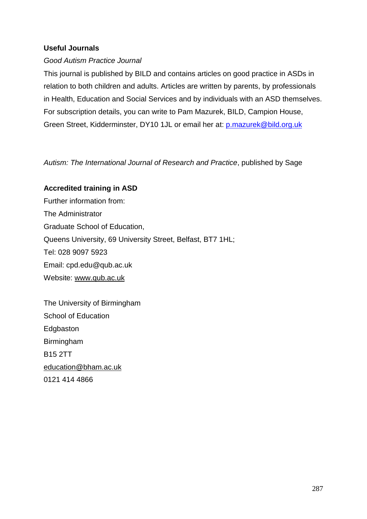#### **Useful Journals**

#### *Good Autism Practice Journal*

This journal is published by BILD and contains articles on good practice in ASDs in relation to both children and adults. Articles are written by parents, by professionals in Health, Education and Social Services and by individuals with an ASD themselves. For subscription details, you can write to Pam Mazurek, BILD, Campion House, Green Street, Kidderminster, DY10 1JL or email her at: p.mazurek@bild.org.uk

*Autism: The International Journal of Research and Practice*, published by Sage

#### **Accredited training in ASD**

Further information from: The Administrator Graduate School of Education, Queens University, 69 University Street, Belfast, BT7 1HL; Tel: 028 9097 5923 Email: cpd.edu@qub.ac.uk Website: www.qub.ac.uk

The University of Birmingham School of Education **Edgbaston** Birmingham B15 2TT education@bham.ac.uk 0121 414 4866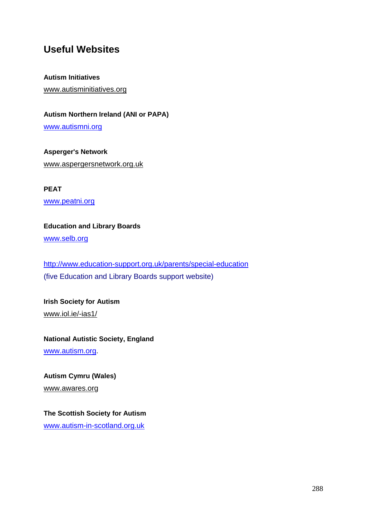# **Useful Websites**

#### **Autism Initiatives**

www.autisminitiatives.org

#### **Autism Northern Ireland (ANI or PAPA)**

www.autismni.org

**Asperger's Network** www.aspergersnetwork.org.uk

**PEAT** www.peatni.org

**Education and Library Boards**

www.selb.org

http://www.education-support.org.uk/parents/special-education (five Education and Library Boards support website)

**Irish Society for Autism** www.iol.ie/-ias1/

**National Autistic Society, England** www.autism.org.

**Autism Cymru (Wales)** www.awares.org

**The Scottish Society for Autism** www.autism-in-scotland.org.uk